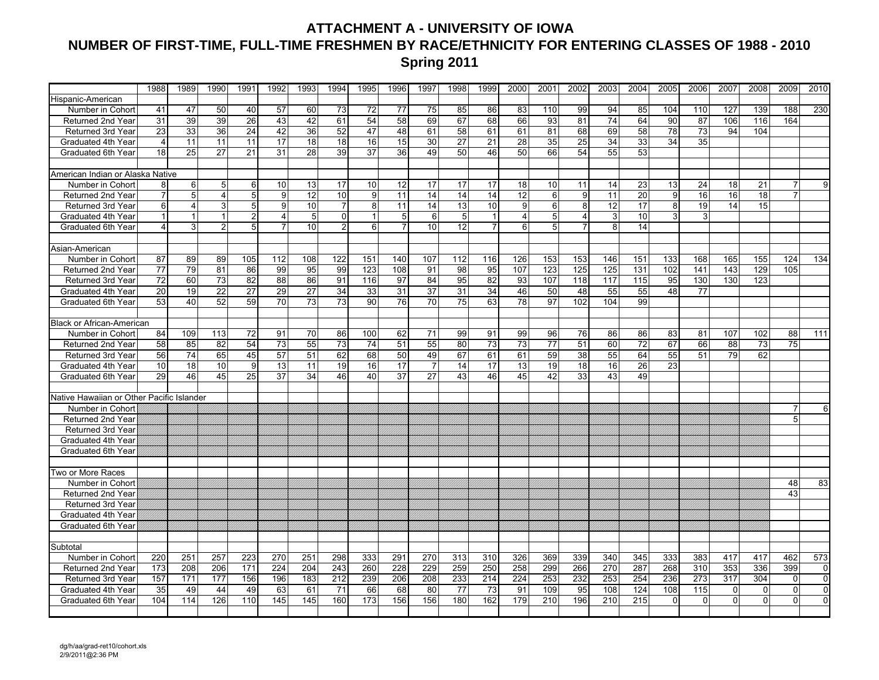## **ATTACHMENT A - UNIVERSITY OF IOWA NUMBER OF FIRST-TIME, FULL-TIME FRESHMEN BY RACE/ETHNICITY FOR ENTERING CLASSES OF 1988 - 2010 Spring 2011**

|                                           | 1988           | 1989            | 1990           | 1991           | 1992            | 1993            | 1994           | 1995           | 1996            | 1997            | 1998 | 1999           | 2000            | 2001           | 2002                    | 2003                      | 2004            | 2005                    | 2006            | 2007        | 2008            | 2009           | 2010           |
|-------------------------------------------|----------------|-----------------|----------------|----------------|-----------------|-----------------|----------------|----------------|-----------------|-----------------|------|----------------|-----------------|----------------|-------------------------|---------------------------|-----------------|-------------------------|-----------------|-------------|-----------------|----------------|----------------|
| Hispanic-American                         |                |                 |                |                |                 |                 |                |                |                 |                 |      |                |                 |                |                         |                           |                 |                         |                 |             |                 |                |                |
| Number in Cohort                          | 41             | 47              | 50             | 40             | 57              | 60              | 73             | 72             | 77              | 75              | 85   | 86             | 83              | 110            | 99                      | 94                        | 85              | 104                     | 110             | 127         | 139             | 188            | 230            |
| <b>Returned 2nd Year</b>                  | 31             | 39              | 39             | 26             | 43              | 42              | 61             | 54             | 58              | 69              | 67   | 68             | 66              | 93             | 81                      | 74                        | 64              | 90                      | 87              | 106         | 116             | 164            |                |
| Returned 3rd Year                         | 23             | 33              | 36             | 24             | 42              | 36              | 52             | 47             | 48              | 61              | 58   | 61             | 61              | 81             | 68                      | 69                        | 58              | 78                      | $\overline{73}$ | 94          | 104             |                |                |
| Graduated 4th Year                        | 4              | 11              | 11             | 11             | 17              | 18              | 18             | 16             | 15              | 30              | 27   | 21             | 28              | 35             | 25                      | 34                        | 33              | 34                      | 35              |             |                 |                |                |
| Graduated 6th Year                        | 18             | 25              | 27             | 21             | 31              | 28              | 39             | 37             | 36              | 49              | 50   | 46             | 50              | 66             | 54                      | 55                        | 53              |                         |                 |             |                 |                |                |
|                                           |                |                 |                |                |                 |                 |                |                |                 |                 |      |                |                 |                |                         |                           |                 |                         |                 |             |                 |                |                |
| American Indian or Alaska Native          |                |                 |                |                |                 |                 |                |                |                 |                 |      |                |                 |                |                         |                           |                 |                         |                 |             |                 |                |                |
| Number in Cohort                          | 8              | 6               | 5              | 6              | 10              | 13              | 17             | 10             | 12              | 17              | 17   | 17             | 18              | 10             | 11                      | 14                        | 23              | 13                      | 24              | 18          | 21              | 7              | 9              |
| Returned 2nd Year                         | $\overline{7}$ | 5               | $\overline{4}$ | 5              | $\overline{9}$  | $\overline{12}$ | 10             | $\overline{9}$ | 11              | 14              | 14   | 14             | $\overline{12}$ | 6              | $\overline{9}$          | $\overline{11}$           | $\overline{20}$ | 9                       | 16              | 16          | $\overline{18}$ | $\overline{7}$ |                |
| Returned 3rd Year                         | 6              | 4               | $\mathbf{3}$   | 5              | 9               | 10              | $\overline{7}$ | 8              | 11              | 14              | 13   | 10             | 9               | 6              | 8                       | 12                        | 17              | 8 <sup>1</sup>          | 19              | 14          | 15              |                |                |
| Graduated 4th Year                        | $\mathbf{1}$   | $\mathbf{1}$    |                | $\overline{2}$ | $\overline{4}$  | $5\overline{)}$ | $\Omega$       | $\mathbf{1}$   | 5 <sup>1</sup>  | 6               | 5    | $\overline{1}$ | $\overline{4}$  | $\overline{5}$ | $\overline{\mathbf{4}}$ | $\ensuremath{\mathsf{3}}$ | 10              | $\overline{\mathbf{3}}$ | 3               |             |                 |                |                |
| Graduated 6th Year                        | $\overline{4}$ | 3               | $\overline{2}$ | 5              | $\overline{7}$  | 10 <sup>1</sup> | $\overline{2}$ | 6              | $\overline{7}$  | 10 <sup>1</sup> | 12   | $\overline{7}$ | 6               | 5 <sub>1</sub> | 7                       | 8 <sup>1</sup>            | 14              |                         |                 |             |                 |                |                |
|                                           |                |                 |                |                |                 |                 |                |                |                 |                 |      |                |                 |                |                         |                           |                 |                         |                 |             |                 |                |                |
| Asian-American                            |                |                 |                |                |                 |                 |                |                |                 |                 |      |                |                 |                |                         |                           |                 |                         |                 |             |                 |                |                |
| Number in Cohort                          | 87             | 89              | 89             | 105            | 112             | 108             | 122            | 151            | 140             | 107             | 112  | 116            | 126             | 153            | 153                     | 146                       | 151             | 133                     | 168             | 165         | 155             | 124            | 134            |
| Returned 2nd Year                         | 77             | 79              | 81             | 86             | 99              | 95              | 99             | 123            | 108             | 91              | 98   | 95             | 107             | 123            | 125                     | 125                       | 131             | 102                     | 141             | 143         | 129             | 105            |                |
| Returned 3rd Year                         | 72             | 60              | 73             | 82             | 88              | 86              | 91             | 116            | 97              | 84              | 95   | 82             | 93              | 107            | 118                     | 117                       | 115             | 95                      | 130             | 130         | 123             |                |                |
| Graduated 4th Year                        | 20             | 19              | 22             | 27             | 29              | 27              | 34             | 33             | 31              | 37              | 31   | 34             | 46              | 50             | 48                      | 55                        | 55              | 48                      | 77              |             |                 |                |                |
| Graduated 6th Year                        | 53             | 40              | 52             | 59             | $\overline{70}$ | 73              | 73             | 90             | 76              | 70              | 75   | 63             | 78              | 97             | 102                     | 104                       | 99              |                         |                 |             |                 |                |                |
|                                           |                |                 |                |                |                 |                 |                |                |                 |                 |      |                |                 |                |                         |                           |                 |                         |                 |             |                 |                |                |
| <b>Black or African-American</b>          |                |                 |                |                |                 |                 |                |                |                 |                 |      |                |                 |                |                         |                           |                 |                         |                 |             |                 |                |                |
| Number in Cohort                          | 84             | 109             | 113            | 72             | 91              | 70              | 86             | 100            | 62              | 71              | 99   | 91             | 99              | 96             | 76                      | 86                        | 86              | 83                      | 81              | 107         | 102             | 88             | 111            |
| Returned 2nd Year                         | 58             | 85              | 82             | 54             | 73              | 55              | 73             | 74             | 51              | 55              | 80   | 73             | 73              | 77             | 51                      | 60                        | 72              | 67                      | 66              | 88          | 73              | 75             |                |
| Returned 3rd Year                         | 56             | 74              | 65             | 45             | 57              | 51              | 62             | 68             | 50              | 49              | 67   | 61             | 61              | 59             | $\overline{38}$         | 55                        | 64              | 55                      | 51              | 79          | 62              |                |                |
| Graduated 4th Year                        | 10             | $\overline{18}$ | 10             | 9              | 13              | 11              | 19             | 16             | $\overline{17}$ |                 | 14   | 17             | 13              | 19             | 18                      | 16                        | 26              | $\overline{23}$         |                 |             |                 |                |                |
| Graduated 6th Year                        | 29             | 46              | 45             | 25             | 37              | 34              | 46             | 40             | 37              | 27              | 43   | 46             | 45              | 42             | 33                      | 43                        | 49              |                         |                 |             |                 |                |                |
|                                           |                |                 |                |                |                 |                 |                |                |                 |                 |      |                |                 |                |                         |                           |                 |                         |                 |             |                 |                |                |
| Native Hawaiian or Other Pacific Islander |                |                 |                |                |                 |                 |                |                |                 |                 |      |                |                 |                |                         |                           |                 |                         |                 |             |                 |                |                |
| Number in Cohort                          |                |                 |                |                |                 |                 |                |                |                 |                 |      |                |                 |                |                         |                           |                 |                         |                 |             |                 |                | 6              |
| <b>Returned 2nd Year</b>                  |                |                 |                |                |                 |                 |                |                |                 |                 |      |                |                 |                |                         |                           |                 |                         |                 |             |                 | 5              |                |
| Returned 3rd Year                         |                |                 |                |                |                 |                 |                |                |                 |                 |      |                |                 |                |                         |                           |                 |                         |                 |             |                 |                |                |
| Graduated 4th Year                        |                |                 |                |                |                 |                 |                |                |                 |                 |      |                |                 |                |                         |                           |                 |                         |                 |             |                 |                |                |
| Graduated 6th Year                        |                |                 |                |                |                 |                 |                |                |                 |                 |      |                |                 |                |                         |                           |                 |                         |                 |             |                 |                |                |
| Two or More Races                         |                |                 |                |                |                 |                 |                |                |                 |                 |      |                |                 |                |                         |                           |                 |                         |                 |             |                 |                |                |
| Number in Cohort                          |                |                 |                |                |                 |                 |                |                |                 |                 |      |                |                 |                |                         |                           |                 |                         |                 |             |                 | 48             | 83             |
| Returned 2nd Year                         |                |                 |                |                |                 |                 |                |                |                 |                 |      |                |                 |                |                         |                           |                 |                         |                 |             |                 | 43             |                |
| Returned 3rd Year                         |                |                 |                |                |                 |                 |                |                |                 |                 |      |                |                 |                |                         |                           |                 |                         |                 |             |                 |                |                |
| Graduated 4th Year                        |                |                 |                |                |                 |                 |                |                |                 |                 |      |                |                 |                |                         |                           |                 |                         |                 |             |                 |                |                |
| Graduated 6th Year                        |                |                 |                |                |                 |                 |                |                |                 |                 |      |                |                 |                |                         |                           |                 |                         |                 |             |                 |                |                |
|                                           |                |                 |                |                |                 |                 |                |                |                 |                 |      |                |                 |                |                         |                           |                 |                         |                 |             |                 |                |                |
| Subtotal                                  |                |                 |                |                |                 |                 |                |                |                 |                 |      |                |                 |                |                         |                           |                 |                         |                 |             |                 |                |                |
| Number in Cohort                          | 220            | 251             | 257            | 223            | 270             | 251             | 298            | 333            | 291             | 270             | 313  | 310            | 326             | 369            | 339                     | 340                       | 345             | 333                     | 383             | 417         | 417             | 462            | 573            |
| Returned 2nd Year                         | 173            | 208             | 206            | 171            | 224             | 204             | 243            | 260            | 228             | 229             | 259  | 250            | 258             | 299            | 266                     | 270                       | 287             | 268                     | 310             | 353         | 336             | 399            | 0              |
| Returned 3rd Year                         | 157            | 171             | 177            | 156            | 196             | 183             | 212            | 239            | 206             | 208             | 233  | 214            | 224             | 253            | 232                     | 253                       | 254             | 236                     | 273             | 317         | 304             | $\Omega$       | $\overline{0}$ |
| Graduated 4th Year                        | 35             | 49              | 44             | 49             | 63              | 61              | 71             | 66             | 68              | 80              | 77   | 73             | 91              | 109            | 95                      | 108                       | 124             | 108                     | 115             | $\mathbf 0$ | $\overline{0}$  | $\Omega$       | $\pmb{0}$      |
| Graduated 6th Year                        | 104            | 114             | 126            | 110            | 145             | 145             | 160            | 173            | 156             | 156             | 180  | 162            | 179             | 210            | 196                     | 210                       | 215             | $\Omega$                | $\Omega$        | $\Omega$    | $\Omega$        | $\Omega$       | $\overline{0}$ |
|                                           |                |                 |                |                |                 |                 |                |                |                 |                 |      |                |                 |                |                         |                           |                 |                         |                 |             |                 |                |                |
|                                           |                |                 |                |                |                 |                 |                |                |                 |                 |      |                |                 |                |                         |                           |                 |                         |                 |             |                 |                |                |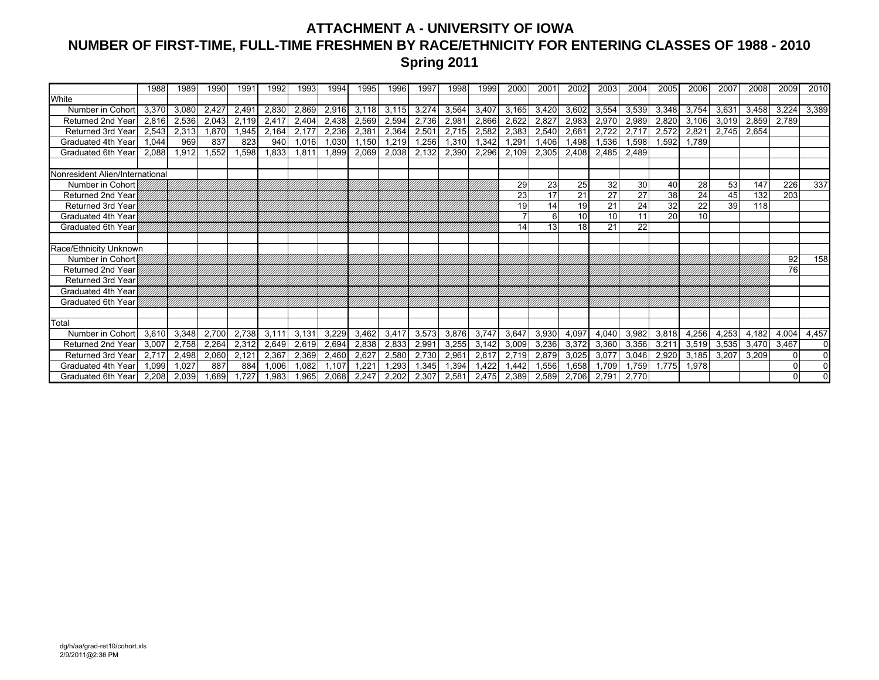## **ATTACHMENT A - UNIVERSITY OF IOWA NUMBER OF FIRST-TIME, FULL-TIME FRESHMEN BY RACE/ETHNICITY FOR ENTERING CLASSES OF 1988 - 2010 Spring 2011**

|                                 | 1988  | 1989  | 1990  | 1991  | 1992  | 1993  | 1994  | 1995           | 1996  | 1997  | 1998  | 1999  | 2000  | 200'  | 2002  | 2003  | 2004  | 2005            | 2006  | 2007  | 2008  | 2009  | 2010     |
|---------------------------------|-------|-------|-------|-------|-------|-------|-------|----------------|-------|-------|-------|-------|-------|-------|-------|-------|-------|-----------------|-------|-------|-------|-------|----------|
| White                           |       |       |       |       |       |       |       |                |       |       |       |       |       |       |       |       |       |                 |       |       |       |       |          |
| Number in Cohort                | 3,370 | 3,080 | 2,427 | 2,491 | 2,830 | 2,869 | 2,916 | 3,118          | 3,115 | 3,274 | 3,564 | 3,407 | 3,165 | 3,420 | 3,602 | 3,554 | 3,539 | 3,348           | 3,754 | 3,631 | 3,458 | 3,224 | 3,389    |
| Returned 2nd Year               | 2,816 | 2,536 | 2,043 | 2,119 | 2,417 | 2,404 | 2,438 | 2,569          | 2,594 | 2,736 | 2,981 | 2,866 | 2,622 | 2,827 | 2,983 | 2,970 | 2,989 | 2,820           | 3,106 | 3,019 | 2,859 | 2,789 |          |
| <b>Returned 3rd Year</b>        | 2,543 | 2,313 | .870  | 1,945 | 2,164 | 2,177 | 2,236 | 2,381          | 2,364 | 2,501 | 2,715 | 2,582 | 2,383 | 2,540 | 2,681 | 2,722 | 2,717 | 2,572           | 2,821 | 2,745 | 2,654 |       |          |
| Graduated 4th Year              | 1.044 | 969   | 837   | 823   | 940   | 1,016 | 1,030 | 1,150          | 1,219 | ,256  | 1,310 | 1,342 | 1,291 | 1,406 | 1,498 | 1,536 | 598,  | .592            | 1,789 |       |       |       |          |
| Graduated 6th Yea               | 2.088 | 1,912 | 1,552 | 1,598 | 1,833 | 1,811 | 1,899 | 2,069          | 2,038 | 2,132 | 2,390 | 2,296 | 2,109 | 2,305 | 2,408 | 2,485 | 2,489 |                 |       |       |       |       |          |
|                                 |       |       |       |       |       |       |       |                |       |       |       |       |       |       |       |       |       |                 |       |       |       |       |          |
| Nonresident Alien/International |       |       |       |       |       |       |       |                |       |       |       |       |       |       |       |       |       |                 |       |       |       |       |          |
| Number in Cohort                |       |       |       |       |       |       |       |                |       |       |       |       | 29    | 23    | 25    | 32    | 30    | 40              | 28    | 53    | 147   | 226   | 337      |
| Returned 2nd Year               |       |       |       |       |       |       |       |                |       |       |       |       | 23    | 17    | 21    | 27    | 27    | $\overline{38}$ | 24    | 45    | 132   | 203   |          |
| <b>Returned 3rd Year</b>        |       |       |       |       |       |       |       |                |       |       |       |       | 19    | 14    | 19    | 21    | 24    | 32              | 22    | 39    | 118   |       |          |
| Graduated 4th Year              |       |       |       |       |       |       |       |                |       |       |       |       |       | 6     | 10    | 10    | 11    | 20              | 10    |       |       |       |          |
| Graduated 6th Year              |       |       |       |       |       |       |       |                |       |       |       |       | 14    | 13    | 18    | 21    | 22    |                 |       |       |       |       |          |
|                                 |       |       |       |       |       |       |       |                |       |       |       |       |       |       |       |       |       |                 |       |       |       |       |          |
| Race/Ethnicity Unknown          |       |       |       |       |       |       |       |                |       |       |       |       |       |       |       |       |       |                 |       |       |       |       |          |
| Number in Cohort                |       |       |       |       |       |       |       |                |       |       |       |       |       |       |       |       |       |                 |       |       |       | 92    | 158      |
| Returned 2nd Year               |       |       |       |       |       |       |       |                |       |       |       |       |       |       |       |       |       |                 |       |       |       | 76    |          |
| Returned 3rd Year               |       |       |       |       |       |       |       |                |       |       |       |       |       |       |       |       |       |                 |       |       |       |       |          |
| Graduated 4th Year              |       |       |       |       |       |       |       |                |       |       |       |       |       |       |       |       |       |                 |       |       |       |       |          |
| Graduated 6th Year              |       |       |       |       |       |       |       |                |       |       |       |       |       |       |       |       |       |                 |       |       |       |       |          |
|                                 |       |       |       |       |       |       |       |                |       |       |       |       |       |       |       |       |       |                 |       |       |       |       |          |
| Total                           |       |       |       |       |       |       |       |                |       |       |       |       |       |       |       |       |       |                 |       |       |       |       |          |
| Number in Cohort                | 3,610 | 3,348 | 2.700 | 2,738 | 3,111 | 3,131 | 3,229 | 3,462          | 3,417 | 3,573 | 3,876 | 3,747 | 3,647 | 3,930 | 4,097 | 4,040 | 3,982 | 3,818           | 4,256 | 4,253 | 4,182 | 4,004 | 4,457    |
| Returned 2nd Year               | 3.007 | 2,758 | 2,264 | 2,312 | 2,649 | 2,619 | 2,694 | 2,838          | 2,833 | 2,991 | 3,255 | 3,142 | 3,009 | 3,236 | 3,372 | 3,360 | 3,356 | 3,211           | 3,519 | 3,535 | 3,470 | 3,467 | $\Omega$ |
| Returned 3rd Year               | 2.717 | 2,498 | 2,060 | 2,121 | 2,367 | 2,369 | 2,460 | 2,627          | 2,580 | 2,730 | 2,961 | 2,817 | 2,719 | 2,879 | 3,025 | 3,077 | 3,046 | 2,920           | 3,185 | 3,207 | 3,209 |       | $\Omega$ |
| Graduated 4th Year              | 1.099 | 1.027 | 887   | 884   | 1.006 | 1.082 | .107  | $1.22^{\circ}$ | .293  | .345  | 1,394 | 1,422 | 1,442 | .556  | 1,658 | 1.709 | 1,759 | 1.775           | 1.978 |       |       |       |          |
| Graduated 6th Year              | 2.208 | 2.039 | .689  | .727  | 1.983 | 1.965 | 2,068 | 2.247          | 2.202 | 2.307 | 2.581 | 2.475 | 2.389 | 2,589 | 2.706 | 2.79' | 2,770 |                 |       |       |       |       |          |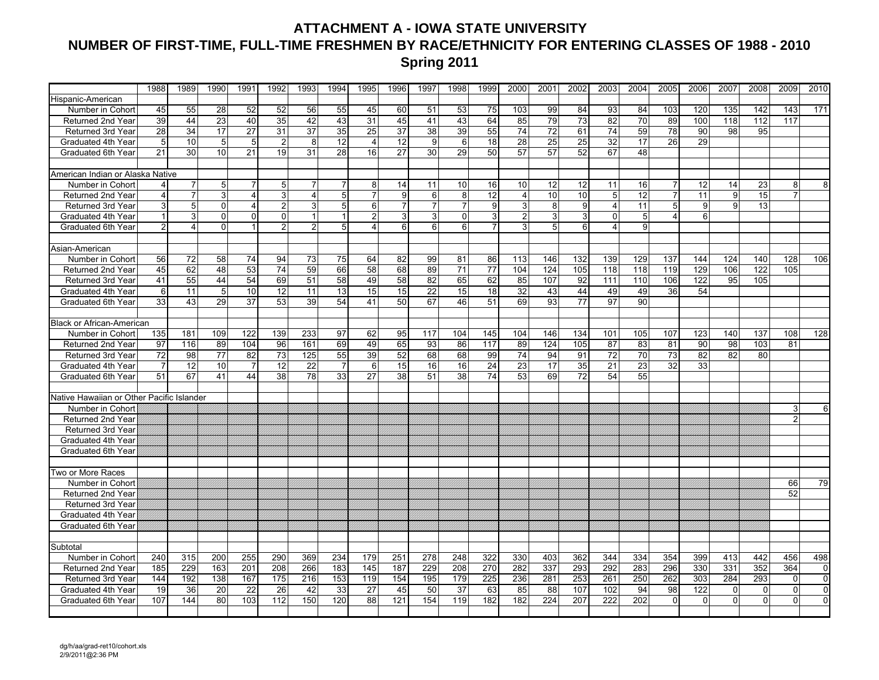### **ATTACHMENT A - IOWA STATE UNIVERSITY NUMBER OF FIRST-TIME, FULL-TIME FRESHMEN BY RACE/ETHNICITY FOR ENTERING CLASSES OF 1988 - 2010 Spring 2011**

|                                           | 1988            | 1989            | 1990            | 1991                    | 1992            | 1993            | 1994           | 1995                  | 1996            | 1997             | 1998             | 1999            | 2000           | 2001            | 2002            | 2003                    | 2004            | 2005           | 2006     | 2007     | 2008     | 2009           | 2010           |
|-------------------------------------------|-----------------|-----------------|-----------------|-------------------------|-----------------|-----------------|----------------|-----------------------|-----------------|------------------|------------------|-----------------|----------------|-----------------|-----------------|-------------------------|-----------------|----------------|----------|----------|----------|----------------|----------------|
| Hispanic-American                         |                 |                 |                 |                         |                 |                 |                |                       |                 |                  |                  |                 |                |                 |                 |                         |                 |                |          |          |          |                |                |
| Number in Cohort                          | 45              | 55              | 28              | 52                      | 52              | 56              | 55             | 45                    | 60              | 51               | 53               | 75              | 103            | 99              | 84              | 93                      | 84              | 103            | 120      | 135      | 142      | 143            | 171            |
| Returned 2nd Year                         | 39              | 44              | 23              | 40                      | 35              | 42              | 43             | 31                    | 45              | 41               | 43               | 64              | 85             | 79              | 73              | $\overline{82}$         | 70              | 89             | 100      | 118      | 112      | 117            |                |
| Returned 3rd Year                         | $\overline{28}$ | 34              | 17              | 27                      | $\overline{31}$ | 37              | 35             | $\overline{25}$       | $\overline{37}$ | 38               | 39               | 55              | 74             | $\overline{72}$ | 61              | $\overline{74}$         | 59              | 78             | 90       | 98       | 95       |                |                |
| Graduated 4th Year                        | 5               | 10              | 5               | 5                       | $\overline{c}$  | 8               | 12             | $\overline{4}$        | 12              | 9                | 6                | 18              | 28             | 25              | 25              | 32                      | 17              | 26             | 29       |          |          |                |                |
| Graduated 6th Year                        | 21              | 30              | 10              | 21                      | 19              | 31              | 28             | 16                    | 27              | 30               | 29               | 50              | 57             | 57              | 52              | 67                      | 48              |                |          |          |          |                |                |
|                                           |                 |                 |                 |                         |                 |                 |                |                       |                 |                  |                  |                 |                |                 |                 |                         |                 |                |          |          |          |                |                |
| American Indian or Alaska Native          |                 |                 |                 |                         |                 |                 |                |                       |                 |                  |                  |                 |                |                 |                 |                         |                 |                |          |          |          |                |                |
| Number in Cohort                          | 4               | $\overline{7}$  | 5 <sub>5</sub>  |                         | 5               | $\overline{7}$  | $\overline{7}$ | 8                     | 14              | 11               | 10               | 16              | 10             | 12              | 12              | 11                      | 16              |                | 12       | 14       | 23       | 8              | 8              |
| Returned 2nd Year                         | $\overline{4}$  | $\overline{7}$  | 3               | $\overline{4}$          | 3               | $\overline{4}$  | 5 <sup>1</sup> | $\overline{7}$        | 9               | $6 \overline{6}$ | 8                | 12              | $\overline{4}$ | 10              | 10              | 5                       | $\overline{12}$ |                | 11       | 9        | 15       | $\overline{7}$ |                |
| Returned 3rd Year                         | 3               | 5               | $\overline{0}$  | $\overline{\mathbf{4}}$ | 2               | 3               | 5 <sub>5</sub> | 6                     | $\overline{7}$  | $\overline{7}$   | 7                | 9               | 3              | 8               | 9               | 4                       | 11              | 5 <sup>1</sup> | 9        | 9        | 13       |                |                |
| Graduated 4th Year                        | 1               | 3               | $\Omega$        | $\Omega$                | $\mathbf 0$     | $\mathbf{1}$    | $\vert$        | 2                     | 3               | $\overline{3}$   | $\Omega$         | 3               | $\overline{c}$ | $\mathbf{3}$    | 3               | $\Omega$                | 5               | Δ              | 6        |          |          |                |                |
| Graduated 6th Year                        | 2               | 4               | $\Omega$        |                         | $\overline{2}$  | $\overline{2}$  | 5 <sup>1</sup> | $\boldsymbol{\Delta}$ | $6 \,$          | 6 <sup>1</sup>   | 6                | $\overline{7}$  | 3              | 5 <sup>1</sup>  | 6               | $\overline{\mathbf{4}}$ | 9               |                |          |          |          |                |                |
|                                           |                 |                 |                 |                         |                 |                 |                |                       |                 |                  |                  |                 |                |                 |                 |                         |                 |                |          |          |          |                |                |
| Asian-American                            |                 |                 |                 |                         |                 |                 |                |                       |                 |                  |                  |                 |                |                 |                 |                         |                 |                |          |          |          |                |                |
| Number in Cohort                          | 56              | 72              | 58              | 74                      | 94              | 73              | 75             | 64                    | 82              | 99               | 81               | 86              | 113            | 146             | 132             | 139                     | 129             | 137            | 144      | 124      | 140      | 128            | 106            |
| Returned 2nd Year                         | 45              | 62              | 48              | 53                      | 74              | 59              | 66             | 58                    | 68              | 89               | 71               | 77              | 104            | 124             | 105             | 118                     | 118             | 119            | 129      | 106      | 122      | 105            |                |
| Returned 3rd Year                         | 41              | 55              | 44              | 54                      | 69              | 51              | 58             | 49                    | 58              | 82               | 65               | 62              | 85             | 107             | 92              | 111                     | 110             | 106            | 122      | 95       | 105      |                |                |
| Graduated 4th Year                        | 6               | 11              | 5               | 10                      | 12              | 11              | 13             | 15                    | 15              | 22               | 15               | 18              | 32             | 43              | 44              | 49                      | 49              | 36             | 54       |          |          |                |                |
| Graduated 6th Year                        | $\overline{33}$ | 43              | 29              | $\overline{37}$         | 53              | $\overline{39}$ | 54             | 41                    | 50              | 67               | 46               | 51              | 69             | 93              | $\overline{77}$ | $\overline{97}$         | 90              |                |          |          |          |                |                |
|                                           |                 |                 |                 |                         |                 |                 |                |                       |                 |                  |                  |                 |                |                 |                 |                         |                 |                |          |          |          |                |                |
| <b>Black or African-American</b>          |                 |                 |                 |                         |                 |                 |                |                       |                 |                  |                  |                 |                |                 |                 |                         |                 |                |          |          |          |                |                |
| Number in Cohort                          | 135             | 181             | 109             | 122                     | 139             | 233             | 97             | 62                    | 95              | 117              | 104              | 145             | 104            | 146             | 134             | 101                     | 105             | 107            | 123      | 140      | 137      | 108            | 128            |
| Returned 2nd Year                         | 97              | 116             | 89              | 104                     | 96              | 161             | 69             | 49                    | 65              | 93               | 86               | 117             | 89             | 124             | 105             | 87                      | 83              | 81             | 90       | 98       | 103      | 81             |                |
| Returned 3rd Year                         | 72              | 98              | 77              | 82                      | 73              | 125             | 55             | 39                    | 52              | 68               | 68               | 99              | 74             | 94              | 91              | 72                      | 70              | 73             | 82       | 82       | 80       |                |                |
| Graduated 4th Year                        | $\overline{7}$  | $\overline{12}$ | $\overline{10}$ | $\overline{7}$          | 12              | 22              | $\overline{7}$ | 6                     | 15              | 16               | 16               | $\overline{24}$ | 23             | 17              | 35              | $\overline{21}$         | 23              | 32             | 33       |          |          |                |                |
| Graduated 6th Year                        | 51              | 67              | 41              | 44                      | 38              | 78              | 33             | $\overline{27}$       | 38              | 51               | 38               | 74              | 53             | 69              | 72              | 54                      | 55              |                |          |          |          |                |                |
|                                           |                 |                 |                 |                         |                 |                 |                |                       |                 |                  |                  |                 |                |                 |                 |                         |                 |                |          |          |          |                |                |
| Native Hawaiian or Other Pacific Islander |                 |                 |                 |                         |                 |                 |                |                       |                 |                  |                  |                 |                |                 |                 |                         |                 |                |          |          |          |                |                |
| Number in Cohort                          |                 |                 |                 |                         |                 |                 |                |                       |                 |                  |                  |                 |                |                 |                 |                         |                 |                |          |          |          | 3              | 6              |
| Returned 2nd Year                         |                 |                 |                 |                         |                 |                 |                |                       |                 |                  |                  |                 |                |                 |                 |                         |                 |                |          |          |          |                |                |
| <b>Returned 3rd Year</b>                  |                 |                 |                 |                         |                 |                 |                |                       |                 |                  |                  |                 |                |                 |                 |                         |                 |                |          |          |          |                |                |
| Graduated 4th Year                        |                 |                 |                 |                         |                 |                 |                |                       |                 |                  |                  |                 |                |                 |                 |                         |                 |                |          |          |          |                |                |
| Graduated 6th Year                        |                 |                 |                 |                         |                 |                 |                |                       |                 |                  |                  |                 |                |                 |                 |                         |                 |                |          |          |          |                |                |
|                                           |                 |                 |                 |                         |                 |                 |                |                       |                 |                  |                  |                 |                |                 |                 |                         |                 |                |          |          |          |                |                |
| Two or More Races                         |                 |                 |                 |                         |                 |                 |                |                       |                 |                  |                  |                 |                |                 |                 |                         |                 |                |          |          |          |                |                |
| Number in Cohort                          |                 |                 |                 |                         |                 |                 |                |                       |                 |                  |                  |                 |                |                 |                 |                         |                 |                |          |          |          | 66             | 79             |
| <b>Returned 2nd Year</b>                  |                 |                 |                 |                         |                 |                 |                |                       |                 |                  |                  |                 |                |                 |                 |                         |                 |                |          |          |          | 52             |                |
| Returned 3rd Year                         |                 |                 |                 |                         |                 |                 |                |                       |                 |                  |                  |                 |                |                 |                 |                         |                 |                |          |          |          |                |                |
| Graduated 4th Year                        |                 |                 |                 |                         |                 |                 |                |                       |                 |                  |                  |                 |                |                 |                 |                         |                 |                |          |          |          |                |                |
| Graduated 6th Year                        |                 |                 |                 |                         |                 |                 |                |                       |                 |                  |                  |                 |                |                 |                 |                         |                 |                |          |          |          |                |                |
|                                           |                 |                 |                 |                         |                 |                 |                |                       |                 |                  |                  |                 |                |                 |                 |                         |                 |                |          |          |          |                |                |
| Subtotal                                  |                 |                 |                 |                         |                 |                 |                |                       |                 |                  |                  |                 |                |                 |                 |                         |                 |                |          |          |          |                |                |
| Number in Cohort                          | 240             | 315             | 200             | 255                     | 290             | 369             | 234            | 179                   | 251             | 278              | 248              | 322             | 330            | 403             | 362             | 344                     | 334             | 354            | 399      | 413      | 442      | 456            | 498            |
| Returned 2nd Year                         | 185             | 229             | 163             | 201                     | 208             | 266             | 183            | 145                   | 187             | 229              | $\overline{208}$ | 270             | 282            | 337             | 293             | 292                     | 283             | 296            | 330      | 331      | 352      | 364            | 0              |
| Returned 3rd Year                         | 144             | 192             | 138             | 167                     | 175             | 216             | 153            | 119                   | 154             | 195              | 179              | 225             | 236            | 281             | 253             | 261                     | 250             | 262            | 303      | 284      | 293      | $\Omega$       | $\mathbf 0$    |
| Graduated 4th Year                        | 19              | 36              | 20              | 22                      | 26              | 42              | 33             | 27                    | 45              | 50               | 37               | 63              | 85             | 88              | 107             | 102                     | 94              | 98             | 122      | 0        | $\Omega$ | $\Omega$       | $\pmb{0}$      |
| Graduated 6th Year                        | 107             | 144             | 80              | 103                     | 112             | 150             | 120            | 88                    | 121             | 154              | 119              | 182             | 182            | 224             | 207             | 222                     | 202             | $\Omega$       | $\Omega$ | $\Omega$ | $\Omega$ | $\Omega$       | $\overline{0}$ |
|                                           |                 |                 |                 |                         |                 |                 |                |                       |                 |                  |                  |                 |                |                 |                 |                         |                 |                |          |          |          |                |                |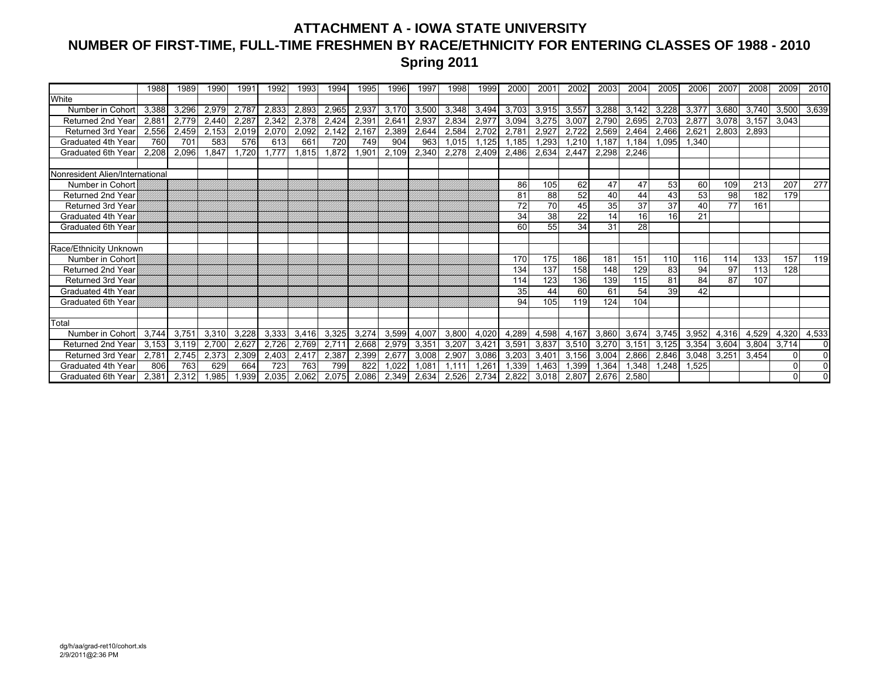### **ATTACHMENT A - IOWA STATE UNIVERSITY NUMBER OF FIRST-TIME, FULL-TIME FRESHMEN BY RACE/ETHNICITY FOR ENTERING CLASSES OF 1988 - 2010 Spring 2011**

|                                 | 1988  | 1989  | 1990  | 1991  | 1992  | 1993  | 1994  | 1995  | 1996  | 1997           | 1998  | 1999  | 2000  | 2001  | 2002  | 2003  | 2004  | 2005  | 2006  | 2007  | 2008  | 2009  | 2010     |
|---------------------------------|-------|-------|-------|-------|-------|-------|-------|-------|-------|----------------|-------|-------|-------|-------|-------|-------|-------|-------|-------|-------|-------|-------|----------|
| White                           |       |       |       |       |       |       |       |       |       |                |       |       |       |       |       |       |       |       |       |       |       |       |          |
| Number in Cohor                 | 3.388 | 3.296 | 2,979 | 2,787 | 2,833 | 2,893 | 2,965 | 2,937 | 3.170 | 3,500          | 3,348 | 3,494 | 3.703 | 3,915 | 3,557 | 3,288 | 3.142 | 3,228 | 3,377 | 3,680 | 3,740 | 3,500 | 3,639    |
| Returned 2nd Year               | 2.88' | 2.779 | 2.440 | 2,287 | 2,342 | 2,378 | 2,424 | 2,391 | 2,641 | 2,937          | 2,834 | 2,977 | 3,094 | 3,275 | 3,007 | 2,790 | 2,695 | 2,703 | 2,877 | 3,078 | 3,157 | 3,043 |          |
| <b>Returned 3rd Year</b>        | 2,556 | 2,459 | 2,153 | 2,019 | 2,070 | 2,092 | 2,142 | 2,167 | 2,389 | 2,644          | 2,584 | 2,702 | 2,781 | 2,927 | 2,722 | 2,569 | 2,464 | 2,466 | 2,621 | 2,803 | 2,893 |       |          |
| Graduated 4th Year              | 760   | 701   | 583   | 576   | 613   | 661   | 720   | 749   | 904   | 963            | 1,015 | 1,125 | 1,185 | 1,293 | 1,210 | 1.187 | 1.184 | 1.095 | 1.340 |       |       |       |          |
| Graduated 6th Year              | 2.208 | 2,096 | 1,847 | 1,720 | 1,777 | 1,815 | 1,872 | 1,901 | 2,109 | 2,340          | 2,278 | 2,409 | 2,486 | 2,634 | 2,447 | 2,298 | 2,246 |       |       |       |       |       |          |
|                                 |       |       |       |       |       |       |       |       |       |                |       |       |       |       |       |       |       |       |       |       |       |       |          |
| Nonresident Alien/International |       |       |       |       |       |       |       |       |       |                |       |       |       |       |       |       |       |       |       |       |       |       |          |
| Number in Cohort                |       |       |       |       |       |       |       |       |       |                |       |       | 86    | 105   | 62    | 47    | 47    | 53    | 60    | 109   | 213   | 207   | 277      |
| Returned 2nd Year               |       |       |       |       |       |       |       |       |       |                |       |       | 81    | 88    | 52    | 40    | 44    | 43    | 53    | 98    | 182   | 179   |          |
| <b>Returned 3rd Year</b>        |       |       |       |       |       |       |       |       |       |                |       |       | 72    | 70    | 45    | 35    | 37    | 37    | 40    | 77    | 161   |       |          |
| Graduated 4th Year              |       |       |       |       |       |       |       |       |       |                |       |       | 34    | 38    | 22    | 14    | 16    | 16    | 21    |       |       |       |          |
| Graduated 6th Yea               |       |       |       |       |       |       |       |       |       |                |       |       | 60    | 55    | 34    | 31    | 28    |       |       |       |       |       |          |
|                                 |       |       |       |       |       |       |       |       |       |                |       |       |       |       |       |       |       |       |       |       |       |       |          |
| Race/Ethnicity Unknown          |       |       |       |       |       |       |       |       |       |                |       |       |       |       |       |       |       |       |       |       |       |       |          |
| Number in Cohort                |       |       |       |       |       |       |       |       |       |                |       |       | 170   | 175   | 186   | 181   | 151   | 110   | 116   | 114   | 133   | 157   | 119      |
| Returned 2nd Year               |       |       |       |       |       |       |       |       |       |                |       |       | 134   | 137   | 158   | 148   | 129   | 83    | 94    | 97    | 113   | 128   |          |
| Returned 3rd Year               |       |       |       |       |       |       |       |       |       |                |       |       | 114   | 123   | 136   | 139   | 115   | 81    | 84    | 87    | 107   |       |          |
| Graduated 4th Year              |       |       |       |       |       |       |       |       |       |                |       |       | 35    | 44    | 60    | 61    | 54    | 39    | 42    |       |       |       |          |
| Graduated 6th Year              |       |       |       |       |       |       |       |       |       |                |       |       | 94    | 105   | 119   | 124   | 104   |       |       |       |       |       |          |
|                                 |       |       |       |       |       |       |       |       |       |                |       |       |       |       |       |       |       |       |       |       |       |       |          |
| Total                           |       |       |       |       |       |       |       |       |       |                |       |       |       |       |       |       |       |       |       |       |       |       |          |
| Number in Cohort                | 3.744 | 3,751 | 3,310 | 3,228 | 3,333 | 3,416 | 3,325 | 3,274 | 3,599 | 4,007          | 3,800 | 4,020 | 4,289 | 4,598 | 4,167 | 3,860 | 3,674 | 3.745 | 3,952 | 4,316 | 4,529 | 4,320 | 4,533    |
| Returned 2nd Year               | 3.153 | 3.119 | 2,700 | 2,627 | 2,726 | 2,769 | 2,711 | 2,668 | 2,979 | 3,351          | 3,207 | 3,421 | 3,591 | 3,837 | 3,510 | 3,270 | 3,151 | 3,125 | 3,354 | 3,604 | 3,804 | 3,714 | $\Omega$ |
| <b>Returned 3rd Year</b>        | 2.781 | 2,745 | 2,373 | 2,309 | 2,403 | 2,417 | 2,387 | 2,399 | 2,677 | 3,008          | 2,907 | 3,086 | 3,203 | 3,401 | 3,156 | 3,004 | 2,866 | 2,846 | 3,048 | 3,251 | 3,454 |       | $\Omega$ |
| Graduated 4th Year              | 806   | 763   | 629   | 664   | 723   | 763   | 799   | 822   | .022  | $0.08^{\circ}$ | 1.111 | 1.261 | 1,339 | 1.463 | 1,399 | 1,364 | ,348  | .248  | .525  |       |       |       |          |
| Graduated 6th Year              | 2.381 | 2.312 | .985  | 1,939 | 2,035 | 2,062 | 2,075 | 2.086 | 2.349 | 2.634          | 2.526 | 2,734 | 2.822 | 3.018 | 2.807 | 2.676 | 2,580 |       |       |       |       |       |          |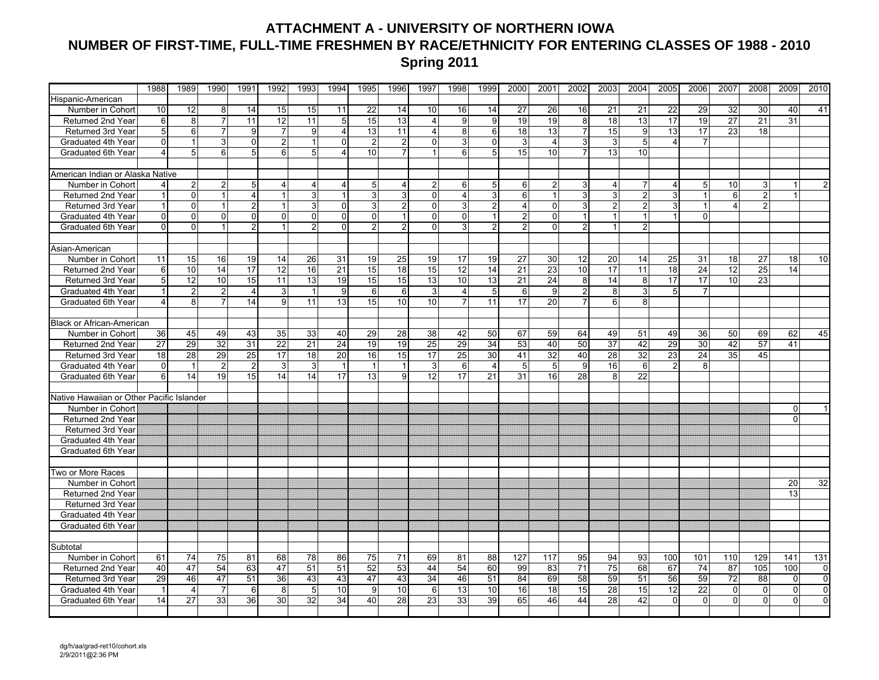### **ATTACHMENT A - UNIVERSITY OF NORTHERN IOWA NUMBER OF FIRST-TIME, FULL-TIME FRESHMEN BY RACE/ETHNICITY FOR ENTERING CLASSES OF 1988 - 2010 Spring 2011**

|                                           | 1988           | 1989           | 1990           | 1991            | 1992            | 1993            | 1994                    | 1995            | 1996           | 1997            | 1998            | 1999            | 2000           | 2001            | 2002           | 2003            | 2004            | 2005           | 2006            | 2007            | 2008           | 2009     | 2010           |
|-------------------------------------------|----------------|----------------|----------------|-----------------|-----------------|-----------------|-------------------------|-----------------|----------------|-----------------|-----------------|-----------------|----------------|-----------------|----------------|-----------------|-----------------|----------------|-----------------|-----------------|----------------|----------|----------------|
| Hispanic-American                         |                |                |                |                 |                 |                 |                         |                 |                |                 |                 |                 |                |                 |                |                 |                 |                |                 |                 |                |          |                |
| Number in Cohort                          | 10             | 12             | 8              | 14              | 15              | 15              | 11                      | $\overline{22}$ | 14             | 10              | 16              | 14              | 27             | 26              | 16             | 21              | 21              | 22             | 29              | 32              | 30             | 40       | 41             |
| Returned 2nd Year                         | $\,6$          | 8              | $\overline{7}$ | 11              | 12              | 11              | 5                       | 15              | 13             | $\overline{4}$  | 9               | 9               | 19             | 19              | 8              | 18              | 13              | 17             | 19              | 27              | 21             | 31       |                |
| Returned 3rd Year                         | 5              | $6 \,$         | 7              | 9               | $\overline{7}$  | 9               | $\overline{4}$          | 13              | 11             | 4               | 8               | 6               | 18             | 13              | $\overline{7}$ | 15              | 9               | 13             | 17              | 23              | 18             |          |                |
| Graduated 4th Year                        | $\overline{0}$ |                | 3              | $\mathbf 0$     | $\overline{2}$  | $\mathbf{1}$    | $\Omega$                | $\overline{2}$  | $\overline{2}$ | $\Omega$        | 3               | $\mathbf{0}$    | 3              | $\overline{4}$  | دى             | 3               | 5               | $\overline{4}$ | $\overline{7}$  |                 |                |          |                |
| Graduated 6th Year                        | 4              | 5              | 6 <sup>1</sup> | $5\overline{5}$ | 6               | 5 <sup>1</sup>  | $\overline{\mathbf{A}}$ | 10              |                |                 | 6               | 5               | 15             | 10              | $\overline{7}$ | 13              | 10              |                |                 |                 |                |          |                |
|                                           |                |                |                |                 |                 |                 |                         |                 |                |                 |                 |                 |                |                 |                |                 |                 |                |                 |                 |                |          |                |
| American Indian or Alaska Native          |                |                |                |                 |                 |                 |                         |                 |                |                 |                 |                 |                |                 |                |                 |                 |                |                 |                 |                |          |                |
| Number in Cohort                          | 4              | $\overline{2}$ | 2              | 5               | 4               | $\overline{4}$  | 4                       | $\sqrt{5}$      | 4              |                 | 6               | 5               | 6              | $\mathbf{2}$    | 3              | $\overline{4}$  |                 | 4              | 5               | 10              | 3              |          |                |
| Returned 2nd Year                         |                | $\overline{0}$ |                | $\overline{4}$  | $\overline{1}$  | 3               | $\mathbf{1}$            | دى              | 3              | $\Omega$        | 4               | 3               | 6              | $\overline{1}$  | دن             | $\overline{3}$  | $\overline{2}$  | 3              |                 | $6\overline{6}$ | $\overline{2}$ |          |                |
| Returned 3rd Year                         | $\mathbf{1}$   | $\overline{0}$ |                | $\overline{2}$  | $\overline{1}$  | $\overline{3}$  | $\Omega$                | 3               |                | ΩI              | 3               | $\overline{2}$  | 4              | $\overline{0}$  | 3              | $\overline{c}$  | $\overline{2}$  | $\overline{3}$ |                 | 4               | 2 <sub>1</sub> |          |                |
| Graduated 4th Year                        | 0              | $\overline{0}$ | $\Omega$       | $\mathbf 0$     | $\mathbf 0$     | $\overline{0}$  | $\Omega$                | $\mathbf 0$     |                | $\Omega$        | $\Omega$        |                 | $\overline{a}$ | $\mathbf 0$     |                |                 |                 |                | $\Omega$        |                 |                |          |                |
| Graduated 6th Year                        | $\Omega$       | $\Omega$       |                | $\overline{2}$  | 1               | $\overline{2}$  | $\Omega$                | 2               | $\mathfrak{p}$ | $\Omega$        | 3               | $\overline{2}$  | $\overline{a}$ | $\Omega$        | $\overline{2}$ | $\mathbf{1}$    | $\overline{2}$  |                |                 |                 |                |          |                |
|                                           |                |                |                |                 |                 |                 |                         |                 |                |                 |                 |                 |                |                 |                |                 |                 |                |                 |                 |                |          |                |
| Asian-American                            |                |                |                |                 |                 |                 |                         |                 |                |                 |                 |                 |                |                 |                |                 |                 |                |                 |                 |                |          |                |
| Number in Cohort                          | 11             | 15             | 16             | 19              | 14              | 26              | 31                      | 19              | 25             | 19              | 17              | 19              | 27             | 30              | 12             | 20              | 14              | 25             | 31              | 18              | 27             | 18       | 10             |
| <b>Returned 2nd Year</b>                  | $6\phantom{1}$ | 10             | 14             | 17              | $\overline{12}$ | 16              | 21                      | 15              | 18             | 15              | $\overline{12}$ | $\overline{14}$ | 21             | $\overline{23}$ | 10             | 17              | 11              | 18             | $\overline{24}$ | 12              | 25             | 14       |                |
| Returned 3rd Year                         | 5              | 12             | 10             | 15              | 11              | 13              | 19                      | 15              | 15             | $\overline{13}$ | 10              | $\overline{13}$ | 21             | 24              | 8              | 14              | 8               | 17             | 17              | 10              | 23             |          |                |
| Graduated 4th Year                        | $\mathbf{1}$   | $\overline{2}$ | $\overline{2}$ | $\overline{4}$  | 3               | $\mathbf{1}$    | 9                       | 6               | 6              | 3               | $\overline{4}$  | 5               | 6              | 9               | $\overline{2}$ | 8               | 3               | 5 <sup>1</sup> | $\overline{7}$  |                 |                |          |                |
| Graduated 6th Year                        | 4              | 8              |                | 14              | $\overline{9}$  | $\overline{11}$ | 13                      | 15              | 10             | 10              | 7               | $\overline{11}$ | 17             | $\overline{20}$ | $\overline{7}$ | 6               | 8               |                |                 |                 |                |          |                |
|                                           |                |                |                |                 |                 |                 |                         |                 |                |                 |                 |                 |                |                 |                |                 |                 |                |                 |                 |                |          |                |
| <b>Black or African-American</b>          |                |                |                |                 |                 |                 |                         |                 |                |                 |                 |                 |                |                 |                |                 |                 |                |                 |                 |                |          |                |
| Number in Cohort                          | 36             | 45             | 49             | 43              | 35              | 33              | 40                      | 29              | 28             | 38              | 42              | 50              | 67             | 59              | 64             | 49              | 51              | 49             | 36              | 50              | 69             | 62       | 45             |
| Returned 2nd Year                         | 27             | 29             | 32             | 31              | 22              | 21              | 24                      | 19              | 19             | 25              | 29              | 34              | 53             | 40              | 50             | 37              | 42              | 29             | 30              | 42              | 57             | 41       |                |
| Returned 3rd Year                         | 18             | 28             | 29             | 25              | 17              | 18              | $\overline{20}$         | 16              | 15             | 17              | $\overline{25}$ | 30              | 41             | 32              | 40             | $\overline{28}$ | $\overline{32}$ | 23             | 24              | $\overline{35}$ | 45             |          |                |
| Graduated 4th Year                        | 0              |                | $\overline{2}$ | $\overline{2}$  | 3               | $\mathbf{3}$    | $\overline{1}$          | $\overline{1}$  | 1              | 3               | 6               | $\overline{4}$  | 5              | 5               | 9              | 16              | 6               | $\mathcal{P}$  | 8               |                 |                |          |                |
| Graduated 6th Year                        | 6              | 14             | 19             | 15              | 14              | 14              | 17                      | 13              | 9              | 12              | 17              | 21              | 31             | 16              | 28             | 8               | 22              |                |                 |                 |                |          |                |
| Native Hawaiian or Other Pacific Islander |                |                |                |                 |                 |                 |                         |                 |                |                 |                 |                 |                |                 |                |                 |                 |                |                 |                 |                |          |                |
| Number in Cohort                          |                |                |                |                 |                 |                 |                         |                 |                |                 |                 |                 |                |                 |                |                 |                 |                |                 |                 |                | $\Omega$ |                |
| Returned 2nd Year                         |                |                |                |                 |                 |                 |                         |                 |                |                 |                 |                 |                |                 |                |                 |                 |                |                 |                 |                | $\Omega$ |                |
| Returned 3rd Year                         |                |                |                |                 |                 |                 |                         |                 |                |                 |                 |                 |                |                 |                |                 |                 |                |                 |                 |                |          |                |
| Graduated 4th Year                        |                |                |                |                 |                 |                 |                         |                 |                |                 |                 |                 |                |                 |                |                 |                 |                |                 |                 |                |          |                |
| Graduated 6th Year                        |                |                |                |                 |                 |                 |                         |                 |                |                 |                 |                 |                |                 |                |                 |                 |                |                 |                 |                |          |                |
|                                           |                |                |                |                 |                 |                 |                         |                 |                |                 |                 |                 |                |                 |                |                 |                 |                |                 |                 |                |          |                |
| Two or More Races                         |                |                |                |                 |                 |                 |                         |                 |                |                 |                 |                 |                |                 |                |                 |                 |                |                 |                 |                |          |                |
| Number in Cohort                          |                |                |                |                 |                 |                 |                         |                 |                |                 |                 |                 |                |                 |                |                 |                 |                |                 |                 |                | 20       | 32             |
| <b>Returned 2nd Year</b>                  |                |                |                |                 |                 |                 |                         |                 |                |                 |                 |                 |                |                 |                |                 |                 |                |                 |                 |                | 13       |                |
| <b>Returned 3rd Year</b>                  |                |                |                |                 |                 |                 |                         |                 |                |                 |                 |                 |                |                 |                |                 |                 |                |                 |                 |                |          |                |
| Graduated 4th Year                        |                |                |                |                 |                 |                 |                         |                 |                |                 |                 |                 |                |                 |                |                 |                 |                |                 |                 |                |          |                |
| Graduated 6th Year                        |                |                |                |                 |                 |                 |                         |                 |                |                 |                 |                 |                |                 |                |                 |                 |                |                 |                 |                |          |                |
|                                           |                |                |                |                 |                 |                 |                         |                 |                |                 |                 |                 |                |                 |                |                 |                 |                |                 |                 |                |          |                |
| Subtotal                                  |                |                |                |                 |                 |                 |                         |                 |                |                 |                 |                 |                |                 |                |                 |                 |                |                 |                 |                |          |                |
| Number in Cohort                          | 61             | 74             | 75             | 81              | 68              | 78              | 86                      | 75              | 71             | 69              | 81              | 88              | 127            | 117             | 95             | 94              | 93              | 100            | 101             | 110             | 129            | 141      | 131            |
| Returned 2nd Year                         | 40             | 47             | 54             | 63              | 47              | 51              | 51                      | 52              | 53             | 44              | 54              | 60              | 99             | 83              | 71             | 75              | 68              | 67             | 74              | 87              | 105            | 100      | 0              |
| Returned 3rd Year                         | 29             | 46             | 47             | 51              | 36              | 43              | 43                      | 47              | 43             | 34              | 46              | 51              | 84             | 69              | 58             | 59              | 51              | 56             | 59              | 72              | 88             | 0        | $\overline{0}$ |
| Graduated 4th Year                        | 1              | $\overline{4}$ | $\overline{7}$ | 6               | $\overline{8}$  | $\overline{5}$  | 10                      | g               | 10             | 6               | 13              | 10              | 16             | 18              | 15             | 28              | 15              | 12             | $\overline{22}$ | $\mathbf 0$     | $\overline{0}$ | $\Omega$ | $\overline{0}$ |
| Graduated 6th Year                        | 14             | 27             | 33             | 36              | 30              | 32              | 34                      | 40              | 28             | 23              | 33              | 39              | 65             | 46              | 44             | 28              | 42              | $\overline{0}$ | $\mathbf 0$     | $\overline{0}$  | $\overline{0}$ | $\Omega$ | $\overline{0}$ |
|                                           |                |                |                |                 |                 |                 |                         |                 |                |                 |                 |                 |                |                 |                |                 |                 |                |                 |                 |                |          |                |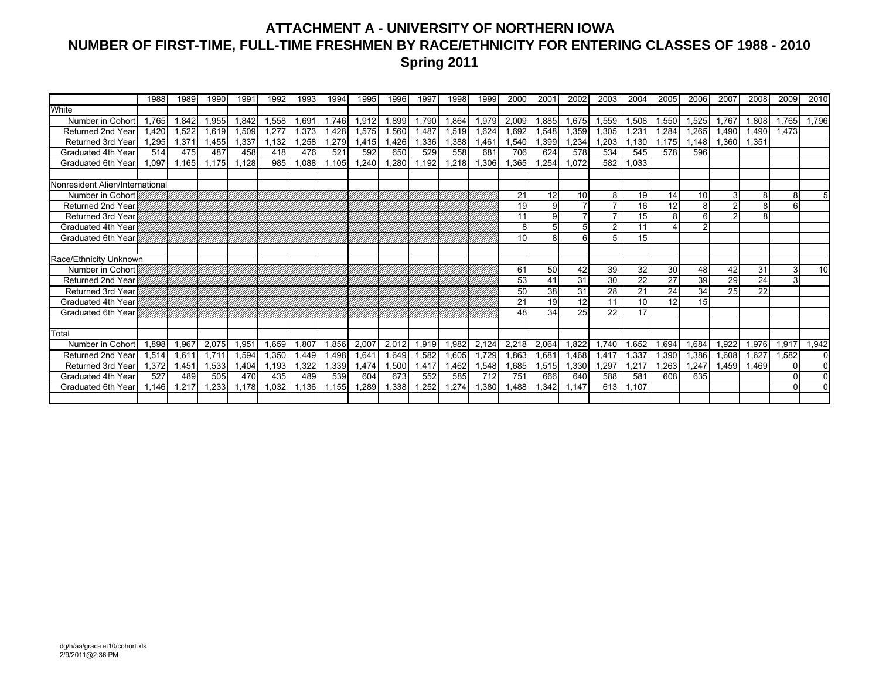## **ATTACHMENT A - UNIVERSITY OF NORTHERN IOWA NUMBER OF FIRST-TIME, FULL-TIME FRESHMEN BY RACE/ETHNICITY FOR ENTERING CLASSES OF 1988 - 2010 Spring 2011**

|                                 | 1988  | 1989  | 1990  | 1991  | 1992  | 1993  | 1994  | 1995  | 1996  | 1997  | 1998  | 1999  | 2000  | 2001           | 2002  | 2003  | 2004  | 2005  | 2006  | 2007  | 2008            | 2009           | 2010            |
|---------------------------------|-------|-------|-------|-------|-------|-------|-------|-------|-------|-------|-------|-------|-------|----------------|-------|-------|-------|-------|-------|-------|-----------------|----------------|-----------------|
| White                           |       |       |       |       |       |       |       |       |       |       |       |       |       |                |       |       |       |       |       |       |                 |                |                 |
| Number in Cohor                 | 1.765 | 1,842 | ,955  | 1.842 | 1,558 | 1,691 | 1.746 | 1,912 | 1.899 | 1,790 | 1.864 | 1,979 | 2,009 | 1.885          | 1,675 | 1,559 | 1,508 | .550  | ,525  | 1.767 | 1.808           | 1.765          | 1,796           |
| Returned 2nd Year               | 1.420 | 1.522 | .619  | 1.509 | 1.277 | 1.373 | 1.428 | 1.575 | .560  | 1.487 | 1.519 | 1.624 | 1.692 | 1.548          | 1,359 | 1,305 | 1.231 | .284  | .265  | 1.490 | 1.490           | 1.473          |                 |
| Returned 3rd Year               | 1,295 | 1,371 | .455  | 1,337 | 1,132 | 1,258 | 1,279 | 1,415 | .426  | 1,336 | .388  | .461  | 1,540 | 1,399          | 1,234 | 1,203 | 1,130 | 1.175 | 1.148 | 1.360 | 1.351           |                |                 |
| Graduated 4th Year              | 514   | 475   | 487   | 458   | 418   | 476   | 521   | 592   | 650   | 529   | 558   | 681   | 706   | 624            | 578   | 534   | 545   | 578   | 596   |       |                 |                |                 |
| Graduated 6th Year              | 1.097 | 1.165 | .175  | .128  | 985   | 1,088 | 1,105 | .240  | ,280  | .192  | 1,218 | ,306  | .365  | ,254           | 1,072 | 582   | ,033  |       |       |       |                 |                |                 |
|                                 |       |       |       |       |       |       |       |       |       |       |       |       |       |                |       |       |       |       |       |       |                 |                |                 |
| Nonresident Alien/International |       |       |       |       |       |       |       |       |       |       |       |       |       |                |       |       |       |       |       |       |                 |                |                 |
| Number in Cohort                |       |       |       |       |       |       |       |       |       |       |       |       | 21    | 12             | 10    | 8     | 19    | 14    | 10    | 3     | 8               | 8              | 51              |
| <b>Returned 2nd Year</b>        |       |       |       |       |       |       |       |       |       |       |       |       | 19    | 9              |       |       | 16    | 12    | 8     |       | 8               | $6 \mid$       |                 |
| <b>Returned 3rd Year</b>        |       |       |       |       |       |       |       |       |       |       |       |       | 11    | 9              |       |       | 15    |       | 6     |       | 8               |                |                 |
| Graduated 4th Year              |       |       |       |       |       |       |       |       |       |       |       |       | 8     | 5 <sup>1</sup> |       |       | 11    |       | ່າ    |       |                 |                |                 |
| Graduated 6th Year              |       |       |       |       |       |       |       |       |       |       |       |       | 10    | 8              |       | 5     | 15    |       |       |       |                 |                |                 |
|                                 |       |       |       |       |       |       |       |       |       |       |       |       |       |                |       |       |       |       |       |       |                 |                |                 |
| Race/Ethnicity Unknown          |       |       |       |       |       |       |       |       |       |       |       |       |       |                |       |       |       |       |       |       |                 |                |                 |
| Number in Cohort                |       |       |       |       |       |       |       |       |       |       |       |       | 61    | 50             | 42    | 39    | 32    | 30    | 48    | 42    | 31              | 3 <sup>l</sup> | 10 <sup>1</sup> |
| <b>Returned 2nd Year</b>        |       |       |       |       |       |       |       |       |       |       |       |       | 53    | 41             | 31    | 30    | 22    | 27    | 39    | 29    | $\overline{24}$ | $\overline{3}$ |                 |
| <b>Returned 3rd Year</b>        |       |       |       |       |       |       |       |       |       |       |       |       | 50    | 38             | 31    | 28    | 21    | 24    | 34    | 25    | $\overline{22}$ |                |                 |
| Graduated 4th Year              |       |       |       |       |       |       |       |       |       |       |       |       | 21    | 19             | 12    | 11    | 10    | 12    | 15    |       |                 |                |                 |
| Graduated 6th Year              |       |       |       |       |       |       |       |       |       |       |       |       | 48    | 34             | 25    | 22    | 17    |       |       |       |                 |                |                 |
|                                 |       |       |       |       |       |       |       |       |       |       |       |       |       |                |       |       |       |       |       |       |                 |                |                 |
| Total                           |       |       |       |       |       |       |       |       |       |       |       |       |       |                |       |       |       |       |       |       |                 |                |                 |
| Number in Cohor                 | 1,898 | 1,967 | 2,075 | 1,951 | 1,659 | 1,807 | 1,856 | 2,007 | 2,012 | 1,919 | 1,982 | 2,124 | 2,218 | 2,064          | 1,822 | 1.740 | 1,652 | .694  | 1,684 | 1.922 | 1,976           | 1,917          | 1,942           |
| Returned 2nd Year               | 1,514 | 1,61' | .711  | 1,594 | 1,350 | 1,449 | 1,498 | 1,641 | 1.649 | 1,582 | .605  | 1.729 | 1,863 | 1,68'          | 1,468 | 1,417 | ,337  | ,390  | .386  | 1,608 | 1.627           | 1,582          | $\overline{0}$  |
| Returned 3rd Year               | 1,372 | 1,451 | ,533  | .404  | 1,193 | 1,322 | ,339  | 1,474 | 1,500 | 1,417 | .462  | ,548  | 1,685 | 1,515          | 1,330 | 1,297 | ,217  | .263  | ,247  | 1.459 | 1.469           | $\Omega$       | $\overline{0}$  |
| Graduated 4th Year              | 527   | 489   | 505   | 470   | 435   | 489   | 539   | 604   | 673   | 552   | 585   | 712   | 751   | 666            | 640   | 588   | 581   | 608   | 635   |       |                 | $\Omega$       | $\overline{0}$  |
| Graduated 6th Year              | 1.146 | .217  | .233  | .178  | 1,032 | 1,136 | 1.155 | .289  | .338  | .252  | .274  | ,380  | .488  | .342           | 1.147 | 613   | 1,107 |       |       |       |                 | $\Omega$       | $\mathbf{0}$    |
|                                 |       |       |       |       |       |       |       |       |       |       |       |       |       |                |       |       |       |       |       |       |                 |                |                 |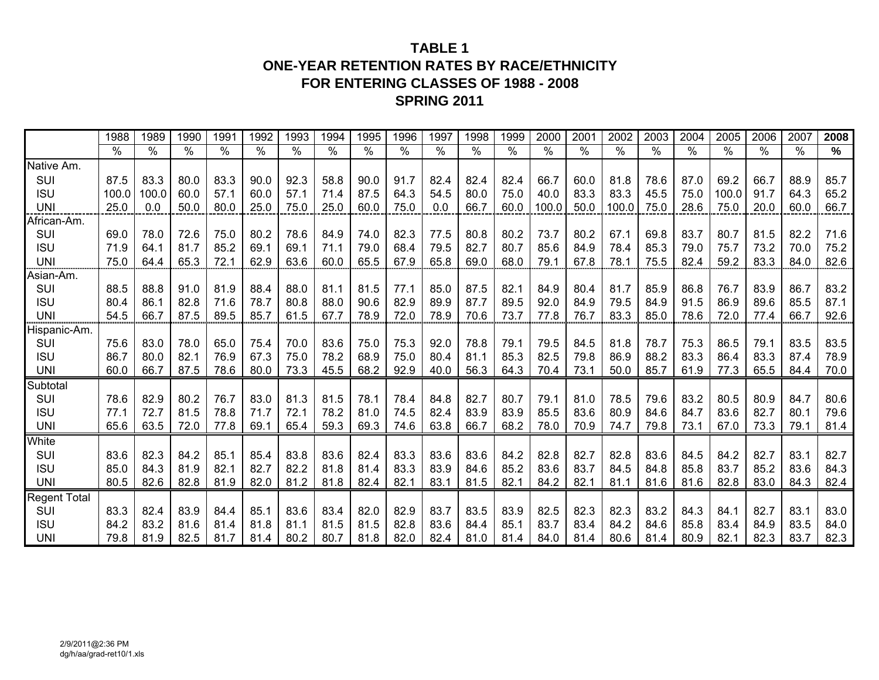## **TABLE 1ONE-YEAR RETENTION RATES BY RACE/ETHNICITY FOR ENTERING CLASSES OF 1988 - 2008 SPRING 2011**

|                     | 1988  | 1989  | 1990 | 1991            | 1992 | 1993 | 1994          | 1995 | 1996          | 1997 | 1998 | 1999          | 2000                 | 2001 | 2002          | 2003          | 2004          | 2005          | 2006          | 2007            | 2008 |
|---------------------|-------|-------|------|-----------------|------|------|---------------|------|---------------|------|------|---------------|----------------------|------|---------------|---------------|---------------|---------------|---------------|-----------------|------|
|                     | $\%$  | %     | %    | $\overline{\%}$ | $\%$ | $\%$ | $\frac{1}{2}$ | %    | $\frac{1}{2}$ | $\%$ | $\%$ | $\frac{8}{6}$ | $\frac{1}{\sqrt{2}}$ | $\%$ | $\frac{0}{0}$ | $\frac{1}{2}$ | $\frac{1}{2}$ | $\frac{1}{2}$ | $\frac{0}{0}$ | $\overline{\%}$ | %    |
| Native Am.          |       |       |      |                 |      |      |               |      |               |      |      |               |                      |      |               |               |               |               |               |                 |      |
| SUI                 | 87.5  | 83.3  | 80.0 | 83.3            | 90.0 | 92.3 | 58.8          | 90.0 | 91.7          | 82.4 | 82.4 | 82.4          | 66.7                 | 60.0 | 81.8          | 78.6          | 87.0          | 69.2          | 66.7          | 88.9            | 85.7 |
| <b>ISU</b>          | 100.0 | 100.0 | 60.0 | 57.1            | 60.0 | 57.1 | 71.4          | 87.5 | 64.3          | 54.5 | 80.0 | 75.0          | 40.0                 | 83.3 | 83.3          | 45.5          | 75.0          | 100.0         | 91.7          | 64.3            | 65.2 |
| <b>UNI</b>          | 25.0  | 0.0   | 50.0 | 80.0            | 25.0 | 75.0 | 25.0          | 60.0 | 75.0          | 0.0  | 66.7 | 60.0          | 100.0                | 50.0 | 100.0         | 75.0          | 28.6          | 75.0          | 20.0          | 60.0            | 66.7 |
| African-Am.         |       |       |      |                 |      |      |               |      |               |      |      |               |                      |      |               |               |               |               |               |                 |      |
| SUI                 | 69.0  | 78.0  | 72.6 | 75.0            | 80.2 | 78.6 | 84.9          | 74.0 | 82.3          | 77.5 | 80.8 | 80.2          | 73.7                 | 80.2 | 67.1          | 69.8          | 83.7          | 80.7          | 81.5          | 82.2            | 71.6 |
| <b>ISU</b>          | 71.9  | 64.1  | 81.7 | 85.2            | 69.1 | 69.1 | 71.1          | 79.0 | 68.4          | 79.5 | 82.7 | 80.7          | 85.6                 | 84.9 | 78.4          | 85.3          | 79.0          | 75.7          | 73.2          | 70.0            | 75.2 |
| <b>UNI</b>          | 75.0  | 64.4  | 65.3 | 72.1            | 62.9 | 63.6 | 60.0          | 65.5 | 67.9          | 65.8 | 69.0 | 68.0          | 79.1                 | 67.8 | 78.1          | 75.5          | 82.4          | 59.2          | 83.3          | 84.0            | 82.6 |
| Asian-Am.           |       |       |      |                 |      |      |               |      |               |      |      |               |                      |      |               |               |               |               |               |                 |      |
| SUI                 | 88.5  | 88.8  | 91.0 | 81.9            | 88.4 | 88.0 | 81.1          | 81.5 | 77.1          | 85.0 | 87.5 | 82.1          | 84.9                 | 80.4 | 81.7          | 85.9          | 86.8          | 76.7          | 83.9          | 86.7            | 83.2 |
| <b>ISU</b>          | 80.4  | 86.1  | 82.8 | 71.6            | 78.7 | 80.8 | 88.0          | 90.6 | 82.9          | 89.9 | 87.7 | 89.5          | 92.0                 | 84.9 | 79.5          | 84.9          | 91.5          | 86.9          | 89.6          | 85.5            | 87.1 |
| <b>UNI</b>          | 54.5  | 66.7  | 87.5 | 89.5            | 85.7 | 61.5 | 67.7          | 78.9 | 72.0          | 78.9 | 70.6 | 73.7          | 77.8                 | 76.7 | 83.3          | 85.0          | 78.6          | 72.0          | 77.4          | 66.7            | 92.6 |
| Hispanic-Am.        |       |       |      |                 |      |      |               |      |               |      |      |               |                      |      |               |               |               |               |               |                 |      |
| SUI                 | 75.6  | 83.0  | 78.0 | 65.0            | 75.4 | 70.0 | 83.6          | 75.0 | 75.3          | 92.0 | 78.8 | 79.1          | 79.5                 | 84.5 | 81.8          | 78.7          | 75.3          | 86.5          | 79.1          | 83.5            | 83.5 |
| <b>ISU</b>          | 86.7  | 80.0  | 82.1 | 76.9            | 67.3 | 75.0 | 78.2          | 68.9 | 75.0          | 80.4 | 81.1 | 85.3          | 82.5                 | 79.8 | 86.9          | 88.2          | 83.3          | 86.4          | 83.3          | 87.4            | 78.9 |
| <b>UNI</b>          | 60.0  | 66.7  | 87.5 | 78.6            | 80.0 | 73.3 | 45.5          | 68.2 | 92.9          | 40.0 | 56.3 | 64.3          | 70.4                 | 73.1 | 50.0          | 85.7          | 61.9          | 77.3          | 65.5          | 84.4            | 70.0 |
| Subtotal            |       |       |      |                 |      |      |               |      |               |      |      |               |                      |      |               |               |               |               |               |                 |      |
| SUI                 | 78.6  | 82.9  | 80.2 | 76.7            | 83.0 | 81.3 | 81.5          | 78.1 | 78.4          | 84.8 | 82.7 | 80.7          | 79.1                 | 81.0 | 78.5          | 79.6          | 83.2          | 80.5          | 80.9          | 84.7            | 80.6 |
| <b>ISU</b>          | 77.1  | 72.7  | 81.5 | 78.8            | 71.7 | 72.1 | 78.2          | 81.0 | 74.5          | 82.4 | 83.9 | 83.9          | 85.5                 | 83.6 | 80.9          | 84.6          | 84.7          | 83.6          | 82.7          | 80.1            | 79.6 |
| <b>UNI</b>          | 65.6  | 63.5  | 72.0 | 77.8            | 69.1 | 65.4 | 59.3          | 69.3 | 74.6          | 63.8 | 66.7 | 68.2          | 78.0                 | 70.9 | 74.7          | 79.8          | 73.1          | 67.0          | 73.3          | 79.1            | 81.4 |
| White               |       |       |      |                 |      |      |               |      |               |      |      |               |                      |      |               |               |               |               |               |                 |      |
| SUI                 | 83.6  | 82.3  | 84.2 | 85.1            | 85.4 | 83.8 | 83.6          | 82.4 | 83.3          | 83.6 | 83.6 | 84.2          | 82.8                 | 82.7 | 82.8          | 83.6          | 84.5          | 84.2          | 82.7          | 83.1            | 82.7 |
| <b>ISU</b>          | 85.0  | 84.3  | 81.9 | 82.1            | 82.7 | 82.2 | 81.8          | 81.4 | 83.3          | 83.9 | 84.6 | 85.2          | 83.6                 | 83.7 | 84.5          | 84.8          | 85.8          | 83.7          | 85.2          | 83.6            | 84.3 |
| <b>UNI</b>          | 80.5  | 82.6  | 82.8 | 81.9            | 82.0 | 81.2 | 81.8          | 82.4 | 82.1          | 83.1 | 81.5 | 82.1          | 84.2                 | 82.1 | 81.1          | 81.6          | 81.6          | 82.8          | 83.0          | 84.3            | 82.4 |
| <b>Regent Total</b> |       |       |      |                 |      |      |               |      |               |      |      |               |                      |      |               |               |               |               |               |                 |      |
| SUI                 | 83.3  | 82.4  | 83.9 | 84.4            | 85.1 | 83.6 | 83.4          | 82.0 | 82.9          | 83.7 | 83.5 | 83.9          | 82.5                 | 82.3 | 82.3          | 83.2          | 84.3          | 84.1          | 82.7          | 83.1            | 83.0 |
| <b>ISU</b>          | 84.2  | 83.2  | 81.6 | 81.4            | 81.8 | 81.1 | 81.5          | 81.5 | 82.8          | 83.6 | 84.4 | 85.1          | 83.7                 | 83.4 | 84.2          | 84.6          | 85.8          | 83.4          | 84.9          | 83.5            | 84.0 |
| <b>UNI</b>          | 79.8  | 81.9  | 82.5 | 81.7            | 81.4 | 80.2 | 80.7          | 81.8 | 82.0          | 82.4 | 81.0 | 81.4          | 84.0                 | 81.4 | 80.6          | 81.4          | 80.9          | 82.1          | 82.3          | 83.7            | 82.3 |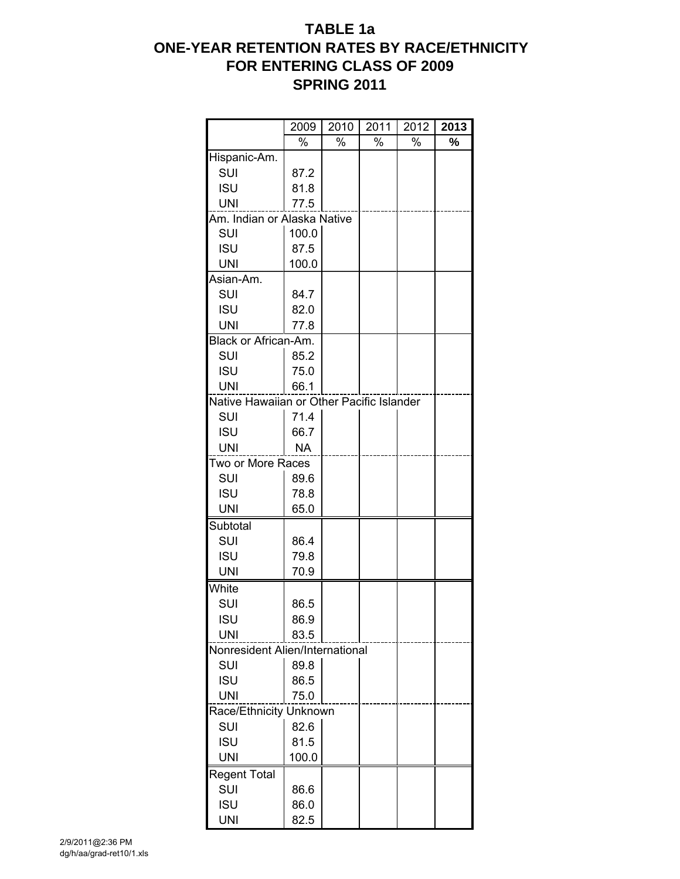## **TABLE 1a ONE-YEAR RETENTION RATES BY RACE/ETHNICITY FOR ENTERING CLASS OF 2009 SPRING 2011**

|                                           | 2009      | 2010 | 2011 | 2012 | 2013 |
|-------------------------------------------|-----------|------|------|------|------|
|                                           | %         | %    | %    | %    | %    |
| Hispanic-Am.                              |           |      |      |      |      |
| SUI                                       | 87.2      |      |      |      |      |
| <b>ISU</b>                                | 81.8      |      |      |      |      |
| <b>UNI</b>                                | 77.5      |      |      |      |      |
| Am. Indian or Alaska Native               |           |      |      |      |      |
| SUI                                       | 100.0     |      |      |      |      |
| <b>ISU</b>                                | 87.5      |      |      |      |      |
| <b>UNI</b>                                | 100.0     |      |      |      |      |
| Asian-Am.                                 |           |      |      |      |      |
| SUI                                       | 84.7      |      |      |      |      |
| <b>ISU</b>                                | 82.0      |      |      |      |      |
| <b>UNI</b>                                | 77.8      |      |      |      |      |
| Black or African-Am.                      |           |      |      |      |      |
| SUI                                       | 85.2      |      |      |      |      |
| <b>ISU</b>                                | 75.0      |      |      |      |      |
| <b>UNI</b>                                | 66.1      |      |      |      |      |
| Native Hawaiian or Other Pacific Islander |           |      |      |      |      |
| SUI                                       | 71.4      |      |      |      |      |
| <b>ISU</b>                                | 66.7      |      |      |      |      |
| <b>UNI</b>                                | <b>NA</b> |      |      |      |      |
| Two or More Races                         |           |      |      |      |      |
| SUI                                       | 89.6      |      |      |      |      |
| <b>ISU</b>                                | 78.8      |      |      |      |      |
| <b>UNI</b>                                | 65.0      |      |      |      |      |
| Subtotal                                  |           |      |      |      |      |
| SUI                                       | 86.4      |      |      |      |      |
| <b>ISU</b>                                | 79.8      |      |      |      |      |
| <b>UNI</b>                                | 70.9      |      |      |      |      |
| White                                     |           |      |      |      |      |
| SUI                                       | 86.5      |      |      |      |      |
| <b>ISU</b>                                | 86.9      |      |      |      |      |
| <b>UNI</b>                                | 83.5      |      |      |      |      |
| Nonresident Alien/International           |           |      |      |      |      |
| SUI                                       | 89.8      |      |      |      |      |
| <b>ISU</b>                                | 86.5      |      |      |      |      |
| <b>UNI</b>                                | 75.0      |      |      |      |      |
| Race/Ethnicity Unknown                    |           |      |      |      |      |
| SUI                                       | 82.6      |      |      |      |      |
| <b>ISU</b>                                | 81.5      |      |      |      |      |
| <b>UNI</b>                                | 100.0     |      |      |      |      |
| Regent Total                              |           |      |      |      |      |
| SUI                                       | 86.6      |      |      |      |      |
| <b>ISU</b>                                | 86.0      |      |      |      |      |
| <b>UNI</b>                                | 82.5      |      |      |      |      |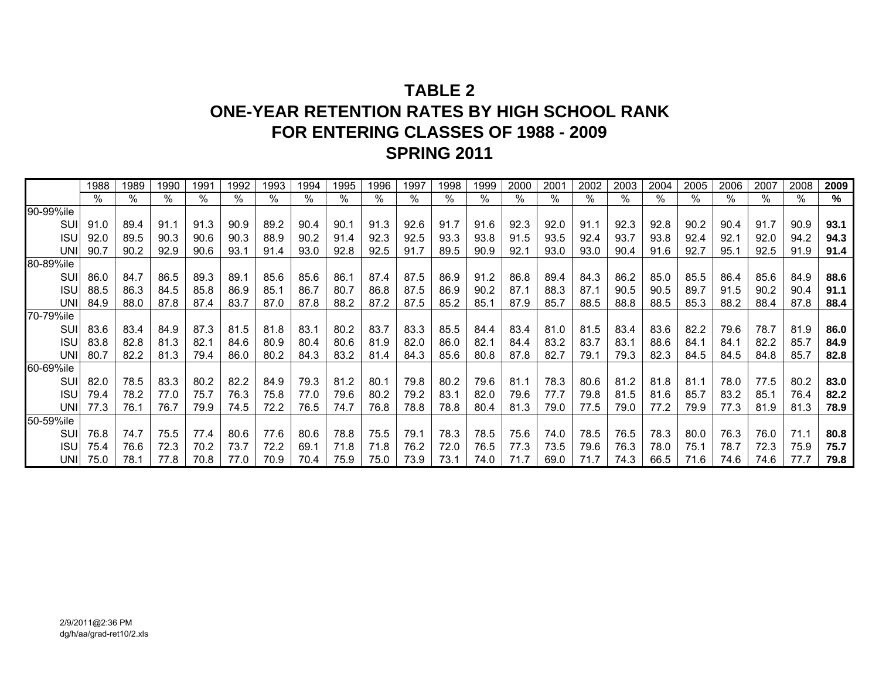# **TABLE 2ONE-YEAR RETENTION RATES BY HIGH SCHOOL RANK FOR ENTERING CLASSES OF 1988 - 2009 SPRING 2011**

|             | 1988 | 1989 | 1990 | 199' | 1992 | 1993 | 1994 | 1995 | 1996 | 1997 | 1998 | 1999 | 2000 | 2001 | 2002 | 2003 | 2004 | 2005 | 2006 | 2007 | 2008 | 2009 |
|-------------|------|------|------|------|------|------|------|------|------|------|------|------|------|------|------|------|------|------|------|------|------|------|
|             | $\%$ | $\%$ | %    | %    | %    | %    | $\%$ | %    | %    | %    | %    | %    | %    | %    | %    | %    | $\%$ | %    | %    | ℅    | %    | %    |
| 90-99%ile   |      |      |      |      |      |      |      |      |      |      |      |      |      |      |      |      |      |      |      |      |      |      |
| SUI         | 91.0 | 89.4 | 91.1 | 91.3 | 90.9 | 89.2 | 90.4 | 90.1 | 91.3 | 92.6 | 91.7 | 91.6 | 92.3 | 92.0 | 91.1 | 92.3 | 92.8 | 90.2 | 90.4 | 91.7 | 90.9 | 93.1 |
| <b>ISUI</b> | 92.0 | 89.5 | 90.3 | 90.6 | 90.3 | 88.9 | 90.2 | 91.4 | 92.3 | 92.5 | 93.3 | 93.8 | 91.5 | 93.5 | 92.4 | 93.7 | 93.8 | 92.4 | 92.1 | 92.0 | 94.2 | 94.3 |
| <b>UNI</b>  | 90.7 | 90.2 | 92.9 | 90.6 | 93.1 | 91.4 | 93.0 | 92.8 | 92.5 | 91.7 | 89.5 | 90.9 | 92.7 | 93.0 | 93.0 | 90.4 | 91.6 | 92.7 | 95.7 | 92.5 | 91.9 | 91.4 |
| 80-89%ile   |      |      |      |      |      |      |      |      |      |      |      |      |      |      |      |      |      |      |      |      |      |      |
| SUI         | 86.0 | 84.7 | 86.5 | 89.3 | 89.1 | 85.6 | 85.6 | 86.1 | 87.4 | 87.5 | 86.9 | 91.2 | 86.8 | 89.4 | 84.3 | 86.2 | 85.0 | 85.5 | 86.4 | 85.6 | 84.9 | 88.6 |
| <b>ISU</b>  | 88.5 | 86.3 | 84.5 | 85.8 | 86.9 | 85.1 | 86.7 | 80.7 | 86.8 | 87.5 | 86.9 | 90.2 | 87.1 | 88.3 | 87.1 | 90.5 | 90.5 | 89.7 | 91.5 | 90.2 | 90.4 | 91.1 |
| UNII        | 84.9 | 88.0 | 87.8 | 87.4 | 83.7 | 87.0 | 87.8 | 88.2 | 87.2 | 87.5 | 85.2 | 85.1 | 87.9 | 85.7 | 88.5 | 88.8 | 88.5 | 85.3 | 88.2 | 88.4 | 87.8 | 88.4 |
| 70-79%ile   |      |      |      |      |      |      |      |      |      |      |      |      |      |      |      |      |      |      |      |      |      |      |
| SUI         | 83.6 | 83.4 | 84.9 | 87.3 | 81.5 | 81.8 | 83.1 | 80.2 | 83.7 | 83.3 | 85.5 | 84.4 | 83.4 | 81.0 | 81.5 | 83.4 | 83.6 | 82.2 | 79.6 | 78.7 | 81.9 | 86.0 |
| <b>ISU</b>  | 83.8 | 82.8 | 81.3 | 82.1 | 84.6 | 80.9 | 80.4 | 80.6 | 81.9 | 82.0 | 86.0 | 82.1 | 84.4 | 83.2 | 83.7 | 83.1 | 88.6 | 84.1 | 84.1 | 82.2 | 85.7 | 84.9 |
| UNII        | 80.7 | 82.2 | 81.3 | 79.4 | 86.0 | 80.2 | 84.3 | 83.2 | 81.4 | 84.3 | 85.6 | 80.8 | 87.8 | 82.7 | 79.1 | 79.3 | 82.3 | 84.5 | 84.5 | 84.8 | 85.7 | 82.8 |
| 60-69%ile   |      |      |      |      |      |      |      |      |      |      |      |      |      |      |      |      |      |      |      |      |      |      |
| SUI         | 82.0 | 78.5 | 83.3 | 80.2 | 82.2 | 84.9 | 79.3 | 81.2 | 80.1 | 79.8 | 80.2 | 79.6 | 81.1 | 78.3 | 80.6 | 81.2 | 81.8 | 81.1 | 78.0 | 77.5 | 80.2 | 83.0 |
| <b>ISUI</b> | 79.4 | 78.2 | 77.0 | 75.7 | 76.3 | 75.8 | 77.0 | 79.6 | 80.2 | 79.2 | 83.1 | 82.0 | 79.6 | 77.7 | 79.8 | 81.5 | 81.6 | 85.7 | 83.2 | 85.1 | 76.4 | 82.2 |
| <b>UNI</b>  | 77.3 | 76.1 | 76.7 | 79.9 | 74.5 | 72.2 | 76.5 | 74.7 | 76.8 | 78.8 | 78.8 | 80.4 | 81.3 | 79.0 | 77.5 | 79.0 | 77.2 | 79.9 | 77.3 | 81.9 | 81.3 | 78.9 |
| 50-59%ile   |      |      |      |      |      |      |      |      |      |      |      |      |      |      |      |      |      |      |      |      |      |      |
| SUI         | 76.8 | 74.7 | 75.5 | 77.4 | 80.6 | 77.6 | 80.6 | 78.8 | 75.5 | 79.1 | 78.3 | 78.5 | 75.6 | 74.0 | 78.5 | 76.5 | 78.3 | 80.0 | 76.3 | 76.0 | 71.1 | 80.8 |
| <b>ISU</b>  | 75.4 | 76.6 | 72.3 | 70.2 | 73.7 | 72.2 | 69.1 | 71.8 | 71.8 | 76.2 | 72.0 | 76.5 | 77.3 | 73.5 | 79.6 | 76.3 | 78.0 | 75.1 | 78.7 | 72.3 | 75.9 | 75.7 |
| UNII        | 75.0 | 78.1 | 77.8 | 70.8 | 77.0 | 70.9 | 70.4 | 75.9 | 75.0 | 73.9 | 73.1 | 74.0 | 71.7 | 69.0 | 71.7 | 74.3 | 66.5 | 71.6 | 74.6 | 74.6 | 77.7 | 79.8 |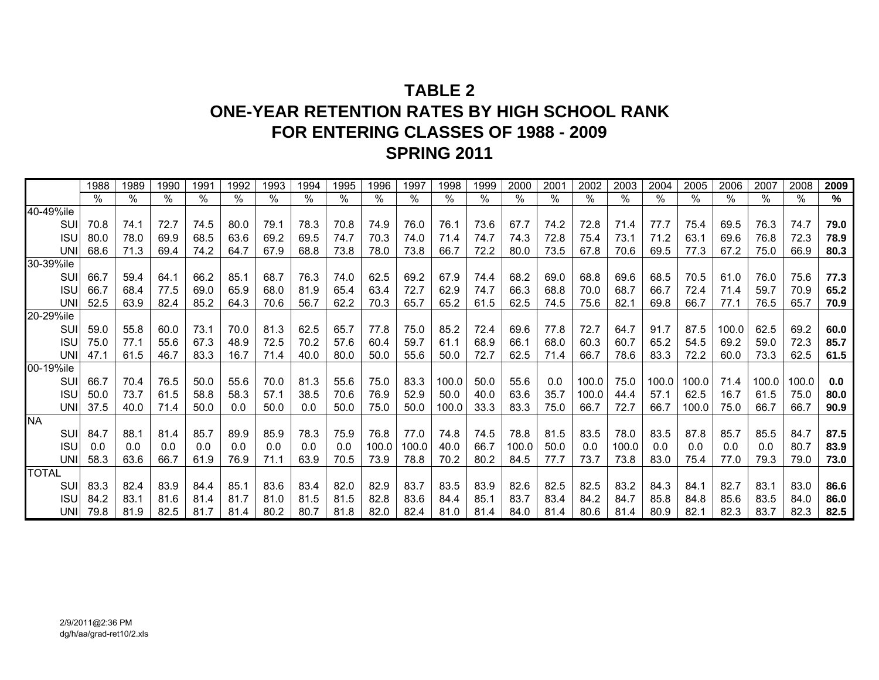# **TABLE 2ONE-YEAR RETENTION RATES BY HIGH SCHOOL RANK FOR ENTERING CLASSES OF 1988 - 2009 SPRING 2011**

|              | 1988 | 1989 | 1990 | 1991 | 1992 | 1993 | 1994 | 1995 | 1996          | 1997  | 1998  | 1999 | 2000  | 2001 | 2002       | 2003  | 2004  | 2005  | 2006  | 2007  | 2008  | 2009 |
|--------------|------|------|------|------|------|------|------|------|---------------|-------|-------|------|-------|------|------------|-------|-------|-------|-------|-------|-------|------|
|              | $\%$ | $\%$ | $\%$ | $\%$ | %    | %    | $\%$ | $\%$ | $\frac{0}{0}$ | $\%$  | $\%$  | $\%$ | $\%$  | %    | $\sqrt{6}$ | $\%$  | %     | $\%$  | $\%$  | ℅     | ℅     | %    |
| 40-49%ile    |      |      |      |      |      |      |      |      |               |       |       |      |       |      |            |       |       |       |       |       |       |      |
| SUI          | 70.8 | 74.1 | 72.7 | 74.5 | 80.0 | 79.1 | 78.3 | 70.8 | 74.9          | 76.0  | 76.1  | 73.6 | 67.7  | 74.2 | 72.8       | 71.4  | 77.7  | 75.4  | 69.5  | 76.3  | 74.7  | 79.0 |
| <b>ISU</b>   | 80.0 | 78.0 | 69.9 | 68.5 | 63.6 | 69.2 | 69.5 | 74.7 | 70.3          | 74.0  | 71.4  | 74.7 | 74.3  | 72.8 | 75.4       | 73.1  | 71.2  | 63.1  | 69.6  | 76.8  | 72.3  | 78.9 |
| <b>UNI</b>   | 68.6 | 71.3 | 69.4 | 74.2 | 64.7 | 67.9 | 68.8 | 73.8 | 78.0          | 73.8  | 66.7  | 72.2 | 80.0  | 73.5 | 67.8       | 70.6  | 69.5  | 77.3  | 67.2  | 75.0  | 66.9  | 80.3 |
| 30-39%ile    |      |      |      |      |      |      |      |      |               |       |       |      |       |      |            |       |       |       |       |       |       |      |
| SUI          | 66.7 | 59.4 | 64.1 | 66.2 | 85.1 | 68.7 | 76.3 | 74.0 | 62.5          | 69.2  | 67.9  | 74.4 | 68.2  | 69.0 | 68.8       | 69.6  | 68.5  | 70.5  | 61.0  | 76.0  | 75.6  | 77.3 |
| <b>ISU</b>   | 66.7 | 68.4 | 77.5 | 69.0 | 65.9 | 68.0 | 81.9 | 65.4 | 63.4          | 72.7  | 62.9  | 74.7 | 66.3  | 68.8 | 70.0       | 68.7  | 66.7  | 72.4  | 71.4  | 59.7  | 70.9  | 65.2 |
| UNI          | 52.5 | 63.9 | 82.4 | 85.2 | 64.3 | 70.6 | 56.7 | 62.2 | 70.3          | 65.7  | 65.2  | 61.5 | 62.5  | 74.5 | 75.6       | 82.1  | 69.8  | 66.7  | 77.1  | 76.5  | 65.7  | 70.9 |
| 20-29%ile    |      |      |      |      |      |      |      |      |               |       |       |      |       |      |            |       |       |       |       |       |       |      |
| SUI          | 59.0 | 55.8 | 60.0 | 73.1 | 70.0 | 81.3 | 62.5 | 65.7 | 77.8          | 75.0  | 85.2  | 72.4 | 69.6  | 77.8 | 72.7       | 64.7  | 91.7  | 87.5  | 100.0 | 62.5  | 69.2  | 60.0 |
| <b>ISU</b>   | 75.0 | 77.1 | 55.6 | 67.3 | 48.9 | 72.5 | 70.2 | 57.6 | 60.4          | 59.7  | 61.1  | 68.9 | 66.1  | 68.0 | 60.3       | 60.7  | 65.2  | 54.5  | 69.2  | 59.0  | 72.3  | 85.7 |
| UNI          | 47.1 | 61.5 | 46.7 | 83.3 | 16.7 | 71.4 | 40.0 | 80.0 | 50.0          | 55.6  | 50.0  | 72.7 | 62.5  | 71.4 | 66.7       | 78.6  | 83.3  | 72.2  | 60.0  | 73.3  | 62.5  | 61.5 |
| 00-19%ile    |      |      |      |      |      |      |      |      |               |       |       |      |       |      |            |       |       |       |       |       |       |      |
| SUI          | 66.7 | 70.4 | 76.5 | 50.0 | 55.6 | 70.0 | 81.3 | 55.6 | 75.0          | 83.3  | 100.0 | 50.0 | 55.6  | 0.0  | 100.0      | 75.0  | 100.0 | 100.0 | 71.4  | 100.0 | 100.0 | 0.0  |
| <b>ISU</b>   | 50.0 | 73.7 | 61.5 | 58.8 | 58.3 | 57.1 | 38.5 | 70.6 | 76.9          | 52.9  | 50.0  | 40.0 | 63.6  | 35.7 | 100.0      | 44.4  | 57.1  | 62.5  | 16.7  | 61.5  | 75.0  | 80.0 |
| UNI          | 37.5 | 40.0 | 71.4 | 50.0 | 0.0  | 50.0 | 0.0  | 50.0 | 75.0          | 50.0  | 100.0 | 33.3 | 83.3  | 75.0 | 66.7       | 72.7  | 66.7  | 100.0 | 75.0  | 66.7  | 66.7  | 90.9 |
| <b>NA</b>    |      |      |      |      |      |      |      |      |               |       |       |      |       |      |            |       |       |       |       |       |       |      |
| SUI          | 84.7 | 88.1 | 81.4 | 85.7 | 89.9 | 85.9 | 78.3 | 75.9 | 76.8          | 77.0  | 74.8  | 74.5 | 78.8  | 81.5 | 83.5       | 78.0  | 83.5  | 87.8  | 85.7  | 85.5  | 84.7  | 87.5 |
| <b>ISU</b>   | 0.0  | 0.0  | 0.0  | 0.0  | 0.0  | 0.0  | 0.0  | 0.0  | 100.0         | 100.0 | 40.0  | 66.7 | 100.0 | 50.0 | 0.0        | 100.0 | 0.0   | 0.0   | 0.0   | 0.0   | 80.7  | 83.9 |
| UNI          | 58.3 | 63.6 | 66.7 | 61.9 | 76.9 | 71.1 | 63.9 | 70.5 | 73.9          | 78.8  | 70.2  | 80.2 | 84.5  | 77.7 | 73.7       | 73.8  | 83.0  | 75.4  | 77.0  | 79.3  | 79.0  | 73.0 |
| <b>TOTAL</b> |      |      |      |      |      |      |      |      |               |       |       |      |       |      |            |       |       |       |       |       |       |      |
| SUI          | 83.3 | 82.4 | 83.9 | 84.4 | 85.1 | 83.6 | 83.4 | 82.0 | 82.9          | 83.7  | 83.5  | 83.9 | 82.6  | 82.5 | 82.5       | 83.2  | 84.3  | 84.1  | 82.7  | 83.1  | 83.0  | 86.6 |
| <b>ISU</b>   | 84.2 | 83.1 | 81.6 | 81.4 | 81.7 | 81.0 | 81.5 | 81.5 | 82.8          | 83.6  | 84.4  | 85.1 | 83.7  | 83.4 | 84.2       | 84.7  | 85.8  | 84.8  | 85.6  | 83.5  | 84.0  | 86.0 |
| UNI          | 79.8 | 81.9 | 82.5 | 81.7 | 81.4 | 80.2 | 80.7 | 81.8 | 82.0          | 82.4  | 81.0  | 81.4 | 84.0  | 81.4 | 80.6       | 81.4  | 80.9  | 82.1  | 82.3  | 83.7  | 82.3  | 82.5 |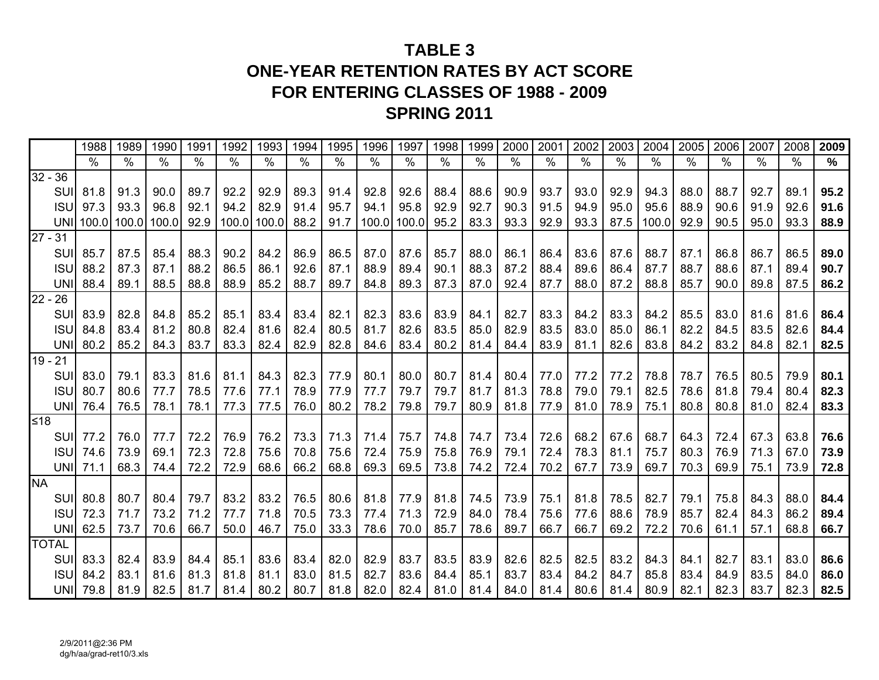# **TABLE 3ONE-YEAR RETENTION RATES BY ACT SCOREFOR ENTERING CLASSES OF 1988 - 2009 SPRING 2011**

|           |              | 1988            | 1989          | 1990          | 1991          | 1992        | 1993 | 1994          | 1995 | 1996          | 1997          | 1998 | 1999          | 2000 | 2001          | 2002          | 2003 | 2004          | 2005 | 2006                     | 2007          | 2008          | 2009 |
|-----------|--------------|-----------------|---------------|---------------|---------------|-------------|------|---------------|------|---------------|---------------|------|---------------|------|---------------|---------------|------|---------------|------|--------------------------|---------------|---------------|------|
|           |              | $\%$            | $\frac{0}{0}$ | $\frac{9}{6}$ | $\frac{0}{0}$ | $\%$        | $\%$ | $\frac{9}{6}$ | $\%$ | $\frac{0}{0}$ | $\frac{0}{0}$ | %    | $\frac{0}{0}$ | $\%$ | $\frac{0}{0}$ | $\frac{0}{0}$ | $\%$ | $\frac{0}{0}$ | $\%$ | $\overline{\frac{9}{6}}$ | $\frac{0}{0}$ | $\frac{0}{0}$ | $\%$ |
| $32 - 36$ |              |                 |               |               |               |             |      |               |      |               |               |      |               |      |               |               |      |               |      |                          |               |               |      |
|           | SUI          | 81.8            | 91.3          | 90.0          | 89.7          | 92.2        | 92.9 | 89.3          | 91.4 | 92.8          | 92.6          | 88.4 | 88.6          | 90.9 | 93.7          | 93.0          | 92.9 | 94.3          | 88.0 | 88.7                     | 92.7          | 89.1          | 95.2 |
|           | <b>ISU</b>   | 97.3            | 93.3          | 96.8          | 92.1          | 94.2        | 82.9 | 91.4          | 95.7 | 94.1          | 95.8          | 92.9 | 92.7          | 90.3 | 91.5          | 94.9          | 95.0 | 95.6          | 88.9 | 90.6                     | 91.9          | 92.6          | 91.6 |
|           |              | UNI 100.0       | 100.0 100.0   |               | 92.9          | 100.0 100.0 |      | 88.2          | 91.7 |               | 100.0 100.0   | 95.2 | 83.3          | 93.3 | 92.9          | 93.3          | 87.5 | 100.0         | 92.9 | 90.5                     | 95.0          | 93.3          | 88.9 |
| $27 - 31$ |              |                 |               |               |               |             |      |               |      |               |               |      |               |      |               |               |      |               |      |                          |               |               |      |
|           | SUI          | 85.7            | 87.5          | 85.4          | 88.3          | 90.2        | 84.2 | 86.9          | 86.5 | 87.0          | 87.6          | 85.7 | 88.0          | 86.1 | 86.4          | 83.6          | 87.6 | 88.7          | 87.1 | 86.8                     | 86.7          | 86.5          | 89.0 |
|           | <b>ISU</b>   | 88.2            | 87.3          | 87.1          | 88.2          | 86.5        | 86.1 | 92.6          | 87.1 | 88.9          | 89.4          | 90.1 | 88.3          | 87.2 | 88.4          | 89.6          | 86.4 | 87.7          | 88.7 | 88.6                     | 87.1          | 89.4          | 90.7 |
|           | UNI          | 88.4            | 89.1          | 88.5          | 88.8          | 88.9        | 85.2 | 88.7          | 89.7 | 84.8          | 89.3          | 87.3 | 87.0          | 92.4 | 87.7          | 88.0          | 87.2 | 88.8          | 85.7 | 90.0                     | 89.8          | 87.5          | 86.2 |
| $22 - 26$ |              |                 |               |               |               |             |      |               |      |               |               |      |               |      |               |               |      |               |      |                          |               |               |      |
|           | SUI          | 83.9            | 82.8          | 84.8          | 85.2          | 85.1        | 83.4 | 83.4          | 82.1 | 82.3          | 83.6          | 83.9 | 84.1          | 82.7 | 83.3          | 84.2          | 83.3 | 84.2          | 85.5 | 83.0                     | 81.6          | 81.6          | 86.4 |
|           | <b>ISU</b>   | 84.8            | 83.4          | 81.2          | 80.8          | 82.4        | 81.6 | 82.4          | 80.5 | 81.7          | 82.6          | 83.5 | 85.0          | 82.9 | 83.5          | 83.0          | 85.0 | 86.1          | 82.2 | 84.5                     | 83.5          | 82.6          | 84.4 |
|           | <b>UNI</b>   | 80.2            | 85.2          | 84.3          | 83.7          | 83.3        | 82.4 | 82.9          | 82.8 | 84.6          | 83.4          | 80.2 | 81.4          | 84.4 | 83.9          | 81.1          | 82.6 | 83.8          | 84.2 | 83.2                     | 84.8          | 82.1          | 82.5 |
| $19 - 21$ |              |                 |               |               |               |             |      |               |      |               |               |      |               |      |               |               |      |               |      |                          |               |               |      |
|           | SUI          | 83.0            | 79.1          | 83.3          | 81.6          | 81.1        | 84.3 | 82.3          | 77.9 | 80.1          | 80.0          | 80.7 | 81.4          | 80.4 | 77.0          | 77.2          | 77.2 | 78.8          | 78.7 | 76.5                     | 80.5          | 79.9          | 80.1 |
|           | <b>ISU</b>   | 80.7            | 80.6          | 77.7          | 78.5          | 77.6        | 77.1 | 78.9          | 77.9 | 77.7          | 79.7          | 79.7 | 81.7          | 81.3 | 78.8          | 79.0          | 79.1 | 82.5          | 78.6 | 81.8                     | 79.4          | 80.4          | 82.3 |
|           |              | <b>UNI</b> 76.4 | 76.5          | 78.1          | 78.1          | 77.3        | 77.5 | 76.0          | 80.2 | 78.2          | 79.8          | 79.7 | 80.9          | 81.8 | 77.9          | 81.0          | 78.9 | 75.1          | 80.8 | 80.8                     | 81.0          | 82.4          | 83.3 |
| ≤18       |              |                 |               |               |               |             |      |               |      |               |               |      |               |      |               |               |      |               |      |                          |               |               |      |
|           | SUI          | 77.2            | 76.0          | 77.7          | 72.2          | 76.9        | 76.2 | 73.3          | 71.3 | 71.4          | 75.7          | 74.8 | 74.7          | 73.4 | 72.6          | 68.2          | 67.6 | 68.7          | 64.3 | 72.4                     | 67.3          | 63.8          | 76.6 |
|           | <b>ISU</b>   | 74.6            | 73.9          | 69.1          | 72.3          | 72.8        | 75.6 | 70.8          | 75.6 | 72.4          | 75.9          | 75.8 | 76.9          | 79.1 | 72.4          | 78.3          | 81.1 | 75.7          | 80.3 | 76.9                     | 71.3          | 67.0          | 73.9 |
|           |              | <b>UNI</b> 71.1 | 68.3          | 74.4          | 72.2          | 72.9        | 68.6 | 66.2          | 68.8 | 69.3          | 69.5          | 73.8 | 74.2          | 72.4 | 70.2          | 67.7          | 73.9 | 69.7          | 70.3 | 69.9                     | 75.1          | 73.9          | 72.8 |
| <b>NA</b> |              |                 |               |               |               |             |      |               |      |               |               |      |               |      |               |               |      |               |      |                          |               |               |      |
|           | SUI          | 80.8            | 80.7          | 80.4          | 79.7          | 83.2        | 83.2 | 76.5          | 80.6 | 81.8          | 77.9          | 81.8 | 74.5          | 73.9 | 75.1          | 81.8          | 78.5 | 82.7          | 79.1 | 75.8                     | 84.3          | 88.0          | 84.4 |
|           | <b>ISU</b>   | 72.3            | 71.7          | 73.2          | 71.2          | 77.7        | 71.8 | 70.5          | 73.3 | 77.4          | 71.3          | 72.9 | 84.0          | 78.4 | 75.6          | 77.6          | 88.6 | 78.9          | 85.7 | 82.4                     | 84.3          | 86.2          | 89.4 |
|           |              | UNI 62.5        | 73.7          | 70.6          | 66.7          | 50.0        | 46.7 | 75.0          | 33.3 | 78.6          | 70.0          | 85.7 | 78.6          | 89.7 | 66.7          | 66.7          | 69.2 | 72.2          | 70.6 | 61.1                     | 57.1          | 68.8          | 66.7 |
|           | <b>TOTAL</b> |                 |               |               |               |             |      |               |      |               |               |      |               |      |               |               |      |               |      |                          |               |               |      |
|           | SUI          | 83.3            | 82.4          | 83.9          | 84.4          | 85.1        | 83.6 | 83.4          | 82.0 | 82.9          | 83.7          | 83.5 | 83.9          | 82.6 | 82.5          | 82.5          | 83.2 | 84.3          | 84.1 | 82.7                     | 83.1          | 83.0          | 86.6 |
|           | <b>ISU</b>   | 84.2            | 83.1          | 81.6          | 81.3          | 81.8        | 81.1 | 83.0          | 81.5 | 82.7          | 83.6          | 84.4 | 85.1          | 83.7 | 83.4          | 84.2          | 84.7 | 85.8          | 83.4 | 84.9                     | 83.5          | 84.0          | 86.0 |
|           |              | <b>UNI</b> 79.8 | 81.9          | 82.5          | 81.7          | 81.4        | 80.2 | 80.7          | 81.8 | 82.0          | 82.4          |      | $81.0$ 81.4   | 84.0 | 81.4          | 80.6          | 81.4 | 80.9          | 82.1 | 82.3                     | 83.7          | 82.3          | 82.5 |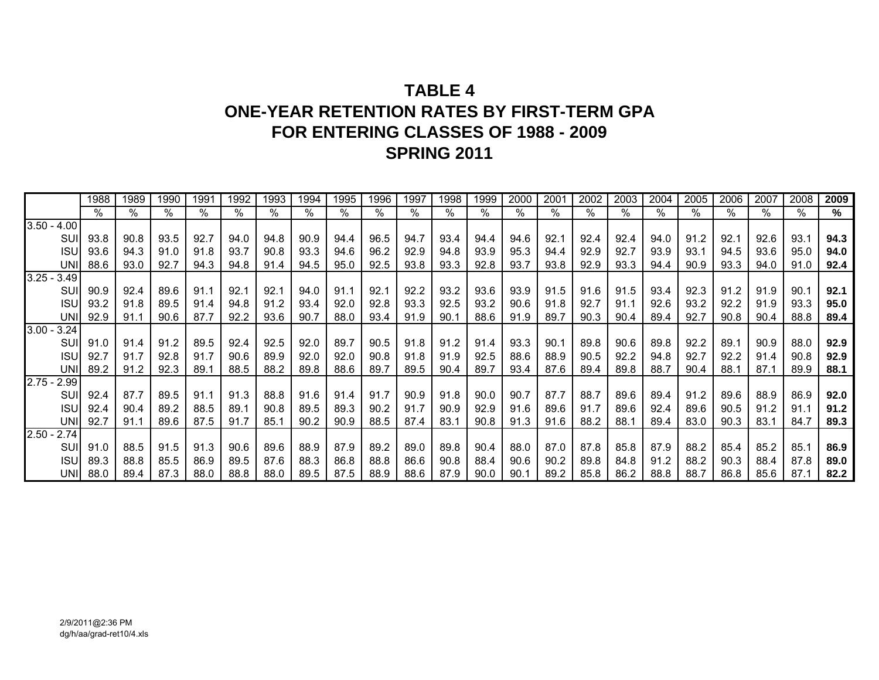# **TABLE 4ONE-YEAR RETENTION RATES BY FIRST-TERM GPA FOR ENTERING CLASSES OF 1988 - 2009 SPRING 2011**

|               |            | 1988 | 1989 | 1990 | 1991 | 1992 | 1993 | 1994 | 1995 | 1996 | 1997 | 1998 | 1999 | 2000 | 2001 | 2002 | 2003 | 2004 | 2005 | 2006 | 2007 | 2008 | 2009 |
|---------------|------------|------|------|------|------|------|------|------|------|------|------|------|------|------|------|------|------|------|------|------|------|------|------|
|               |            | $\%$ | %    | %    | %    | $\%$ | %    | %    | %    | %    | %    | %    | %    | %    | $\%$ | %    | $\%$ | %    | %    | %    | %    | $\%$ | %    |
| $3.50 - 4.00$ |            |      |      |      |      |      |      |      |      |      |      |      |      |      |      |      |      |      |      |      |      |      |      |
|               | SUI        | 93.8 | 90.8 | 93.5 | 92.7 | 94.0 | 94.8 | 90.9 | 94.4 | 96.5 | 94.7 | 93.4 | 94.4 | 94.6 | 92.1 | 92.4 | 92.4 | 94.0 | 91.2 | 92.1 | 92.6 | 93.1 | 94.3 |
|               | <b>ISU</b> | 93.6 | 94.3 | 91.0 | 91.8 | 93.7 | 90.8 | 93.3 | 94.6 | 96.2 | 92.9 | 94.8 | 93.9 | 95.3 | 94.4 | 92.9 | 92.7 | 93.9 | 93.1 | 94.5 | 93.6 | 95.0 | 94.0 |
|               | UNI        | 88.6 | 93.0 | 92.7 | 94.3 | 94.8 | 91.4 | 94.5 | 95.0 | 92.5 | 93.8 | 93.3 | 92.8 | 93.7 | 93.8 | 92.9 | 93.3 | 94.4 | 90.9 | 93.3 | 94.0 | 91.0 | 92.4 |
| $3.25 - 3.49$ |            |      |      |      |      |      |      |      |      |      |      |      |      |      |      |      |      |      |      |      |      |      |      |
|               | SUI        | 90.9 | 92.4 | 89.6 | 91.1 | 92.1 | 92.1 | 94.0 | 91.1 | 92.1 | 92.2 | 93.2 | 93.6 | 93.9 | 91.5 | 91.6 | 91.5 | 93.4 | 92.3 | 91.2 | 91.9 | 90.1 | 92.1 |
|               | <b>ISU</b> | 93.2 | 91.8 | 89.5 | 91.4 | 94.8 | 91.2 | 93.4 | 92.0 | 92.8 | 93.3 | 92.5 | 93.2 | 90.6 | 91.8 | 92.7 | 91.1 | 92.6 | 93.2 | 92.2 | 91.9 | 93.3 | 95.0 |
|               | UNI        | 92.9 | 91.1 | 90.6 | 87.7 | 92.2 | 93.6 | 90.7 | 88.0 | 93.4 | 91.9 | 90.1 | 88.6 | 91.9 | 89.7 | 90.3 | 90.4 | 89.4 | 92.7 | 90.8 | 90.4 | 88.8 | 89.4 |
| $3.00 -$      | 3.24       |      |      |      |      |      |      |      |      |      |      |      |      |      |      |      |      |      |      |      |      |      |      |
|               | SUI        | 91.0 | 91.4 | 91.2 | 89.5 | 92.4 | 92.5 | 92.0 | 89.7 | 90.5 | 91.8 | 91.2 | 91.4 | 93.3 | 90.1 | 89.8 | 90.6 | 89.8 | 92.2 | 89.1 | 90.9 | 88.0 | 92.9 |
|               | <b>ISU</b> | 92.7 | 91.7 | 92.8 | 91.7 | 90.6 | 89.9 | 92.0 | 92.0 | 90.8 | 91.8 | 91.9 | 92.5 | 88.6 | 88.9 | 90.5 | 92.2 | 94.8 | 92.7 | 92.2 | 91.4 | 90.8 | 92.9 |
|               | <b>UNI</b> | 89.2 | 91.2 | 92.3 | 89.1 | 88.5 | 88.2 | 89.8 | 88.6 | 89.7 | 89.5 | 90.4 | 89.7 | 93.4 | 87.6 | 89.4 | 89.8 | 88.7 | 90.4 | 88.1 | 87.1 | 89.9 | 88.1 |
| $2.75 - 2.99$ |            |      |      |      |      |      |      |      |      |      |      |      |      |      |      |      |      |      |      |      |      |      |      |
|               | SUI        | 92.4 | 87.7 | 89.5 | 91.1 | 91.3 | 88.8 | 91.6 | 91.4 | 91.7 | 90.9 | 91.8 | 90.0 | 90.7 | 87.7 | 88.7 | 89.6 | 89.4 | 91.2 | 89.6 | 88.9 | 86.9 | 92.0 |
|               | <b>ISU</b> | 92.4 | 90.4 | 89.2 | 88.5 | 89.1 | 90.8 | 89.5 | 89.3 | 90.2 | 91.7 | 90.9 | 92.9 | 91.6 | 89.6 | 91.7 | 89.6 | 92.4 | 89.6 | 90.5 | 91.2 | 91.1 | 91.2 |
|               | <b>UNI</b> | 92.7 | 91.1 | 89.6 | 87.5 | 91.7 | 85.1 | 90.2 | 90.9 | 88.5 | 87.4 | 83.1 | 90.8 | 91.3 | 91.6 | 88.2 | 88.1 | 89.4 | 83.0 | 90.3 | 83.1 | 84.7 | 89.3 |
| $2.50 - 2.74$ |            |      |      |      |      |      |      |      |      |      |      |      |      |      |      |      |      |      |      |      |      |      |      |
|               | SUI        | 91.0 | 88.5 | 91.5 | 91.3 | 90.6 | 89.6 | 88.9 | 87.9 | 89.2 | 89.0 | 89.8 | 90.4 | 88.0 | 87.0 | 87.8 | 85.8 | 87.9 | 88.2 | 85.4 | 85.2 | 85.1 | 86.9 |
|               | <b>ISU</b> | 89.3 | 88.8 | 85.5 | 86.9 | 89.5 | 87.6 | 88.3 | 86.8 | 88.8 | 86.6 | 90.8 | 88.4 | 90.6 | 90.2 | 89.8 | 84.8 | 91.2 | 88.2 | 90.3 | 88.4 | 87.8 | 89.0 |
|               | <b>UNI</b> | 88.0 | 89.4 | 87.3 | 88.0 | 88.8 | 88.0 | 89.5 | 87.5 | 88.9 | 88.6 | 87.9 | 90.0 | 90.1 | 89.2 | 85.8 | 86.2 | 88.8 | 88.7 | 86.8 | 85.6 | 87.1 | 82.2 |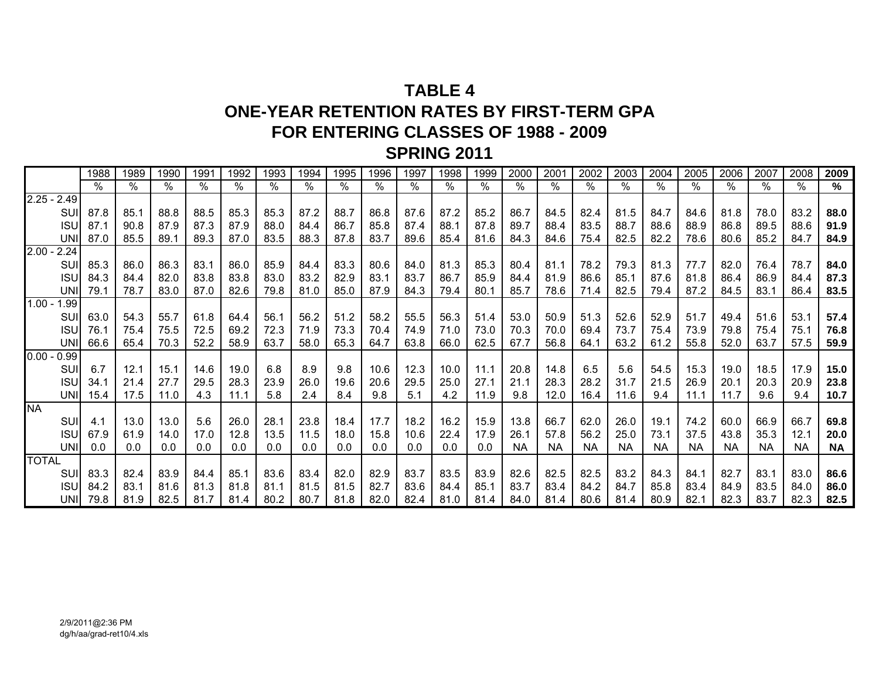# **TABLE 4ONE-YEAR RETENTION RATES BY FIRST-TERM GPA FOR ENTERING CLASSES OF 1988 - 2009 SPRING 2011**

|               |            | 1988 | 1989 | 1990 | 1991 | 1992 | 1993 | 1994 | 1995 | 1996 | 1997          | 1998 | 1999 | 2000      | 2001      | 2002      | 2003      | 2004      | 2005      | 2006      | 2007      | 2008      | 2009 |
|---------------|------------|------|------|------|------|------|------|------|------|------|---------------|------|------|-----------|-----------|-----------|-----------|-----------|-----------|-----------|-----------|-----------|------|
|               |            | $\%$ | %    | %    | $\%$ | $\%$ | $\%$ | %    | $\%$ | ℅    | $\frac{1}{2}$ | %    | $\%$ | %         | $\%$      | %         | %         | $\%$      | $\%$      | $\%$      | %         | %         | %    |
| $2.25 - 2.49$ |            |      |      |      |      |      |      |      |      |      |               |      |      |           |           |           |           |           |           |           |           |           |      |
|               | SUI        | 87.8 | 85.1 | 88.8 | 88.5 | 85.3 | 85.3 | 87.2 | 88.7 | 86.8 | 87.6          | 87.2 | 85.2 | 86.7      | 84.5      | 82.4      | 81.5      | 84.7      | 84.6      | 81.8      | 78.0      | 83.2      | 88.0 |
|               | <b>ISU</b> | 87.1 | 90.8 | 87.9 | 87.3 | 87.9 | 88.0 | 84.4 | 86.7 | 85.8 | 87.4          | 88.1 | 87.8 | 89.7      | 88.4      | 83.5      | 88.7      | 88.6      | 88.9      | 86.8      | 89.5      | 88.6      | 91.9 |
|               | <b>UNI</b> | 87.0 | 85.5 | 89.1 | 89.3 | 87.0 | 83.5 | 88.3 | 87.8 | 83.7 | 89.6          | 85.4 | 81.6 | 84.3      | 84.6      | 75.4      | 82.5      | 82.2      | 78.6      | 80.6      | 85.2      | 84.7      | 84.9 |
| $2.00 - 2.24$ |            |      |      |      |      |      |      |      |      |      |               |      |      |           |           |           |           |           |           |           |           |           |      |
|               | SUI        | 85.3 | 86.0 | 86.3 | 83.1 | 86.0 | 85.9 | 84.4 | 83.3 | 80.6 | 84.0          | 81.3 | 85.3 | 80.4      | 81.1      | 78.2      | 79.3      | 81.3      | 77.7      | 82.0      | 76.4      | 78.7      | 84.0 |
|               | <b>ISU</b> | 84.3 | 84.4 | 82.0 | 83.8 | 83.8 | 83.0 | 83.2 | 82.9 | 83.1 | 83.7          | 86.7 | 85.9 | 84.4      | 81.9      | 86.6      | 85.1      | 87.6      | 81.8      | 86.4      | 86.9      | 84.4      | 87.3 |
|               | <b>UNI</b> | 79.1 | 78.7 | 83.0 | 87.0 | 82.6 | 79.8 | 81.0 | 85.0 | 87.9 | 84.3          | 79.4 | 80.1 | 85.7      | 78.6      | 71.4      | 82.5      | 79.4      | 87.2      | 84.5      | 83.1      | 86.4      | 83.5 |
| $1.00 - 1.99$ |            |      |      |      |      |      |      |      |      |      |               |      |      |           |           |           |           |           |           |           |           |           |      |
|               | SUI        | 63.0 | 54.3 | 55.7 | 61.8 | 64.4 | 56.1 | 56.2 | 51.2 | 58.2 | 55.5          | 56.3 | 51.4 | 53.0      | 50.9      | 51.3      | 52.6      | 52.9      | 51.7      | 49.4      | 51.6      | 53.1      | 57.4 |
|               | <b>ISU</b> | 76.1 | 75.4 | 75.5 | 72.5 | 69.2 | 72.3 | 71.9 | 73.3 | 70.4 | 74.9          | 71.0 | 73.0 | 70.3      | 70.0      | 69.4      | 73.7      | 75.4      | 73.9      | 79.8      | 75.4      | 75.1      | 76.8 |
|               | <b>UNI</b> | 66.6 | 65.4 | 70.3 | 52.2 | 58.9 | 63.7 | 58.0 | 65.3 | 64.7 | 63.8          | 66.0 | 62.5 | 67.7      | 56.8      | 64.1      | 63.2      | 61.2      | 55.8      | 52.0      | 63.7      | 57.5      | 59.9 |
| $0.00 - 0.99$ |            |      |      |      |      |      |      |      |      |      |               |      |      |           |           |           |           |           |           |           |           |           |      |
|               | SUI        | 6.7  | 12.1 | 15.1 | 14.6 | 19.0 | 6.8  | 8.9  | 9.8  | 10.6 | 12.3          | 10.0 | 11.1 | 20.8      | 14.8      | 6.5       | 5.6       | 54.5      | 15.3      | 19.0      | 18.5      | 17.9      | 15.0 |
|               | <b>ISU</b> | 34.1 | 21.4 | 27.7 | 29.5 | 28.3 | 23.9 | 26.0 | 19.6 | 20.6 | 29.5          | 25.0 | 27.1 | 21.1      | 28.3      | 28.2      | 31.7      | 21.5      | 26.9      | 20.1      | 20.3      | 20.9      | 23.8 |
|               | <b>UNI</b> | 15.4 | 17.5 | 11.0 | 4.3  | 11.1 | 5.8  | 2.4  | 8.4  | 9.8  | 5.1           | 4.2  | 11.9 | 9.8       | 12.0      | 16.4      | 11.6      | 9.4       | 11.1      | 11.7      | 9.6       | 9.4       | 10.7 |
| <b>NA</b>     |            |      |      |      |      |      |      |      |      |      |               |      |      |           |           |           |           |           |           |           |           |           |      |
|               | SUI        | 4.1  | 13.0 | 13.0 | 5.6  | 26.0 | 28.1 | 23.8 | 18.4 | 17.7 | 18.2          | 16.2 | 15.9 | 13.8      | 66.7      | 62.0      | 26.0      | 19.1      | 74.2      | 60.0      | 66.9      | 66.7      | 69.8 |
|               | <b>ISU</b> | 67.9 | 61.9 | 14.0 | 17.0 | 12.8 | 13.5 | 11.5 | 18.0 | 15.8 | 10.6          | 22.4 | 17.9 | 26.1      | 57.8      | 56.2      | 25.0      | 73.1      | 37.5      | 43.8      | 35.3      | 12.1      | 20.0 |
|               | <b>UNI</b> | 0.0  | 0.0  | 0.0  | 0.0  | 0.0  | 0.0  | 0.0  | 0.0  | 0.0  | 0.0           | 0.0  | 0.0  | <b>NA</b> | <b>NA</b> | <b>NA</b> | <b>NA</b> | <b>NA</b> | <b>NA</b> | <b>NA</b> | <b>NA</b> | <b>NA</b> | NA   |
| <b>TOTAL</b>  |            |      |      |      |      |      |      |      |      |      |               |      |      |           |           |           |           |           |           |           |           |           |      |
|               | SUI        | 83.3 | 82.4 | 83.9 | 84.4 | 85.1 | 83.6 | 83.4 | 82.0 | 82.9 | 83.7          | 83.5 | 83.9 | 82.6      | 82.5      | 82.5      | 83.2      | 84.3      | 84.1      | 82.7      | 83.1      | 83.0      | 86.6 |
|               | <b>ISU</b> | 84.2 | 83.1 | 81.6 | 81.3 | 81.8 | 81.1 | 81.5 | 81.5 | 82.7 | 83.6          | 84.4 | 85.1 | 83.7      | 83.4      | 84.2      | 84.7      | 85.8      | 83.4      | 84.9      | 83.5      | 84.0      | 86.0 |
|               | <b>UNI</b> | 79.8 | 81.9 | 82.5 | 81.7 | 81.4 | 80.2 | 80.7 | 81.8 | 82.0 | 82.4          | 81.0 | 81.4 | 84.0      | 81.4      | 80.6      | 81.4      | 80.9      | 82.1      | 82.3      | 83.7      | 82.3      | 82.5 |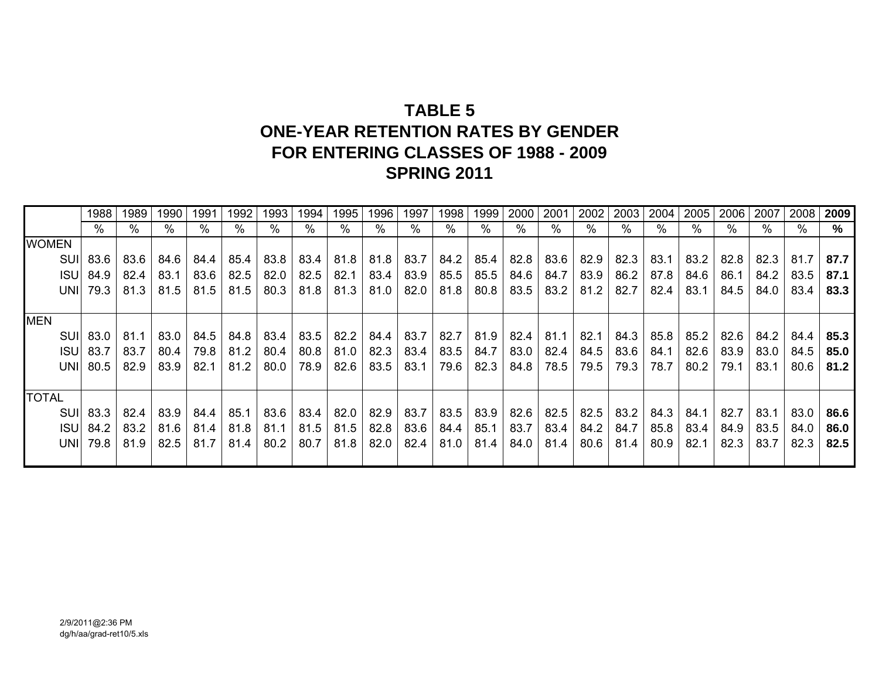# **TABLE 5ONE-YEAR RETENTION RATES BY GENDERFOR ENTERING CLASSES OF 1988 - 2009 SPRING 2011**

|              | 1988             | 1989 | 1990 | 1991        | 1992 | 1993 | 1994 | 1995 | 1996 | 1997 | 1998 | 1999 | 2000 | 2001      | 2002 | 2003 | 2004 | 2005 | 2006 | 2007 | 2008 | 2009 |
|--------------|------------------|------|------|-------------|------|------|------|------|------|------|------|------|------|-----------|------|------|------|------|------|------|------|------|
|              | %                | %    | %    | %           | %    | %    | %    | %    | %    | %    | %    | %    | %    | %         | %    | $\%$ | %    | $\%$ | %    |      | %    | %    |
| <b>WOMEN</b> |                  |      |      |             |      |      |      |      |      |      |      |      |      |           |      |      |      |      |      |      |      |      |
|              | SUI 83.6         | 83.6 | 84.6 | 84.4        | 85.4 | 83.8 | 83.4 | 81.8 | 81.8 | 83.7 | 84.2 | 85.4 |      | 82.8 83.6 | 82.9 | 82.3 | 83.1 | 83.2 | 82.8 | 82.3 | 81.7 | 87.7 |
|              | <b>ISU</b> 84.9  | 82.4 | 83.1 | 83.6        | 82.5 | 82.0 | 82.5 | 82.1 | 83.4 | 83.9 | 85.5 | 85.5 | 84.6 | 84.7      | 83.9 | 86.2 | 87.8 | 84.6 | 86.1 | 84.2 | 83.5 | 87.1 |
|              | <b>UNII 79.3</b> | 81.3 | 81.5 | 81.5        | 81.5 | 80.3 | 81.8 | 81.3 | 81.0 | 82.0 | 81.8 | 80.8 | 83.5 | 83.2      | 81.2 | 82.7 | 82.4 | 83.1 | 84.5 | 84.0 | 83.4 | 83.3 |
|              |                  |      |      |             |      |      |      |      |      |      |      |      |      |           |      |      |      |      |      |      |      |      |
| <b>MEN</b>   |                  |      |      |             |      |      |      |      |      |      |      |      |      |           |      |      |      |      |      |      |      |      |
|              | SUI 83.0         | 81.1 | 83.0 | 84.5        | 84.8 | 83.4 | 83.5 | 82.2 | 84.4 | 83.7 | 82.7 | 81.9 | 82.4 | 81.1      | 82.1 | 84.3 | 85.8 | 85.2 | 82.6 | 84.2 | 84.4 | 85.3 |
|              | <b>ISU 83.7</b>  | 83.7 | 80.4 | 79.8        | 81.2 | 80.4 | 80.8 | 81.0 | 82.3 | 83.4 | 83.5 | 84.7 | 83.0 | 82.4      | 84.5 | 83.6 | 84.1 | 82.6 | 83.9 | 83.0 | 84.5 | 85.0 |
|              | UNII 80.5        | 82.9 | 83.9 | 82.1        | 81.2 | 80.0 | 78.9 | 82.6 | 83.5 | 83.1 | 79.6 | 82.3 | 84.8 | 78.5      | 79.5 | 79.3 | 78.7 | 80.2 | 79.1 | 83.1 | 80.6 | 81.2 |
|              |                  |      |      |             |      |      |      |      |      |      |      |      |      |           |      |      |      |      |      |      |      |      |
| <b>TOTAL</b> |                  |      |      |             |      |      |      |      |      |      |      |      |      |           |      |      |      |      |      |      |      |      |
|              | SUI 83.3         | 82.4 | 83.9 | 84.4        | 85.1 | 83.6 | 83.4 | 82.0 | 82.9 | 83.7 | 83.5 | 83.9 | 82.6 | 82.5      | 82.5 | 83.2 | 84.3 | 84.1 | 82.7 | 83.1 | 83.0 | 86.6 |
|              | <b>ISU</b> 84.2  | 83.2 |      | $81.6$ 81.4 | 81.8 | 81.1 | 81.5 | 81.5 | 82.8 | 83.6 | 84.4 | 85.1 | 83.7 | 83.4      | 84.2 | 84.7 | 85.8 | 83.4 | 84.9 | 83.5 | 84.0 | 86.0 |
|              | <b>UNI</b> 79.8  | 81.9 | 82.5 | 81.7        | 81.4 | 80.2 | 80.7 | 81.8 | 82.0 | 82.4 | 81.0 | 81.4 | 84.0 | 81.4      | 80.6 | 81.4 | 80.9 | 82.1 | 82.3 | 83.7 | 82.3 | 82.5 |
|              |                  |      |      |             |      |      |      |      |      |      |      |      |      |           |      |      |      |      |      |      |      |      |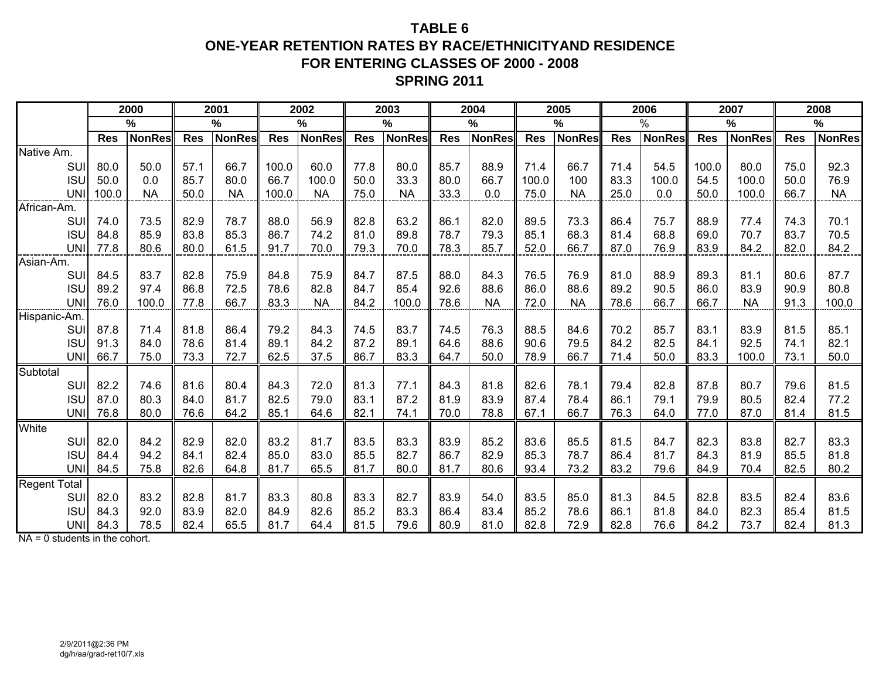## **TABLE 6ONE-YEAR RETENTION RATES BY RACE/ETHNICITYAND RESIDENCEFOR ENTERING CLASSES OF 2000 - 2008 SPRING 2011**

|                            |            | 2000          |            | 2001          |            | 2002          |            | 2003          |            | 2004          |            | 2005          |            | 2006          |            | 2007          |            | 2008          |
|----------------------------|------------|---------------|------------|---------------|------------|---------------|------------|---------------|------------|---------------|------------|---------------|------------|---------------|------------|---------------|------------|---------------|
|                            |            | %             |            | $\frac{0}{0}$ |            | %             |            | $\frac{9}{6}$ |            | $\frac{0}{0}$ |            | $\%$          |            | $\frac{0}{0}$ |            | %             |            | %             |
|                            | <b>Res</b> | <b>NonRes</b> | <b>Res</b> | <b>NonRes</b> | <b>Res</b> | <b>NonRes</b> | <b>Res</b> | <b>NonRes</b> | <b>Res</b> | <b>NonRes</b> | <b>Res</b> | <b>NonRes</b> | <b>Res</b> | <b>NonRes</b> | <b>Res</b> | <b>NonRes</b> | <b>Res</b> | <b>NonRes</b> |
| Native Am.                 |            |               |            |               |            |               |            |               |            |               |            |               |            |               |            |               |            |               |
| <b>SUI</b>                 | 80.0       | 50.0          | 57.1       | 66.7          | 100.0      | 60.0          | 77.8       | 80.0          | 85.7       | 88.9          | 71.4       | 66.7          | 71.4       | 54.5          | 100.0      | 80.0          | 75.0       | 92.3          |
| <b>ISU</b>                 | 50.0       | 0.0           | 85.7       | 80.0          | 66.7       | 100.0         | 50.0       | 33.3          | 80.0       | 66.7          | 100.0      | 100           | 83.3       | 100.0         | 54.5       | 100.0         | 50.0       | 76.9          |
| <b>UNI</b>                 | 100.0      | <b>NA</b>     | 50.0       | <b>NA</b>     | 100.0      | <b>NA</b>     | 75.0       | <b>NA</b>     | 33.3       | 0.0           | 75.0       | <b>NA</b>     | 25.0       | 0.0           | 50.0       | 100.0         | 66.7       | <b>NA</b>     |
| <u>ייט </u><br>.African-Am |            |               |            |               |            |               |            |               |            |               |            |               |            |               |            |               |            |               |
| SUI                        | 74.0       | 73.5          | 82.9       | 78.7          | 88.0       | 56.9          | 82.8       | 63.2          | 86.1       | 82.0          | 89.5       | 73.3          | 86.4       | 75.7          | 88.9       | 77.4          | 74.3       | 70.1          |
| <b>ISU</b>                 | 84.8       | 85.9          | 83.8       | 85.3          | 86.7       | 74.2          | 81.0       | 89.8          | 78.7       | 79.3          | 85.1       | 68.3          | 81.4       | 68.8          | 69.0       | 70.7          | 83.7       | 70.5          |
| <b>UNI</b>                 | 77.8       | 80.6          | 80.0       | 61.5          | 91.7       | 70.0          | 79.3       | 70.0          | 78.3       | 85.7          | 52.0       | 66.7          | 87.0       | 76.9          | 83.9       | 84.2          | 82.0       | 84.2          |
| <b>Asian-Am.</b>           |            |               |            |               |            |               |            |               |            |               |            |               |            |               |            |               |            |               |
| SUI                        | 84.5       | 83.7          | 82.8       | 75.9          | 84.8       | 75.9          | 84.7       | 87.5          | 88.0       | 84.3          | 76.5       | 76.9          | 81.0       | 88.9          | 89.3       | 81.1          | 80.6       | 87.7          |
| <b>ISU</b>                 | 89.2       | 97.4          | 86.8       | 72.5          | 78.6       | 82.8          | 84.7       | 85.4          | 92.6       | 88.6          | 86.0       | 88.6          | 89.2       | 90.5          | 86.0       | 83.9          | 90.9       | 80.8          |
| <b>UNI</b>                 | 76.0       | 100.0         | 77.8       | 66.7          | 83.3       | <b>NA</b>     | 84.2       | 100.0         | 78.6       | <b>NA</b>     | 72.0       | <b>NA</b>     | 78.6       | 66.7          | 66.7       | <b>NA</b>     | 91.3       | 100.0         |
| Hispanic-Am                |            |               |            |               |            |               |            |               |            |               |            |               |            |               |            |               |            |               |
| SUI                        | 87.8       | 71.4          | 81.8       | 86.4          | 79.2       | 84.3          | 74.5       | 83.7          | 74.5       | 76.3          | 88.5       | 84.6          | 70.2       | 85.7          | 83.1       | 83.9          | 81.5       | 85.1          |
| <b>ISU</b>                 | 91.3       | 84.0          | 78.6       | 81.4          | 89.1       | 84.2          | 87.2       | 89.1          | 64.6       | 88.6          | 90.6       | 79.5          | 84.2       | 82.5          | 84.1       | 92.5          | 74.1       | 82.1          |
| <b>UNI</b>                 | 66.7       | 75.0          | 73.3       | 72.7          | 62.5       | 37.5          | 86.7       | 83.3          | 64.7       | 50.0          | 78.9       | 66.7          | 71.4       | 50.0          | 83.3       | 100.0         | 73.1       | 50.0          |
| Subtotal                   |            |               |            |               |            |               |            |               |            |               |            |               |            |               |            |               |            |               |
| SUI                        | 82.2       | 74.6          | 81.6       | 80.4          | 84.3       | 72.0          | 81.3       | 77.1          | 84.3       | 81.8          | 82.6       | 78.1          | 79.4       | 82.8          | 87.8       | 80.7          | 79.6       | 81.5          |
| <b>ISU</b>                 | 87.0       | 80.3          | 84.0       | 81.7          | 82.5       | 79.0          | 83.1       | 87.2          | 81.9       | 83.9          | 87.4       | 78.4          | 86.1       | 79.1          | 79.9       | 80.5          | 82.4       | 77.2          |
| <b>UNI</b>                 | 76.8       | 80.0          | 76.6       | 64.2          | 85.1       | 64.6          | 82.1       | 74.1          | 70.0       | 78.8          | 67.1       | 66.7          | 76.3       | 64.0          | 77.0       | 87.0          | 81.4       | 81.5          |
| White                      |            |               |            |               |            |               |            |               |            |               |            |               |            |               |            |               |            |               |
| SUI                        | 82.0       | 84.2          | 82.9       | 82.0          | 83.2       | 81.7          | 83.5       | 83.3          | 83.9       | 85.2          | 83.6       | 85.5          | 81.5       | 84.7          | 82.3       | 83.8          | 82.7       | 83.3          |
| <b>ISU</b>                 | 84.4       | 94.2          | 84.1       | 82.4          | 85.0       | 83.0          | 85.5       | 82.7          | 86.7       | 82.9          | 85.3       | 78.7          | 86.4       | 81.7          | 84.3       | 81.9          | 85.5       | 81.8          |
| <b>UNI</b>                 | 84.5       | 75.8          | 82.6       | 64.8          | 81.7       | 65.5          | 81.7       | 80.0          | 81.7       | 80.6          | 93.4       | 73.2          | 83.2       | 79.6          | 84.9       | 70.4          | 82.5       | 80.2          |
| <b>Regent Total</b>        |            |               |            |               |            |               |            |               |            |               |            |               |            |               |            |               |            |               |
| SUI                        | 82.0       | 83.2          | 82.8       | 81.7          | 83.3       | 80.8          | 83.3       | 82.7          | 83.9       | 54.0          | 83.5       | 85.0          | 81.3       | 84.5          | 82.8       | 83.5          | 82.4       | 83.6          |
| <b>ISU</b>                 | 84.3       | 92.0          | 83.9       | 82.0          | 84.9       | 82.6          | 85.2       | 83.3          | 86.4       | 83.4          | 85.2       | 78.6          | 86.1       | 81.8          | 84.0       | 82.3          | 85.4       | 81.5          |
| <b>UNI</b>                 | 84.3       | 78.5          | 82.4       | 65.5          | 81.7       | 64.4          | 81.5       | 79.6          | 80.9       | 81.0          | 82.8       | 72.9          | 82.8       | 76.6          | 84.2       | 73.7          | 82.4       | 81.3          |

NA = 0 students in the cohort.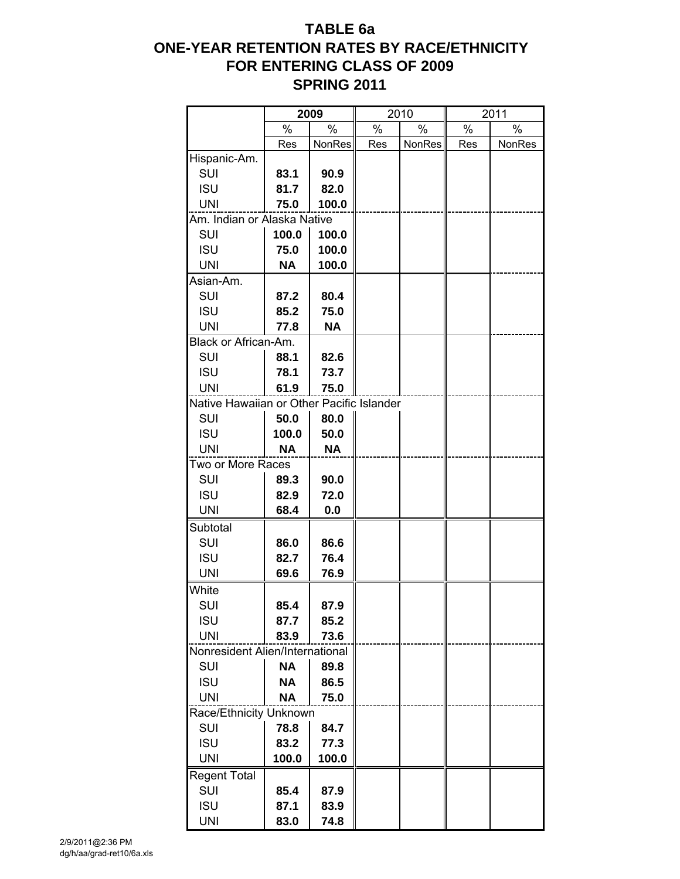## **TABLE 6a ONE-YEAR RETENTION RATES BY RACE/ETHNICITY FOR ENTERING CLASS OF 2009 SPRING 2011**

|                                           |           | 2009      |      | 2010   |      | 2011   |
|-------------------------------------------|-----------|-----------|------|--------|------|--------|
|                                           | %         | $\%$      | $\%$ | $\%$   | $\%$ | $\%$   |
|                                           | Res       | NonRes    | Res  | NonRes | Res  | NonRes |
| Hispanic-Am.                              |           |           |      |        |      |        |
| SUI                                       | 83.1      | 90.9      |      |        |      |        |
| <b>ISU</b>                                | 81.7      | 82.0      |      |        |      |        |
| <b>UNI</b>                                | 75.0      | 100.0     |      |        |      |        |
| Am. Indian or Alaska Native               |           |           |      |        |      |        |
| SUI                                       | 100.0     | 100.0     |      |        |      |        |
| <b>ISU</b>                                | 75.0      | 100.0     |      |        |      |        |
| <b>UNI</b>                                | <b>NA</b> | 100.0     |      |        |      |        |
| Asian-Am.                                 |           |           |      |        |      |        |
| SUI                                       | 87.2      | 80.4      |      |        |      |        |
| <b>ISU</b>                                | 85.2      | 75.0      |      |        |      |        |
| <b>UNI</b>                                | 77.8      | <b>NA</b> |      |        |      |        |
| Black or African-Am.                      |           |           |      |        |      |        |
| SUI                                       | 88.1      | 82.6      |      |        |      |        |
| <b>ISU</b>                                | 78.1      | 73.7      |      |        |      |        |
| <b>UNI</b>                                | 61.9      | 75.0      |      |        |      |        |
| Native Hawaiian or Other Pacific Islander |           |           |      |        |      |        |
| SUI                                       | 50.0      | 80.0      |      |        |      |        |
| <b>ISU</b>                                | 100.0     | 50.0      |      |        |      |        |
| <b>UNI</b>                                | ΝA        | <b>NA</b> |      |        |      |        |
| Two or More Races                         |           |           |      |        |      |        |
|                                           |           |           |      |        |      |        |
| SUI                                       | 89.3      | 90.0      |      |        |      |        |
| <b>ISU</b>                                | 82.9      | 72.0      |      |        |      |        |
| <b>UNI</b>                                | 68.4      | 0.0       |      |        |      |        |
| Subtotal                                  |           |           |      |        |      |        |
| SUI                                       | 86.0      | 86.6      |      |        |      |        |
| <b>ISU</b>                                | 82.7      | 76.4      |      |        |      |        |
| <b>UNI</b>                                | 69.6      | 76.9      |      |        |      |        |
| White                                     |           |           |      |        |      |        |
| SUI                                       | 85.4      | 87.9      |      |        |      |        |
| <b>ISU</b>                                | 87.7      | 85.2      |      |        |      |        |
| <b>UNI</b>                                | 83.9      | 73.6      |      |        |      |        |
| Nonresident Alien/International           |           |           |      |        |      |        |
| SUI                                       | <b>NA</b> | 89.8      |      |        |      |        |
| <b>ISU</b>                                | <b>NA</b> | 86.5      |      |        |      |        |
| <b>UNI</b>                                | <b>NA</b> | 75.0      |      |        |      |        |
| Race/Ethnicity Unknown                    |           |           |      |        |      |        |
| SUI                                       | 78.8      | 84.7      |      |        |      |        |
| <b>ISU</b>                                | 83.2      | 77.3      |      |        |      |        |
| <b>UNI</b>                                | 100.0     | 100.0     |      |        |      |        |
| <b>Regent Total</b>                       |           |           |      |        |      |        |
| SUI                                       | 85.4      | 87.9      |      |        |      |        |
| <b>ISU</b>                                | 87.1      | 83.9      |      |        |      |        |
| <b>UNI</b>                                | 83.0      | 74.8      |      |        |      |        |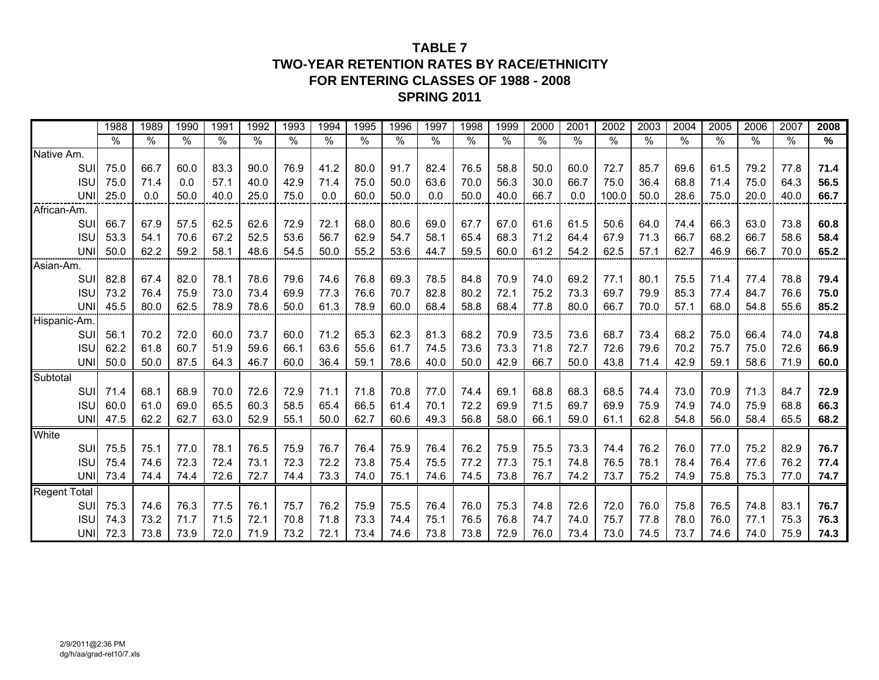### **TABLE 7TWO-YEAR RETENTION RATES BY RACE/ETHNICITY FOR ENTERING CLASSES OF 1988 - 2008SPRING 2011**

|                     |            | 1988          | 1989          | 1990          | 199'          | 1992 | 1993          | 1994          | 1995          | 1996                 | 1997          | 1998 | 1999          | 2000 | 2001          | 2002          | 2003 | 2004 | 2005          | 2006 | 2007 | 2008          |
|---------------------|------------|---------------|---------------|---------------|---------------|------|---------------|---------------|---------------|----------------------|---------------|------|---------------|------|---------------|---------------|------|------|---------------|------|------|---------------|
|                     |            | $\frac{1}{2}$ | $\frac{0}{0}$ | $\frac{1}{2}$ | $\frac{1}{6}$ | %    | $\frac{1}{2}$ | $\frac{1}{2}$ | $\frac{1}{2}$ | $\frac{1}{\sqrt{2}}$ | $\frac{1}{2}$ | $\%$ | $\frac{1}{2}$ | $\%$ | $\frac{1}{2}$ | $\frac{1}{2}$ | %    | $\%$ | $\frac{1}{2}$ | $\%$ | $\%$ | $\frac{9}{6}$ |
| Native Am.          |            |               |               |               |               |      |               |               |               |                      |               |      |               |      |               |               |      |      |               |      |      |               |
|                     | SUI        | 75.0          | 66.7          | 60.0          | 83.3          | 90.0 | 76.9          | 41.2          | 80.0          | 91.7                 | 82.4          | 76.5 | 58.8          | 50.0 | 60.0          | 72.7          | 85.7 | 69.6 | 61.5          | 79.2 | 77.8 | 71.4          |
|                     | <b>ISU</b> | 75.0          | 71.4          | 0.0           | 57.1          | 40.0 | 42.9          | 71.4          | 75.0          | 50.0                 | 63.6          | 70.0 | 56.3          | 30.0 | 66.7          | 75.0          | 36.4 | 68.8 | 71.4          | 75.0 | 64.3 | 56.5          |
|                     | <b>UNI</b> | 25.0          | 0.0           | 50.0          | 40.0          | 25.0 | 75.0          | 0.0           | 60.0          | 50.0                 | 0.0           | 50.0 | 40.0          | 66.7 | 0.0           | 100.0         | 50.0 | 28.6 | 75.0          | 20.0 | 40.0 | 66.7          |
| African-Am.         |            |               |               |               |               |      |               |               |               |                      |               |      |               |      |               |               |      |      |               |      |      |               |
|                     | SUI        | 66.7          | 67.9          | 57.5          | 62.5          | 62.6 | 72.9          | 72.1          | 68.0          | 80.6                 | 69.0          | 67.7 | 67.0          | 61.6 | 61.5          | 50.6          | 64.0 | 74.4 | 66.3          | 63.0 | 73.8 | 60.8          |
|                     | <b>ISU</b> | 53.3          | 54.1          | 70.6          | 67.2          | 52.5 | 53.6          | 56.7          | 62.9          | 54.7                 | 58.1          | 65.4 | 68.3          | 71.2 | 64.4          | 67.9          | 71.3 | 66.7 | 68.2          | 66.7 | 58.6 | 58.4          |
|                     | <b>UNI</b> | 50.0          | 62.2          | 59.2          | 58.1          | 48.6 | 54.5          | 50.0          | 55.2          | 53.6                 | 44.7          | 59.5 | 60.0          | 61.2 | 54.2          | 62.5          | 57.1 | 62.7 | 46.9          | 66.7 | 70.0 | 65.2          |
| Asian-Am.           |            |               |               |               |               |      |               |               |               |                      |               |      |               |      |               |               |      |      |               |      |      |               |
|                     | <b>SUI</b> | 82.8          | 67.4          | 82.0          | 78.1          | 78.6 | 79.6          | 74.6          | 76.8          | 69.3                 | 78.5          | 84.8 | 70.9          | 74.0 | 69.2          | 77.1          | 80.1 | 75.5 | 71.4          | 77.4 | 78.8 | 79.4          |
|                     | <b>ISU</b> | 73.2          | 76.4          | 75.9          | 73.0          | 73.4 | 69.9          | 77.3          | 76.6          | 70.7                 | 82.8          | 80.2 | 72.1          | 75.2 | 73.3          | 69.7          | 79.9 | 85.3 | 77.4          | 84.7 | 76.6 | 75.0          |
|                     | <b>UNI</b> | 45.5          | 80.0          | 62.5          | 78.9          | 78.6 | 50.0          | 61.3          | 78.9          | 60.0                 | 68.4          | 58.8 | 68.4          | 77.8 | 80.0          | 66.7          | 70.0 | 57.1 | 68.0          | 54.8 | 55.6 | 85.2          |
| Hispanic-Am         |            |               |               |               |               |      |               |               |               |                      |               |      |               |      |               |               |      |      |               |      |      |               |
|                     | SUI        | 56.1          | 70.2          | 72.0          | 60.0          | 73.7 | 60.0          | 71.2          | 65.3          | 62.3                 | 81.3          | 68.2 | 70.9          | 73.5 | 73.6          | 68.7          | 73.4 | 68.2 | 75.0          | 66.4 | 74.0 | 74.8          |
|                     | <b>ISU</b> | 62.2          | 61.8          | 60.7          | 51.9          | 59.6 | 66.1          | 63.6          | 55.6          | 61.7                 | 74.5          | 73.6 | 73.3          | 71.8 | 72.7          | 72.6          | 79.6 | 70.2 | 75.7          | 75.0 | 72.6 | 66.9          |
|                     | <b>UNI</b> | 50.0          | 50.0          | 87.5          | 64.3          | 46.7 | 60.0          | 36.4          | 59.1          | 78.6                 | 40.0          | 50.0 | 42.9          | 66.7 | 50.0          | 43.8          | 71.4 | 42.9 | 59.1          | 58.6 | 71.9 | 60.0          |
| Subtotal            |            |               |               |               |               |      |               |               |               |                      |               |      |               |      |               |               |      |      |               |      |      |               |
|                     | SUI        | 71.4          | 68.1          | 68.9          | 70.0          | 72.6 | 72.9          | 71.1          | 71.8          | 70.8                 | 77.0          | 74.4 | 69.1          | 68.8 | 68.3          | 68.5          | 74.4 | 73.0 | 70.9          | 71.3 | 84.7 | 72.9          |
|                     | <b>ISU</b> | 60.0          | 61.0          | 69.0          | 65.5          | 60.3 | 58.5          | 65.4          | 66.5          | 61.4                 | 70.1          | 72.2 | 69.9          | 71.5 | 69.7          | 69.9          | 75.9 | 74.9 | 74.0          | 75.9 | 68.8 | 66.3          |
|                     | <b>UNI</b> | 47.5          | 62.2          | 62.7          | 63.0          | 52.9 | 55.1          | 50.0          | 62.7          | 60.6                 | 49.3          | 56.8 | 58.0          | 66.1 | 59.0          | 61.1          | 62.8 | 54.8 | 56.0          | 58.4 | 65.5 | 68.2          |
| White               |            |               |               |               |               |      |               |               |               |                      |               |      |               |      |               |               |      |      |               |      |      |               |
|                     | SUI        | 75.5          | 75.1          | 77.0          | 78.1          | 76.5 | 75.9          | 76.7          | 76.4          | 75.9                 | 76.4          | 76.2 | 75.9          | 75.5 | 73.3          | 74.4          | 76.2 | 76.0 | 77.0          | 75.2 | 82.9 | 76.7          |
|                     | <b>ISU</b> | 75.4          | 74.6          | 72.3          | 72.4          | 73.1 | 72.3          | 72.2          | 73.8          | 75.4                 | 75.5          | 77.2 | 77.3          | 75.1 | 74.8          | 76.5          | 78.1 | 78.4 | 76.4          | 77.6 | 76.2 | 77.4          |
|                     | <b>UNI</b> | 73.4          | 74.4          | 74.4          | 72.6          | 72.7 | 74.4          | 73.3          | 74.0          | 75.1                 | 74.6          | 74.5 | 73.8          | 76.7 | 74.2          | 73.7          | 75.2 | 74.9 | 75.8          | 75.3 | 77.0 | 74.7          |
| <b>Regent Total</b> |            |               |               |               |               |      |               |               |               |                      |               |      |               |      |               |               |      |      |               |      |      |               |
|                     | SUI        | 75.3          | 74.6          | 76.3          | 77.5          | 76.1 | 75.7          | 76.2          | 75.9          | 75.5                 | 76.4          | 76.0 | 75.3          | 74.8 | 72.6          | 72.0          | 76.0 | 75.8 | 76.5          | 74.8 | 83.1 | 76.7          |
|                     | <b>ISU</b> | 74.3          | 73.2          | 71.7          | 71.5          | 72.1 | 70.8          | 71.8          | 73.3          | 74.4                 | 75.1          | 76.5 | 76.8          | 74.7 | 74.0          | 75.7          | 77.8 | 78.0 | 76.0          | 77.1 | 75.3 | 76.3          |
|                     | <b>UNI</b> | 72.3          | 73.8          | 73.9          | 72.0          | 71.9 | 73.2          | 72.1          | 73.4          | 74.6                 | 73.8          | 73.8 | 72.9          | 76.0 | 73.4          | 73.0          | 74.5 | 73.7 | 74.6          | 74.0 | 75.9 | 74.3          |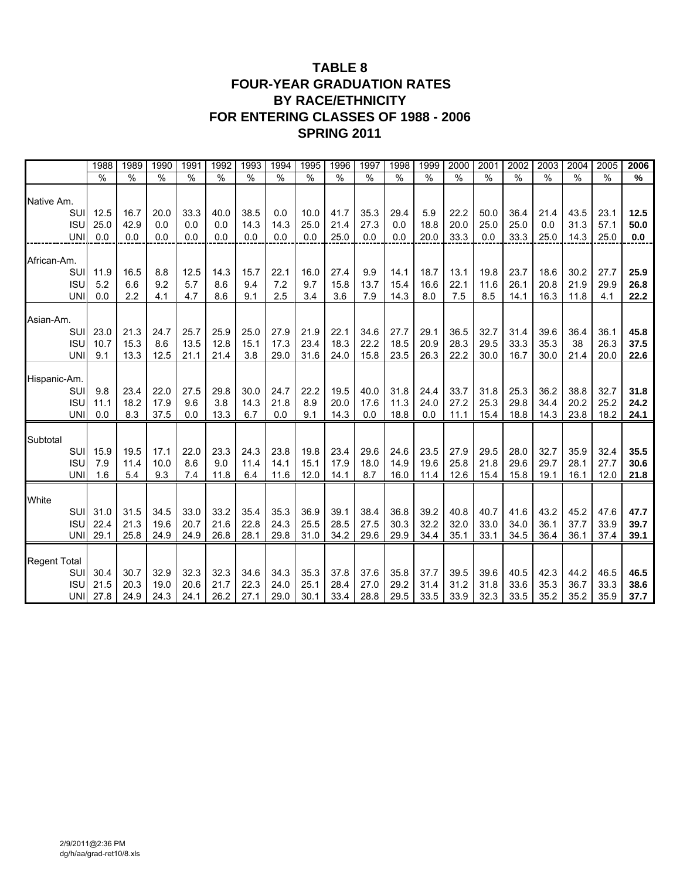## **TABLE 8 FOUR-YEAR GRADUATION RATES BY RACE/ETHNICITY FOR ENTERING CLASSES OF 1988 - 2006 SPRING 2011**

|                     | 1988          | 1989          | 1990          | 1991          | 1992          | 1993          | 1994          | 1995          | 1996          | 1997          | 1998          | 1999          | 2000          | 2001          | 2002          | 2003          | 2004          | 2005          | 2006          |
|---------------------|---------------|---------------|---------------|---------------|---------------|---------------|---------------|---------------|---------------|---------------|---------------|---------------|---------------|---------------|---------------|---------------|---------------|---------------|---------------|
|                     | $\frac{9}{6}$ | $\frac{9}{6}$ | $\frac{0}{0}$ | $\frac{1}{6}$ | $\frac{9}{6}$ | $\frac{1}{2}$ | $\frac{9}{6}$ | $\frac{1}{6}$ | $\frac{9}{6}$ | $\frac{9}{6}$ | $\frac{1}{2}$ | $\frac{9}{6}$ | $\frac{9}{6}$ | $\frac{9}{6}$ | $\frac{9}{6}$ | $\frac{9}{6}$ | $\frac{9}{6}$ | $\frac{9}{6}$ | $\frac{9}{6}$ |
| Native Am.          |               |               |               |               |               |               |               |               |               |               |               |               |               |               |               |               |               |               |               |
| SUI                 | 12.5          | 16.7          | 20.0          | 33.3          | 40.0          | 38.5          | 0.0           | 10.0          | 41.7          | 35.3          | 29.4          | 5.9           | 22.2          | 50.0          | 36.4          | 21.4          | 43.5          | 23.1          | 12.5          |
| <b>ISU</b>          | 25.0          | 42.9          | 0.0           | 0.0           | 0.0           | 14.3          | 14.3          | 25.0          | 21.4          | 27.3          | 0.0           | 18.8          | 20.0          | 25.0          | 25.0          | 0.0           | 31.3          | 57.1          | 50.0          |
| <b>UNI</b>          | 0.0           | 0.0           | 0.0           | 0.0           | 0.0           | 0.0           | 0.0           | 0.0           | 25.0          | 0.0           | 0.0           | 20.0          | 33.3          | 0.0           | 33.3          | 25.0          | 14.3          | 25.0          | 0.0           |
| African-Am.         |               |               |               |               |               |               |               |               |               |               |               |               |               |               |               |               |               |               |               |
| SUI                 | 11.9          | 16.5          | 8.8           | 12.5          | 14.3          | 15.7          | 22.1          | 16.0          | 27.4          | 9.9           | 14.1          | 18.7          | 13.1          | 19.8          | 23.7          | 18.6          | 30.2          | 27.7          | 25.9          |
| <b>ISU</b>          | 5.2           | 6.6           | 9.2           | 5.7           | 8.6           | 9.4           | 7.2           | 9.7           | 15.8          | 13.7          | 15.4          | 16.6          | 22.1          | 11.6          | 26.1          | 20.8          | 21.9          | 29.9          | 26.8          |
| <b>UNI</b>          | 0.0           | 2.2           | 4.1           | 4.7           | 8.6           | 9.1           | 2.5           | 3.4           | 3.6           | 7.9           | 14.3          | 8.0           | 7.5           | 8.5           | 14.1          | 16.3          | 11.8          | 4.1           | 22.2          |
| Asian-Am.           |               |               |               |               |               |               |               |               |               |               |               |               |               |               |               |               |               |               |               |
| SUI                 | 23.0          | 21.3          | 24.7          | 25.7          | 25.9          | 25.0          | 27.9          | 21.9          | 22.1          | 34.6          | 27.7          | 29.1          | 36.5          | 32.7          | 31.4          | 39.6          | 36.4          | 36.1          | 45.8          |
| <b>ISU</b>          | 10.7          | 15.3          | 8.6           | 13.5          | 12.8          | 15.1          | 17.3          | 23.4          | 18.3          | 22.2          | 18.5          | 20.9          | 28.3          | 29.5          | 33.3          | 35.3          | 38            | 26.3          | 37.5          |
| <b>UNI</b>          | 9.1           | 13.3          | 12.5          | 21.1          | 21.4          | 3.8           | 29.0          | 31.6          | 24.0          | 15.8          | 23.5          | 26.3          | 22.2          | 30.0          | 16.7          | 30.0          | 21.4          | 20.0          | 22.6          |
|                     |               |               |               |               |               |               |               |               |               |               |               |               |               |               |               |               |               |               |               |
| Hispanic-Am.        |               |               |               |               |               |               |               |               |               |               |               |               |               |               |               |               |               |               |               |
| SUI                 | 9.8           | 23.4          | 22.0          | 27.5          | 29.8          | 30.0          | 24.7          | 22.2          | 19.5          | 40.0          | 31.8          | 24.4          | 33.7          | 31.8          | 25.3          | 36.2          | 38.8          | 32.7          | 31.8          |
| <b>ISU</b>          | 11.1          | 18.2          | 17.9          | 9.6           | 3.8           | 14.3          | 21.8          | 8.9           | 20.0          | 17.6          | 11.3          | 24.0          | 27.2          | 25.3          | 29.8          | 34.4          | 20.2          | 25.2          | 24.2          |
| <b>UNI</b>          | 0.0           | 8.3           | 37.5          | 0.0           | 13.3          | 6.7           | 0.0           | 9.1           | 14.3          | 0.0           | 18.8          | 0.0           | 11.1          | 15.4          | 18.8          | 14.3          | 23.8          | 18.2          | 24.1          |
| Subtotal            |               |               |               |               |               |               |               |               |               |               |               |               |               |               |               |               |               |               |               |
| SUI                 | 15.9          | 19.5          | 17.1          | 22.0          | 23.3          | 24.3          | 23.8          | 19.8          | 23.4          | 29.6          | 24.6          | 23.5          | 27.9          | 29.5          | 28.0          | 32.7          | 35.9          | 32.4          | 35.5          |
| <b>ISU</b>          | 7.9           | 11.4          | 10.0          | 8.6           | 9.0           | 11.4          | 14.1          | 15.1          | 17.9          | 18.0          | 14.9          | 19.6          | 25.8          | 21.8          | 29.6          | 29.7          | 28.1          | 27.7          | 30.6          |
| <b>UNI</b>          | 1.6           | 5.4           | 9.3           | 7.4           | 11.8          | 6.4           | 11.6          | 12.0          | 14.1          | 8.7           | 16.0          | 11.4          | 12.6          | 15.4          | 15.8          | 19.1          | 16.1          | 12.0          | 21.8          |
| White               |               |               |               |               |               |               |               |               |               |               |               |               |               |               |               |               |               |               |               |
| SUI                 | 31.0          | 31.5          | 34.5          | 33.0          | 33.2          | 35.4          | 35.3          | 36.9          | 39.1          | 38.4          | 36.8          | 39.2          | 40.8          | 40.7          | 41.6          | 43.2          | 45.2          | 47.6          | 47.7          |
| <b>ISU</b>          | 22.4          | 21.3          | 19.6          | 20.7          | 21.6          | 22.8          | 24.3          | 25.5          | 28.5          | 27.5          | 30.3          | 32.2          | 32.0          | 33.0          | 34.0          | 36.1          | 37.7          | 33.9          | 39.7          |
| <b>UNI</b>          | 29.1          | 25.8          | 24.9          | 24.9          | 26.8          | 28.1          | 29.8          | 31.0          | 34.2          | 29.6          | 29.9          | 34.4          | 35.1          | 33.1          | 34.5          | 36.4          | 36.1          | 37.4          | 39.1          |
| <b>Regent Total</b> |               |               |               |               |               |               |               |               |               |               |               |               |               |               |               |               |               |               |               |
| SUI                 | 30.4          | 30.7          | 32.9          | 32.3          | 32.3          | 34.6          | 34.3          | 35.3          | 37.8          | 37.6          | 35.8          | 37.7          | 39.5          | 39.6          | 40.5          | 42.3          | 44.2          | 46.5          | 46.5          |
| <b>ISU</b>          | 21.5          | 20.3          | 19.0          | 20.6          | 21.7          | 22.3          | 24.0          | 25.1          | 28.4          | 27.0          | 29.2          | 31.4          | 31.2          | 31.8          | 33.6          | 35.3          | 36.7          | 33.3          | 38.6          |
| UNII                | 27.8          | 24.9          | 24.3          | 24.1          | 26.2          | 27.1          | 29.0          | 30.1          | 33.4          | 28.8          | 29.5          | 33.5          | 33.9          | 32.3          | 33.5          | 35.2          | 35.2          | 35.9          | 37.7          |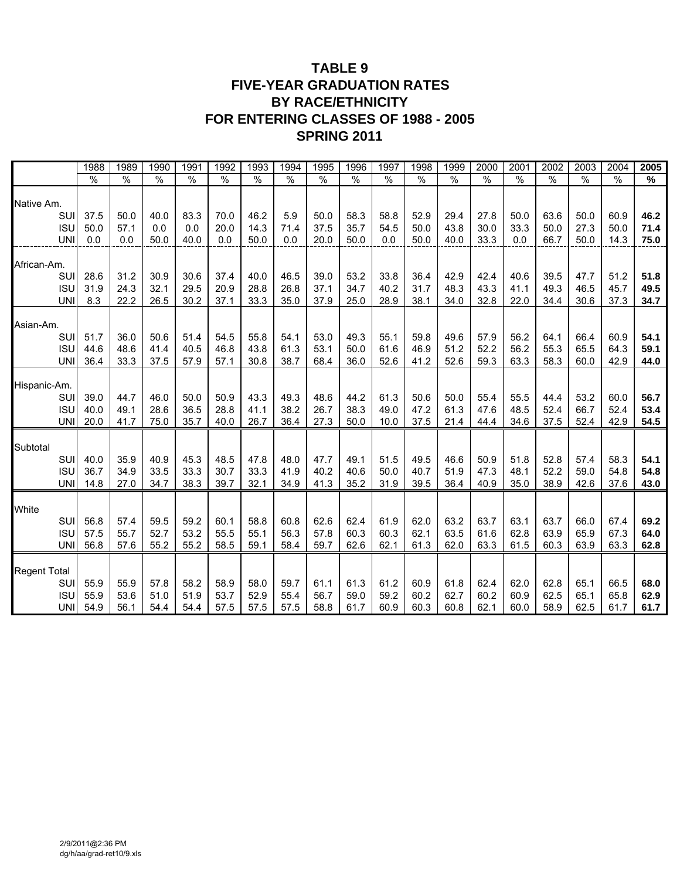## **TABLE 9 FIVE-YEAR GRADUATION RATES BY RACE/ETHNICITY FOR ENTERING CLASSES OF 1988 - 2005 SPRING 2011**

|                     | 1988          | 1989 | 1990          | 1991          | 1992          | 1993          | 1994          | 1995          | 1996          | 1997          | 1998          | 1999          | 2000          | 2001 | 2002          | 2003 | 2004          | 2005 |
|---------------------|---------------|------|---------------|---------------|---------------|---------------|---------------|---------------|---------------|---------------|---------------|---------------|---------------|------|---------------|------|---------------|------|
|                     | $\frac{0}{0}$ | $\%$ | $\frac{0}{0}$ | $\frac{0}{0}$ | $\frac{0}{0}$ | $\frac{1}{2}$ | $\frac{0}{0}$ | $\frac{0}{6}$ | $\frac{0}{0}$ | $\frac{0}{0}$ | $\frac{0}{0}$ | $\frac{0}{0}$ | $\frac{0}{0}$ | $\%$ | $\frac{0}{0}$ | $\%$ | $\frac{0}{0}$ | %    |
| Native Am.          |               |      |               |               |               |               |               |               |               |               |               |               |               |      |               |      |               |      |
| SUI                 | 37.5          | 50.0 | 40.0          | 83.3          | 70.0          | 46.2          | 5.9           | 50.0          | 58.3          | 58.8          | 52.9          | 29.4          | 27.8          | 50.0 | 63.6          | 50.0 | 60.9          | 46.2 |
| <b>ISU</b>          | 50.0          | 57.1 | 0.0           | 0.0           | 20.0          | 14.3          | 71.4          | 37.5          | 35.7          | 54.5          | 50.0          | 43.8          | 30.0          | 33.3 | 50.0          | 27.3 | 50.0          | 71.4 |
| <b>UNI</b>          | 0.0           | 0.0  | 50.0          | 40.0          | 0.0           | 50.0          | 0.0           | 20.0          | 50.0          | 0.0           | 50.0          | 40.0          | 33.3          | 0.0  | 66.7          | 50.0 | 14.3          | 75.0 |
| African-Am.         |               |      |               |               |               |               |               |               |               |               |               |               |               |      |               |      |               |      |
| SUI                 | 28.6          | 31.2 | 30.9          | 30.6          | 37.4          | 40.0          | 46.5          | 39.0          | 53.2          | 33.8          | 36.4          | 42.9          | 42.4          | 40.6 | 39.5          | 47.7 | 51.2          | 51.8 |
| <b>ISU</b>          | 31.9          | 24.3 | 32.1          | 29.5          | 20.9          | 28.8          | 26.8          | 37.1          | 34.7          | 40.2          | 31.7          | 48.3          | 43.3          | 41.1 | 49.3          | 46.5 | 45.7          | 49.5 |
| <b>UNI</b>          | 8.3           | 22.2 | 26.5          | 30.2          | 37.1          | 33.3          | 35.0          | 37.9          | 25.0          | 28.9          | 38.1          | 34.0          | 32.8          | 22.0 | 34.4          | 30.6 | 37.3          | 34.7 |
| Asian-Am.           |               |      |               |               |               |               |               |               |               |               |               |               |               |      |               |      |               |      |
| SUI                 | 51.7          | 36.0 | 50.6          | 51.4          | 54.5          | 55.8          | 54.1          | 53.0          | 49.3          | 55.1          | 59.8          | 49.6          | 57.9          | 56.2 | 64.1          | 66.4 | 60.9          | 54.1 |
| <b>ISU</b>          | 44.6          | 48.6 | 41.4          | 40.5          | 46.8          | 43.8          | 61.3          | 53.1          | 50.0          | 61.6          | 46.9          | 51.2          | 52.2          | 56.2 | 55.3          | 65.5 | 64.3          | 59.1 |
| <b>UNI</b>          | 36.4          | 33.3 | 37.5          | 57.9          | 57.1          | 30.8          | 38.7          | 68.4          | 36.0          | 52.6          | 41.2          | 52.6          | 59.3          | 63.3 | 58.3          | 60.0 | 42.9          | 44.0 |
| Hispanic-Am.        |               |      |               |               |               |               |               |               |               |               |               |               |               |      |               |      |               |      |
| SUI                 | 39.0          | 44.7 | 46.0          | 50.0          | 50.9          | 43.3          | 49.3          | 48.6          | 44.2          | 61.3          | 50.6          | 50.0          | 55.4          | 55.5 | 44.4          | 53.2 | 60.0          | 56.7 |
| <b>ISU</b>          | 40.0          | 49.1 | 28.6          | 36.5          | 28.8          | 41.1          | 38.2          | 26.7          | 38.3          | 49.0          | 47.2          | 61.3          | 47.6          | 48.5 | 52.4          | 66.7 | 52.4          | 53.4 |
| <b>UNI</b>          | 20.0          | 41.7 | 75.0          | 35.7          | 40.0          | 26.7          | 36.4          | 27.3          | 50.0          | 10.0          | 37.5          | 21.4          | 44.4          | 34.6 | 37.5          | 52.4 | 42.9          | 54.5 |
| Subtotal            |               |      |               |               |               |               |               |               |               |               |               |               |               |      |               |      |               |      |
| SUI                 | 40.0          | 35.9 | 40.9          | 45.3          | 48.5          | 47.8          | 48.0          | 47.7          | 49.1          | 51.5          | 49.5          | 46.6          | 50.9          | 51.8 | 52.8          | 57.4 | 58.3          | 54.1 |
| <b>ISU</b>          | 36.7          | 34.9 | 33.5          | 33.3          | 30.7          | 33.3          | 41.9          | 40.2          | 40.6          | 50.0          | 40.7          | 51.9          | 47.3          | 48.1 | 52.2          | 59.0 | 54.8          | 54.8 |
| <b>UNI</b>          | 14.8          | 27.0 | 34.7          | 38.3          | 39.7          | 32.1          | 34.9          | 41.3          | 35.2          | 31.9          | 39.5          | 36.4          | 40.9          | 35.0 | 38.9          | 42.6 | 37.6          | 43.0 |
|                     |               |      |               |               |               |               |               |               |               |               |               |               |               |      |               |      |               |      |
| White<br>SUI        | 56.8          | 57.4 | 59.5          | 59.2          | 60.1          | 58.8          | 60.8          | 62.6          | 62.4          | 61.9          | 62.0          | 63.2          | 63.7          | 63.1 | 63.7          | 66.0 | 67.4          | 69.2 |
| <b>ISU</b>          | 57.5          | 55.7 | 52.7          | 53.2          | 55.5          | 55.1          | 56.3          | 57.8          | 60.3          | 60.3          | 62.1          | 63.5          | 61.6          | 62.8 | 63.9          | 65.9 | 67.3          | 64.0 |
| <b>UNI</b>          | 56.8          | 57.6 | 55.2          | 55.2          | 58.5          | 59.1          | 58.4          | 59.7          | 62.6          | 62.1          | 61.3          | 62.0          | 63.3          | 61.5 | 60.3          | 63.9 | 63.3          | 62.8 |
|                     |               |      |               |               |               |               |               |               |               |               |               |               |               |      |               |      |               |      |
| <b>Regent Total</b> |               |      |               |               |               |               |               |               |               |               |               |               |               |      |               |      |               |      |
| SUI                 | 55.9          | 55.9 | 57.8          | 58.2          | 58.9          | 58.0          | 59.7          | 61.1          | 61.3          | 61.2          | 60.9          | 61.8          | 62.4          | 62.0 | 62.8          | 65.1 | 66.5          | 68.0 |
| <b>ISU</b>          | 55.9          | 53.6 | 51.0          | 51.9          | 53.7          | 52.9          | 55.4          | 56.7          | 59.0          | 59.2          | 60.2          | 62.7          | 60.2          | 60.9 | 62.5          | 65.1 | 65.8          | 62.9 |
| <b>UNI</b>          | 54.9          | 56.1 | 54.4          | 54.4          | 57.5          | 57.5          | 57.5          | 58.8          | 61.7          | 60.9          | 60.3          | 60.8          | 62.1          | 60.0 | 58.9          | 62.5 | 61.7          | 61.7 |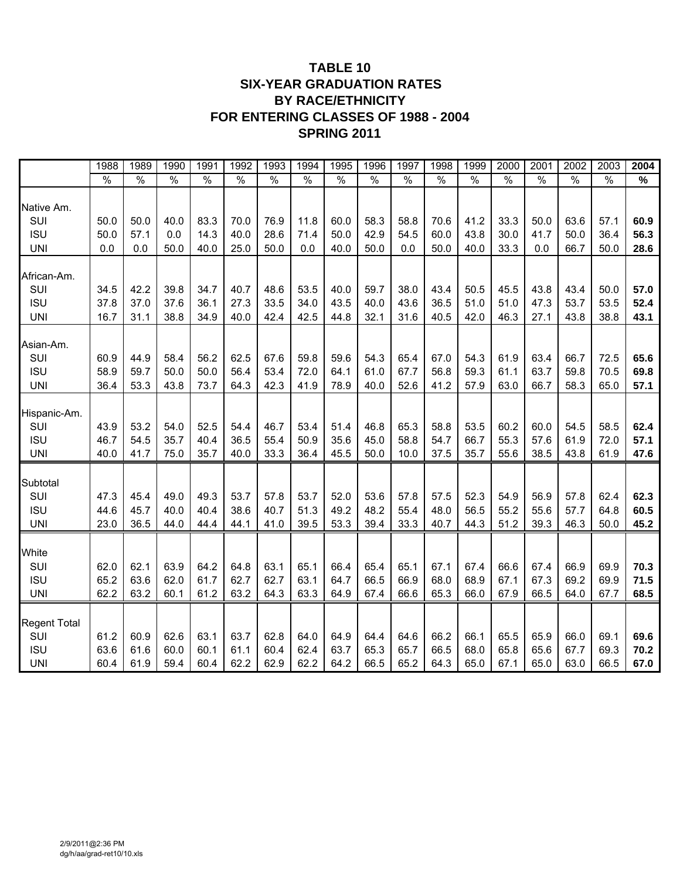## **TABLE 10 SIX-YEAR GRADUATION RATES BY RACE/ETHNICITY FOR ENTERING CLASSES OF 1988 - 2004 SPRING 2011**

|                            | 1988          | 1989         | 1990 | 1991 | 1992          | 1993 | 1994 | 1995 | 1996          | 1997          | 1998          | 1999          | 2000          | 2001 | 2002 | 2003 | 2004 |
|----------------------------|---------------|--------------|------|------|---------------|------|------|------|---------------|---------------|---------------|---------------|---------------|------|------|------|------|
|                            | $\frac{9}{6}$ | $\%$         | $\%$ | $\%$ | $\frac{9}{6}$ | $\%$ | $\%$ | $\%$ | $\frac{1}{2}$ | $\frac{1}{2}$ | $\frac{9}{6}$ | $\frac{1}{2}$ | $\frac{1}{2}$ | $\%$ | $\%$ | $\%$ | $\%$ |
| Native Am.                 |               |              |      |      |               |      |      |      |               |               |               |               |               |      |      |      |      |
| SUI                        | 50.0          | 50.0         | 40.0 | 83.3 | 70.0          | 76.9 | 11.8 | 60.0 | 58.3          | 58.8          | 70.6          | 41.2          | 33.3          | 50.0 | 63.6 | 57.1 | 60.9 |
| <b>ISU</b>                 | 50.0          | 57.1         | 0.0  | 14.3 | 40.0          | 28.6 | 71.4 | 50.0 | 42.9          | 54.5          | 60.0          | 43.8          | 30.0          | 41.7 | 50.0 | 36.4 | 56.3 |
| <b>UNI</b>                 | 0.0           | 0.0          | 50.0 | 40.0 | 25.0          | 50.0 | 0.0  | 40.0 | 50.0          | 0.0           | 50.0          | 40.0          | 33.3          | 0.0  | 66.7 | 50.0 | 28.6 |
| African-Am.                |               |              |      |      |               |      |      |      |               |               |               |               |               |      |      |      |      |
| SUI                        | 34.5          | 42.2         | 39.8 | 34.7 | 40.7          | 48.6 | 53.5 | 40.0 | 59.7          | 38.0          | 43.4          | 50.5          | 45.5          | 43.8 | 43.4 | 50.0 | 57.0 |
| <b>ISU</b>                 | 37.8          | 37.0         | 37.6 | 36.1 | 27.3          | 33.5 | 34.0 | 43.5 | 40.0          | 43.6          | 36.5          | 51.0          | 51.0          | 47.3 | 53.7 | 53.5 | 52.4 |
| <b>UNI</b>                 | 16.7          | 31.1         | 38.8 | 34.9 | 40.0          | 42.4 | 42.5 | 44.8 | 32.1          | 31.6          | 40.5          | 42.0          | 46.3          | 27.1 | 43.8 | 38.8 | 43.1 |
| Asian-Am.                  |               |              |      |      |               |      |      |      |               |               |               |               |               |      |      |      |      |
| SUI                        | 60.9          | 44.9         | 58.4 | 56.2 | 62.5          | 67.6 | 59.8 | 59.6 | 54.3          | 65.4          | 67.0          | 54.3          | 61.9          | 63.4 | 66.7 | 72.5 | 65.6 |
| <b>ISU</b>                 | 58.9          | 59.7         | 50.0 | 50.0 | 56.4          | 53.4 | 72.0 | 64.1 | 61.0          | 67.7          | 56.8          | 59.3          | 61.1          | 63.7 | 59.8 | 70.5 | 69.8 |
| <b>UNI</b>                 | 36.4          | 53.3         | 43.8 | 73.7 | 64.3          | 42.3 | 41.9 | 78.9 | 40.0          | 52.6          | 41.2          | 57.9          | 63.0          | 66.7 | 58.3 | 65.0 | 57.1 |
| Hispanic-Am.               |               |              |      |      |               |      |      |      |               |               |               |               |               |      |      |      |      |
| SUI                        | 43.9          | 53.2         | 54.0 | 52.5 | 54.4          | 46.7 | 53.4 | 51.4 | 46.8          | 65.3          | 58.8          | 53.5          | 60.2          | 60.0 | 54.5 | 58.5 | 62.4 |
| <b>ISU</b>                 | 46.7          | 54.5         | 35.7 | 40.4 | 36.5          | 55.4 | 50.9 | 35.6 | 45.0          | 58.8          | 54.7          | 66.7          | 55.3          | 57.6 | 61.9 | 72.0 | 57.1 |
| <b>UNI</b>                 | 40.0          | 41.7         | 75.0 | 35.7 | 40.0          | 33.3 | 36.4 | 45.5 | 50.0          | 10.0          | 37.5          | 35.7          | 55.6          | 38.5 | 43.8 | 61.9 | 47.6 |
|                            |               |              |      |      |               |      |      |      |               |               |               |               |               |      |      |      |      |
| Subtotal<br>SUI            | 47.3          | 45.4         | 49.0 | 49.3 | 53.7          | 57.8 | 53.7 | 52.0 | 53.6          | 57.8          | 57.5          | 52.3          | 54.9          | 56.9 | 57.8 | 62.4 | 62.3 |
| <b>ISU</b>                 | 44.6          | 45.7         | 40.0 | 40.4 | 38.6          | 40.7 | 51.3 | 49.2 | 48.2          | 55.4          | 48.0          | 56.5          | 55.2          | 55.6 | 57.7 | 64.8 | 60.5 |
| <b>UNI</b>                 | 23.0          | 36.5         | 44.0 | 44.4 | 44.1          | 41.0 | 39.5 | 53.3 | 39.4          | 33.3          | 40.7          | 44.3          | 51.2          | 39.3 | 46.3 | 50.0 | 45.2 |
|                            |               |              |      |      |               |      |      |      |               |               |               |               |               |      |      |      |      |
| White                      |               |              |      |      |               |      |      |      |               |               |               |               |               |      |      |      |      |
| SUI                        | 62.0          | 62.1         | 63.9 | 64.2 | 64.8          | 63.1 | 65.1 | 66.4 | 65.4          | 65.1          | 67.1          | 67.4          | 66.6          | 67.4 | 66.9 | 69.9 | 70.3 |
| <b>ISU</b>                 | 65.2          | 63.6         | 62.0 | 61.7 | 62.7          | 62.7 | 63.1 | 64.7 | 66.5          | 66.9          | 68.0          | 68.9          | 67.1          | 67.3 | 69.2 | 69.9 | 71.5 |
| <b>UNI</b>                 | 62.2          | 63.2         | 60.1 | 61.2 | 63.2          | 64.3 | 63.3 | 64.9 | 67.4          | 66.6          | 65.3          | 66.0          | 67.9          | 66.5 | 64.0 | 67.7 | 68.5 |
|                            |               |              |      |      |               |      |      |      |               |               |               |               |               |      |      |      |      |
| <b>Regent Total</b><br>SUI | 61.2          |              | 62.6 | 63.1 | 63.7          | 62.8 | 64.0 | 64.9 | 64.4          | 64.6          | 66.2          | 66.1          | 65.5          | 65.9 | 66.0 | 69.1 | 69.6 |
| <b>ISU</b>                 | 63.6          | 60.9<br>61.6 | 60.0 | 60.1 | 61.1          | 60.4 | 62.4 | 63.7 | 65.3          | 65.7          | 66.5          | 68.0          | 65.8          | 65.6 | 67.7 | 69.3 | 70.2 |
| <b>UNI</b>                 | 60.4          | 61.9         | 59.4 | 60.4 | 62.2          | 62.9 | 62.2 | 64.2 | 66.5          | 65.2          | 64.3          | 65.0          | 67.1          | 65.0 | 63.0 | 66.5 | 67.0 |
|                            |               |              |      |      |               |      |      |      |               |               |               |               |               |      |      |      |      |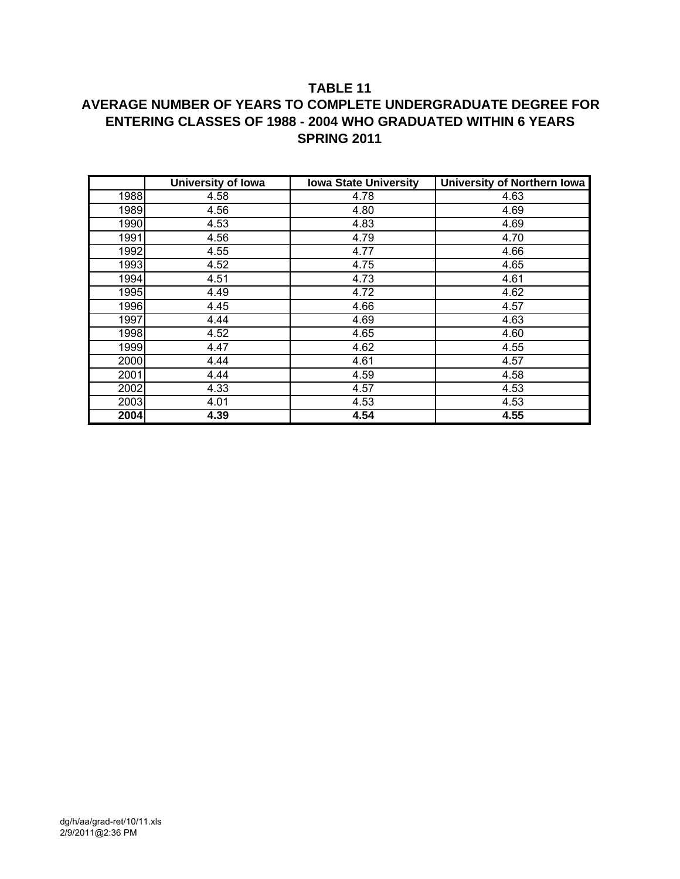#### **TABLE 11**

## **AVERAGE NUMBER OF YEARS TO COMPLETE UNDERGRADUATE DEGREE FOR ENTERING CLASSES OF 1988 - 2004 WHO GRADUATED WITHIN 6 YEARS SPRING 2011**

|      | <b>University of Iowa</b> | <b>Iowa State University</b> | <b>University of Northern Iowa</b> |
|------|---------------------------|------------------------------|------------------------------------|
| 1988 | 4.58                      | 4.78                         | 4.63                               |
| 1989 | 4.56                      | 4.80                         | 4.69                               |
| 1990 | 4.53                      | 4.83                         | 4.69                               |
| 1991 | 4.56                      | 4.79                         | 4.70                               |
| 1992 | 4.55                      | 4.77                         | 4.66                               |
| 1993 | 4.52                      | 4.75                         | 4.65                               |
| 1994 | 4.51                      | 4.73                         | 4.61                               |
| 1995 | 4.49                      | 4.72                         | 4.62                               |
| 1996 | 4.45                      | 4.66                         | 4.57                               |
| 1997 | 4.44                      | 4.69                         | 4.63                               |
| 1998 | 4.52                      | 4.65                         | 4.60                               |
| 1999 | 4.47                      | 4.62                         | 4.55                               |
| 2000 | 4.44                      | 4.61                         | 4.57                               |
| 2001 | 4.44                      | 4.59                         | 4.58                               |
| 2002 | 4.33                      | 4.57                         | 4.53                               |
| 2003 | 4.01                      | 4.53                         | 4.53                               |
| 2004 | 4.39                      | 4.54                         | 4.55                               |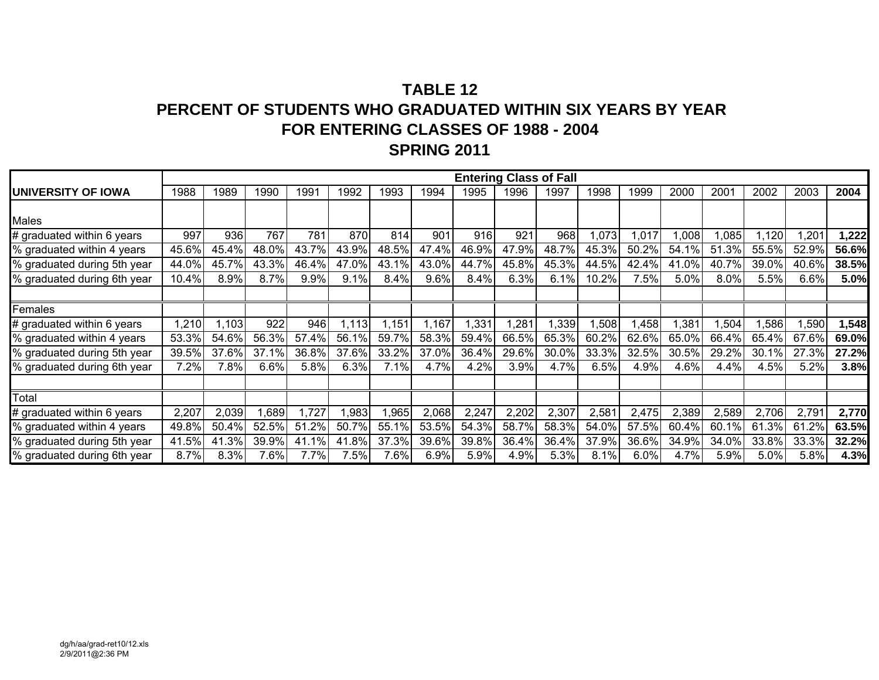## **TABLE 12PERCENT OF STUDENTS WHO GRADUATED WITHIN SIX YEARS BY YEAR FOR ENTERING CLASSES OF 1988 - 2004 SPRING 2011**

|                             |       |       |       |       |       |       |       |       |       | <b>Entering Class of Fall</b> |       |       |       |       |       |       |       |
|-----------------------------|-------|-------|-------|-------|-------|-------|-------|-------|-------|-------------------------------|-------|-------|-------|-------|-------|-------|-------|
| UNIVERSITY OF IOWA          | 1988  | 1989  | 1990  | 1991  | 1992  | 1993  | 1994  | 1995  | 1996  | 1997                          | 1998  | 1999  | 2000  | 2001  | 2002  | 2003  | 2004  |
|                             |       |       |       |       |       |       |       |       |       |                               |       |       |       |       |       |       |       |
| Males                       |       |       |       |       |       |       |       |       |       |                               |       |       |       |       |       |       |       |
| # graduated within 6 years  | 997   | 936   | 767   | 781   | 870   | 814   | 901   | 916   | 921   | 968                           | 1,073 | ,017  | 1,008 | 1,085 | 1,120 | 1,201 | 1,222 |
| % graduated within 4 years  | 45.6% | 45.4% | 48.0% | 43.7% | 43.9% | 48.5% | 47.4% | 46.9% | 47.9% | 48.7%                         | 45.3% | 50.2% | 54.1% | 51.3% | 55.5% | 52.9% | 56.6% |
| % graduated during 5th year | 44.0% | 45.7% | 43.3% | 46.4% | 47.0% | 43.1% | 43.0% | 44.7% | 45.8% | 45.3%                         | 44.5% | 42.4% | 41.0% | 40.7% | 39.0% | 40.6% | 38.5% |
| % graduated during 6th year | 10.4% | 8.9%  | 8.7%  | 9.9%  | 9.1%  | 8.4%  | 9.6%  | 8.4%  | 6.3%  | 6.1%                          | 10.2% | 7.5%  | 5.0%  | 8.0%  | 5.5%  | 6.6%  | 5.0%  |
|                             |       |       |       |       |       |       |       |       |       |                               |       |       |       |       |       |       |       |
| Females                     |       |       |       |       |       |       |       |       |       |                               |       |       |       |       |       |       |       |
| # graduated within 6 years  | ,210  | ,103  | 922   | 946   | 1,113 | 1,151 | 1,167 | 1,331 | ,281  | ,339                          | 1,508 | ,458  | 1,381 | ,504  | ,586  | ,590  | 1,548 |
| % graduated within 4 years  | 53.3% | 54.6% | 56.3% | 57.4% | 56.1% | 59.7% | 58.3% | 59.4% | 66.5% | 65.3%                         | 60.2% | 62.6% | 65.0% | 66.4% | 65.4% | 67.6% | 69.0% |
| % graduated during 5th year | 39.5% | 37.6% | 37.1% | 36.8% | 37.6% | 33.2% | 37.0% | 36.4% | 29.6% | 30.0%                         | 33.3% | 32.5% | 30.5% | 29.2% | 30.1% | 27.3% | 27.2% |
| % graduated during 6th year | 7.2%  | 7.8%  | 6.6%  | 5.8%  | 6.3%  | 7.1%  | 4.7%  | 4.2%  | 3.9%  | 4.7%                          | 6.5%  | 4.9%  | 4.6%  | 4.4%  | 4.5%  | 5.2%  | 3.8%  |
|                             |       |       |       |       |       |       |       |       |       |                               |       |       |       |       |       |       |       |
| Total                       |       |       |       |       |       |       |       |       |       |                               |       |       |       |       |       |       |       |
| # graduated within 6 years  | 2,207 | 2,039 | 1,689 | 1,727 | 1,983 | 1,965 | 2,068 | 2,247 | 2,202 | 2,307                         | 2,581 | 2,475 | 2,389 | 2,589 | 2,706 | 2,791 | 2,770 |
| % graduated within 4 years  | 49.8% | 50.4% | 52.5% | 51.2% | 50.7% | 55.1% | 53.5% | 54.3% | 58.7% | 58.3%                         | 54.0% | 57.5% | 60.4% | 60.1% | 61.3% | 61.2% | 63.5% |
| % graduated during 5th year | 41.5% | 41.3% | 39.9% | 41.1% | 41.8% | 37.3% | 39.6% | 39.8% | 36.4% | 36.4%                         | 37.9% | 36.6% | 34.9% | 34.0% | 33.8% | 33.3% | 32.2% |
| % graduated during 6th year | 8.7%  | 8.3%  | 7.6%  | 7.7%  | 7.5%  | 7.6%  | 6.9%  | 5.9%  | 4.9%  | 5.3%                          | 8.1%  | 6.0%  | 4.7%  | 5.9%  | 5.0%  | 5.8%  | 4.3%  |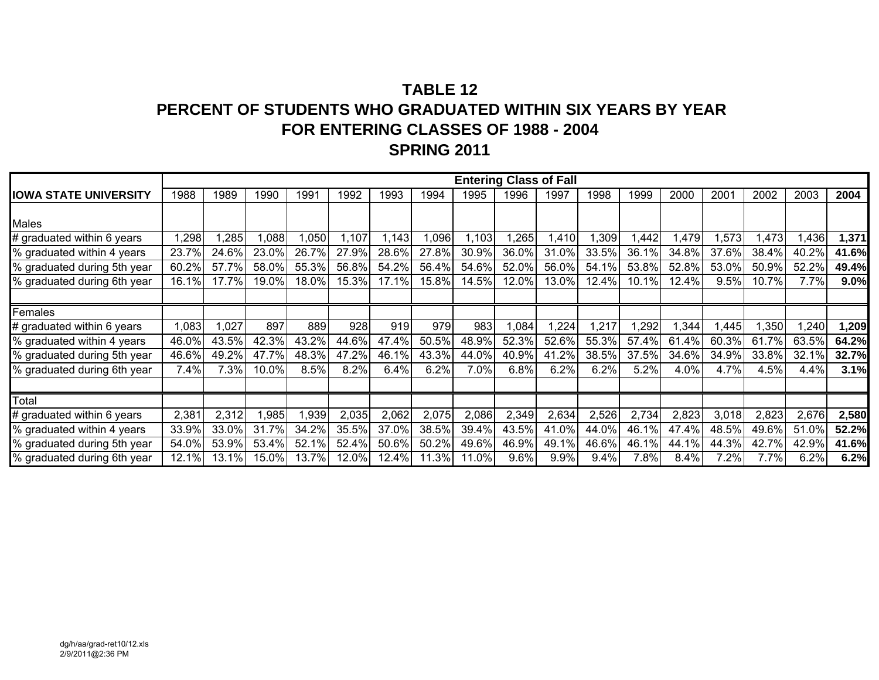## **TABLE 12PERCENT OF STUDENTS WHO GRADUATED WITHIN SIX YEARS BY YEAR FOR ENTERING CLASSES OF 1988 - 2004 SPRING 2011**

|                              |       |       |       |       |       |       |       |       |         | <b>Entering Class of Fall</b> |       |          |       |       |       |       |         |
|------------------------------|-------|-------|-------|-------|-------|-------|-------|-------|---------|-------------------------------|-------|----------|-------|-------|-------|-------|---------|
| <b>IOWA STATE UNIVERSITY</b> | 1988  | 1989  | 1990  | 1991  | 1992  | 1993  | 1994  | 1995  | 1996    | 1997                          | 1998  | 1999     | 2000  | 2001  | 2002  | 2003  | 2004    |
|                              |       |       |       |       |       |       |       |       |         |                               |       |          |       |       |       |       |         |
| Males                        |       |       |       |       |       |       |       |       |         |                               |       |          |       |       |       |       |         |
| # graduated within 6 years   | ,298  | ,285  | 1,088 | .050  | 1,107 | 1,143 | 0.096 | 1,103 | ,265    | 1,410                         | 1,309 | ,442     | ,479  | 1,573 | 1,473 | ,436  | 1,371   |
| % graduated within 4 years   | 23.7% | 24.6% | 23.0% | 26.7% | 27.9% | 28.6% | 27.8% | 30.9% | 36.0%   | 31.0%                         | 33.5% | 36.1%    | 34.8% | 37.6% | 38.4% | 40.2% | 41.6%   |
| % graduated during 5th year  | 60.2% | 57.7% | 58.0% | 55.3% | 56.8% | 54.2% | 56.4% | 54.6% | 52.0%   | 56.0%                         | 54.1% | 53.8%    | 52.8% | 53.0% | 50.9% | 52.2% | 49.4%   |
| % graduated during 6th year  | 16.1% | 17.7% | 19.0% | 18.0% | 15.3% | 17.1% | 15.8% | 14.5% | 12.0%   | 13.0%                         | 12.4% | $10.1\%$ | 12.4% | 9.5%  | 10.7% | 7.7%  | $9.0\%$ |
|                              |       |       |       |       |       |       |       |       |         |                               |       |          |       |       |       |       |         |
| Females                      |       |       |       |       |       |       |       |       |         |                               |       |          |       |       |       |       |         |
| # graduated within 6 years   | ,083  | 1,027 | 897   | 889   | 928   | 919   | 979   | 983   | 1,084   | 1,224                         | 1,217 | ,292     | ,344  | 1,445 | ,350  | ,240  | 1,209   |
| % graduated within 4 years   | 46.0% | 43.5% | 42.3% | 43.2% | 44.6% | 47.4% | 50.5% | 48.9% | 52.3%   | 52.6%                         | 55.3% | 57.4%    | 61.4% | 60.3% | 61.7% | 63.5% | 64.2%   |
| % graduated during 5th year  | 46.6% | 49.2% | 47.7% | 48.3% | 47.2% | 46.1% | 43.3% | 44.0% | 40.9%   | 41.2%                         | 38.5% | 37.5%    | 34.6% | 34.9% | 33.8% | 32.1% | 32.7%   |
| % graduated during 6th year  | 7.4%  | 7.3%  | 10.0% | 8.5%  | 8.2%  | 6.4%  | 6.2%  | 7.0%  | 6.8%    | 6.2%                          | 6.2%  | 5.2%     | 4.0%  | 4.7%  | 4.5%  | 4.4%  | 3.1%    |
|                              |       |       |       |       |       |       |       |       |         |                               |       |          |       |       |       |       |         |
| Total                        |       |       |       |       |       |       |       |       |         |                               |       |          |       |       |       |       |         |
| # graduated within 6 years   | 2,381 | 2,312 | 1,985 | 1,939 | 2,035 | 2,062 | 2,075 | 2,086 | 2,349   | 2,634                         | 2,526 | 2,734    | 2,823 | 3,018 | 2,823 | 2,676 | 2,580   |
| % graduated within 4 years   | 33.9% | 33.0% | 31.7% | 34.2% | 35.5% | 37.0% | 38.5% | 39.4% | 43.5%   | 41.0%                         | 44.0% | 46.1%    | 47.4% | 48.5% | 49.6% | 51.0% | 52.2%   |
| % graduated during 5th year  | 54.0% | 53.9% | 53.4% | 52.1% | 52.4% | 50.6% | 50.2% | 49.6% | 46.9%   | 49.1%                         | 46.6% | 46.1%    | 44.1% | 44.3% | 42.7% | 42.9% | 41.6%   |
| % graduated during 6th year  | 12.1% | 13.1% | 15.0% | 13.7% | 12.0% | 12.4% | 11.3% | 11.0% | $9.6\%$ | 9.9%                          | 9.4%  | 7.8%     | 8.4%  | 7.2%  | 7.7%  | 6.2%  | 6.2%    |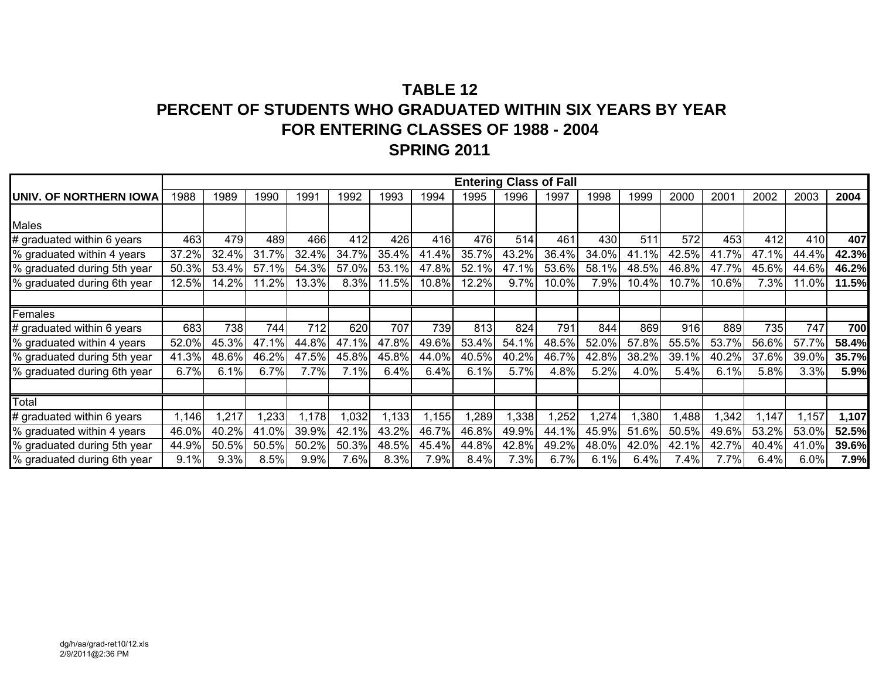## **TABLE 12PERCENT OF STUDENTS WHO GRADUATED WITHIN SIX YEARS BY YEAR FOR ENTERING CLASSES OF 1988 - 2004 SPRING 2011**

|                                |       |       |       |       |       |       |       |       |       | <b>Entering Class of Fall</b> |       |       |       |       |       |       |       |
|--------------------------------|-------|-------|-------|-------|-------|-------|-------|-------|-------|-------------------------------|-------|-------|-------|-------|-------|-------|-------|
| <b>JUNIV. OF NORTHERN IOWA</b> | 1988  | 1989  | 1990  | 1991  | 1992  | 1993  | 1994  | 1995  | 1996  | 1997                          | 1998  | 1999  | 2000  | 2001  | 2002  | 2003  | 2004  |
|                                |       |       |       |       |       |       |       |       |       |                               |       |       |       |       |       |       |       |
| <b>Males</b>                   |       |       |       |       |       |       |       |       |       |                               |       |       |       |       |       |       |       |
| # graduated within 6 years     | 463   | 479   | 489   | 466   | 412   | 426   | 416   | 476   | 514   | 461                           | 430   | 511   | 572   | 453   | 412   | 410   | 407   |
| % graduated within 4 years     | 37.2% | 32.4% | 31.7% | 32.4% | 34.7% | 35.4% | 41.4% | 35.7% | 43.2% | 36.4%                         | 34.0% | 41.1% | 42.5% | 41.7% | 47.1% | 44.4% | 42.3% |
| % graduated during 5th year    | 50.3% | 53.4% | 57.1% | 54.3% | 57.0% | 53.1% | 47.8% | 52.1% | 47.1% | 53.6%                         | 58.1% | 48.5% | 46.8% | 47.7% | 45.6% | 44.6% | 46.2% |
| % graduated during 6th year    | 12.5% | 14.2% | 11.2% | 13.3% | 8.3%  | 11.5% | 10.8% | 12.2% | 9.7%  | 10.0%                         | 7.9%  | 10.4% | 10.7% | 10.6% | 7.3%  | 11.0% | 11.5% |
|                                |       |       |       |       |       |       |       |       |       |                               |       |       |       |       |       |       |       |
| Females                        |       |       |       |       |       |       |       |       |       |                               |       |       |       |       |       |       |       |
| # graduated within 6 years     | 683   | 738   | 744   | 712   | 620   | 707   | 739   | 813   | 824   | 791                           | 844   | 869   | 916   | 889   | 735   | 747   | 700   |
| % graduated within 4 years     | 52.0% | 45.3% | 47.1% | 44.8% | 47.1% | 47.8% | 49.6% | 53.4% | 54.1% | 48.5%                         | 52.0% | 57.8% | 55.5% | 53.7% | 56.6% | 57.7% | 58.4% |
| % graduated during 5th year    | 41.3% | 48.6% | 46.2% | 47.5% | 45.8% | 45.8% | 44.0% | 40.5% | 40.2% | 46.7%                         | 42.8% | 38.2% | 39.1% | 40.2% | 37.6% | 39.0% | 35.7% |
| % graduated during 6th year    | 6.7%  | 6.1%  | 6.7%  | 7.7%  | 7.1%  | 6.4%  | 6.4%  | 6.1%  | 5.7%  | 4.8%                          | 5.2%  | 4.0%  | 5.4%  | 6.1%  | 5.8%  | 3.3%  | 5.9%  |
|                                |       |       |       |       |       |       |       |       |       |                               |       |       |       |       |       |       |       |
| Total                          |       |       |       |       |       |       |       |       |       |                               |       |       |       |       |       |       |       |
| # graduated within 6 years     | ,146  | ,217  | .233  | 1,178 | 1,032 | 1,133 | 1,155 | ,289  | 1,338 | ,252                          | 1,274 | ,380  | 1,488 | 1,342 | 1,147 | 1,157 | 1,107 |
| % graduated within 4 years     | 46.0% | 40.2% | 41.0% | 39.9% | 42.1% | 43.2% | 46.7% | 46.8% | 49.9% | 44.1%                         | 45.9% | 51.6% | 50.5% | 49.6% | 53.2% | 53.0% | 52.5% |
| % graduated during 5th year    | 44.9% | 50.5% | 50.5% | 50.2% | 50.3% | 48.5% | 45.4% | 44.8% | 42.8% | 49.2%                         | 48.0% | 42.0% | 42.1% | 42.7% | 40.4% | 41.0% | 39.6% |
| % graduated during 6th year    | 9.1%  | 9.3%  | 8.5%  | 9.9%  | 7.6%  | 8.3%  | 7.9%  | 8.4%  | 7.3%  | 6.7%                          | 6.1%  | 6.4%  | 7.4%  | 7.7%  | 6.4%  | 6.0%  | 7.9%  |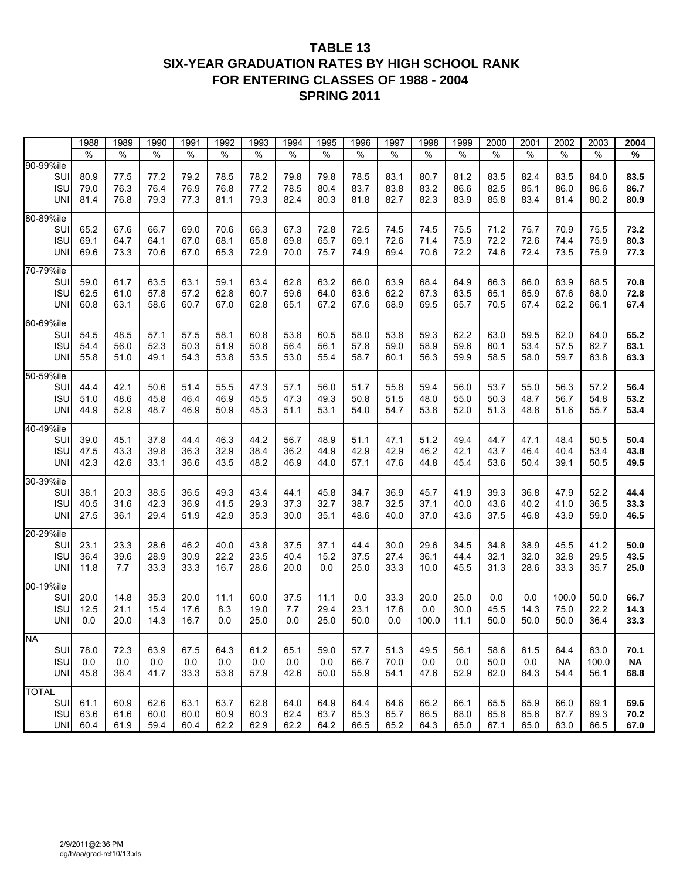### **TABLE 13 SIX-YEAR GRADUATION RATES BY HIGH SCHOOL RANK FOR ENTERING CLASSES OF 1988 - 2004 SPRING 2011**

|                                                 | 1988                 | 1989                 | 1990                 | 1991                 | 1992                 | 1993                 | 1994                 | 1995                 | 1996                 | 1997                 | 1998                 | 1999                 | 2000                 | 2001                 | 2002                      | 2003                  | 2004                 |
|-------------------------------------------------|----------------------|----------------------|----------------------|----------------------|----------------------|----------------------|----------------------|----------------------|----------------------|----------------------|----------------------|----------------------|----------------------|----------------------|---------------------------|-----------------------|----------------------|
|                                                 | $\frac{9}{6}$        | $\frac{1}{2}$        | $\%$                 | $\%$                 | $\%$                 | $\%$                 | %                    | $\%$                 | $\%$                 | $\%$                 | $\%$                 | $\%$                 | $\%$                 | $\%$                 | $\%$                      | $\%$                  | %                    |
| 90-99%ile<br>SUI<br><b>ISU</b><br><b>UNI</b>    | 80.9<br>79.0<br>81.4 | 77.5<br>76.3<br>76.8 | 77.2<br>76.4<br>79.3 | 79.2<br>76.9<br>77.3 | 78.5<br>76.8<br>81.1 | 78.2<br>77.2<br>79.3 | 79.8<br>78.5<br>82.4 | 79.8<br>80.4<br>80.3 | 78.5<br>83.7<br>81.8 | 83.1<br>83.8<br>82.7 | 80.7<br>83.2<br>82.3 | 81.2<br>86.6<br>83.9 | 83.5<br>82.5<br>85.8 | 82.4<br>85.1<br>83.4 | 83.5<br>86.0<br>81.4      | 84.0<br>86.6<br>80.2  | 83.5<br>86.7<br>80.9 |
| 80-89%ile<br>SUI<br><b>ISU</b><br><b>UNI</b>    | 65.2<br>69.1<br>69.6 | 67.6<br>64.7<br>73.3 | 66.7<br>64.1<br>70.6 | 69.0<br>67.0<br>67.0 | 70.6<br>68.1<br>65.3 | 66.3<br>65.8<br>72.9 | 67.3<br>69.8<br>70.0 | 72.8<br>65.7<br>75.7 | 72.5<br>69.1<br>74.9 | 74.5<br>72.6<br>69.4 | 74.5<br>71.4<br>70.6 | 75.5<br>75.9<br>72.2 | 71.2<br>72.2<br>74.6 | 75.7<br>72.6<br>72.4 | 70.9<br>74.4<br>73.5      | 75.5<br>75.9<br>75.9  | 73.2<br>80.3<br>77.3 |
| 70-79%ile<br>SUI<br><b>ISU</b><br><b>UNI</b>    | 59.0<br>62.5<br>60.8 | 61.7<br>61.0<br>63.1 | 63.5<br>57.8<br>58.6 | 63.1<br>57.2<br>60.7 | 59.1<br>62.8<br>67.0 | 63.4<br>60.7<br>62.8 | 62.8<br>59.6<br>65.1 | 63.2<br>64.0<br>67.2 | 66.0<br>63.6<br>67.6 | 63.9<br>62.2<br>68.9 | 68.4<br>67.3<br>69.5 | 64.9<br>63.5<br>65.7 | 66.3<br>65.1<br>70.5 | 66.0<br>65.9<br>67.4 | 63.9<br>67.6<br>62.2      | 68.5<br>68.0<br>66.1  | 70.8<br>72.8<br>67.4 |
| 60-69%ile<br>SUI<br><b>ISU</b><br><b>UNI</b>    | 54.5<br>54.4<br>55.8 | 48.5<br>56.0<br>51.0 | 57.1<br>52.3<br>49.1 | 57.5<br>50.3<br>54.3 | 58.1<br>51.9<br>53.8 | 60.8<br>50.8<br>53.5 | 53.8<br>56.4<br>53.0 | 60.5<br>56.1<br>55.4 | 58.0<br>57.8<br>58.7 | 53.8<br>59.0<br>60.1 | 59.3<br>58.9<br>56.3 | 62.2<br>59.6<br>59.9 | 63.0<br>60.1<br>58.5 | 59.5<br>53.4<br>58.0 | 62.0<br>57.5<br>59.7      | 64.0<br>62.7<br>63.8  | 65.2<br>63.1<br>63.3 |
| 50-59%ile<br>SUI<br><b>ISU</b><br><b>UNI</b>    | 44.4<br>51.0<br>44.9 | 42.1<br>48.6<br>52.9 | 50.6<br>45.8<br>48.7 | 51.4<br>46.4<br>46.9 | 55.5<br>46.9<br>50.9 | 47.3<br>45.5<br>45.3 | 57.1<br>47.3<br>51.1 | 56.0<br>49.3<br>53.1 | 51.7<br>50.8<br>54.0 | 55.8<br>51.5<br>54.7 | 59.4<br>48.0<br>53.8 | 56.0<br>55.0<br>52.0 | 53.7<br>50.3<br>51.3 | 55.0<br>48.7<br>48.8 | 56.3<br>56.7<br>51.6      | 57.2<br>54.8<br>55.7  | 56.4<br>53.2<br>53.4 |
| 40-49%ile<br>SUI<br><b>ISU</b><br><b>UNI</b>    | 39.0<br>47.5<br>42.3 | 45.1<br>43.3<br>42.6 | 37.8<br>39.8<br>33.1 | 44.4<br>36.3<br>36.6 | 46.3<br>32.9<br>43.5 | 44.2<br>38.4<br>48.2 | 56.7<br>36.2<br>46.9 | 48.9<br>44.9<br>44.0 | 51.1<br>42.9<br>57.1 | 47.1<br>42.9<br>47.6 | 51.2<br>46.2<br>44.8 | 49.4<br>42.1<br>45.4 | 44.7<br>43.7<br>53.6 | 47.1<br>46.4<br>50.4 | 48.4<br>40.4<br>39.1      | 50.5<br>53.4<br>50.5  | 50.4<br>43.8<br>49.5 |
| 30-39%ile<br>SUI<br><b>ISU</b><br><b>UNI</b>    | 38.1<br>40.5<br>27.5 | 20.3<br>31.6<br>36.1 | 38.5<br>42.3<br>29.4 | 36.5<br>36.9<br>51.9 | 49.3<br>41.5<br>42.9 | 43.4<br>29.3<br>35.3 | 44.1<br>37.3<br>30.0 | 45.8<br>32.7<br>35.1 | 34.7<br>38.7<br>48.6 | 36.9<br>32.5<br>40.0 | 45.7<br>37.1<br>37.0 | 41.9<br>40.0<br>43.6 | 39.3<br>43.6<br>37.5 | 36.8<br>40.2<br>46.8 | 47.9<br>41.0<br>43.9      | 52.2<br>36.5<br>59.0  | 44.4<br>33.3<br>46.5 |
| 20-29%ile<br>SUI<br><b>ISU</b><br><b>UNI</b>    | 23.1<br>36.4<br>11.8 | 23.3<br>39.6<br>7.7  | 28.6<br>28.9<br>33.3 | 46.2<br>30.9<br>33.3 | 40.0<br>22.2<br>16.7 | 43.8<br>23.5<br>28.6 | 37.5<br>40.4<br>20.0 | 37.1<br>15.2<br>0.0  | 44.4<br>37.5<br>25.0 | 30.0<br>27.4<br>33.3 | 29.6<br>36.1<br>10.0 | 34.5<br>44.4<br>45.5 | 34.8<br>32.1<br>31.3 | 38.9<br>32.0<br>28.6 | 45.5<br>32.8<br>33.3      | 41.2<br>29.5<br>35.7  | 50.0<br>43.5<br>25.0 |
| 00-19%ile<br>SUI<br><b>ISU</b><br>UNI           | 20.0<br>12.5<br>0.0  | 14.8<br>21.1<br>20.0 | 35.3<br>15.4<br>14.3 | 20.0<br>17.6<br>16.7 | 11.1<br>8.3<br>0.0   | 60.0<br>19.0<br>25.0 | 37.5<br>7.7<br>0.0   | 11.1<br>29.4<br>25.0 | 0.0<br>23.1<br>50.0  | 33.3<br>17.6<br>0.0  | 20.0<br>0.0<br>100.0 | 25.0<br>30.0<br>11.1 | 0.0<br>45.5<br>50.0  | 0.0<br>14.3<br>50.0  | 100.0<br>75.0<br>50.0     | 50.0<br>22.2<br>36.4  | 66.7<br>14.3<br>33.3 |
| <b>NA</b><br>SUI<br><b>ISU</b><br><b>UNI</b>    | 78.0<br>0.0<br>45.8  | 72.3<br>0.0<br>36.4  | 63.9<br>0.0<br>41.7  | 67.5<br>0.0<br>33.3  | 64.3<br>0.0<br>53.8  | 61.2<br>0.0<br>57.9  | 65.1<br>0.0<br>42.6  | 59.0<br>0.0<br>50.0  | 57.7<br>66.7<br>55.9 | 51.3<br>70.0<br>54.1 | 49.5<br>0.0<br>47.6  | 56.1<br>0.0<br>52.9  | 58.6<br>50.0<br>62.0 | 61.5<br>0.0<br>64.3  | 64.4<br><b>NA</b><br>54.4 | 63.0<br>100.0<br>56.1 | 70.1<br>ΝA<br>68.8   |
| <b>TOTAL</b><br><b>SUI</b><br><b>ISU</b><br>UNI | 61.1<br>63.6<br>60.4 | 60.9<br>61.6<br>61.9 | 62.6<br>60.0<br>59.4 | 63.1<br>60.0<br>60.4 | 63.7<br>60.9<br>62.2 | 62.8<br>60.3<br>62.9 | 64.0<br>62.4<br>62.2 | 64.9<br>63.7<br>64.2 | 64.4<br>65.3<br>66.5 | 64.6<br>65.7<br>65.2 | 66.2<br>66.5<br>64.3 | 66.1<br>68.0<br>65.0 | 65.5<br>65.8<br>67.1 | 65.9<br>65.6<br>65.0 | 66.0<br>67.7<br>63.0      | 69.1<br>69.3<br>66.5  | 69.6<br>70.2<br>67.0 |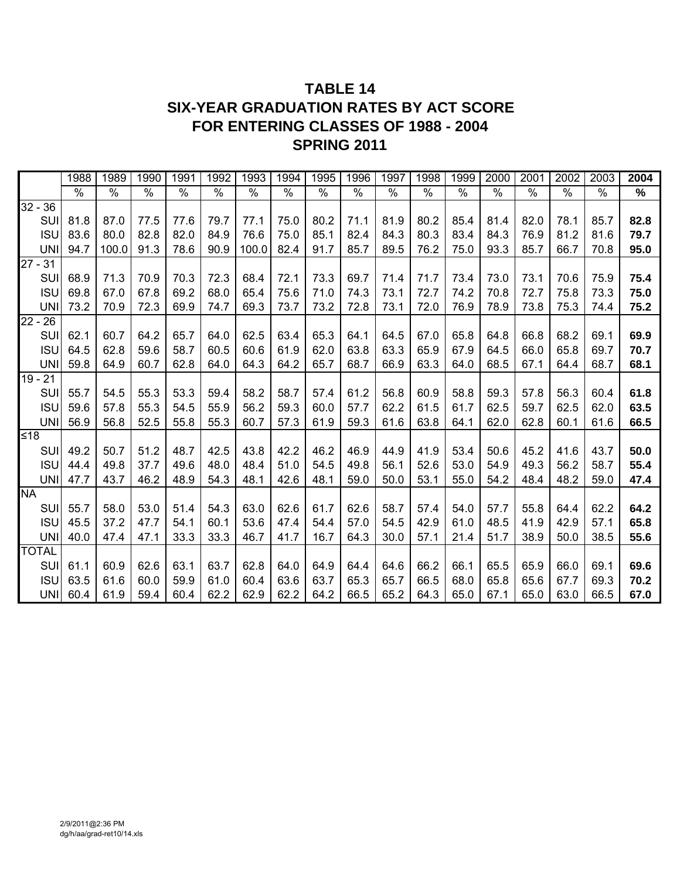## **TABLE 14 SIX-YEAR GRADUATION RATES BY ACT SCORE FOR ENTERING CLASSES OF 1988 - 2004 SPRING 2011**

|              |            | 1988 | 1989  | 1990 | 1991          | 1992          | 1993          | 1994          | 1995 | 1996 | 1997          | 1998 | 1999 | 2000 | 2001          | 2002 | 2003 | 2004 |
|--------------|------------|------|-------|------|---------------|---------------|---------------|---------------|------|------|---------------|------|------|------|---------------|------|------|------|
|              |            | $\%$ | %     | %    | $\frac{1}{2}$ | $\frac{1}{2}$ | $\frac{1}{2}$ | $\frac{1}{2}$ | %    | $\%$ | $\frac{8}{6}$ | %    | %    | %    | $\frac{1}{2}$ | %    | $\%$ | $\%$ |
| $32 - 36$    |            |      |       |      |               |               |               |               |      |      |               |      |      |      |               |      |      |      |
|              | SUI        | 81.8 | 87.0  | 77.5 | 77.6          | 79.7          | 77.1          | 75.0          | 80.2 | 71.1 | 81.9          | 80.2 | 85.4 | 81.4 | 82.0          | 78.1 | 85.7 | 82.8 |
|              | <b>ISU</b> | 83.6 | 80.0  | 82.8 | 82.0          | 84.9          | 76.6          | 75.0          | 85.1 | 82.4 | 84.3          | 80.3 | 83.4 | 84.3 | 76.9          | 81.2 | 81.6 | 79.7 |
|              | <b>UNI</b> | 94.7 | 100.0 | 91.3 | 78.6          | 90.9          | 100.0         | 82.4          | 91.7 | 85.7 | 89.5          | 76.2 | 75.0 | 93.3 | 85.7          | 66.7 | 70.8 | 95.0 |
| $27 - 31$    |            |      |       |      |               |               |               |               |      |      |               |      |      |      |               |      |      |      |
|              | SUI        | 68.9 | 71.3  | 70.9 | 70.3          | 72.3          | 68.4          | 72.1          | 73.3 | 69.7 | 71.4          | 71.7 | 73.4 | 73.0 | 73.1          | 70.6 | 75.9 | 75.4 |
|              | <b>ISU</b> | 69.8 | 67.0  | 67.8 | 69.2          | 68.0          | 65.4          | 75.6          | 71.0 | 74.3 | 73.1          | 72.7 | 74.2 | 70.8 | 72.7          | 75.8 | 73.3 | 75.0 |
|              | <b>UNI</b> | 73.2 | 70.9  | 72.3 | 69.9          | 74.7          | 69.3          | 73.7          | 73.2 | 72.8 | 73.1          | 72.0 | 76.9 | 78.9 | 73.8          | 75.3 | 74.4 | 75.2 |
| $22 - 26$    |            |      |       |      |               |               |               |               |      |      |               |      |      |      |               |      |      |      |
|              | SUI        | 62.1 | 60.7  | 64.2 | 65.7          | 64.0          | 62.5          | 63.4          | 65.3 | 64.1 | 64.5          | 67.0 | 65.8 | 64.8 | 66.8          | 68.2 | 69.1 | 69.9 |
|              | <b>ISU</b> | 64.5 | 62.8  | 59.6 | 58.7          | 60.5          | 60.6          | 61.9          | 62.0 | 63.8 | 63.3          | 65.9 | 67.9 | 64.5 | 66.0          | 65.8 | 69.7 | 70.7 |
|              | <b>UNI</b> | 59.8 | 64.9  | 60.7 | 62.8          | 64.0          | 64.3          | 64.2          | 65.7 | 68.7 | 66.9          | 63.3 | 64.0 | 68.5 | 67.1          | 64.4 | 68.7 | 68.1 |
| $19 - 21$    |            |      |       |      |               |               |               |               |      |      |               |      |      |      |               |      |      |      |
|              | SUI        | 55.7 | 54.5  | 55.3 | 53.3          | 59.4          | 58.2          | 58.7          | 57.4 | 61.2 | 56.8          | 60.9 | 58.8 | 59.3 | 57.8          | 56.3 | 60.4 | 61.8 |
|              | <b>ISU</b> | 59.6 | 57.8  | 55.3 | 54.5          | 55.9          | 56.2          | 59.3          | 60.0 | 57.7 | 62.2          | 61.5 | 61.7 | 62.5 | 59.7          | 62.5 | 62.0 | 63.5 |
|              | <b>UNI</b> | 56.9 | 56.8  | 52.5 | 55.8          | 55.3          | 60.7          | 57.3          | 61.9 | 59.3 | 61.6          | 63.8 | 64.1 | 62.0 | 62.8          | 60.1 | 61.6 | 66.5 |
| ≤18          |            |      |       |      |               |               |               |               |      |      |               |      |      |      |               |      |      |      |
|              | SUI        | 49.2 | 50.7  | 51.2 | 48.7          | 42.5          | 43.8          | 42.2          | 46.2 | 46.9 | 44.9          | 41.9 | 53.4 | 50.6 | 45.2          | 41.6 | 43.7 | 50.0 |
|              | <b>ISU</b> | 44.4 | 49.8  | 37.7 | 49.6          | 48.0          | 48.4          | 51.0          | 54.5 | 49.8 | 56.1          | 52.6 | 53.0 | 54.9 | 49.3          | 56.2 | 58.7 | 55.4 |
|              | <b>UNI</b> | 47.7 | 43.7  | 46.2 | 48.9          | 54.3          | 48.1          | 42.6          | 48.1 | 59.0 | 50.0          | 53.1 | 55.0 | 54.2 | 48.4          | 48.2 | 59.0 | 47.4 |
| <b>NA</b>    |            |      |       |      |               |               |               |               |      |      |               |      |      |      |               |      |      |      |
|              | SUI        | 55.7 | 58.0  | 53.0 | 51.4          | 54.3          | 63.0          | 62.6          | 61.7 | 62.6 | 58.7          | 57.4 | 54.0 | 57.7 | 55.8          | 64.4 | 62.2 | 64.2 |
|              | <b>ISU</b> | 45.5 | 37.2  | 47.7 | 54.1          | 60.1          | 53.6          | 47.4          | 54.4 | 57.0 | 54.5          | 42.9 | 61.0 | 48.5 | 41.9          | 42.9 | 57.1 | 65.8 |
|              | <b>UNI</b> | 40.0 | 47.4  | 47.1 | 33.3          | 33.3          | 46.7          | 41.7          | 16.7 | 64.3 | 30.0          | 57.1 | 21.4 | 51.7 | 38.9          | 50.0 | 38.5 | 55.6 |
| <b>TOTAL</b> |            |      |       |      |               |               |               |               |      |      |               |      |      |      |               |      |      |      |
|              | SUI        | 61.1 | 60.9  | 62.6 | 63.1          | 63.7          | 62.8          | 64.0          | 64.9 | 64.4 | 64.6          | 66.2 | 66.1 | 65.5 | 65.9          | 66.0 | 69.1 | 69.6 |
|              | <b>ISU</b> | 63.5 | 61.6  | 60.0 | 59.9          | 61.0          | 60.4          | 63.6          | 63.7 | 65.3 | 65.7          | 66.5 | 68.0 | 65.8 | 65.6          | 67.7 | 69.3 | 70.2 |
|              | UNII       | 60.4 | 61.9  | 59.4 | 60.4          | 62.2          | 62.9          | 62.2          | 64.2 | 66.5 | 65.2          | 64.3 | 65.0 | 67.1 | 65.0          | 63.0 | 66.5 | 67.0 |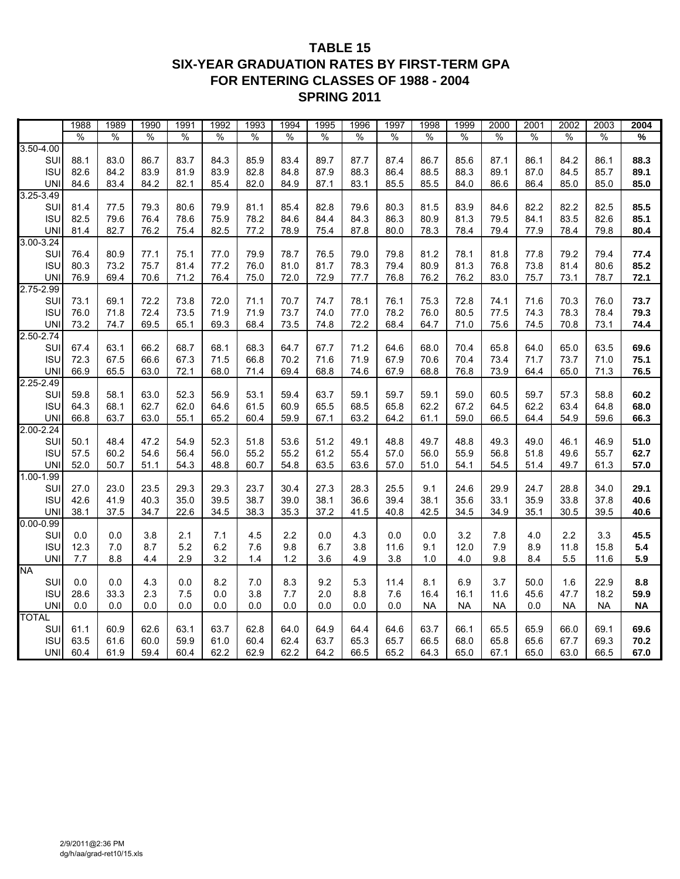### **TABLE 15 SIX-YEAR GRADUATION RATES BY FIRST-TERM GPA FOR ENTERING CLASSES OF 1988 - 2004 SPRING 2011**

|                            | 1988          | 1989          | 1990          | 1991          | 1992         | 1993          | 1994         | 1995 | 1996         | 1997 | 1998      | 1999      | 2000      | 2001 | 2002      | 2003      | 2004                     |
|----------------------------|---------------|---------------|---------------|---------------|--------------|---------------|--------------|------|--------------|------|-----------|-----------|-----------|------|-----------|-----------|--------------------------|
|                            | $\frac{8}{6}$ | $\frac{1}{2}$ | $\frac{1}{2}$ | $\frac{8}{6}$ | %            | $\frac{8}{6}$ | $\%$         | $\%$ | $\%$         | %    | $\%$      | $\%$      | $\%$      | $\%$ | $\%$      | $\%$      | $\overline{\frac{9}{6}}$ |
| $3.50 - 4.00$              |               |               |               |               |              |               |              |      |              |      |           |           |           |      |           |           |                          |
| SU                         | 88.1          | 83.0          | 86.7          | 83.7          | 84.3         | 85.9          | 83.4         | 89.7 | 87.7         | 87.4 | 86.7      | 85.6      | 87.1      | 86.1 | 84.2      | 86.1      | 88.3                     |
| <b>ISU</b>                 | 82.6          | 84.2          | 83.9          | 81.9          | 83.9         | 82.8          | 84.8         | 87.9 | 88.3         | 86.4 | 88.5      | 88.3      | 89.1      | 87.0 | 84.5      | 85.7      | 89.1                     |
| <b>UNI</b>                 | 84.6          | 83.4          | 84.2          | 82.1          | 85.4         | 82.0          | 84.9         | 87.1 | 83.1         | 85.5 | 85.5      | 84.0      | 86.6      | 86.4 | 85.0      | 85.0      | 85.0                     |
| $3.25 - 3.49$              |               |               |               |               |              |               |              |      |              |      |           |           |           |      |           |           |                          |
| SU                         | 81.4          | 77.5          | 79.3          | 80.6          | 79.9         | 81.1          | 85.4         | 82.8 | 79.6         | 80.3 | 81.5      | 83.9      | 84.6      | 82.2 | 82.2      | 82.5      | 85.5                     |
| <b>ISU</b>                 | 82.5          | 79.6          | 76.4          | 78.6          | 75.9         | 78.2          | 84.6         | 84.4 | 84.3         | 86.3 | 80.9      | 81.3      | 79.5      | 84.1 | 83.5      | 82.6      | 85.1                     |
| <b>UN</b>                  | 81.4          | 82.7          | 76.2          | 75.4          | 82.5         | 77.2          | 78.9         | 75.4 | 87.8         | 80.0 | 78.3      | 78.4      | 79.4      | 77.9 | 78.4      | 79.8      | 80.4                     |
| 3.00-3.24                  |               |               |               |               |              |               |              |      |              |      |           |           |           |      |           |           |                          |
| SU                         | 76.4          | 80.9          | 77.1          | 75.1          | 77.0         | 79.9          | 78.7         | 76.5 | 79.0         | 79.8 | 81.2      | 78.1      | 81.8      | 77.8 | 79.2      | 79.4      | 77.4                     |
| <b>ISU</b>                 | 80.3          | 73.2          | 75.7          | 81.4          | 77.2         | 76.0          | 81.0         | 81.7 | 78.3         | 79.4 | 80.9      | 81.3      | 76.8      | 73.8 | 81.4      | 80.6      | 85.2                     |
| <b>UNI</b>                 | 76.9          | 69.4          | 70.6          | 71.2          | 76.4         | 75.0          | 72.0         | 72.9 | 77.7         | 76.8 | 76.2      | 76.2      | 83.0      | 75.7 | 73.1      | 78.7      | 72.1                     |
| 2.75-2.99                  |               |               |               |               |              |               |              |      |              |      |           |           |           |      |           |           |                          |
| SU                         | 73.1          | 69.1          | 72.2          | 73.8          | 72.0         | 71.1          | 70.7         | 74.7 | 78.1         | 76.1 | 75.3      | 72.8      | 74.1      | 71.6 | 70.3      | 76.0      | 73.7                     |
| <b>ISU</b>                 | 76.0          | 71.8          | 72.4          | 73.5          | 71.9         | 71.9          | 73.7         | 74.0 | 77.0         | 78.2 | 76.0      | 80.5      | 77.5      | 74.3 | 78.3      | 78.4      | 79.3                     |
| <b>UN</b>                  | 73.2          | 74.7          | 69.5          | 65.1          | 69.3         | 68.4          | 73.5         | 74.8 | 72.2         | 68.4 | 64.7      | 71.0      | 75.6      | 74.5 | 70.8      | 73.1      | 74.4                     |
| $2.50 - 2.74$              |               |               |               |               |              |               |              |      |              |      |           |           |           |      |           |           |                          |
| SU<br><b>ISU</b>           | 67.4          | 63.1          | 66.2          | 68.7          | 68.1<br>71.5 | 68.3          | 64.7<br>70.2 | 67.7 | 71.2<br>71.9 | 64.6 | 68.0      | 70.4      | 65.8      | 64.0 | 65.0      | 63.5      | 69.6                     |
|                            | 72.3<br>66.9  | 67.5<br>65.5  | 66.6          | 67.3          |              | 66.8          | 69.4         | 71.6 |              | 67.9 | 70.6      | 70.4      | 73.4      | 71.7 | 73.7      | 71.0      | 75.1                     |
| <b>UN</b><br>$2.25 - 2.49$ |               |               | 63.0          | 72.1          | 68.0         | 71.4          |              | 68.8 | 74.6         | 67.9 | 68.8      | 76.8      | 73.9      | 64.4 | 65.0      | 71.3      | 76.5                     |
| SU                         | 59.8          | 58.1          | 63.0          | 52.3          | 56.9         | 53.1          | 59.4         | 63.7 | 59.1         | 59.7 | 59.1      | 59.0      | 60.5      | 59.7 | 57.3      | 58.8      | 60.2                     |
| <b>ISU</b>                 | 64.3          | 68.1          | 62.7          | 62.0          | 64.6         | 61.5          | 60.9         | 65.5 | 68.5         | 65.8 | 62.2      | 67.2      | 64.5      | 62.2 | 63.4      | 64.8      | 68.0                     |
| <b>UN</b>                  | 66.8          | 63.7          | 63.0          | 55.1          | 65.2         | 60.4          | 59.9         | 67.1 | 63.2         | 64.2 | 61.1      | 59.0      | 66.5      | 64.4 | 54.9      | 59.6      | 66.3                     |
| $2.00 - 2.24$              |               |               |               |               |              |               |              |      |              |      |           |           |           |      |           |           |                          |
| SU                         | 50.1          | 48.4          | 47.2          | 54.9          | 52.3         | 51.8          | 53.6         | 51.2 | 49.1         | 48.8 | 49.7      | 48.8      | 49.3      | 49.0 | 46.1      | 46.9      | 51.0                     |
| <b>ISU</b>                 | 57.5          | 60.2          | 54.6          | 56.4          | 56.0         | 55.2          | 55.2         | 61.2 | 55.4         | 57.0 | 56.0      | 55.9      | 56.8      | 51.8 | 49.6      | 55.7      | 62.7                     |
| <b>UNI</b>                 | 52.0          | 50.7          | 51.1          | 54.3          | 48.8         | 60.7          | 54.8         | 63.5 | 63.6         | 57.0 | 51.0      | 54.1      | 54.5      | 51.4 | 49.7      | 61.3      | 57.0                     |
| 1.00-1.99                  |               |               |               |               |              |               |              |      |              |      |           |           |           |      |           |           |                          |
| SU                         | 27.0          | 23.0          | 23.5          | 29.3          | 29.3         | 23.7          | 30.4         | 27.3 | 28.3         | 25.5 | 9.1       | 24.6      | 29.9      | 24.7 | 28.8      | 34.0      | 29.1                     |
| <b>ISU</b>                 | 42.6          | 41.9          | 40.3          | 35.0          | 39.5         | 38.7          | 39.0         | 38.1 | 36.6         | 39.4 | 38.1      | 35.6      | 33.1      | 35.9 | 33.8      | 37.8      | 40.6                     |
| <b>UNI</b>                 | 38.1          | 37.5          | 34.7          | 22.6          | 34.5         | 38.3          | 35.3         | 37.2 | 41.5         | 40.8 | 42.5      | 34.5      | 34.9      | 35.1 | 30.5      | 39.5      | 40.6                     |
| $0.00 - 0.99$              |               |               |               |               |              |               |              |      |              |      |           |           |           |      |           |           |                          |
| SU                         | 0.0           | 0.0           | 3.8           | 2.1           | 7.1          | 4.5           | 2.2          | 0.0  | 4.3          | 0.0  | 0.0       | 3.2       | 7.8       | 4.0  | 2.2       | 3.3       | 45.5                     |
| <b>ISU</b>                 | 12.3          | 7.0           | 8.7           | 5.2           | 6.2          | 7.6           | 9.8          | 6.7  | 3.8          | 11.6 | 9.1       | 12.0      | 7.9       | 8.9  | 11.8      | 15.8      | 5.4                      |
| <b>UNI</b>                 | 7.7           | 8.8           | 4.4           | 2.9           | 3.2          | 1.4           | 1.2          | 3.6  | 4.9          | 3.8  | 1.0       | 4.0       | 9.8       | 8.4  | 5.5       | 11.6      | 5.9                      |
| <b>NA</b>                  |               |               |               |               |              |               |              |      |              |      |           |           |           |      |           |           |                          |
| SU                         | 0.0           | 0.0           | 4.3           | 0.0           | 8.2          | 7.0           | 8.3          | 9.2  | 5.3          | 11.4 | 8.1       | 6.9       | 3.7       | 50.0 | 1.6       | 22.9      | 8.8                      |
| <b>ISU</b>                 | 28.6          | 33.3          | 2.3           | 7.5           | 0.0          | 3.8           | 7.7          | 2.0  | 8.8          | 7.6  | 16.4      | 16.1      | 11.6      | 45.6 | 47.7      | 18.2      | 59.9                     |
| <b>UN</b>                  | 0.0           | 0.0           | 0.0           | 0.0           | 0.0          | 0.0           | 0.0          | 0.0  | 0.0          | 0.0  | <b>NA</b> | <b>NA</b> | <b>NA</b> | 0.0  | <b>NA</b> | <b>NA</b> | <b>NA</b>                |
| <b>TOTAL</b>               |               |               |               |               |              |               |              |      |              |      |           |           |           |      |           |           |                          |
| SU                         | 61.1          | 60.9          | 62.6          | 63.1          | 63.7         | 62.8          | 64.0         | 64.9 | 64.4         | 64.6 | 63.7      | 66.1      | 65.5      | 65.9 | 66.0      | 69.1      | 69.6                     |
| <b>ISU</b>                 | 63.5          | 61.6          | 60.0          | 59.9          | 61.0         | 60.4          | 62.4         | 63.7 | 65.3         | 65.7 | 66.5      | 68.0      | 65.8      | 65.6 | 67.7      | 69.3      | 70.2                     |
| <b>UNI</b>                 | 60.4          | 61.9          | 59.4          | 60.4          | 62.2         | 62.9          | 62.2         | 64.2 | 66.5         | 65.2 | 64.3      | 65.0      | 67.1      | 65.0 | 63.0      | 66.5      | 67.0                     |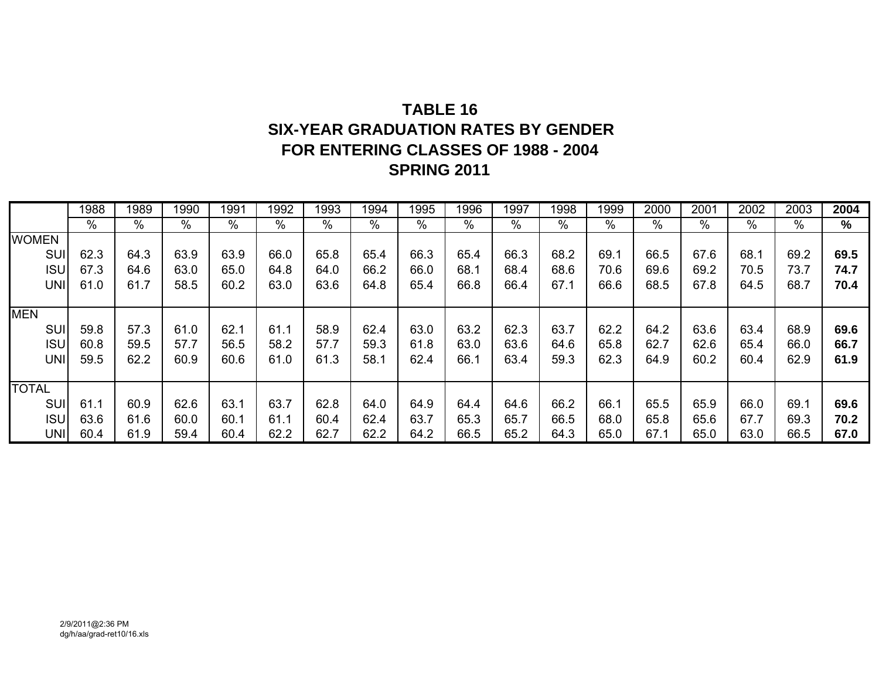# **TABLE 16 SIX-YEAR GRADUATION RATES BY GENDER FOR ENTERING CLASSES OF 1988 - 2004 SPRING 2011**

|              | 1988 | 1989          | 1990 | 1991          | 1992 | 1993 | 1994 | 1995 | 1996 | 1997 | 1998 | 1999 | 2000          | 2001 | 2002 | 2003 | 2004 |
|--------------|------|---------------|------|---------------|------|------|------|------|------|------|------|------|---------------|------|------|------|------|
|              | $\%$ | $\frac{0}{0}$ | $\%$ | $\frac{0}{0}$ | $\%$ | $\%$ | %    | %    | %    | %    | %    | $\%$ | $\frac{0}{0}$ | %    | $\%$ | %    | $\%$ |
| <b>WOMEN</b> |      |               |      |               |      |      |      |      |      |      |      |      |               |      |      |      |      |
| <b>SU</b>    | 62.3 | 64.3          | 63.9 | 63.9          | 66.0 | 65.8 | 65.4 | 66.3 | 65.4 | 66.3 | 68.2 | 69.1 | 66.5          | 67.6 | 68.1 | 69.2 | 69.5 |
| <b>ISU</b>   | 67.3 | 64.6          | 63.0 | 65.0          | 64.8 | 64.0 | 66.2 | 66.0 | 68.1 | 68.4 | 68.6 | 70.6 | 69.6          | 69.2 | 70.5 | 73.7 | 74.7 |
| <b>UNI</b>   | 61.0 | 61.7          | 58.5 | 60.2          | 63.0 | 63.6 | 64.8 | 65.4 | 66.8 | 66.4 | 67.1 | 66.6 | 68.5          | 67.8 | 64.5 | 68.7 | 70.4 |
|              |      |               |      |               |      |      |      |      |      |      |      |      |               |      |      |      |      |
| <b>MEN</b>   |      |               |      |               |      |      |      |      |      |      |      |      |               |      |      |      |      |
| SUI          | 59.8 | 57.3          | 61.0 | 62.1          | 61.1 | 58.9 | 62.4 | 63.0 | 63.2 | 62.3 | 63.7 | 62.2 | 64.2          | 63.6 | 63.4 | 68.9 | 69.6 |
| <b>ISU</b>   | 60.8 | 59.5          | 57.7 | 56.5          | 58.2 | 57.7 | 59.3 | 61.8 | 63.0 | 63.6 | 64.6 | 65.8 | 62.7          | 62.6 | 65.4 | 66.0 | 66.7 |
| <b>UNI</b>   | 59.5 | 62.2          | 60.9 | 60.6          | 61.0 | 61.3 | 58.1 | 62.4 | 66.1 | 63.4 | 59.3 | 62.3 | 64.9          | 60.2 | 60.4 | 62.9 | 61.9 |
|              |      |               |      |               |      |      |      |      |      |      |      |      |               |      |      |      |      |
| <b>TOTAL</b> |      |               |      |               |      |      |      |      |      |      |      |      |               |      |      |      |      |
| SUI          | 61.1 | 60.9          | 62.6 | 63.1          | 63.7 | 62.8 | 64.0 | 64.9 | 64.4 | 64.6 | 66.2 | 66.1 | 65.5          | 65.9 | 66.0 | 69.1 | 69.6 |
| <b>ISU</b>   | 63.6 | 61.6          | 60.0 | 60.1          | 61.1 | 60.4 | 62.4 | 63.7 | 65.3 | 65.7 | 66.5 | 68.0 | 65.8          | 65.6 | 67.7 | 69.3 | 70.2 |
| <b>UNI</b>   | 60.4 | 61.9          | 59.4 | 60.4          | 62.2 | 62.7 | 62.2 | 64.2 | 66.5 | 65.2 | 64.3 | 65.0 | 67.1          | 65.0 | 63.0 | 66.5 | 67.0 |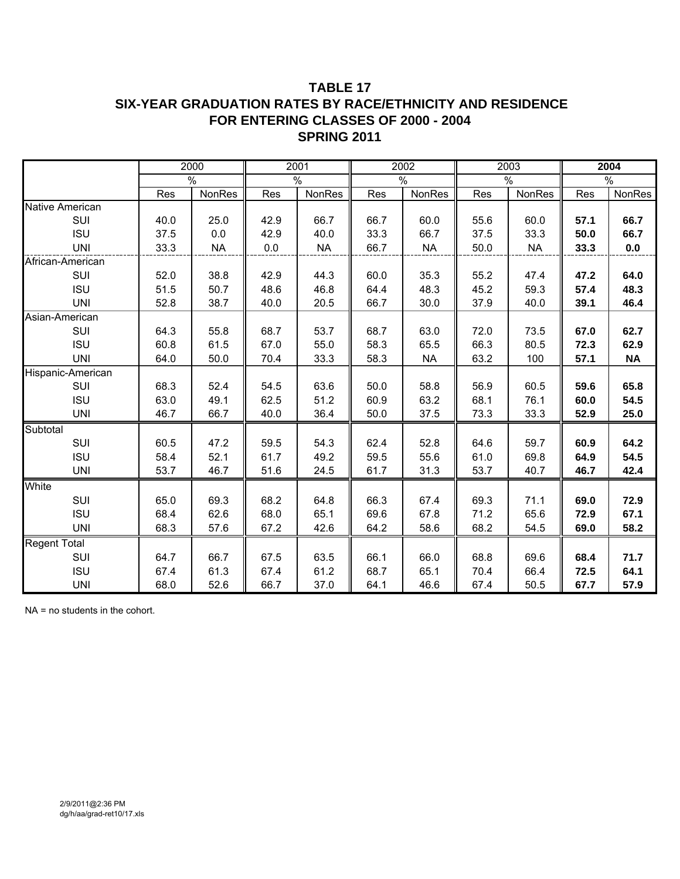### **TABLE 17 SIX-YEAR GRADUATION RATES BY RACE/ETHNICITY AND RESIDENCE FOR ENTERING CLASSES OF 2000 - 2004 SPRING 2011**

|                     |      | 2000      |      | 2001      |      | 2002      |      | 2003      |      | 2004      |
|---------------------|------|-----------|------|-----------|------|-----------|------|-----------|------|-----------|
|                     |      | %         |      | $\%$      |      | $\%$      |      | $\%$      |      | $\%$      |
|                     | Res  | NonRes    | Res  | NonRes    | Res  | NonRes    | Res  | NonRes    | Res  | NonRes    |
| Native American     |      |           |      |           |      |           |      |           |      |           |
| SUI                 | 40.0 | 25.0      | 42.9 | 66.7      | 66.7 | 60.0      | 55.6 | 60.0      | 57.1 | 66.7      |
| <b>ISU</b>          | 37.5 | 0.0       | 42.9 | 40.0      | 33.3 | 66.7      | 37.5 | 33.3      | 50.0 | 66.7      |
| <b>UNI</b>          | 33.3 | <b>NA</b> | 0.0  | <b>NA</b> | 66.7 | <b>NA</b> | 50.0 | <b>NA</b> | 33.3 | 0.0       |
| African-American    |      |           |      |           |      |           |      |           |      |           |
| SUI                 | 52.0 | 38.8      | 42.9 | 44.3      | 60.0 | 35.3      | 55.2 | 47.4      | 47.2 | 64.0      |
| <b>ISU</b>          | 51.5 | 50.7      | 48.6 | 46.8      | 64.4 | 48.3      | 45.2 | 59.3      | 57.4 | 48.3      |
| <b>UNI</b>          | 52.8 | 38.7      | 40.0 | 20.5      | 66.7 | 30.0      | 37.9 | 40.0      | 39.1 | 46.4      |
| Asian-American      |      |           |      |           |      |           |      |           |      |           |
| SUI                 | 64.3 | 55.8      | 68.7 | 53.7      | 68.7 | 63.0      | 72.0 | 73.5      | 67.0 | 62.7      |
| <b>ISU</b>          | 60.8 | 61.5      | 67.0 | 55.0      | 58.3 | 65.5      | 66.3 | 80.5      | 72.3 | 62.9      |
| <b>UNI</b>          | 64.0 | 50.0      | 70.4 | 33.3      | 58.3 | <b>NA</b> | 63.2 | 100       | 57.1 | <b>NA</b> |
| Hispanic-American   |      |           |      |           |      |           |      |           |      |           |
| SUI                 | 68.3 | 52.4      | 54.5 | 63.6      | 50.0 | 58.8      | 56.9 | 60.5      | 59.6 | 65.8      |
| <b>ISU</b>          | 63.0 | 49.1      | 62.5 | 51.2      | 60.9 | 63.2      | 68.1 | 76.1      | 60.0 | 54.5      |
| <b>UNI</b>          | 46.7 | 66.7      | 40.0 | 36.4      | 50.0 | 37.5      | 73.3 | 33.3      | 52.9 | 25.0      |
| Subtotal            |      |           |      |           |      |           |      |           |      |           |
| SUI                 | 60.5 | 47.2      | 59.5 | 54.3      | 62.4 | 52.8      | 64.6 | 59.7      | 60.9 | 64.2      |
| <b>ISU</b>          | 58.4 | 52.1      | 61.7 | 49.2      | 59.5 | 55.6      | 61.0 | 69.8      | 64.9 | 54.5      |
| <b>UNI</b>          | 53.7 | 46.7      | 51.6 | 24.5      | 61.7 | 31.3      | 53.7 | 40.7      | 46.7 | 42.4      |
| White               |      |           |      |           |      |           |      |           |      |           |
| SUI                 | 65.0 | 69.3      | 68.2 | 64.8      | 66.3 | 67.4      | 69.3 | 71.1      | 69.0 | 72.9      |
| <b>ISU</b>          | 68.4 | 62.6      | 68.0 | 65.1      | 69.6 | 67.8      | 71.2 | 65.6      | 72.9 | 67.1      |
| <b>UNI</b>          | 68.3 | 57.6      | 67.2 | 42.6      | 64.2 | 58.6      | 68.2 | 54.5      | 69.0 | 58.2      |
| <b>Regent Total</b> |      |           |      |           |      |           |      |           |      |           |
| SUI                 | 64.7 | 66.7      | 67.5 | 63.5      | 66.1 | 66.0      | 68.8 | 69.6      | 68.4 | 71.7      |
| <b>ISU</b>          | 67.4 | 61.3      | 67.4 | 61.2      | 68.7 | 65.1      | 70.4 | 66.4      | 72.5 | 64.1      |
| <b>UNI</b>          | 68.0 | 52.6      | 66.7 | 37.0      | 64.1 | 46.6      | 67.4 | 50.5      | 67.7 | 57.9      |

NA = no students in the cohort.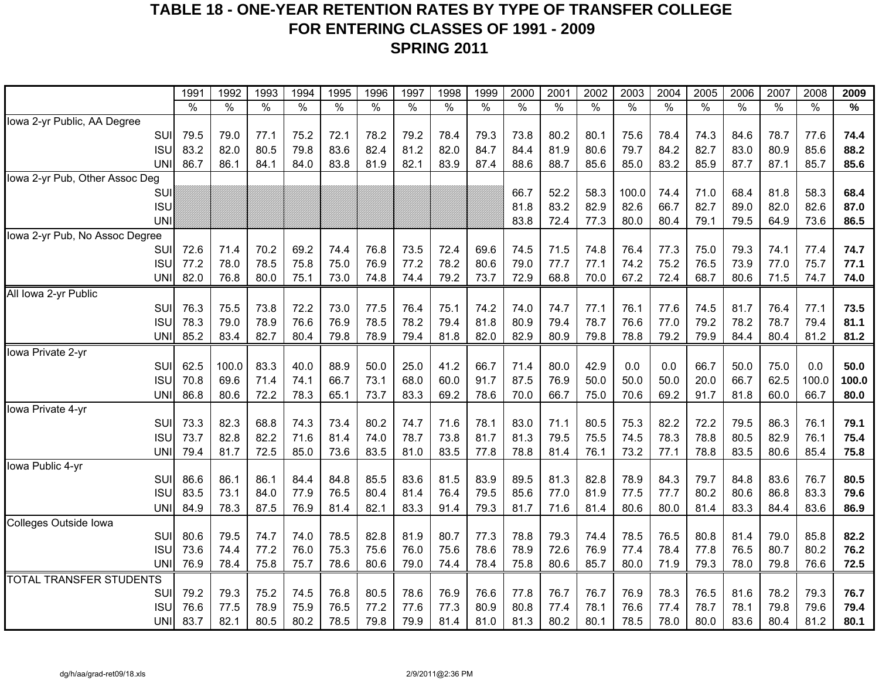## **TABLE 18 - ONE-YEAR RETENTION RATES BY TYPE OF TRANSFER COLLEGE FOR ENTERING CLASSES OF 1991 - 2009 SPRING 2011**

| $\frac{0}{0}$<br>$\%$<br>$\%$<br>$\%$<br>$\%$<br>$\%$<br>$\%$<br>$\%$<br>$\%$<br>$\%$<br>%<br>$\frac{0}{0}$<br>$\%$<br>$\%$<br>$\%$<br>$\%$<br>%<br>$\%$<br>℅<br>Iowa 2-yr Public, AA Degree<br>75.2<br>78.2<br>79.2<br>73.8<br>75.6<br>74.3<br>78.7<br>77.6<br>74.4<br>SUI<br>79.5<br>79.0<br>77.1<br>72.1<br>78.4<br>79.3<br>80.2<br>80.1<br>78.4<br>84.6<br><b>ISU</b><br>83.2<br>82.0<br>80.5<br>79.8<br>83.6<br>82.4<br>81.2<br>82.0<br>84.4<br>81.9<br>80.6<br>79.7<br>84.2<br>83.0<br>80.9<br>85.6<br>88.2<br>84.7<br>82.7<br><b>UNI</b><br>86.7<br>83.8<br>83.9<br>88.6<br>88.7<br>85.6<br>85.9<br>87.1<br>85.7<br>86.1<br>84.1<br>84.0<br>81.9<br>82.1<br>87.4<br>85.0<br>83.2<br>87.7<br>85.6<br>lowa 2-yr Pub, Other Assoc Deg<br>66.7<br>71.0<br>81.8<br>58.3<br>52.2<br>58.3<br>100.0<br>74.4<br>68.4<br>68.4<br>SUI<br><b>ISU</b><br>83.2<br>82.9<br>82.0<br>82.6<br>81.8<br>82.6<br>66.7<br>82.7<br>89.0<br>87.0<br><b>UNI</b><br>83.8<br>72.4<br>77.3<br>80.0<br>79.1<br>64.9<br>73.6<br>86.5<br>80.4<br>79.5<br>lowa 2-yr Pub, No Assoc Degree<br>70.2<br>79.3<br>74.7<br>SUI<br>72.6<br>69.2<br>74.4<br>76.8<br>73.5<br>72.4<br>69.6<br>74.5<br>71.5<br>74.8<br>76.4<br>77.3<br>75.0<br>74.1<br>77.4<br>71.4<br><b>ISU</b><br>77.2<br>78.0<br>78.5<br>75.8<br>75.0<br>76.9<br>78.2<br>79.0<br>77.7<br>77.1<br>74.2<br>75.2<br>76.5<br>73.9<br>77.0<br>75.7<br>77.1<br>77.2<br>80.6<br><b>UNI</b><br>82.0<br>79.2<br>72.9<br>68.8<br>68.7<br>71.5<br>76.8<br>80.0<br>75.1<br>73.0<br>74.8<br>74.4<br>73.7<br>70.0<br>67.2<br>72.4<br>80.6<br>74.7<br>74.0<br>All Iowa 2-yr Public<br>SUI<br>73.8<br>72.2<br>73.0<br>74.0<br>76.1<br>74.5<br>76.4<br>73.5<br>76.3<br>75.5<br>77.5<br>76.4<br>75.1<br>74.2<br>74.7<br>77.1<br>77.6<br>81.7<br>77.1<br><b>ISU</b><br>78.9<br>76.6<br>76.9<br>78.5<br>78.2<br>79.4<br>78.7<br>78.2<br>78.7<br>79.4<br>81.1<br>78.3<br>79.0<br>79.4<br>81.8<br>80.9<br>76.6<br>77.0<br>79.2<br>85.2<br>82.7<br>82.9<br>80.4<br><b>UNI</b><br>83.4<br>80.4<br>79.8<br>78.9<br>79.4<br>81.8<br>82.0<br>80.9<br>79.8<br>78.8<br>79.2<br>79.9<br>84.4<br>81.2<br>81.2<br>lowa Private 2-yr<br>SUI<br>83.3<br>88.9<br>41.2<br>42.9<br>75.0<br>0.0<br>50.0<br>62.5<br>100.0<br>40.0<br>50.0<br>25.0<br>66.7<br>71.4<br>80.0<br>0.0<br>0.0<br>66.7<br>50.0<br>66.7<br>87.5<br>62.5<br>100.0<br>100.0<br><b>ISU</b><br>70.8<br>69.6<br>71.4<br>74.1<br>73.1<br>68.0<br>60.0<br>91.7<br>76.9<br>50.0<br>50.0<br>50.0<br>20.0<br>66.7<br><b>UNI</b><br>86.8<br>72.2<br>78.3<br>65.1<br>83.3<br>69.2<br>70.0<br>66.7<br>75.0<br>70.6<br>69.2<br>91.7<br>60.0<br>66.7<br>80.0<br>80.6<br>73.7<br>78.6<br>81.8<br>lowa Private 4-yr<br>SUI<br>73.3<br>82.3<br>68.8<br>74.3<br>73.4<br>80.2<br>83.0<br>80.5<br>75.3<br>82.2<br>72.2<br>86.3<br>76.1<br>79.1<br>74.7<br>71.6<br>78.1<br>71.1<br>79.5<br>73.7<br>82.8<br>82.2<br>71.6<br>81.4<br>74.0<br>78.7<br>73.8<br>81.3<br>79.5<br>75.5<br>74.5<br>78.3<br>78.8<br>80.5<br>82.9<br>76.1<br>75.4<br><b>ISL</b><br>81.7<br>72.5<br>85.0<br>83.5<br>83.5<br>78.8<br>73.2<br>80.6<br>85.4<br><b>UNI</b><br>79.4<br>81.7<br>73.6<br>81.0<br>77.8<br>81.4<br>76.1<br>77.1<br>78.8<br>83.5<br>75.8<br>lowa Public 4-yr<br>SUI<br>86.6<br>86.1<br>86.1<br>84.4<br>84.8<br>85.5<br>83.6<br>81.5<br>83.9<br>89.5<br>81.3<br>82.8<br>78.9<br>79.7<br>84.8<br>83.6<br>76.7<br>80.5<br>84.3 |                                | 1991 | 1992 | 1993 | 1994 | 1995 | 1996 | 1997 | 1998 | 1999 | 2000 | 2001 | 2002 | 2003 | 2004 | 2005 | 2006 | 2007 | 2008 | 2009 |
|------------------------------------------------------------------------------------------------------------------------------------------------------------------------------------------------------------------------------------------------------------------------------------------------------------------------------------------------------------------------------------------------------------------------------------------------------------------------------------------------------------------------------------------------------------------------------------------------------------------------------------------------------------------------------------------------------------------------------------------------------------------------------------------------------------------------------------------------------------------------------------------------------------------------------------------------------------------------------------------------------------------------------------------------------------------------------------------------------------------------------------------------------------------------------------------------------------------------------------------------------------------------------------------------------------------------------------------------------------------------------------------------------------------------------------------------------------------------------------------------------------------------------------------------------------------------------------------------------------------------------------------------------------------------------------------------------------------------------------------------------------------------------------------------------------------------------------------------------------------------------------------------------------------------------------------------------------------------------------------------------------------------------------------------------------------------------------------------------------------------------------------------------------------------------------------------------------------------------------------------------------------------------------------------------------------------------------------------------------------------------------------------------------------------------------------------------------------------------------------------------------------------------------------------------------------------------------------------------------------------------------------------------------------------------------------------------------------------------------------------------------------------------------------------------------------------------------------------------------------------------------------------------------------------------------------------------------------------------------------------------------------------------------------------------------------------------------------------------------------------------------------------------------------------------------------------------------------------------------------------------------------------------------------------------------------------------------------------------------------|--------------------------------|------|------|------|------|------|------|------|------|------|------|------|------|------|------|------|------|------|------|------|
|                                                                                                                                                                                                                                                                                                                                                                                                                                                                                                                                                                                                                                                                                                                                                                                                                                                                                                                                                                                                                                                                                                                                                                                                                                                                                                                                                                                                                                                                                                                                                                                                                                                                                                                                                                                                                                                                                                                                                                                                                                                                                                                                                                                                                                                                                                                                                                                                                                                                                                                                                                                                                                                                                                                                                                                                                                                                                                                                                                                                                                                                                                                                                                                                                                                                                                                                                                  |                                |      |      |      |      |      |      |      |      |      |      |      |      |      |      |      |      |      |      |      |
|                                                                                                                                                                                                                                                                                                                                                                                                                                                                                                                                                                                                                                                                                                                                                                                                                                                                                                                                                                                                                                                                                                                                                                                                                                                                                                                                                                                                                                                                                                                                                                                                                                                                                                                                                                                                                                                                                                                                                                                                                                                                                                                                                                                                                                                                                                                                                                                                                                                                                                                                                                                                                                                                                                                                                                                                                                                                                                                                                                                                                                                                                                                                                                                                                                                                                                                                                                  |                                |      |      |      |      |      |      |      |      |      |      |      |      |      |      |      |      |      |      |      |
|                                                                                                                                                                                                                                                                                                                                                                                                                                                                                                                                                                                                                                                                                                                                                                                                                                                                                                                                                                                                                                                                                                                                                                                                                                                                                                                                                                                                                                                                                                                                                                                                                                                                                                                                                                                                                                                                                                                                                                                                                                                                                                                                                                                                                                                                                                                                                                                                                                                                                                                                                                                                                                                                                                                                                                                                                                                                                                                                                                                                                                                                                                                                                                                                                                                                                                                                                                  |                                |      |      |      |      |      |      |      |      |      |      |      |      |      |      |      |      |      |      |      |
|                                                                                                                                                                                                                                                                                                                                                                                                                                                                                                                                                                                                                                                                                                                                                                                                                                                                                                                                                                                                                                                                                                                                                                                                                                                                                                                                                                                                                                                                                                                                                                                                                                                                                                                                                                                                                                                                                                                                                                                                                                                                                                                                                                                                                                                                                                                                                                                                                                                                                                                                                                                                                                                                                                                                                                                                                                                                                                                                                                                                                                                                                                                                                                                                                                                                                                                                                                  |                                |      |      |      |      |      |      |      |      |      |      |      |      |      |      |      |      |      |      |      |
|                                                                                                                                                                                                                                                                                                                                                                                                                                                                                                                                                                                                                                                                                                                                                                                                                                                                                                                                                                                                                                                                                                                                                                                                                                                                                                                                                                                                                                                                                                                                                                                                                                                                                                                                                                                                                                                                                                                                                                                                                                                                                                                                                                                                                                                                                                                                                                                                                                                                                                                                                                                                                                                                                                                                                                                                                                                                                                                                                                                                                                                                                                                                                                                                                                                                                                                                                                  |                                |      |      |      |      |      |      |      |      |      |      |      |      |      |      |      |      |      |      |      |
|                                                                                                                                                                                                                                                                                                                                                                                                                                                                                                                                                                                                                                                                                                                                                                                                                                                                                                                                                                                                                                                                                                                                                                                                                                                                                                                                                                                                                                                                                                                                                                                                                                                                                                                                                                                                                                                                                                                                                                                                                                                                                                                                                                                                                                                                                                                                                                                                                                                                                                                                                                                                                                                                                                                                                                                                                                                                                                                                                                                                                                                                                                                                                                                                                                                                                                                                                                  |                                |      |      |      |      |      |      |      |      |      |      |      |      |      |      |      |      |      |      |      |
|                                                                                                                                                                                                                                                                                                                                                                                                                                                                                                                                                                                                                                                                                                                                                                                                                                                                                                                                                                                                                                                                                                                                                                                                                                                                                                                                                                                                                                                                                                                                                                                                                                                                                                                                                                                                                                                                                                                                                                                                                                                                                                                                                                                                                                                                                                                                                                                                                                                                                                                                                                                                                                                                                                                                                                                                                                                                                                                                                                                                                                                                                                                                                                                                                                                                                                                                                                  |                                |      |      |      |      |      |      |      |      |      |      |      |      |      |      |      |      |      |      |      |
|                                                                                                                                                                                                                                                                                                                                                                                                                                                                                                                                                                                                                                                                                                                                                                                                                                                                                                                                                                                                                                                                                                                                                                                                                                                                                                                                                                                                                                                                                                                                                                                                                                                                                                                                                                                                                                                                                                                                                                                                                                                                                                                                                                                                                                                                                                                                                                                                                                                                                                                                                                                                                                                                                                                                                                                                                                                                                                                                                                                                                                                                                                                                                                                                                                                                                                                                                                  |                                |      |      |      |      |      |      |      |      |      |      |      |      |      |      |      |      |      |      |      |
|                                                                                                                                                                                                                                                                                                                                                                                                                                                                                                                                                                                                                                                                                                                                                                                                                                                                                                                                                                                                                                                                                                                                                                                                                                                                                                                                                                                                                                                                                                                                                                                                                                                                                                                                                                                                                                                                                                                                                                                                                                                                                                                                                                                                                                                                                                                                                                                                                                                                                                                                                                                                                                                                                                                                                                                                                                                                                                                                                                                                                                                                                                                                                                                                                                                                                                                                                                  |                                |      |      |      |      |      |      |      |      |      |      |      |      |      |      |      |      |      |      |      |
|                                                                                                                                                                                                                                                                                                                                                                                                                                                                                                                                                                                                                                                                                                                                                                                                                                                                                                                                                                                                                                                                                                                                                                                                                                                                                                                                                                                                                                                                                                                                                                                                                                                                                                                                                                                                                                                                                                                                                                                                                                                                                                                                                                                                                                                                                                                                                                                                                                                                                                                                                                                                                                                                                                                                                                                                                                                                                                                                                                                                                                                                                                                                                                                                                                                                                                                                                                  |                                |      |      |      |      |      |      |      |      |      |      |      |      |      |      |      |      |      |      |      |
|                                                                                                                                                                                                                                                                                                                                                                                                                                                                                                                                                                                                                                                                                                                                                                                                                                                                                                                                                                                                                                                                                                                                                                                                                                                                                                                                                                                                                                                                                                                                                                                                                                                                                                                                                                                                                                                                                                                                                                                                                                                                                                                                                                                                                                                                                                                                                                                                                                                                                                                                                                                                                                                                                                                                                                                                                                                                                                                                                                                                                                                                                                                                                                                                                                                                                                                                                                  |                                |      |      |      |      |      |      |      |      |      |      |      |      |      |      |      |      |      |      |      |
|                                                                                                                                                                                                                                                                                                                                                                                                                                                                                                                                                                                                                                                                                                                                                                                                                                                                                                                                                                                                                                                                                                                                                                                                                                                                                                                                                                                                                                                                                                                                                                                                                                                                                                                                                                                                                                                                                                                                                                                                                                                                                                                                                                                                                                                                                                                                                                                                                                                                                                                                                                                                                                                                                                                                                                                                                                                                                                                                                                                                                                                                                                                                                                                                                                                                                                                                                                  |                                |      |      |      |      |      |      |      |      |      |      |      |      |      |      |      |      |      |      |      |
|                                                                                                                                                                                                                                                                                                                                                                                                                                                                                                                                                                                                                                                                                                                                                                                                                                                                                                                                                                                                                                                                                                                                                                                                                                                                                                                                                                                                                                                                                                                                                                                                                                                                                                                                                                                                                                                                                                                                                                                                                                                                                                                                                                                                                                                                                                                                                                                                                                                                                                                                                                                                                                                                                                                                                                                                                                                                                                                                                                                                                                                                                                                                                                                                                                                                                                                                                                  |                                |      |      |      |      |      |      |      |      |      |      |      |      |      |      |      |      |      |      |      |
|                                                                                                                                                                                                                                                                                                                                                                                                                                                                                                                                                                                                                                                                                                                                                                                                                                                                                                                                                                                                                                                                                                                                                                                                                                                                                                                                                                                                                                                                                                                                                                                                                                                                                                                                                                                                                                                                                                                                                                                                                                                                                                                                                                                                                                                                                                                                                                                                                                                                                                                                                                                                                                                                                                                                                                                                                                                                                                                                                                                                                                                                                                                                                                                                                                                                                                                                                                  |                                |      |      |      |      |      |      |      |      |      |      |      |      |      |      |      |      |      |      |      |
|                                                                                                                                                                                                                                                                                                                                                                                                                                                                                                                                                                                                                                                                                                                                                                                                                                                                                                                                                                                                                                                                                                                                                                                                                                                                                                                                                                                                                                                                                                                                                                                                                                                                                                                                                                                                                                                                                                                                                                                                                                                                                                                                                                                                                                                                                                                                                                                                                                                                                                                                                                                                                                                                                                                                                                                                                                                                                                                                                                                                                                                                                                                                                                                                                                                                                                                                                                  |                                |      |      |      |      |      |      |      |      |      |      |      |      |      |      |      |      |      |      |      |
|                                                                                                                                                                                                                                                                                                                                                                                                                                                                                                                                                                                                                                                                                                                                                                                                                                                                                                                                                                                                                                                                                                                                                                                                                                                                                                                                                                                                                                                                                                                                                                                                                                                                                                                                                                                                                                                                                                                                                                                                                                                                                                                                                                                                                                                                                                                                                                                                                                                                                                                                                                                                                                                                                                                                                                                                                                                                                                                                                                                                                                                                                                                                                                                                                                                                                                                                                                  |                                |      |      |      |      |      |      |      |      |      |      |      |      |      |      |      |      |      |      |      |
|                                                                                                                                                                                                                                                                                                                                                                                                                                                                                                                                                                                                                                                                                                                                                                                                                                                                                                                                                                                                                                                                                                                                                                                                                                                                                                                                                                                                                                                                                                                                                                                                                                                                                                                                                                                                                                                                                                                                                                                                                                                                                                                                                                                                                                                                                                                                                                                                                                                                                                                                                                                                                                                                                                                                                                                                                                                                                                                                                                                                                                                                                                                                                                                                                                                                                                                                                                  |                                |      |      |      |      |      |      |      |      |      |      |      |      |      |      |      |      |      |      |      |
|                                                                                                                                                                                                                                                                                                                                                                                                                                                                                                                                                                                                                                                                                                                                                                                                                                                                                                                                                                                                                                                                                                                                                                                                                                                                                                                                                                                                                                                                                                                                                                                                                                                                                                                                                                                                                                                                                                                                                                                                                                                                                                                                                                                                                                                                                                                                                                                                                                                                                                                                                                                                                                                                                                                                                                                                                                                                                                                                                                                                                                                                                                                                                                                                                                                                                                                                                                  |                                |      |      |      |      |      |      |      |      |      |      |      |      |      |      |      |      |      |      |      |
|                                                                                                                                                                                                                                                                                                                                                                                                                                                                                                                                                                                                                                                                                                                                                                                                                                                                                                                                                                                                                                                                                                                                                                                                                                                                                                                                                                                                                                                                                                                                                                                                                                                                                                                                                                                                                                                                                                                                                                                                                                                                                                                                                                                                                                                                                                                                                                                                                                                                                                                                                                                                                                                                                                                                                                                                                                                                                                                                                                                                                                                                                                                                                                                                                                                                                                                                                                  |                                |      |      |      |      |      |      |      |      |      |      |      |      |      |      |      |      |      |      |      |
|                                                                                                                                                                                                                                                                                                                                                                                                                                                                                                                                                                                                                                                                                                                                                                                                                                                                                                                                                                                                                                                                                                                                                                                                                                                                                                                                                                                                                                                                                                                                                                                                                                                                                                                                                                                                                                                                                                                                                                                                                                                                                                                                                                                                                                                                                                                                                                                                                                                                                                                                                                                                                                                                                                                                                                                                                                                                                                                                                                                                                                                                                                                                                                                                                                                                                                                                                                  |                                |      |      |      |      |      |      |      |      |      |      |      |      |      |      |      |      |      |      |      |
|                                                                                                                                                                                                                                                                                                                                                                                                                                                                                                                                                                                                                                                                                                                                                                                                                                                                                                                                                                                                                                                                                                                                                                                                                                                                                                                                                                                                                                                                                                                                                                                                                                                                                                                                                                                                                                                                                                                                                                                                                                                                                                                                                                                                                                                                                                                                                                                                                                                                                                                                                                                                                                                                                                                                                                                                                                                                                                                                                                                                                                                                                                                                                                                                                                                                                                                                                                  |                                |      |      |      |      |      |      |      |      |      |      |      |      |      |      |      |      |      |      |      |
|                                                                                                                                                                                                                                                                                                                                                                                                                                                                                                                                                                                                                                                                                                                                                                                                                                                                                                                                                                                                                                                                                                                                                                                                                                                                                                                                                                                                                                                                                                                                                                                                                                                                                                                                                                                                                                                                                                                                                                                                                                                                                                                                                                                                                                                                                                                                                                                                                                                                                                                                                                                                                                                                                                                                                                                                                                                                                                                                                                                                                                                                                                                                                                                                                                                                                                                                                                  |                                |      |      |      |      |      |      |      |      |      |      |      |      |      |      |      |      |      |      |      |
|                                                                                                                                                                                                                                                                                                                                                                                                                                                                                                                                                                                                                                                                                                                                                                                                                                                                                                                                                                                                                                                                                                                                                                                                                                                                                                                                                                                                                                                                                                                                                                                                                                                                                                                                                                                                                                                                                                                                                                                                                                                                                                                                                                                                                                                                                                                                                                                                                                                                                                                                                                                                                                                                                                                                                                                                                                                                                                                                                                                                                                                                                                                                                                                                                                                                                                                                                                  |                                |      |      |      |      |      |      |      |      |      |      |      |      |      |      |      |      |      |      |      |
|                                                                                                                                                                                                                                                                                                                                                                                                                                                                                                                                                                                                                                                                                                                                                                                                                                                                                                                                                                                                                                                                                                                                                                                                                                                                                                                                                                                                                                                                                                                                                                                                                                                                                                                                                                                                                                                                                                                                                                                                                                                                                                                                                                                                                                                                                                                                                                                                                                                                                                                                                                                                                                                                                                                                                                                                                                                                                                                                                                                                                                                                                                                                                                                                                                                                                                                                                                  |                                |      |      |      |      |      |      |      |      |      |      |      |      |      |      |      |      |      |      |      |
|                                                                                                                                                                                                                                                                                                                                                                                                                                                                                                                                                                                                                                                                                                                                                                                                                                                                                                                                                                                                                                                                                                                                                                                                                                                                                                                                                                                                                                                                                                                                                                                                                                                                                                                                                                                                                                                                                                                                                                                                                                                                                                                                                                                                                                                                                                                                                                                                                                                                                                                                                                                                                                                                                                                                                                                                                                                                                                                                                                                                                                                                                                                                                                                                                                                                                                                                                                  |                                |      |      |      |      |      |      |      |      |      |      |      |      |      |      |      |      |      |      |      |
|                                                                                                                                                                                                                                                                                                                                                                                                                                                                                                                                                                                                                                                                                                                                                                                                                                                                                                                                                                                                                                                                                                                                                                                                                                                                                                                                                                                                                                                                                                                                                                                                                                                                                                                                                                                                                                                                                                                                                                                                                                                                                                                                                                                                                                                                                                                                                                                                                                                                                                                                                                                                                                                                                                                                                                                                                                                                                                                                                                                                                                                                                                                                                                                                                                                                                                                                                                  |                                |      |      |      |      |      |      |      |      |      |      |      |      |      |      |      |      |      |      |      |
|                                                                                                                                                                                                                                                                                                                                                                                                                                                                                                                                                                                                                                                                                                                                                                                                                                                                                                                                                                                                                                                                                                                                                                                                                                                                                                                                                                                                                                                                                                                                                                                                                                                                                                                                                                                                                                                                                                                                                                                                                                                                                                                                                                                                                                                                                                                                                                                                                                                                                                                                                                                                                                                                                                                                                                                                                                                                                                                                                                                                                                                                                                                                                                                                                                                                                                                                                                  | <b>ISU</b>                     | 83.5 | 73.1 | 84.0 | 77.9 | 76.5 | 80.4 | 81.4 | 76.4 | 79.5 | 85.6 | 77.0 | 81.9 | 77.5 | 77.7 | 80.2 | 80.6 | 86.8 | 83.3 | 79.6 |
| 84.9<br>87.5<br>76.9<br>71.6<br>81.4<br>80.6<br>83.6<br><b>UNI</b><br>78.3<br>81.4<br>82.1<br>83.3<br>91.4<br>79.3<br>81.7<br>80.0<br>83.3<br>84.4<br>86.9<br>81.4                                                                                                                                                                                                                                                                                                                                                                                                                                                                                                                                                                                                                                                                                                                                                                                                                                                                                                                                                                                                                                                                                                                                                                                                                                                                                                                                                                                                                                                                                                                                                                                                                                                                                                                                                                                                                                                                                                                                                                                                                                                                                                                                                                                                                                                                                                                                                                                                                                                                                                                                                                                                                                                                                                                                                                                                                                                                                                                                                                                                                                                                                                                                                                                               |                                |      |      |      |      |      |      |      |      |      |      |      |      |      |      |      |      |      |      |      |
|                                                                                                                                                                                                                                                                                                                                                                                                                                                                                                                                                                                                                                                                                                                                                                                                                                                                                                                                                                                                                                                                                                                                                                                                                                                                                                                                                                                                                                                                                                                                                                                                                                                                                                                                                                                                                                                                                                                                                                                                                                                                                                                                                                                                                                                                                                                                                                                                                                                                                                                                                                                                                                                                                                                                                                                                                                                                                                                                                                                                                                                                                                                                                                                                                                                                                                                                                                  | Colleges Outside Iowa          |      |      |      |      |      |      |      |      |      |      |      |      |      |      |      |      |      |      |      |
| SUI<br>82.8<br>80.7<br>78.8<br>79.3<br>78.5<br>80.8<br>79.0<br>85.8<br>82.2<br>80.6<br>79.5<br>74.7<br>74.0<br>78.5<br>81.9<br>77.3<br>74.4<br>76.5<br>81.4                                                                                                                                                                                                                                                                                                                                                                                                                                                                                                                                                                                                                                                                                                                                                                                                                                                                                                                                                                                                                                                                                                                                                                                                                                                                                                                                                                                                                                                                                                                                                                                                                                                                                                                                                                                                                                                                                                                                                                                                                                                                                                                                                                                                                                                                                                                                                                                                                                                                                                                                                                                                                                                                                                                                                                                                                                                                                                                                                                                                                                                                                                                                                                                                      |                                |      |      |      |      |      |      |      |      |      |      |      |      |      |      |      |      |      |      |      |
| <b>ISL</b><br>77.2<br>76.0<br>75.3<br>75.6<br>76.0<br>78.6<br>78.9<br>72.6<br>76.9<br>77.4<br>78.4<br>77.8<br>76.5<br>80.7<br>80.2<br>76.2<br>73.6<br>74.4<br>75.6                                                                                                                                                                                                                                                                                                                                                                                                                                                                                                                                                                                                                                                                                                                                                                                                                                                                                                                                                                                                                                                                                                                                                                                                                                                                                                                                                                                                                                                                                                                                                                                                                                                                                                                                                                                                                                                                                                                                                                                                                                                                                                                                                                                                                                                                                                                                                                                                                                                                                                                                                                                                                                                                                                                                                                                                                                                                                                                                                                                                                                                                                                                                                                                               |                                |      |      |      |      |      |      |      |      |      |      |      |      |      |      |      |      |      |      |      |
| <b>UNI</b><br>76.9<br>80.6<br>75.8<br>79.3<br>79.8<br>76.6<br>72.5<br>78.4<br>75.8<br>75.7<br>78.6<br>79.0<br>74.4<br>78.4<br>80.6<br>85.7<br>80.0<br>71.9<br>78.0                                                                                                                                                                                                                                                                                                                                                                                                                                                                                                                                                                                                                                                                                                                                                                                                                                                                                                                                                                                                                                                                                                                                                                                                                                                                                                                                                                                                                                                                                                                                                                                                                                                                                                                                                                                                                                                                                                                                                                                                                                                                                                                                                                                                                                                                                                                                                                                                                                                                                                                                                                                                                                                                                                                                                                                                                                                                                                                                                                                                                                                                                                                                                                                               |                                |      |      |      |      |      |      |      |      |      |      |      |      |      |      |      |      |      |      |      |
|                                                                                                                                                                                                                                                                                                                                                                                                                                                                                                                                                                                                                                                                                                                                                                                                                                                                                                                                                                                                                                                                                                                                                                                                                                                                                                                                                                                                                                                                                                                                                                                                                                                                                                                                                                                                                                                                                                                                                                                                                                                                                                                                                                                                                                                                                                                                                                                                                                                                                                                                                                                                                                                                                                                                                                                                                                                                                                                                                                                                                                                                                                                                                                                                                                                                                                                                                                  | <b>TOTAL TRANSFER STUDENTS</b> |      |      |      |      |      |      |      |      |      |      |      |      |      |      |      |      |      |      |      |
| SUI<br>79.2<br>79.3<br>75.2<br>74.5<br>76.8<br>80.5<br>78.6<br>76.9<br>76.6<br>77.8<br>76.7<br>76.7<br>76.9<br>78.3<br>76.5<br>78.2<br>79.3<br>76.7<br>81.6                                                                                                                                                                                                                                                                                                                                                                                                                                                                                                                                                                                                                                                                                                                                                                                                                                                                                                                                                                                                                                                                                                                                                                                                                                                                                                                                                                                                                                                                                                                                                                                                                                                                                                                                                                                                                                                                                                                                                                                                                                                                                                                                                                                                                                                                                                                                                                                                                                                                                                                                                                                                                                                                                                                                                                                                                                                                                                                                                                                                                                                                                                                                                                                                      |                                |      |      |      |      |      |      |      |      |      |      |      |      |      |      |      |      |      |      |      |
| <b>ISL</b><br>76.6<br>77.5<br>78.9<br>75.9<br>76.5<br>77.2<br>77.6<br>77.3<br>80.9<br>80.8<br>77.4<br>78.1<br>77.4<br>79.8<br>79.6<br>79.4<br>76.6<br>78.7<br>78.1                                                                                                                                                                                                                                                                                                                                                                                                                                                                                                                                                                                                                                                                                                                                                                                                                                                                                                                                                                                                                                                                                                                                                                                                                                                                                                                                                                                                                                                                                                                                                                                                                                                                                                                                                                                                                                                                                                                                                                                                                                                                                                                                                                                                                                                                                                                                                                                                                                                                                                                                                                                                                                                                                                                                                                                                                                                                                                                                                                                                                                                                                                                                                                                               |                                |      |      |      |      |      |      |      |      |      |      |      |      |      |      |      |      |      |      |      |
| 83.7<br>81.2<br><b>UNI</b><br>82.1<br>80.5<br>80.2<br>78.5<br>79.8<br>79.9<br>81.0<br>81.3<br>80.2<br>80.1<br>78.5<br>78.0<br>80.0<br>83.6<br>80.4<br>80.1<br>81.4                                                                                                                                                                                                                                                                                                                                                                                                                                                                                                                                                                                                                                                                                                                                                                                                                                                                                                                                                                                                                                                                                                                                                                                                                                                                                                                                                                                                                                                                                                                                                                                                                                                                                                                                                                                                                                                                                                                                                                                                                                                                                                                                                                                                                                                                                                                                                                                                                                                                                                                                                                                                                                                                                                                                                                                                                                                                                                                                                                                                                                                                                                                                                                                               |                                |      |      |      |      |      |      |      |      |      |      |      |      |      |      |      |      |      |      |      |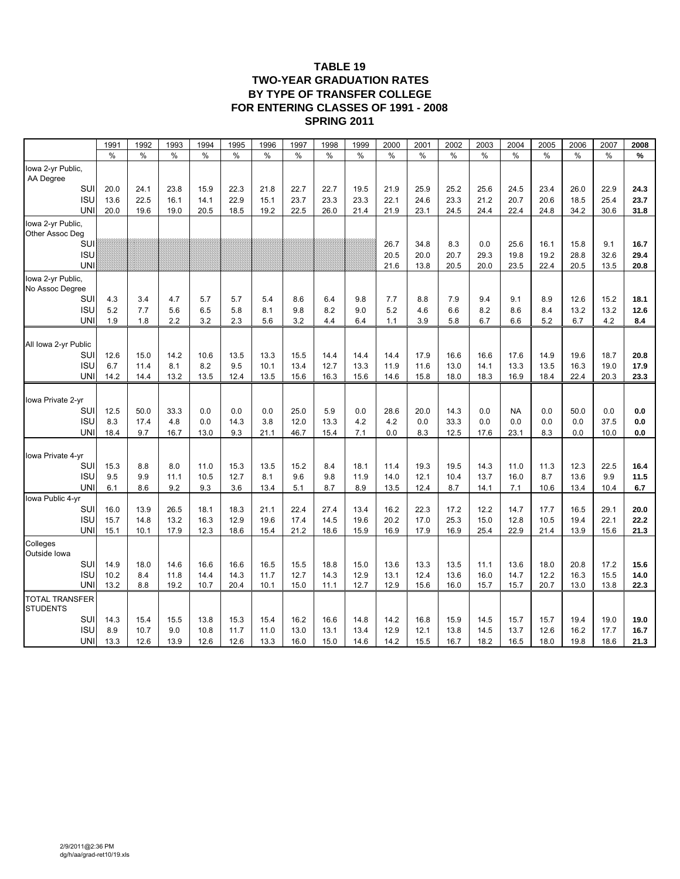#### **TABLE 19 TWO-YEAR GRADUATION RATES BY TYPE OF TRANSFER COLLEGE FOR ENTERING CLASSES OF 1991 - 2008 SPRING 2011**

|                                          | 1991       | 1992       | 1993       | 1994          | 1995          | 1996       | 1997       | 1998       | 1999       | 2000       | 2001       | 2002       | 2003       | 2004       | 2005       | 2006        | 2007        | 2008        |
|------------------------------------------|------------|------------|------------|---------------|---------------|------------|------------|------------|------------|------------|------------|------------|------------|------------|------------|-------------|-------------|-------------|
|                                          | $\%$       | $\%$       | %          | $\frac{0}{0}$ | $\frac{0}{0}$ | $\%$       | $\%$       | $\%$       | $\%$       | $\%$       | $\%$       | $\%$       | $\%$       | $\%$       | $\%$       | $\%$        | $\%$        | $\%$        |
| lowa 2-yr Public,<br>AA Degree           |            |            |            |               |               |            |            |            |            |            |            |            |            |            |            |             |             |             |
| SUI                                      | 20.0       | 24.1       | 23.8       | 15.9          | 22.3          | 21.8       | 22.7       | 22.7       | 19.5       | 21.9       | 25.9       | 25.2       | 25.6       | 24.5       | 23.4       | 26.0        | 22.9        | 24.3        |
| <b>ISU</b>                               | 13.6       | 22.5       | 16.1       | 14.1          | 22.9          | 15.1       | 23.7       | 23.3       | 23.3       | 22.1       | 24.6       | 23.3       | 21.2       | 20.7       | 20.6       | 18.5        | 25.4        | 23.7        |
| UNI                                      | 20.0       | 19.6       | 19.0       | 20.5          | 18.5          | 19.2       | 22.5       | 26.0       | 21.4       | 21.9       | 23.1       | 24.5       | 24.4       | 22.4       | 24.8       | 34.2        | 30.6        | 31.8        |
| lowa 2-yr Public,<br>Other Assoc Deg     |            |            |            |               |               |            |            |            |            |            |            |            |            |            |            |             |             |             |
| SUI                                      |            |            |            |               |               |            |            |            |            | 26.7       | 34.8       | 8.3        | 0.0        | 25.6       | 16.1       | 15.8        | 9.1         | 16.7        |
| <b>ISU</b>                               |            |            |            |               |               |            |            |            |            | 20.5       | 20.0       | 20.7       | 29.3       | 19.8       | 19.2       | 28.8        | 32.6        | 29.4        |
| UNI                                      |            |            |            |               |               |            |            |            |            | 21.6       | 13.8       | 20.5       | 20.0       | 23.5       | 22.4       | 20.5        | 13.5        | 20.8        |
| lowa 2-yr Public,<br>No Assoc Degree     |            |            |            |               |               |            |            |            |            |            |            |            |            |            |            |             |             |             |
| SUI                                      | 4.3        | 3.4        | 4.7        | 5.7           | 5.7           | 5.4        | 8.6        | 6.4        | 9.8        | 7.7        | 8.8        | 7.9        | 9.4        | 9.1        | 8.9        | 12.6        | 15.2        | 18.1        |
| <b>ISU</b><br>UNI                        | 5.2<br>1.9 | 7.7<br>1.8 | 5.6<br>2.2 | 6.5<br>3.2    | 5.8<br>2.3    | 8.1<br>5.6 | 9.8<br>3.2 | 8.2<br>4.4 | 9.0<br>6.4 | 5.2<br>1.1 | 4.6<br>3.9 | 6.6<br>5.8 | 8.2<br>6.7 | 8.6<br>6.6 | 8.4<br>5.2 | 13.2<br>6.7 | 13.2<br>4.2 | 12.6<br>8.4 |
|                                          |            |            |            |               |               |            |            |            |            |            |            |            |            |            |            |             |             |             |
| All Iowa 2-yr Public                     |            |            |            |               |               |            |            |            |            |            |            |            |            |            |            |             |             |             |
| SUI                                      | 12.6       | 15.0       | 14.2       | 10.6          | 13.5          | 13.3       | 15.5       | 14.4       | 14.4       | 14.4       | 17.9       | 16.6       | 16.6       | 17.6       | 14.9       | 19.6        | 18.7        | 20.8        |
| <b>ISU</b>                               | 6.7        | 11.4       | 8.1        | 8.2           | 9.5           | 10.1       | 13.4       | 12.7       | 13.3       | 11.9       | 11.6       | 13.0       | 14.1       | 13.3       | 13.5       | 16.3        | 19.0        | 17.9        |
| UNI                                      | 14.2       | 14.4       | 13.2       | 13.5          | 12.4          | 13.5       | 15.6       | 16.3       | 15.6       | 14.6       | 15.8       | 18.0       | 18.3       | 16.9       | 18.4       | 22.4        | 20.3        | 23.3        |
| lowa Private 2-yr                        |            |            |            |               |               |            |            |            |            |            |            |            |            |            |            |             |             |             |
| SUI                                      | 12.5       | 50.0       | 33.3       | 0.0           | 0.0           | 0.0        | 25.0       | 5.9        | 0.0        | 28.6       | 20.0       | 14.3       | 0.0        | <b>NA</b>  | 0.0        | 50.0        | 0.0         | 0.0         |
| <b>ISU</b>                               | 8.3        | 17.4       | 4.8        | 0.0           | 14.3          | 3.8        | 12.0       | 13.3       | 4.2        | 4.2        | 0.0        | 33.3       | 0.0        | 0.0        | 0.0        | 0.0         | 37.5        | 0.0         |
| UNI                                      | 18.4       | 9.7        | 16.7       | 13.0          | 9.3           | 21.1       | 46.7       | 15.4       | 7.1        | 0.0        | 8.3        | 12.5       | 17.6       | 23.1       | 8.3        | 0.0         | 10.0        | 0.0         |
| lowa Private 4-yr                        |            |            |            |               |               |            |            |            |            |            |            |            |            |            |            |             |             |             |
| SUI                                      | 15.3       | 8.8        | 8.0        | 11.0          | 15.3          | 13.5       | 15.2       | 8.4        | 18.1       | 11.4       | 19.3       | 19.5       | 14.3       | 11.0       | 11.3       | 12.3        | 22.5        | 16.4        |
| <b>ISU</b>                               | 9.5        | 9.9        | 11.1       | 10.5          | 12.7          | 8.1        | 9.6        | 9.8        | 11.9       | 14.0       | 12.1       | 10.4       | 13.7       | 16.0       | 8.7        | 13.6        | 9.9         | 11.5        |
| UNI                                      | 6.1        | 8.6        | 9.2        | 9.3           | 3.6           | 13.4       | 5.1        | 8.7        | 8.9        | 13.5       | 12.4       | 8.7        | 14.1       | 7.1        | 10.6       | 13.4        | 10.4        | 6.7         |
| lowa Public 4-yr<br>SUI                  | 16.0       | 13.9       | 26.5       | 18.1          | 18.3          | 21.1       | 22.4       | 27.4       | 13.4       | 16.2       | 22.3       | 17.2       | 12.2       | 14.7       | 17.7       | 16.5        | 29.1        | 20.0        |
| <b>ISU</b>                               | 15.7       | 14.8       | 13.2       | 16.3          | 12.9          | 19.6       | 17.4       | 14.5       | 19.6       | 20.2       | 17.0       | 25.3       | 15.0       | 12.8       | 10.5       | 19.4        | 22.1        | 22.2        |
| <b>UN</b>                                | 15.1       | 10.1       | 17.9       | 12.3          | 18.6          | 15.4       | 21.2       | 18.6       | 15.9       | 16.9       | 17.9       | 16.9       | 25.4       | 22.9       | 21.4       | 13.9        | 15.6        | 21.3        |
| Colleges<br>Outside Iowa                 |            |            |            |               |               |            |            |            |            |            |            |            |            |            |            |             |             |             |
| SUI                                      | 14.9       | 18.0       | 14.6       | 16.6          | 16.6          | 16.5       | 15.5       | 18.8       | 15.0       | 13.6       | 13.3       | 13.5       | 11.1       | 13.6       | 18.0       | 20.8        | 17.2        | 15.6        |
| <b>ISU</b>                               | 10.2       | 8.4        | 11.8       | 14.4          | 14.3          | 11.7       | 12.7       | 14.3       | 12.9       | 13.1       | 12.4       | 13.6       | 16.0       | 14.7       | 12.2       | 16.3        | 15.5        | 14.0        |
| UNI                                      | 13.2       | 8.8        | 19.2       | 10.7          | 20.4          | 10.1       | 15.0       | 11.1       | 12.7       | 12.9       | 15.6       | 16.0       | 15.7       | 15.7       | 20.7       | 13.0        | 13.8        | 22.3        |
| <b>TOTAL TRANSFER</b><br><b>STUDENTS</b> |            |            |            |               |               |            |            |            |            |            |            |            |            |            |            |             |             |             |
| SUI                                      | 14.3       | 15.4       | 15.5       | 13.8          | 15.3          | 15.4       | 16.2       | 16.6       | 14.8       | 14.2       | 16.8       | 15.9       | 14.5       | 15.7       | 15.7       | 19.4        | 19.0        | 19.0        |
| <b>ISU</b>                               | 8.9        | 10.7       | 9.0        | 10.8          | 11.7          | 11.0       | 13.0       | 13.1       | 13.4       | 12.9       | 12.1       | 13.8       | 14.5       | 13.7       | 12.6       | 16.2        | 17.7        | 16.7        |
| UNI                                      | 13.3       | 12.6       | 13.9       | 12.6          | 12.6          | 13.3       | 16.0       | 15.0       | 14.6       | 14.2       | 15.5       | 16.7       | 18.2       | 16.5       | 18.0       | 19.8        | 18.6        | 21.3        |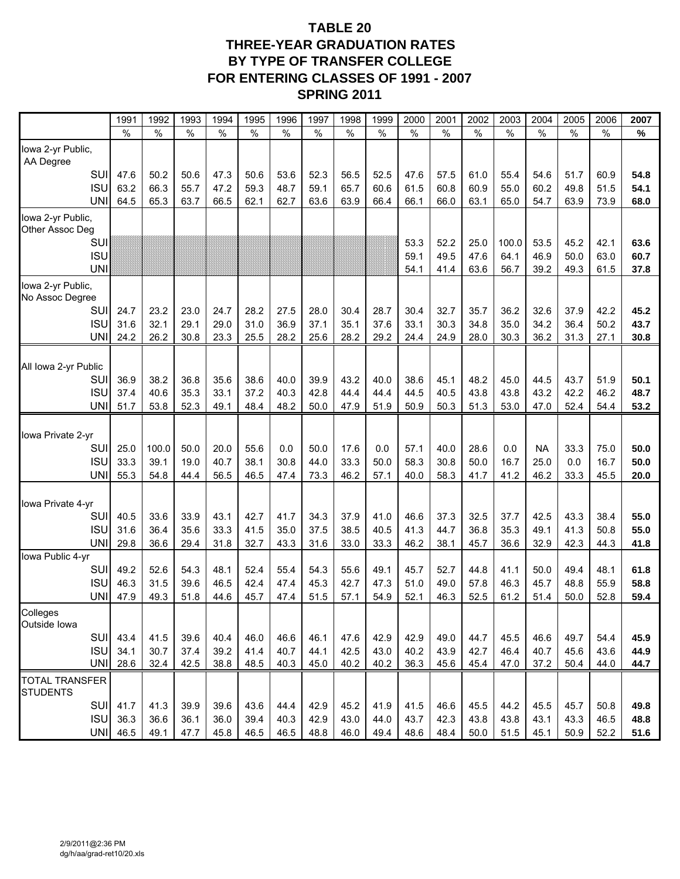## **TABLE 20 THREE-YEAR GRADUATION RATES BY TYPE OF TRANSFER COLLEGE FOR ENTERING CLASSES OF 1991 - 2007 SPRING 2011**

|                                | 1991          | 1992  | 1993 | 1994          | 1995         | 1996         | 1997         | 1998          | 1999 | 2000         | 2001          | 2002          | 2003          | 2004          | 2005          | 2006         | 2007         |
|--------------------------------|---------------|-------|------|---------------|--------------|--------------|--------------|---------------|------|--------------|---------------|---------------|---------------|---------------|---------------|--------------|--------------|
|                                | $\frac{0}{0}$ | $\%$  | %    | $\frac{0}{0}$ | $\%$         | $\%$         | $\%$         | $\frac{0}{0}$ | $\%$ | $\%$         | $\frac{0}{0}$ | $\frac{0}{0}$ | $\frac{0}{0}$ | $\frac{0}{0}$ | $\frac{0}{0}$ | $\%$         | $\%$         |
| Iowa 2-yr Public,<br>AA Degree |               |       |      |               |              |              |              |               |      |              |               |               |               |               |               |              |              |
| SUI                            | 47.6          | 50.2  | 50.6 | 47.3          | 50.6         | 53.6         | 52.3         | 56.5          | 52.5 | 47.6         | 57.5          | 61.0          | 55.4          | 54.6          | 51.7          | 60.9         | 54.8         |
| <b>ISU</b>                     | 63.2          | 66.3  | 55.7 | 47.2          | 59.3         | 48.7         | 59.1         | 65.7          | 60.6 | 61.5         | 60.8          | 60.9          | 55.0          | 60.2          | 49.8          | 51.5         | 54.1         |
| <b>UNI</b>                     | 64.5          | 65.3  | 63.7 | 66.5          | 62.1         | 62.7         | 63.6         | 63.9          | 66.4 | 66.1         | 66.0          | 63.1          | 65.0          | 54.7          | 63.9          | 73.9         | 68.0         |
| lowa 2-yr Public,              |               |       |      |               |              |              |              |               |      |              |               |               |               |               |               |              |              |
| Other Assoc Deg                |               |       |      |               |              |              |              |               |      |              |               |               |               |               |               |              |              |
| SUI<br><b>ISU</b>              |               |       |      |               |              |              |              |               |      | 53.3<br>59.1 | 52.2<br>49.5  | 25.0<br>47.6  | 100.0<br>64.1 | 53.5<br>46.9  | 45.2<br>50.0  | 42.1<br>63.0 | 63.6<br>60.7 |
| <b>UNI</b>                     |               |       |      |               |              |              |              |               |      | 54.1         | 41.4          | 63.6          | 56.7          | 39.2          | 49.3          | 61.5         | 37.8         |
| lowa 2-yr Public,              |               |       |      |               |              |              |              |               |      |              |               |               |               |               |               |              |              |
| No Assoc Degree                |               |       |      |               |              |              |              |               |      |              |               |               |               |               |               |              |              |
| SUI                            | 24.7          | 23.2  | 23.0 | 24.7          | 28.2         | 27.5         | 28.0         | 30.4          | 28.7 | 30.4         | 32.7          | 35.7          | 36.2          | 32.6          | 37.9          | 42.2         | 45.2         |
| <b>ISU</b>                     | 31.6          | 32.1  | 29.1 | 29.0          | 31.0         | 36.9         | 37.1         | 35.1          | 37.6 | 33.1         | 30.3          | 34.8          | 35.0          | 34.2          | 36.4          | 50.2         | 43.7         |
| <b>UNI</b>                     | 24.2          | 26.2  | 30.8 | 23.3          | 25.5         | 28.2         | 25.6         | 28.2          | 29.2 | 24.4         | 24.9          | 28.0          | 30.3          | 36.2          | 31.3          | 27.1         | 30.8         |
|                                |               |       |      |               |              |              |              |               |      |              |               |               |               |               |               |              |              |
| All Iowa 2-yr Public           |               |       |      |               |              |              |              |               |      |              |               |               |               |               |               |              |              |
| SUI                            | 36.9          | 38.2  | 36.8 | 35.6          | 38.6         | 40.0         | 39.9         | 43.2          | 40.0 | 38.6         | 45.1          | 48.2          | 45.0          | 44.5          | 43.7          | 51.9         | 50.1         |
| <b>ISU</b><br><b>UNI</b>       | 37.4          | 40.6  | 35.3 | 33.1<br>49.1  | 37.2<br>48.4 | 40.3<br>48.2 | 42.8<br>50.0 | 44.4<br>47.9  | 44.4 | 44.5         | 40.5          | 43.8<br>51.3  | 43.8<br>53.0  | 43.2<br>47.0  | 42.2<br>52.4  | 46.2<br>54.4 | 48.7<br>53.2 |
|                                | 51.7          | 53.8  | 52.3 |               |              |              |              |               | 51.9 | 50.9         | 50.3          |               |               |               |               |              |              |
| Iowa Private 2-yr              |               |       |      |               |              |              |              |               |      |              |               |               |               |               |               |              |              |
| <b>SUI</b>                     | 25.0          | 100.0 | 50.0 | 20.0          | 55.6         | 0.0          | 50.0         | 17.6          | 0.0  | 57.1         | 40.0          | 28.6          | 0.0           | <b>NA</b>     | 33.3          | 75.0         | 50.0         |
| <b>ISU</b>                     | 33.3          | 39.1  | 19.0 | 40.7          | 38.1         | 30.8         | 44.0         | 33.3          | 50.0 | 58.3         | 30.8          | 50.0          | 16.7          | 25.0          | 0.0           | 16.7         | 50.0         |
| <b>UNI</b>                     | 55.3          | 54.8  | 44.4 | 56.5          | 46.5         | 47.4         | 73.3         | 46.2          | 57.1 | 40.0         | 58.3          | 41.7          | 41.2          | 46.2          | 33.3          | 45.5         | 20.0         |
|                                |               |       |      |               |              |              |              |               |      |              |               |               |               |               |               |              |              |
| Iowa Private 4-yr              |               |       |      |               |              |              |              |               |      |              |               |               |               |               |               |              |              |
| <b>SUI</b>                     | 40.5          | 33.6  | 33.9 | 43.1          | 42.7         | 41.7         | 34.3         | 37.9          | 41.0 | 46.6         | 37.3          | 32.5          | 37.7          | 42.5          | 43.3          | 38.4         | 55.0         |
| <b>ISU</b>                     | 31.6          | 36.4  | 35.6 | 33.3          | 41.5         | 35.0         | 37.5         | 38.5          | 40.5 | 41.3         | 44.7          | 36.8          | 35.3          | 49.1          | 41.3          | 50.8         | 55.0         |
| <b>UNI</b>                     | 29.8          | 36.6  | 29.4 | 31.8          | 32.7         | 43.3         | 31.6         | 33.0          | 33.3 | 46.2         | 38.1          | 45.7          | 36.6          | 32.9          | 42.3          | 44.3         | 41.8         |
| lowa Public 4-yr<br>SUI        | 49.2          | 52.6  | 54.3 | 48.1          | 52.4         | 55.4         | 54.3         | 55.6          | 49.1 | 45.7         | 52.7          | 44.8          | 41.1          | 50.0          | 49.4          | 48.1         | 61.8         |
| <b>ISU</b>                     | 46.3          | 31.5  | 39.6 | 46.5          | 42.4         | 47.4         | 45.3         | 42.7          | 47.3 | 51.0         | 49.0          | 57.8          | 46.3          | 45.7          | 48.8          | 55.9         | 58.8         |
| <b>UNI</b>                     | 47.9          | 49.3  | 51.8 | 44.6          | 45.7         | 47.4         | 51.5         | 57.1          | 54.9 | 52.1         | 46.3          | 52.5          | 61.2          | 51.4          | 50.0          | 52.8         | 59.4         |
| Colleges                       |               |       |      |               |              |              |              |               |      |              |               |               |               |               |               |              |              |
| Outside Iowa                   |               |       |      |               |              |              |              |               |      |              |               |               |               |               |               |              |              |
| SUI                            | 43.4          | 41.5  | 39.6 | 40.4          | 46.0         | 46.6         | 46.1         | 47.6          | 42.9 | 42.9         | 49.0          | 44.7          | 45.5          | 46.6          | 49.7          | 54.4         | 45.9         |
| <b>ISU</b>                     | 34.1          | 30.7  | 37.4 | 39.2          | 41.4         | 40.7         | 44.1         | 42.5          | 43.0 | 40.2         | 43.9          | 42.7          | 46.4          | 40.7          | 45.6          | 43.6         | 44.9         |
| UNII                           | 28.6          | 32.4  | 42.5 | 38.8          | 48.5         | 40.3         | 45.0         | 40.2          | 40.2 | 36.3         | 45.6          | 45.4          | 47.0          | 37.2          | 50.4          | 44.0         | 44.7         |
| <b>TOTAL TRANSFER</b>          |               |       |      |               |              |              |              |               |      |              |               |               |               |               |               |              |              |
| <b>STUDENTS</b>                |               |       |      |               |              |              |              |               |      |              |               |               |               |               |               |              |              |
| SUI                            | 41.7          | 41.3  | 39.9 | 39.6          | 43.6         | 44.4         | 42.9         | 45.2          | 41.9 | 41.5         | 46.6          | 45.5          | 44.2          | 45.5          | 45.7          | 50.8         | 49.8         |
| <b>ISU</b><br><b>UNI</b>       | 36.3<br>46.5  | 36.6  | 36.1 | 36.0          | 39.4         | 40.3         | 42.9         | 43.0          | 44.0 | 43.7         | 42.3          | 43.8          | 43.8          | 43.1          | 43.3          | 46.5         | 48.8         |
|                                |               | 49.1  | 47.7 | 45.8          | 46.5         | 46.5         | 48.8         | 46.0          | 49.4 | 48.6         | 48.4          | 50.0          | 51.5          | 45.1          | 50.9          | 52.2         | 51.6         |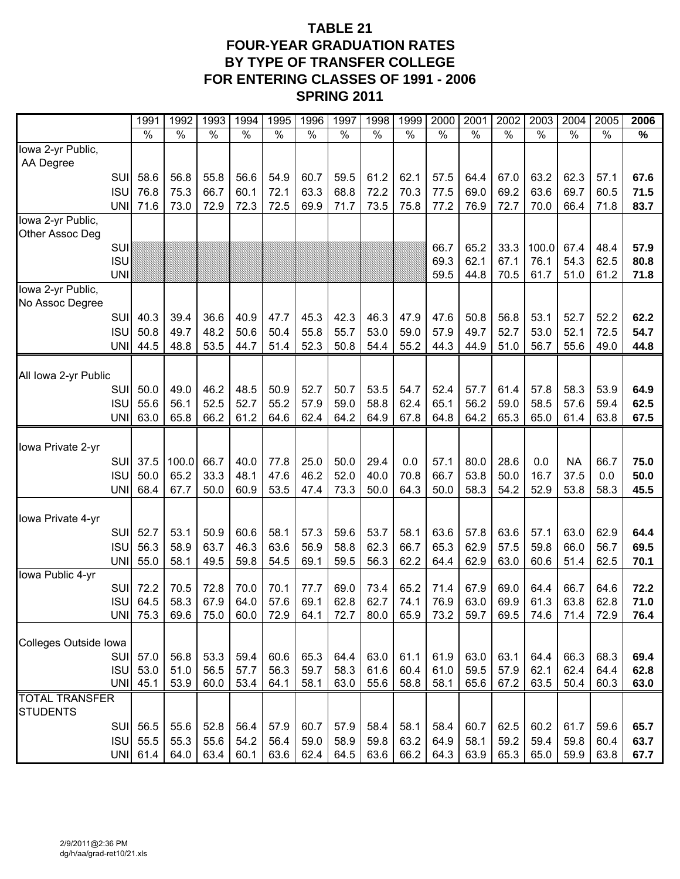## **TABLE 21 FOUR-YEAR GRADUATION RATES BY TYPE OF TRANSFER COLLEGE FOR ENTERING CLASSES OF 1991 - 2006 SPRING 2011**

|                                      |                          | 1991            | 1992          | 1993          | 1994          | 1995          | 1996         | 1997          | 1998          | 1999          | 2000          | 2001          | 2002          | 2003          | 2004          | 2005          | 2006          |
|--------------------------------------|--------------------------|-----------------|---------------|---------------|---------------|---------------|--------------|---------------|---------------|---------------|---------------|---------------|---------------|---------------|---------------|---------------|---------------|
|                                      |                          | $\frac{9}{6}$   | $\frac{0}{6}$ | $\frac{9}{6}$ | $\frac{1}{2}$ | $\frac{1}{2}$ | $\sqrt{2}$   | $\frac{1}{2}$ | $\frac{1}{2}$ | $\frac{1}{2}$ | $\frac{0}{6}$ | $\frac{0}{6}$ | $\frac{0}{6}$ | $\frac{0}{6}$ | $\frac{0}{6}$ | $\frac{1}{2}$ | $\frac{9}{6}$ |
| lowa 2-yr Public,<br>AA Degree       |                          |                 |               |               |               |               |              |               |               |               |               |               |               |               |               |               |               |
|                                      | SUI                      | 58.6            | 56.8          | 55.8          | 56.6          | 54.9          | 60.7         | 59.5          | 61.2          | 62.1          | 57.5          | 64.4          | 67.0          | 63.2          | 62.3          | 57.1          | 67.6          |
|                                      | <b>ISU</b>               | 76.8            | 75.3          | 66.7          | 60.1          | 72.1          | 63.3         | 68.8          | 72.2          | 70.3          | 77.5          | 69.0          | 69.2          | 63.6          | 69.7          | 60.5          | 71.5          |
|                                      | <b>UNI</b>               | 71.6            | 73.0          | 72.9          | 72.3          | 72.5          | 69.9         | 71.7          | 73.5          | 75.8          | 77.2          | 76.9          | 72.7          | 70.0          | 66.4          | 71.8          | 83.7          |
| lowa 2-yr Public,<br>Other Assoc Deg |                          |                 |               |               |               |               |              |               |               |               |               |               |               |               |               |               |               |
|                                      | SUI                      |                 |               |               |               |               |              |               |               |               | 66.7          | 65.2          | 33.3          | 100.0         | 67.4          | 48.4          | 57.9          |
|                                      | <b>ISU</b>               |                 |               |               |               |               |              |               |               |               | 69.3          | 62.1          | 67.1          | 76.1          | 54.3          | 62.5          | 80.8          |
|                                      | <b>UNI</b>               |                 |               |               |               |               |              |               |               |               | 59.5          | 44.8          | 70.5          | 61.7          | 51.0          | 61.2          | 71.8          |
| Iowa 2-yr Public,                    |                          |                 |               |               |               |               |              |               |               |               |               |               |               |               |               |               |               |
| No Assoc Degree                      |                          |                 |               |               |               |               |              |               |               |               |               |               |               |               |               |               |               |
|                                      | SUI                      | 40.3            | 39.4          | 36.6          | 40.9          | 47.7          | 45.3         | 42.3          | 46.3          | 47.9          | 47.6          | 50.8          | 56.8          | 53.1          | 52.7          | 52.2          | 62.2          |
|                                      | <b>ISU</b><br><b>UNI</b> | 50.8<br>44.5    | 49.7<br>48.8  | 48.2<br>53.5  | 50.6<br>44.7  | 50.4<br>51.4  | 55.8<br>52.3 | 55.7<br>50.8  | 53.0<br>54.4  | 59.0<br>55.2  | 57.9<br>44.3  | 49.7<br>44.9  | 52.7<br>51.0  | 53.0<br>56.7  | 52.1<br>55.6  | 72.5<br>49.0  | 54.7<br>44.8  |
|                                      |                          |                 |               |               |               |               |              |               |               |               |               |               |               |               |               |               |               |
| All Iowa 2-yr Public                 |                          |                 |               |               |               |               |              |               |               |               |               |               |               |               |               |               |               |
|                                      | SUI                      | 50.0            | 49.0          | 46.2          | 48.5          | 50.9          | 52.7         | 50.7          | 53.5          | 54.7          | 52.4          | 57.7          | 61.4          | 57.8          | 58.3          | 53.9          | 64.9          |
|                                      | <b>ISU</b>               | 55.6            | 56.1          | 52.5          | 52.7          | 55.2          | 57.9         | 59.0          | 58.8          | 62.4          | 65.1          | 56.2          | 59.0          | 58.5          | 57.6          | 59.4          | 62.5          |
|                                      | <b>UNI</b>               | 63.0            | 65.8          | 66.2          | 61.2          | 64.6          | 62.4         | 64.2          | 64.9          | 67.8          | 64.8          | 64.2          | 65.3          | 65.0          | 61.4          | 63.8          | 67.5          |
|                                      |                          |                 |               |               |               |               |              |               |               |               |               |               |               |               |               |               |               |
| Iowa Private 2-yr                    | SUI                      | 37.5            | 100.0         | 66.7          | 40.0          | 77.8          | 25.0         | 50.0          | 29.4          | 0.0           | 57.1          | 80.0          | 28.6          | 0.0           | <b>NA</b>     | 66.7          | 75.0          |
|                                      | <b>ISU</b>               | 50.0            | 65.2          | 33.3          | 48.1          | 47.6          | 46.2         | 52.0          | 40.0          | 70.8          | 66.7          | 53.8          | 50.0          | 16.7          | 37.5          | 0.0           | 50.0          |
|                                      | <b>UNI</b>               | 68.4            | 67.7          | 50.0          | 60.9          | 53.5          | 47.4         | 73.3          | 50.0          | 64.3          | 50.0          | 58.3          | 54.2          | 52.9          | 53.8          | 58.3          | 45.5          |
|                                      |                          |                 |               |               |               |               |              |               |               |               |               |               |               |               |               |               |               |
| Iowa Private 4-yr                    |                          |                 |               |               |               |               |              |               |               |               |               |               |               |               |               |               |               |
|                                      | SUI                      | 52.7            | 53.1          | 50.9          | 60.6          | 58.1          | 57.3         | 59.6          | 53.7          | 58.1          | 63.6          | 57.8          | 63.6          | 57.1          | 63.0          | 62.9          | 64.4          |
|                                      | <b>ISU</b>               | 56.3            | 58.9          | 63.7          | 46.3          | 63.6          | 56.9         | 58.8          | 62.3          | 66.7          | 65.3          | 62.9          | 57.5          | 59.8          | 66.0          | 56.7          | 69.5          |
| Iowa Public 4-yr                     | <b>UNI</b>               | 55.0            | 58.1          | 49.5          | 59.8          | 54.5          | 69.1         | 59.5          | 56.3          | 62.2          | 64.4          | 62.9          | 63.0          | 60.6          | 51.4          | 62.5          | 70.1          |
|                                      | SUI                      | 72.2            | 70.5          | 72.8          | 70.0          | 70.1          | 77.7         | 69.0          | 73.4          | 65.2          | 71.4          | 67.9          | 69.0          | 64.4          | 66.7          | 64.6          | 72.2          |
|                                      | <b>ISU</b>               | 64.5            | 58.3          | 67.9          | 64.0          | 57.6          | 69.1         | 62.8          | 62.7          | 74.1          | 76.9          | 63.0          | 69.9          | 61.3          | 63.8          | 62.8          | 71.0          |
|                                      | <b>UNI</b>               | 75.3            | 69.6          | 75.0          | 60.0          | 72.9          | 64.1         | 72.7          | 80.0          | 65.9          | 73.2          | 59.7          | 69.5          | 74.6          | 71.4          | 72.9          | 76.4          |
|                                      |                          |                 |               |               |               |               |              |               |               |               |               |               |               |               |               |               |               |
| Colleges Outside Iowa                | <b>SUI</b>               | 57.0            | 56.8          | 53.3          | 59.4          | 60.6          | 65.3         | 64.4          | 63.0          | 61.1          | 61.9          | 63.0          | 63.1          | 64.4          | 66.3          | 68.3          | 69.4          |
|                                      | <b>ISU</b>               | 53.0            | 51.0          | 56.5          | 57.7          | 56.3          | 59.7         | 58.3          | 61.6          | 60.4          | 61.0          | 59.5          | 57.9          | 62.1          | 62.4          | 64.4          | 62.8          |
|                                      |                          | <b>UNI 45.1</b> | 53.9          | 60.0          | 53.4          | 64.1          | 58.1         | 63.0          | 55.6          | 58.8          | 58.1          | 65.6          | 67.2          | 63.5          | 50.4          | 60.3          | 63.0          |
| <b>TOTAL TRANSFER</b>                |                          |                 |               |               |               |               |              |               |               |               |               |               |               |               |               |               |               |
| <b>STUDENTS</b>                      |                          |                 |               |               |               |               |              |               |               |               |               |               |               |               |               |               |               |
|                                      |                          | SUI 56.5        | 55.6          | 52.8          | 56.4          | 57.9          | 60.7         | 57.9          | 58.4          | 58.1          | 58.4          | 60.7          | 62.5          | 60.2          | 61.7          | 59.6          | 65.7          |
|                                      | <b>ISU</b>               | 55.5            | 55.3          | 55.6          | 54.2          | 56.4          | 59.0         | 58.9          | 59.8          | 63.2          | 64.9          | 58.1          | 59.2          | 59.4          | 59.8          | 60.4          | 63.7          |
|                                      |                          | UNI 61.4        | 64.0          | 63.4          | 60.1          | 63.6          | 62.4         | 64.5          | 63.6          | 66.2          | 64.3          | 63.9          | 65.3          | 65.0          | 59.9          | 63.8          | 67.7          |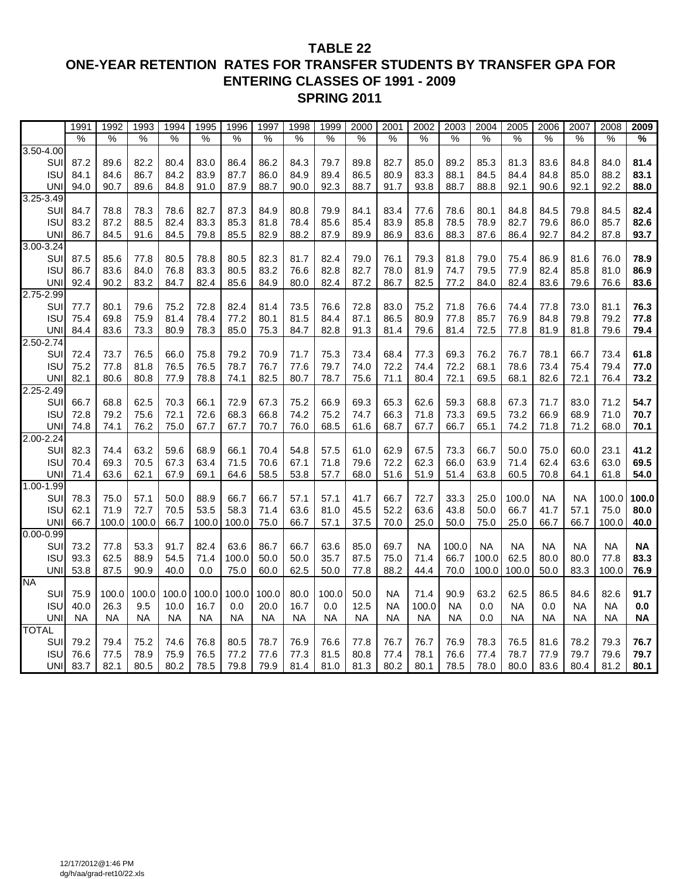#### **TABLE 22 ONE-YEAR RETENTION RATES FOR TRANSFER STUDENTS BY TRANSFER GPA FOR ENTERING CLASSES OF 1991 - 2009 SPRING 2011**

|                            | 1991          | 1992          | 1993          | 1994          | 1995      | 1996          | 1997          | 1998          | 1999          | 2000      | 2001      | 2002          | 2003          | 2004          | 2005          | 2006          | 2007       | 2008          | 2009          |
|----------------------------|---------------|---------------|---------------|---------------|-----------|---------------|---------------|---------------|---------------|-----------|-----------|---------------|---------------|---------------|---------------|---------------|------------|---------------|---------------|
|                            | $\frac{0}{6}$ | $\frac{0}{6}$ | $\frac{0}{6}$ | $\frac{0}{6}$ | %         | $\frac{0}{6}$ | $\frac{0}{0}$ | $\frac{0}{6}$ | $\frac{0}{6}$ | %         | %         | $\frac{0}{0}$ | $\frac{0}{6}$ | $\frac{0}{6}$ | $\frac{0}{6}$ | $\frac{0}{6}$ | %          | $\frac{0}{6}$ | $\frac{9}{6}$ |
| $3.50 - 4.00$              |               |               |               |               |           |               |               |               |               |           |           |               |               |               |               |               |            |               |               |
| SU                         | 87.2          | 89.6          | 82.2          | 80.4          | 83.0      | 86.4          | 86.2          | 84.3          | 79.7          | 89.8      | 82.7      | 85.0          | 89.2          | 85.3          | 81.3          | 83.6          | 84.8       | 84.0          | 81.4          |
| <b>ISU</b>                 | 84.1          | 84.6          | 86.7          | 84.2          | 83.9      | 87.7          | 86.0          | 84.9          | 89.4          | 86.5      | 80.9      | 83.3          | 88.1          | 84.5          | 84.4          | 84.8          | 85.0       | 88.2          | 83.1          |
| <b>UN</b>                  | 94.0          | 90.7          | 89.6          | 84.8          | 91.0      | 87.9          | 88.7          | 90.0          | 92.3          | 88.7      | 91.7      | 93.8          | 88.7          | 88.8          | 92.1          | 90.6          | 92.1       | 92.2          | 88.0          |
| $3.25 - 3.49$              |               |               |               |               |           |               |               |               |               |           |           |               |               |               |               |               |            |               |               |
| SU                         | 84.7          | 78.8          | 78.3          | 78.6          | 82.7      | 87.3          | 84.9          | 80.8          | 79.9          | 84.1      | 83.4      | 77.6          | 78.6          | 80.1          | 84.8          | 84.5          | 79.8       | 84.5          | 82.4          |
| <b>ISU</b>                 | 83.2          | 87.2          | 88.5          | 82.4          | 83.3      | 85.3          | 81.8          | 78.4          | 85.6          | 85.4      | 83.9      | 85.8          | 78.5          | 78.9          | 82.7          | 79.6          | 86.0       | 85.7          | 82.6          |
| <b>UN</b>                  | 86.7          | 84.5          | 91.6          | 84.5          | 79.8      | 85.5          | 82.9          | 88.2          | 87.9          | 89.9      | 86.9      | 83.6          | 88.3          | 87.6          | 86.4          | 92.7          | 84.2       | 87.8          | 93.7          |
| $3.00 - 3.24$              |               |               |               |               |           |               |               |               |               |           |           |               |               |               |               |               |            |               |               |
| SU                         | 87.5          | 85.6          | 77.8          | 80.5          | 78.8      | 80.5          | 82.3          | 81.7          | 82.4          | 79.0      | 76.1      | 79.3          | 81.8          | 79.0          | 75.4          | 86.9          | 81.6       | 76.0          | 78.9          |
| <b>ISU</b>                 | 86.7          | 83.6          | 84.0          | 76.8          | 83.3      | 80.5          | 83.2          | 76.6          | 82.8          | 82.7      | 78.0      | 81.9          | 74.7          | 79.5          | 77.9          | 82.4          | 85.8       | 81.0          | 86.9          |
| <b>UN</b>                  | 92.4          | 90.2          | 83.2          | 84.7          | 82.4      | 85.6          | 84.9          | 80.0          | 82.4          | 87.2      | 86.7      | 82.5          | 77.2          | 84.0          | 82.4          | 83.6          | 79.6       | 76.6          | 83.6          |
| $2.75 - 2.99$              |               |               |               |               |           |               |               |               |               |           |           |               |               |               |               |               |            |               |               |
| SU                         | 77.7          | 80.1          | 79.6          | 75.2          | 72.8      | 82.4          | 81.4          | 73.5          | 76.6          | 72.8      | 83.0      | 75.2          | 71.8          | 76.6          | 74.4          | 77.8          | 73.0       | 81.1          | 76.3          |
| <b>ISU</b>                 | 75.4          | 69.8          | 75.9          | 81.4          | 78.4      | 77.2          | 80.1          | 81.5          | 84.4          | 87.1      | 86.5      | 80.9          | 77.8          | 85.7          | 76.9          | 84.8          | 79.8       | 79.2          | 77.8          |
| <b>UN</b>                  | 84.4          | 83.6          | 73.3          | 80.9          | 78.3      | 85.0          | 75.3          | 84.7          | 82.8          | 91.3      | 81.4      | 79.6          | 81.4          | 72.5          | 77.8          | 81.9          | 81.8       | 79.6          | 79.4          |
| $2.50 - 2.74$              |               |               |               |               |           |               |               |               |               |           |           |               |               |               |               |               |            |               |               |
| SU                         | 72.4          | 73.7          | 76.5          | 66.0          | 75.8      | 79.2          | 70.9          | 71.7          | 75.3          | 73.4      | 68.4      | 77.3          | 69.3          | 76.2          | 76.7          | 78.1          | 66.7       | 73.4          | 61.8          |
| <b>ISU</b>                 | 75.2          | 77.8          | 81.8          | 76.5          | 76.5      | 78.7          | 76.7          | 77.6          | 79.7          | 74.0      | 72.2      | 74.4          | 72.2          | 68.1          | 78.6          | 73.4          | 75.4       | 79.4          | 77.0          |
| <b>UN</b>                  | 82.1          | 80.6          | 80.8          | 77.9          | 78.8      | 74.1          | 82.5          | 80.7          | 78.7          | 75.6      | 71.1      | 80.4          | 72.1          | 69.5          | 68.1          | 82.6          | 72.1       | 76.4          | 73.2          |
| $2.25 - 2.49$              |               |               |               |               |           |               |               |               |               |           |           |               |               |               |               |               |            |               |               |
| <b>SU</b>                  | 66.7          | 68.8          | 62.5          | 70.3          | 66.1      | 72.9          | 67.3          | 75.2          | 66.9          | 69.3      | 65.3      | 62.6          | 59.3          | 68.8          | 67.3          | 71.7          | 83.0       | 71.2          | 54.7          |
| <b>ISU</b>                 | 72.8          | 79.2          | 75.6          | 72.1          | 72.6      | 68.3          | 66.8          | 74.2          | 75.2          | 74.7      | 66.3      | 71.8          | 73.3          | 69.5          | 73.2          | 66.9          | 68.9       | 71.0          | 70.7          |
| <b>UN</b>                  | 74.8          | 74.1          | 76.2          | 75.0          | 67.7      | 67.7          | 70.7          | 76.0          | 68.5          | 61.6      | 68.7      | 67.7          | 66.7          | 65.1          | 74.2          | 71.8          | 71.2       | 68.0          | 70.1          |
| $2.00 - 2.24$              |               |               |               |               |           |               |               |               |               |           |           |               |               |               |               |               |            |               |               |
| SUI                        | 82.3          | 74.4          | 63.2          | 59.6          | 68.9      | 66.1          | 70.4          | 54.8          | 57.5          | 61.0      | 62.9      | 67.5          | 73.3          | 66.7          | 50.0          | 75.0          | 60.0       | 23.1          | 41.2          |
| <b>ISU</b>                 | 70.4          | 69.3          | 70.5          | 67.3          | 63.4      | 71.5          | 70.6          | 67.1          | 71.8          | 79.6      | 72.2      | 62.3          | 66.0          | 63.9          | 71.4          | 62.4          | 63.6       | 63.0          | 69.5          |
| <b>UN</b><br>$1.00 - 1.99$ | 71.4          | 63.6          | 62.1          | 67.9          | 69.1      | 64.6          | 58.5          | 53.8          | 57.7          | 68.0      | 51.6      | 51.9          | 51.4          | 63.8          | 60.5          | 70.8          | 64.1       | 61.8          | 54.0          |
| SU                         |               |               |               | 50.0          | 88.9      | 66.7          | 66.7          |               | 57.1          | 41.7      | 66.7      | 72.7          |               |               | 100.0         | <b>NA</b>     |            |               | 100.0         |
| <b>ISU</b>                 | 78.3<br>62.1  | 75.0<br>71.9  | 57.1<br>72.7  | 70.5          | 53.5      | 58.3          | 71.4          | 57.1<br>63.6  | 81.0          | 45.5      | 52.2      | 63.6          | 33.3<br>43.8  | 25.0<br>50.0  | 66.7          | 41.7          | NA<br>57.1 | 100.0<br>75.0 | 80.0          |
| UN                         | 66.7          | 100.0         | 100.0         | 66.7          | 100.0     | 100.0         | 75.0          | 66.7          | 57.1          | 37.5      | 70.0      | 25.0          | 50.0          | 75.0          | 25.0          | 66.7          | 66.7       | 100.0         | 40.0          |
| $0.00 - 0.99$              |               |               |               |               |           |               |               |               |               |           |           |               |               |               |               |               |            |               |               |
| SU                         | 73.2          | 77.8          | 53.3          | 91.7          | 82.4      | 63.6          | 86.7          | 66.7          | 63.6          | 85.0      | 69.7      | <b>NA</b>     | 100.0         | <b>NA</b>     | <b>NA</b>     | <b>NA</b>     | <b>NA</b>  | <b>NA</b>     | <b>NA</b>     |
| <b>ISU</b>                 | 93.3          | 62.5          | 88.9          | 54.5          | 71.4      | 100.0         | 50.0          | 50.0          | 35.7          | 87.5      | 75.0      | 71.4          | 66.7          | 100.0         | 62.5          | 80.0          | 80.0       | 77.8          | 83.3          |
| <b>UN</b>                  | 53.8          | 87.5          | 90.9          | 40.0          | 0.0       | 75.0          | 60.0          | 62.5          | 50.0          | 77.8      | 88.2      | 44.4          | 70.0          | 100.0         | 100.0         | 50.0          | 83.3       | 100.0         | 76.9          |
| <b>NA</b>                  |               |               |               |               |           |               |               |               |               |           |           |               |               |               |               |               |            |               |               |
| SU                         | 75.9          | 100.0         | 100.0         | 100.0         | 100.0     | 100.0         | 100.0         | 80.0          | 100.0         | 50.0      | <b>NA</b> | 71.4          | 90.9          | 63.2          | 62.5          | 86.5          | 84.6       | 82.6          | 91.7          |
| <b>ISU</b>                 | 40.0          | 26.3          | 9.5           | 10.0          | 16.7      | 0.0           | 20.0          | 16.7          | 0.0           | 12.5      | <b>NA</b> | 100.0         | <b>NA</b>     | 0.0           | <b>NA</b>     | 0.0           | <b>NA</b>  | <b>NA</b>     | 0.0           |
| <b>UN</b>                  | <b>NA</b>     | <b>NA</b>     | <b>NA</b>     | <b>NA</b>     | <b>NA</b> | <b>NA</b>     | <b>NA</b>     | <b>NA</b>     | <b>NA</b>     | <b>NA</b> | <b>NA</b> | <b>NA</b>     | <b>NA</b>     | 0.0           | <b>NA</b>     | <b>NA</b>     | <b>NA</b>  | <b>NA</b>     | <b>NA</b>     |
| <b>TOTAL</b>               |               |               |               |               |           |               |               |               |               |           |           |               |               |               |               |               |            |               |               |
| SU                         | 79.2          | 79.4          | 75.2          | 74.6          | 76.8      | 80.5          | 78.7          | 76.9          | 76.6          | 77.8      | 76.7      | 76.7          | 76.9          | 78.3          | 76.5          | 81.6          | 78.2       | 79.3          | 76.7          |
| <b>ISU</b>                 | 76.6          | 77.5          | 78.9          | 75.9          | 76.5      | 77.2          | 77.6          | 77.3          | 81.5          | 80.8      | 77.4      | 78.1          | 76.6          | 77.4          | 78.7          | 77.9          | 79.7       | 79.6          | 79.7          |
| <b>UNI</b>                 | 83.7          | 82.1          | 80.5          | 80.2          | 78.5      | 79.8          | 79.9          | 81.4          | 81.0          | 81.3      | 80.2      | 80.1          | 78.5          | 78.0          | 80.0          | 83.6          | 80.4       | 81.2          | 80.1          |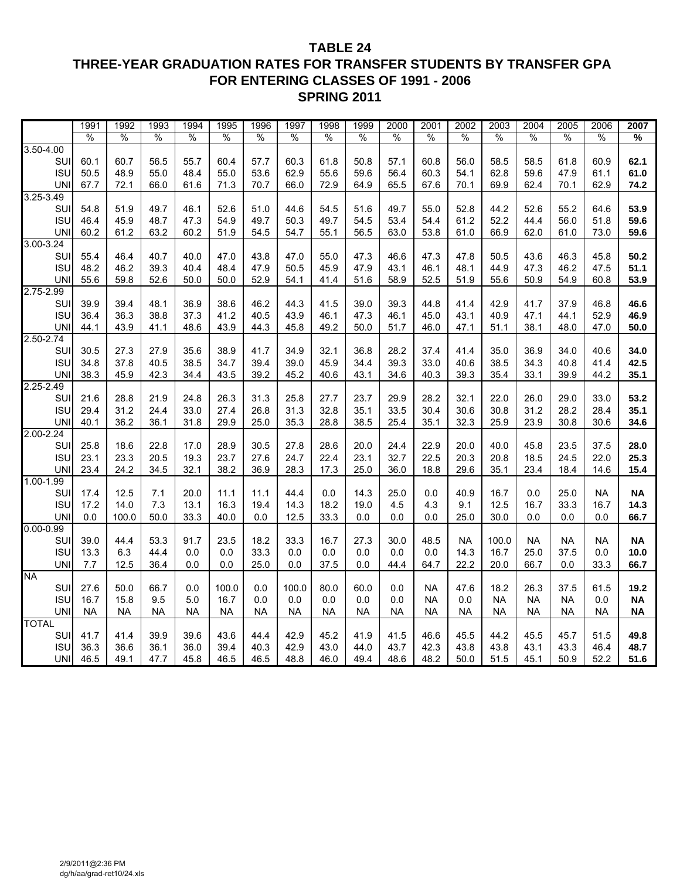#### **TABLE 24 THREE-YEAR GRADUATION RATES FOR TRANSFER STUDENTS BY TRANSFER GPA FOR ENTERING CLASSES OF 1991 - 2006 SPRING 2011**

|               | 1991          | 1992          | 1993      | 1994          | 1995          | 1996          | 1997          | 1998          | 1999          | 2000      | 2001          | 2002      | 2003          | 2004          | 2005          | 2006          | 2007          |
|---------------|---------------|---------------|-----------|---------------|---------------|---------------|---------------|---------------|---------------|-----------|---------------|-----------|---------------|---------------|---------------|---------------|---------------|
|               | $\frac{0}{0}$ | $\frac{0}{0}$ | $\%$      | $\frac{0}{0}$ | $\frac{0}{0}$ | $\frac{0}{0}$ | $\frac{0}{0}$ | $\frac{0}{0}$ | $\frac{0}{0}$ | $\%$      | $\frac{0}{0}$ | $\%$      | $\frac{0}{0}$ | $\frac{0}{0}$ | $\frac{0}{0}$ | $\frac{0}{0}$ | $\frac{1}{2}$ |
| $3.50 - 4.00$ |               |               |           |               |               |               |               |               |               |           |               |           |               |               |               |               |               |
| SUI           | 60.1          | 60.7          | 56.5      | 55.7          | 60.4          | 57.7          | 60.3          | 61.8          | 50.8          | 57.1      | 60.8          | 56.0      | 58.5          | 58.5          | 61.8          | 60.9          | 62.1          |
| <b>ISU</b>    | 50.5          | 48.9          | 55.0      | 48.4          | 55.0          | 53.6          | 62.9          | 55.6          | 59.6          | 56.4      | 60.3          | 54.1      | 62.8          | 59.6          | 47.9          | 61.1          | 61.0          |
| <b>UNI</b>    | 67.7          | 72.1          | 66.0      | 61.6          | 71.3          | 70.7          | 66.0          | 72.9          | 64.9          | 65.5      | 67.6          | 70.1      | 69.9          | 62.4          | 70.1          | 62.9          | 74.2          |
| $3.25 - 3.49$ |               |               |           |               |               |               |               |               |               |           |               |           |               |               |               |               |               |
| SUI           | 54.8          | 51.9          | 49.7      | 46.1          | 52.6          | 51.0          | 44.6          | 54.5          | 51.6          | 49.7      | 55.0          | 52.8      | 44.2          | 52.6          | 55.2          | 64.6          | 53.9          |
| <b>ISU</b>    | 46.4          | 45.9          | 48.7      | 47.3          | 54.9          | 49.7          | 50.3          | 49.7          | 54.5          | 53.4      | 54.4          | 61.2      | 52.2          | 44.4          | 56.0          | 51.8          | 59.6          |
| <b>UNI</b>    | 60.2          | 61.2          | 63.2      | 60.2          | 51.9          | 54.5          | 54.7          | 55.1          | 56.5          | 63.0      | 53.8          | 61.0      | 66.9          | 62.0          | 61.0          | 73.0          | 59.6          |
| $3.00 - 3.24$ |               |               |           |               |               |               |               |               |               |           |               |           |               |               |               |               |               |
| SUI           | 55.4          | 46.4          | 40.7      | 40.0          | 47.0          | 43.8          | 47.0          | 55.0          | 47.3          | 46.6      | 47.3          | 47.8      | 50.5          | 43.6          | 46.3          | 45.8          | 50.2          |
| <b>ISU</b>    | 48.2          | 46.2          | 39.3      | 40.4          | 48.4          | 47.9          | 50.5          | 45.9          | 47.9          | 43.1      | 46.1          | 48.1      | 44.9          | 47.3          | 46.2          | 47.5          | 51.1          |
| <b>UNI</b>    | 55.6          | 59.8          | 52.6      | 50.0          | 50.0          | 52.9          | 54.1          | 41.4          | 51.6          | 58.9      | 52.5          | 51.9      | 55.6          | 50.9          | 54.9          | 60.8          | 53.9          |
| 2.75-2.99     |               |               |           |               |               |               |               |               |               |           |               |           |               |               |               |               |               |
| SUI           | 39.9          | 39.4          | 48.1      | 36.9          | 38.6          | 46.2          | 44.3          | 41.5          | 39.0          | 39.3      | 44.8          | 41.4      | 42.9          | 41.7          | 37.9          | 46.8          | 46.6          |
| <b>ISU</b>    | 36.4          | 36.3          | 38.8      | 37.3          | 41.2          | 40.5          | 43.9          | 46.1          | 47.3          | 46.1      | 45.0          | 43.1      | 40.9          | 47.1          | 44.1          | 52.9          | 46.9          |
| <b>UNI</b>    | 44.1          | 43.9          | 41.1      | 48.6          | 43.9          | 44.3          | 45.8          | 49.2          | 50.0          | 51.7      | 46.0          | 47.1      | 51.1          | 38.1          | 48.0          | 47.0          | 50.0          |
| $2.50 - 2.74$ |               |               |           |               |               |               |               |               |               |           |               |           |               |               |               |               |               |
| SUI           | 30.5          | 27.3          | 27.9      | 35.6          | 38.9          | 41.7          | 34.9          | 32.1          | 36.8          | 28.2      | 37.4          | 41.4      | 35.0          | 36.9          | 34.0          | 40.6          | 34.0          |
| <b>ISU</b>    | 34.8          | 37.8          | 40.5      | 38.5          | 34.7          | 39.4          | 39.0          | 45.9          | 34.4          | 39.3      | 33.0          | 40.6      | 38.5          | 34.3          | 40.8          | 41.4          | 42.5          |
| <b>UNI</b>    | 38.3          | 45.9          | 42.3      | 34.4          | 43.5          | 39.2          | 45.2          | 40.6          | 43.1          | 34.6      | 40.3          | 39.3      | 35.4          | 33.1          | 39.9          | 44.2          | 35.1          |
| $2.25 - 2.49$ |               |               |           |               |               |               |               |               |               |           |               |           |               |               |               |               |               |
| SUI           | 21.6          | 28.8          | 21.9      | 24.8          | 26.3          | 31.3          | 25.8          | 27.7          | 23.7          | 29.9      | 28.2          | 32.1      | 22.0          | 26.0          | 29.0          | 33.0          | 53.2          |
| <b>ISU</b>    | 29.4          | 31.2          | 24.4      | 33.0          | 27.4          | 26.8          | 31.3          | 32.8          | 35.1          | 33.5      | 30.4          | 30.6      | 30.8          | 31.2          | 28.2          | 28.4          | 35.1          |
| <b>UNI</b>    | 40.1          | 36.2          | 36.1      | 31.8          | 29.9          | 25.0          | 35.3          | 28.8          | 38.5          | 25.4      | 35.1          | 32.3      | 25.9          | 23.9          | 30.8          | 30.6          | 34.6          |
| $2.00 - 2.24$ |               |               |           |               |               |               |               |               |               |           |               |           |               |               |               |               |               |
| SUI           | 25.8          | 18.6          | 22.8      | 17.0          | 28.9          | 30.5          | 27.8          | 28.6          | 20.0          | 24.4      | 22.9          | 20.0      | 40.0          | 45.8          | 23.5          | 37.5          | 28.0          |
| <b>ISU</b>    | 23.1          | 23.3          | 20.5      | 19.3          | 23.7          | 27.6          | 24.7          | 22.4          | 23.1          | 32.7      | 22.5          | 20.3      | 20.8          | 18.5          | 24.5          | 22.0          | 25.3          |
| <b>UNI</b>    | 23.4          | 24.2          | 34.5      | 32.1          | 38.2          | 36.9          | 28.3          | 17.3          | 25.0          | 36.0      | 18.8          | 29.6      | 35.1          | 23.4          | 18.4          | 14.6          | 15.4          |
| 1.00-1.99     |               |               |           |               |               |               |               |               |               |           |               |           |               |               |               |               |               |
| SUI           | 17.4          | 12.5          | 7.1       | 20.0          | 11.1          | 11.1          | 44.4          | 0.0           | 14.3          | 25.0      | 0.0           | 40.9      | 16.7          | 0.0           | 25.0          | <b>NA</b>     | <b>NA</b>     |
| <b>ISU</b>    | 17.2          | 14.0          | 7.3       | 13.1          | 16.3          | 19.4          | 14.3          | 18.2          | 19.0          | 4.5       | 4.3           | 9.1       | 12.5          | 16.7          | 33.3          | 16.7          | 14.3          |
| <b>UNI</b>    | 0.0           | 100.0         | 50.0      | 33.3          | 40.0          | 0.0           | 12.5          | 33.3          | $0.0\,$       | 0.0       | 0.0           | 25.0      | 30.0          | 0.0           | 0.0           | 0.0           | 66.7          |
| $0.00 - 0.99$ |               |               |           |               |               |               |               |               |               |           |               |           |               |               |               |               |               |
| SUI           | 39.0          | 44.4          | 53.3      | 91.7          | 23.5          | 18.2          | 33.3          | 16.7          | 27.3          | 30.0      | 48.5          | <b>NA</b> | 100.0         | <b>NA</b>     | <b>NA</b>     | <b>NA</b>     | <b>NA</b>     |
| <b>ISU</b>    | 13.3          | 6.3           | 44.4      | 0.0           | 0.0           | 33.3          | 0.0           | 0.0           | $0.0\,$       | 0.0       | 0.0           | 14.3      | 16.7          | 25.0          | 37.5          | 0.0           | 10.0          |
| <b>UNI</b>    | 7.7           | 12.5          | 36.4      | 0.0           | 0.0           | 25.0          | 0.0           | 37.5          | 0.0           | 44.4      | 64.7          | 22.2      | 20.0          | 66.7          | 0.0           | 33.3          | 66.7          |
| <b>NA</b>     |               |               |           |               |               |               |               |               |               |           |               |           |               |               |               |               |               |
| SUI           | 27.6          | 50.0          | 66.7      | 0.0           | 100.0         | 0.0           | 100.0         | 80.0          | 60.0          | $0.0\,$   | <b>NA</b>     | 47.6      | 18.2          | 26.3          | 37.5          | 61.5          | 19.2          |
| <b>ISU</b>    | 16.7          | 15.8          | 9.5       | 5.0           | 16.7          | 0.0           | 0.0           | 0.0           | 0.0           | 0.0       | <b>NA</b>     | 0.0       | <b>NA</b>     | <b>NA</b>     | <b>NA</b>     | 0.0           | <b>NA</b>     |
| <b>UNI</b>    | <b>NA</b>     | <b>NA</b>     | <b>NA</b> | <b>NA</b>     | <b>NA</b>     | <b>NA</b>     | <b>NA</b>     | <b>NA</b>     | <b>NA</b>     | <b>NA</b> | <b>NA</b>     | <b>NA</b> | <b>NA</b>     | <b>NA</b>     | <b>NA</b>     | <b>NA</b>     | <b>NA</b>     |
| <b>TOTAL</b>  |               |               |           |               |               |               |               |               |               |           |               |           |               |               |               |               |               |
| SUI           | 41.7          | 41.4          | 39.9      | 39.6          | 43.6          | 44.4          | 42.9          | 45.2          | 41.9          | 41.5      | 46.6          | 45.5      | 44.2          | 45.5          | 45.7          | 51.5          | 49.8          |
| <b>ISU</b>    | 36.3          | 36.6          | 36.1      | 36.0          | 39.4          | 40.3          | 42.9          | 43.0          | 44.0          | 43.7      | 42.3          | 43.8      | 43.8          | 43.1          | 43.3          | 46.4          | 48.7          |
| <b>UNI</b>    | 46.5          | 49.1          | 47.7      | 45.8          | 46.5          | 46.5          | 48.8          | 46.0          | 49.4          | 48.6      | 48.2          | 50.0      | 51.5          | 45.1          | 50.9          | 52.2          | 51.6          |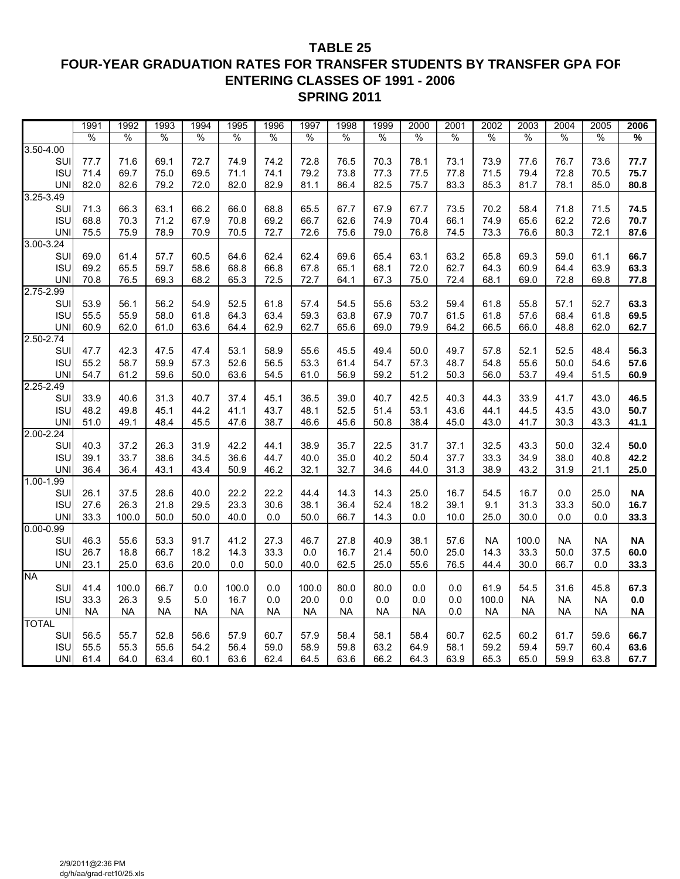#### **TABLE 25 FOUR-YEAR GRADUATION RATES FOR TRANSFER STUDENTS BY TRANSFER GPA FOR ENTERING CLASSES OF 1991 - 2006 SPRING 2011**

|               | 1991          | 1992          | 1993          | 1994          | 1995          | 1996          | 1997      | 1998          | 1999          | 2000          | 2001          | 2002          | 2003          | 2004      | 2005          | 2006          |
|---------------|---------------|---------------|---------------|---------------|---------------|---------------|-----------|---------------|---------------|---------------|---------------|---------------|---------------|-----------|---------------|---------------|
|               | $\frac{0}{0}$ | $\frac{0}{0}$ | $\frac{0}{0}$ | $\frac{0}{0}$ | $\frac{0}{0}$ | $\frac{0}{0}$ | %         | $\frac{0}{0}$ | $\frac{0}{0}$ | $\frac{0}{0}$ | $\frac{0}{0}$ | $\frac{0}{0}$ | $\frac{0}{0}$ | $\%$      | $\frac{0}{0}$ | $\frac{9}{6}$ |
| $3.50 - 4.00$ |               |               |               |               |               |               |           |               |               |               |               |               |               |           |               |               |
| SUI           | 77.7          | 71.6          | 69.1          | 72.7          | 74.9          | 74.2          | 72.8      | 76.5          | 70.3          | 78.1          | 73.1          | 73.9          | 77.6          | 76.7      | 73.6          | 77.7          |
| <b>ISU</b>    | 71.4          | 69.7          | 75.0          | 69.5          | 71.1          | 74.1          | 79.2      | 73.8          | 77.3          | 77.5          | 77.8          | 71.5          | 79.4          | 72.8      | 70.5          | 75.7          |
| <b>UNI</b>    | 82.0          | 82.6          | 79.2          | 72.0          | 82.0          | 82.9          | 81.1      | 86.4          | 82.5          | 75.7          | 83.3          | 85.3          | 81.7          | 78.1      | 85.0          | 80.8          |
| $3.25 - 3.49$ |               |               |               |               |               |               |           |               |               |               |               |               |               |           |               |               |
| SUI           | 71.3          | 66.3          | 63.1          | 66.2          | 66.0          | 68.8          | 65.5      | 67.7          | 67.9          | 67.7          | 73.5          | 70.2          | 58.4          | 71.8      | 71.5          | 74.5          |
| <b>ISU</b>    | 68.8          | 70.3          | 71.2          | 67.9          | 70.8          | 69.2          | 66.7      | 62.6          | 74.9          | 70.4          | 66.1          | 74.9          | 65.6          | 62.2      | 72.6          | 70.7          |
| <b>UNI</b>    | 75.5          | 75.9          | 78.9          | 70.9          | 70.5          | 72.7          | 72.6      | 75.6          | 79.0          | 76.8          | 74.5          | 73.3          | 76.6          | 80.3      | 72.1          | 87.6          |
| $3.00 - 3.24$ |               |               |               |               |               |               |           |               |               |               |               |               |               |           |               |               |
| SUI           | 69.0          | 61.4          | 57.7          | 60.5          | 64.6          | 62.4          | 62.4      | 69.6          | 65.4          | 63.1          | 63.2          | 65.8          | 69.3          | 59.0      | 61.1          | 66.7          |
| <b>ISU</b>    | 69.2          | 65.5          | 59.7          | 58.6          | 68.8          | 66.8          | 67.8      | 65.1          | 68.1          | 72.0          | 62.7          | 64.3          | 60.9          | 64.4      | 63.9          | 63.3          |
| <b>UNI</b>    | 70.8          | 76.5          | 69.3          | 68.2          | 65.3          | 72.5          | 72.7      | 64.1          | 67.3          | 75.0          | 72.4          | 68.1          | 69.0          | 72.8      | 69.8          | 77.8          |
| $2.75 - 2.99$ |               |               |               |               |               |               |           |               |               |               |               |               |               |           |               |               |
| SUI           | 53.9          | 56.1          | 56.2          | 54.9          | 52.5          | 61.8          | 57.4      | 54.5          | 55.6          | 53.2          | 59.4          | 61.8          | 55.8          | 57.1      | 52.7          | 63.3          |
| <b>ISU</b>    | 55.5          | 55.9          | 58.0          | 61.8          | 64.3          | 63.4          | 59.3      | 63.8          | 67.9          | 70.7          | 61.5          | 61.8          | 57.6          | 68.4      | 61.8          | 69.5          |
| <b>UNI</b>    | 60.9          | 62.0          | 61.0          | 63.6          | 64.4          | 62.9          | 62.7      | 65.6          | 69.0          | 79.9          | 64.2          | 66.5          | 66.0          | 48.8      | 62.0          | 62.7          |
| $2.50 - 2.74$ |               |               |               |               |               |               |           |               |               |               |               |               |               |           |               |               |
| SUI           | 47.7          | 42.3          | 47.5          | 47.4          | 53.1          | 58.9          | 55.6      | 45.5          | 49.4          | 50.0          | 49.7          | 57.8          | 52.1          | 52.5      | 48.4          | 56.3          |
| <b>ISU</b>    | 55.2          | 58.7          | 59.9          | 57.3          | 52.6          | 56.5          | 53.3      | 61.4          | 54.7          | 57.3          | 48.7          | 54.8          | 55.6          | 50.0      | 54.6          | 57.6          |
| <b>UNI</b>    | 54.7          | 61.2          | 59.6          | 50.0          | 63.6          | 54.5          | 61.0      | 56.9          | 59.2          | 51.2          | 50.3          | 56.0          | 53.7          | 49.4      | 51.5          | 60.9          |
| $2.25 - 2.49$ |               |               |               |               |               |               |           |               |               |               |               |               |               |           |               |               |
| SUI           | 33.9          | 40.6          | 31.3          | 40.7          | 37.4          | 45.1          | 36.5      | 39.0          | 40.7          | 42.5          | 40.3          | 44.3          | 33.9          | 41.7      | 43.0          | 46.5          |
| <b>ISU</b>    | 48.2          | 49.8          | 45.1          | 44.2          | 41.1          | 43.7          | 48.1      | 52.5          | 51.4          | 53.1          | 43.6          | 44.1          | 44.5          | 43.5      | 43.0          | 50.7          |
| <b>UNI</b>    | 51.0          | 49.1          | 48.4          | 45.5          | 47.6          | 38.7          | 46.6      | 45.6          | 50.8          | 38.4          | 45.0          | 43.0          | 41.7          | 30.3      | 43.3          | 41.1          |
| $2.00 - 2.24$ |               |               |               |               |               |               |           |               |               |               |               |               |               |           |               |               |
| SUI           | 40.3          | 37.2          | 26.3          | 31.9          | 42.2          | 44.1          | 38.9      | 35.7          | 22.5          | 31.7          | 37.1          | 32.5          | 43.3          | 50.0      | 32.4          | 50.0          |
| <b>ISU</b>    | 39.1          | 33.7          | 38.6          | 34.5          | 36.6          | 44.7          | 40.0      | 35.0          | 40.2          | 50.4          | 37.7          | 33.3          | 34.9          | 38.0      | 40.8          | 42.2          |
| <b>UNI</b>    | 36.4          | 36.4          | 43.1          | 43.4          | 50.9          | 46.2          | 32.1      | 32.7          | 34.6          | 44.0          | 31.3          | 38.9          | 43.2          | 31.9      | 21.1          | 25.0          |
| $1.00 - 1.99$ |               |               |               |               |               |               |           |               |               |               |               |               |               |           |               |               |
| SUI           | 26.1          | 37.5          | 28.6          | 40.0          | 22.2          | 22.2          | 44.4      | 14.3          | 14.3          | 25.0          | 16.7          | 54.5          | 16.7          | 0.0       | 25.0          | <b>NA</b>     |
| <b>ISU</b>    | 27.6          | 26.3          | 21.8          | 29.5          | 23.3          | 30.6          | 38.1      | 36.4          | 52.4          | 18.2          | 39.1          | 9.1           | 31.3          | 33.3      | 50.0          | 16.7          |
| <b>UNI</b>    | 33.3          | 100.0         | 50.0          | 50.0          | 40.0          | 0.0           | 50.0      | 66.7          | 14.3          | $0.0\,$       | 10.0          | 25.0          | 30.0          | 0.0       | 0.0           | 33.3          |
| $0.00 - 0.99$ |               |               |               |               |               |               |           |               |               |               |               |               |               |           |               |               |
| SUI           | 46.3          | 55.6          | 53.3          | 91.7          | 41.2          | 27.3          | 46.7      | 27.8          | 40.9          | 38.1          | 57.6          | <b>NA</b>     | 100.0         | <b>NA</b> | <b>NA</b>     | <b>NA</b>     |
| <b>ISU</b>    | 26.7          | 18.8          | 66.7          | 18.2          | 14.3          | 33.3          | 0.0       | 16.7          | 21.4          | 50.0          | 25.0          | 14.3          | 33.3          | 50.0      | 37.5          | 60.0          |
| <b>UNI</b>    | 23.1          | 25.0          | 63.6          | 20.0          | 0.0           | 50.0          | 40.0      | 62.5          | 25.0          | 55.6          | 76.5          | 44.4          | 30.0          | 66.7      | 0.0           | 33.3          |
| <b>NA</b>     |               |               |               |               |               |               |           |               |               |               |               |               |               |           |               |               |
| SUI           | 41.4          | 100.0         | 66.7          | 0.0           | 100.0         | 0.0           | 100.0     | 80.0          | 80.0          | 0.0           | 0.0           | 61.9          | 54.5          | 31.6      | 45.8          | 67.3          |
| <b>ISU</b>    | 33.3          | 26.3          | 9.5           | 5.0           | 16.7          | 0.0           | 20.0      | 0.0           | 0.0           | 0.0           | 0.0           | 100.0         | <b>NA</b>     | <b>NA</b> | <b>NA</b>     | 0.0           |
| <b>UNI</b>    | <b>NA</b>     | <b>NA</b>     | <b>NA</b>     | <b>NA</b>     | <b>NA</b>     | <b>NA</b>     | <b>NA</b> | <b>NA</b>     | <b>NA</b>     | <b>NA</b>     | 0.0           | NA            | <b>NA</b>     | <b>NA</b> | NA.           | <b>NA</b>     |
| <b>TOTAL</b>  |               |               |               |               |               |               |           |               |               |               |               |               |               |           |               |               |
| SUI           | 56.5          | 55.7          | 52.8          | 56.6          | 57.9          | 60.7          | 57.9      | 58.4          | 58.1          | 58.4          | 60.7          | 62.5          | 60.2          | 61.7      | 59.6          | 66.7          |
| <b>ISU</b>    | 55.5          | 55.3          | 55.6          | 54.2          | 56.4          | 59.0          | 58.9      | 59.8          | 63.2          | 64.9          | 58.1          | 59.2          | 59.4          | 59.7      | 60.4          | 63.6          |
| <b>UNI</b>    | 61.4          | 64.0          | 63.4          | 60.1          | 63.6          | 62.4          | 64.5      | 63.6          | 66.2          | 64.3          | 63.9          | 65.3          | 65.0          | 59.9      | 63.8          | 67.7          |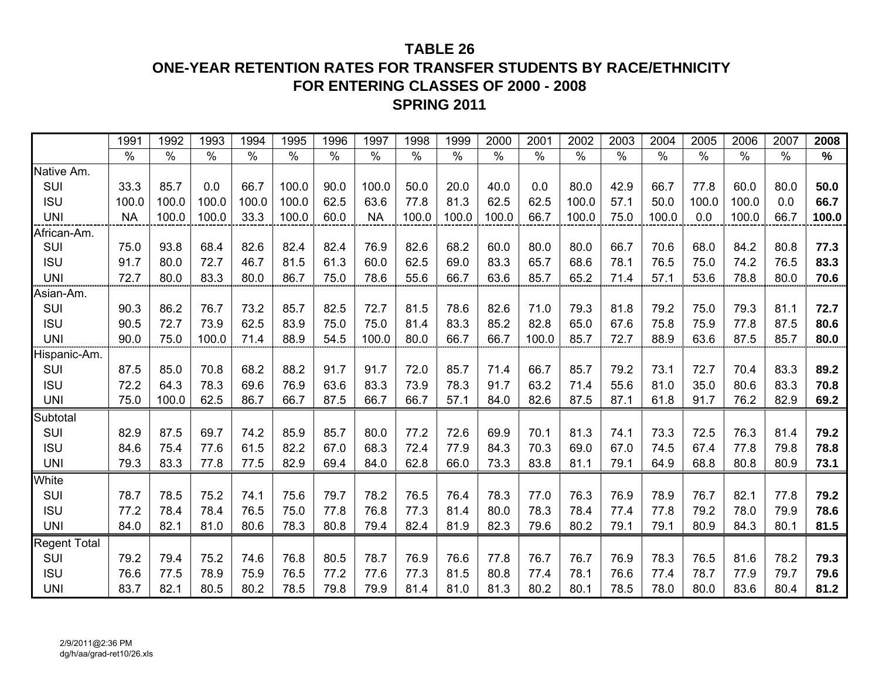# **ONE-YEAR RETENTION RATES FOR TRANSFER STUDENTS BY RACE/ETHNICITY FOR ENTERING CLASSES OF 2000 - 2008SPRING 2011**

|                     | 1991      | 1992  | 1993  | 1994  | 1995  | 1996 | 1997          | 1998  | 1999          | 2000  | 2001  | 2002  | 2003 | 2004  | 2005  | 2006  | 2007 | 2008          |
|---------------------|-----------|-------|-------|-------|-------|------|---------------|-------|---------------|-------|-------|-------|------|-------|-------|-------|------|---------------|
|                     | $\%$      | $\%$  | $\%$  | $\%$  | $\%$  | $\%$ | $\frac{0}{0}$ | $\%$  | $\frac{0}{0}$ | $\%$  | $\%$  | $\%$  | $\%$ | $\%$  | $\%$  | $\%$  | $\%$ | $\frac{9}{6}$ |
| Native Am.          |           |       |       |       |       |      |               |       |               |       |       |       |      |       |       |       |      |               |
| SUI                 | 33.3      | 85.7  | 0.0   | 66.7  | 100.0 | 90.0 | 100.0         | 50.0  | 20.0          | 40.0  | 0.0   | 80.0  | 42.9 | 66.7  | 77.8  | 60.0  | 80.0 | 50.0          |
| <b>ISU</b>          | 100.0     | 100.0 | 100.0 | 100.0 | 100.0 | 62.5 | 63.6          | 77.8  | 81.3          | 62.5  | 62.5  | 100.0 | 57.1 | 50.0  | 100.0 | 100.0 | 0.0  | 66.7          |
| <b>UNI</b>          | <b>NA</b> | 100.0 | 100.0 | 33.3  | 100.0 | 60.0 | <b>NA</b>     | 100.0 | 100.0         | 100.0 | 66.7  | 100.0 | 75.0 | 100.0 | 0.0   | 100.0 | 66.7 | 100.0         |
| African-Am.         |           |       |       |       |       |      |               |       |               |       |       |       |      |       |       |       |      |               |
| SUI                 | 75.0      | 93.8  | 68.4  | 82.6  | 82.4  | 82.4 | 76.9          | 82.6  | 68.2          | 60.0  | 80.0  | 80.0  | 66.7 | 70.6  | 68.0  | 84.2  | 80.8 | 77.3          |
| <b>ISU</b>          | 91.7      | 80.0  | 72.7  | 46.7  | 81.5  | 61.3 | 60.0          | 62.5  | 69.0          | 83.3  | 65.7  | 68.6  | 78.1 | 76.5  | 75.0  | 74.2  | 76.5 | 83.3          |
| <b>UNI</b>          | 72.7      | 80.0  | 83.3  | 80.0  | 86.7  | 75.0 | 78.6          | 55.6  | 66.7          | 63.6  | 85.7  | 65.2  | 71.4 | 57.1  | 53.6  | 78.8  | 80.0 | 70.6          |
| Asian-Am.           |           |       |       |       |       |      |               |       |               |       |       |       |      |       |       |       |      |               |
| SUI                 | 90.3      | 86.2  | 76.7  | 73.2  | 85.7  | 82.5 | 72.7          | 81.5  | 78.6          | 82.6  | 71.0  | 79.3  | 81.8 | 79.2  | 75.0  | 79.3  | 81.1 | 72.7          |
| <b>ISU</b>          | 90.5      | 72.7  | 73.9  | 62.5  | 83.9  | 75.0 | 75.0          | 81.4  | 83.3          | 85.2  | 82.8  | 65.0  | 67.6 | 75.8  | 75.9  | 77.8  | 87.5 | 80.6          |
| <b>UNI</b>          | 90.0      | 75.0  | 100.0 | 71.4  | 88.9  | 54.5 | 100.0         | 80.0  | 66.7          | 66.7  | 100.0 | 85.7  | 72.7 | 88.9  | 63.6  | 87.5  | 85.7 | 80.0          |
| Hispanic-Am.        |           |       |       |       |       |      |               |       |               |       |       |       |      |       |       |       |      |               |
| SUI                 | 87.5      | 85.0  | 70.8  | 68.2  | 88.2  | 91.7 | 91.7          | 72.0  | 85.7          | 71.4  | 66.7  | 85.7  | 79.2 | 73.1  | 72.7  | 70.4  | 83.3 | 89.2          |
| <b>ISU</b>          | 72.2      | 64.3  | 78.3  | 69.6  | 76.9  | 63.6 | 83.3          | 73.9  | 78.3          | 91.7  | 63.2  | 71.4  | 55.6 | 81.0  | 35.0  | 80.6  | 83.3 | 70.8          |
| <b>UNI</b>          | 75.0      | 100.0 | 62.5  | 86.7  | 66.7  | 87.5 | 66.7          | 66.7  | 57.1          | 84.0  | 82.6  | 87.5  | 87.1 | 61.8  | 91.7  | 76.2  | 82.9 | 69.2          |
| Subtotal            |           |       |       |       |       |      |               |       |               |       |       |       |      |       |       |       |      |               |
| SUI                 | 82.9      | 87.5  | 69.7  | 74.2  | 85.9  | 85.7 | 80.0          | 77.2  | 72.6          | 69.9  | 70.1  | 81.3  | 74.1 | 73.3  | 72.5  | 76.3  | 81.4 | 79.2          |
| <b>ISU</b>          | 84.6      | 75.4  | 77.6  | 61.5  | 82.2  | 67.0 | 68.3          | 72.4  | 77.9          | 84.3  | 70.3  | 69.0  | 67.0 | 74.5  | 67.4  | 77.8  | 79.8 | 78.8          |
| <b>UNI</b>          | 79.3      | 83.3  | 77.8  | 77.5  | 82.9  | 69.4 | 84.0          | 62.8  | 66.0          | 73.3  | 83.8  | 81.1  | 79.1 | 64.9  | 68.8  | 80.8  | 80.9 | 73.1          |
| White               |           |       |       |       |       |      |               |       |               |       |       |       |      |       |       |       |      |               |
| SUI                 | 78.7      | 78.5  | 75.2  | 74.1  | 75.6  | 79.7 | 78.2          | 76.5  | 76.4          | 78.3  | 77.0  | 76.3  | 76.9 | 78.9  | 76.7  | 82.1  | 77.8 | 79.2          |
| <b>ISU</b>          | 77.2      | 78.4  | 78.4  | 76.5  | 75.0  | 77.8 | 76.8          | 77.3  | 81.4          | 80.0  | 78.3  | 78.4  | 77.4 | 77.8  | 79.2  | 78.0  | 79.9 | 78.6          |
| <b>UNI</b>          | 84.0      | 82.1  | 81.0  | 80.6  | 78.3  | 80.8 | 79.4          | 82.4  | 81.9          | 82.3  | 79.6  | 80.2  | 79.1 | 79.1  | 80.9  | 84.3  | 80.1 | 81.5          |
| <b>Regent Total</b> |           |       |       |       |       |      |               |       |               |       |       |       |      |       |       |       |      |               |
| SUI                 | 79.2      | 79.4  | 75.2  | 74.6  | 76.8  | 80.5 | 78.7          | 76.9  | 76.6          | 77.8  | 76.7  | 76.7  | 76.9 | 78.3  | 76.5  | 81.6  | 78.2 | 79.3          |
| <b>ISU</b>          | 76.6      | 77.5  | 78.9  | 75.9  | 76.5  | 77.2 | 77.6          | 77.3  | 81.5          | 80.8  | 77.4  | 78.1  | 76.6 | 77.4  | 78.7  | 77.9  | 79.7 | 79.6          |
| <b>UNI</b>          | 83.7      | 82.1  | 80.5  | 80.2  | 78.5  | 79.8 | 79.9          | 81.4  | 81.0          | 81.3  | 80.2  | 80.1  | 78.5 | 78.0  | 80.0  | 83.6  | 80.4 | 81.2          |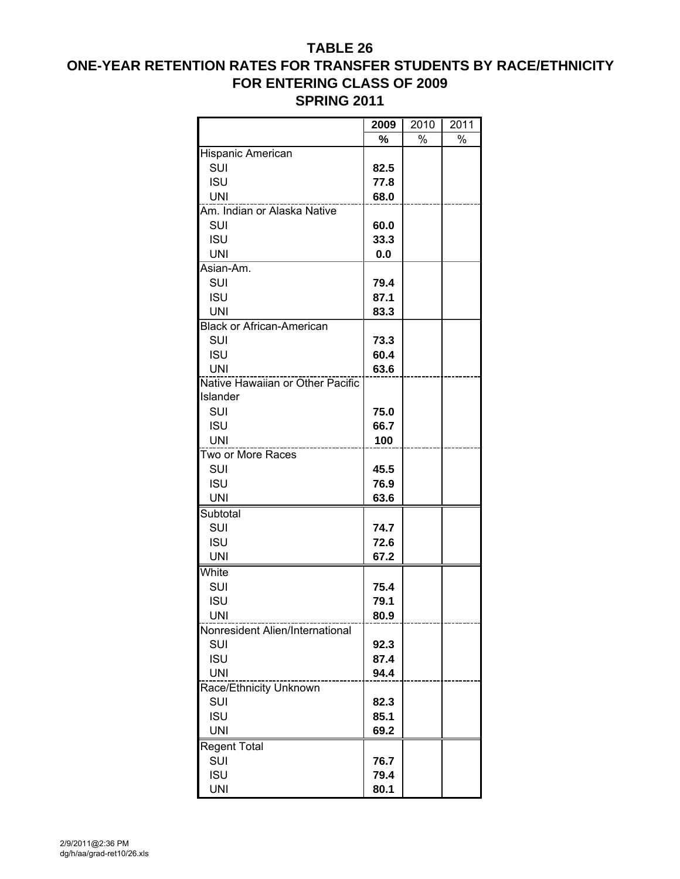# **ONE-YEAR RETENTION RATES FOR TRANSFER STUDENTS BY RACE/ETHNICITY FOR ENTERING CLASS OF 2009 SPRING 2011**

|                                  | 2009 | 2010 | 2011 |
|----------------------------------|------|------|------|
|                                  | %    | %    | %    |
| Hispanic American                |      |      |      |
| SUI                              | 82.5 |      |      |
| <b>ISU</b>                       | 77.8 |      |      |
| <b>UNI</b>                       | 68.0 |      |      |
| Am. Indian or Alaska Native      |      |      |      |
| SUI                              | 60.0 |      |      |
| <b>ISU</b>                       | 33.3 |      |      |
| <b>UNI</b>                       | 0.0  |      |      |
| Asian-Am.                        |      |      |      |
| SUI                              | 79.4 |      |      |
| <b>ISU</b>                       | 87.1 |      |      |
| <b>UNI</b>                       | 83.3 |      |      |
| <b>Black or African-American</b> |      |      |      |
| SUI                              | 73.3 |      |      |
| <b>ISU</b>                       | 60.4 |      |      |
| <b>UNI</b>                       | 63.6 |      |      |
| Native Hawaiian or Other Pacific |      |      |      |
| Islander                         |      |      |      |
| <b>SUI</b>                       | 75.0 |      |      |
| <b>ISU</b>                       | 66.7 |      |      |
| <b>UNI</b>                       | 100  |      |      |
| Two or More Races                |      |      |      |
| SUI                              | 45.5 |      |      |
| <b>ISU</b>                       | 76.9 |      |      |
| <b>UNI</b>                       | 63.6 |      |      |
| Subtotal                         |      |      |      |
| SUI                              | 74.7 |      |      |
| <b>ISU</b>                       | 72.6 |      |      |
| <b>UNI</b>                       | 67.2 |      |      |
| White                            |      |      |      |
| SUI                              | 75.4 |      |      |
| <b>ISU</b>                       | 79.1 |      |      |
| <b>UNI</b>                       | 80.9 |      |      |
| Nonresident Alien/International  |      |      |      |
| SUI                              | 92.3 |      |      |
| <b>ISU</b>                       | 87.4 |      |      |
| <b>UNI</b>                       | 94.4 |      |      |
| Race/Ethnicity Unknown           |      |      |      |
| SUI                              | 82.3 |      |      |
| <b>ISU</b>                       | 85.1 |      |      |
| <b>UNI</b>                       | 69.2 |      |      |
| <b>Regent Total</b>              |      |      |      |
| SUI                              | 76.7 |      |      |
| <b>ISU</b>                       | 79.4 |      |      |
| <b>UNI</b>                       | 80.1 |      |      |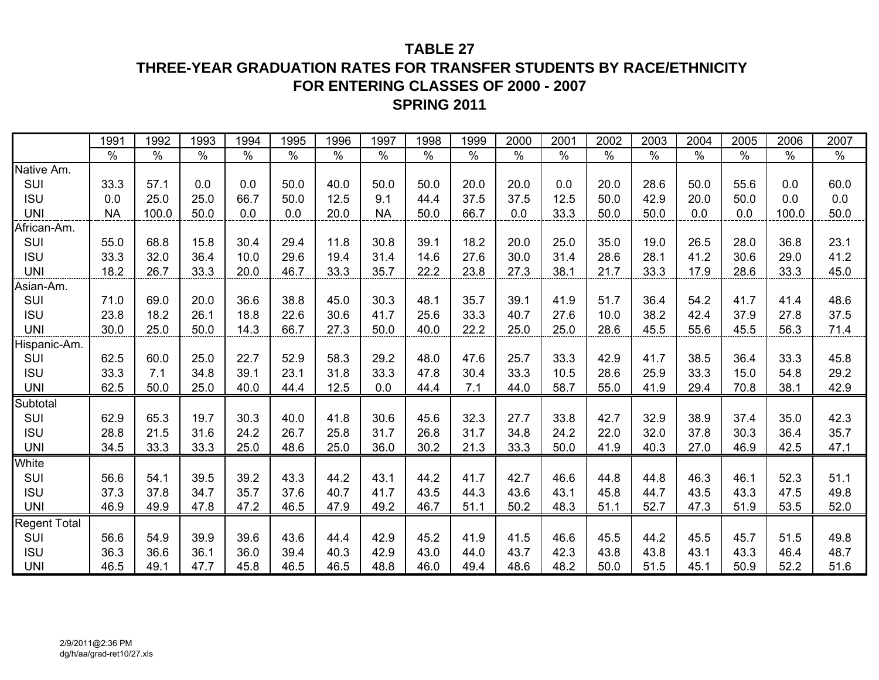# **THREE-YEAR GRADUATION RATES FOR TRANSFER STUDENTS BY RACE/ETHNICITY FOR ENTERING CLASSES OF 2000 - 2007SPRING 2011**

|              | 1991          | 1992                 | 1993          | 1994          | 1995          | 1996          | 1997          | 1998          | 1999          | 2000          | 2001          | 2002          | 2003          | 2004          | 2005          | 2006          | 2007          |
|--------------|---------------|----------------------|---------------|---------------|---------------|---------------|---------------|---------------|---------------|---------------|---------------|---------------|---------------|---------------|---------------|---------------|---------------|
|              | $\frac{1}{2}$ | $\frac{1}{\sqrt{2}}$ | $\frac{0}{0}$ | $\frac{0}{0}$ | $\frac{0}{0}$ | $\frac{0}{0}$ | $\frac{8}{6}$ | $\frac{0}{0}$ | $\frac{0}{0}$ | $\frac{9}{6}$ | $\frac{0}{0}$ | $\frac{1}{2}$ | $\frac{1}{2}$ | $\frac{1}{2}$ | $\frac{8}{6}$ | $\frac{1}{2}$ | $\frac{1}{2}$ |
| Native Am.   |               |                      |               |               |               |               |               |               |               |               |               |               |               |               |               |               |               |
| SUI          | 33.3          | 57.1                 | 0.0           | 0.0           | 50.0          | 40.0          | 50.0          | 50.0          | 20.0          | 20.0          | 0.0           | 20.0          | 28.6          | 50.0          | 55.6          | 0.0           | 60.0          |
| <b>ISU</b>   | 0.0           | 25.0                 | 25.0          | 66.7          | 50.0          | 12.5          | 9.1           | 44.4          | 37.5          | 37.5          | 12.5          | 50.0          | 42.9          | 20.0          | 50.0          | 0.0           | 0.0           |
| <b>UNI</b>   | <b>NA</b>     | 100.0                | 50.0          | 0.0           | 0.0           | 20.0          | <b>NA</b>     | 50.0          | 66.7          | 0.0           | 33.3          | 50.0          | 50.0          | 0.0           | 0.0           | 100.0         | 50.0          |
| African-Am.  |               |                      |               |               |               |               |               |               |               |               |               |               |               |               |               |               |               |
| SUI          | 55.0          | 68.8                 | 15.8          | 30.4          | 29.4          | 11.8          | 30.8          | 39.1          | 18.2          | 20.0          | 25.0          | 35.0          | 19.0          | 26.5          | 28.0          | 36.8          | 23.1          |
| <b>ISU</b>   | 33.3          | 32.0                 | 36.4          | 10.0          | 29.6          | 19.4          | 31.4          | 14.6          | 27.6          | 30.0          | 31.4          | 28.6          | 28.1          | 41.2          | 30.6          | 29.0          | 41.2          |
| <b>UNI</b>   | 18.2          | 26.7                 | 33.3          | 20.0          | 46.7          | 33.3          | 35.7          | 22.2          | 23.8          | 27.3          | 38.1          | 21.7          | 33.3          | 17.9          | 28.6          | 33.3          | 45.0          |
| Asian-Am.    |               |                      |               |               |               |               |               |               |               |               |               |               |               |               |               |               |               |
| SUI          | 71.0          | 69.0                 | 20.0          | 36.6          | 38.8          | 45.0          | 30.3          | 48.1          | 35.7          | 39.1          | 41.9          | 51.7          | 36.4          | 54.2          | 41.7          | 41.4          | 48.6          |
| <b>ISU</b>   | 23.8          | 18.2                 | 26.1          | 18.8          | 22.6          | 30.6          | 41.7          | 25.6          | 33.3          | 40.7          | 27.6          | 10.0          | 38.2          | 42.4          | 37.9          | 27.8          | 37.5          |
| <b>UNI</b>   | 30.0          | 25.0                 | 50.0          | 14.3          | 66.7          | 27.3          | 50.0          | 40.0          | 22.2          | 25.0          | 25.0          | 28.6          | 45.5          | 55.6          | 45.5          | 56.3          | 71.4          |
| Hispanic-Am. |               |                      |               |               |               |               |               |               |               |               |               |               |               |               |               |               |               |
| SUI          | 62.5          | 60.0                 | 25.0          | 22.7          | 52.9          | 58.3          | 29.2          | 48.0          | 47.6          | 25.7          | 33.3          | 42.9          | 41.7          | 38.5          | 36.4          | 33.3          | 45.8          |
| <b>ISU</b>   | 33.3          | 7.1                  | 34.8          | 39.1          | 23.1          | 31.8          | 33.3          | 47.8          | 30.4          | 33.3          | 10.5          | 28.6          | 25.9          | 33.3          | 15.0          | 54.8          | 29.2          |
| <b>UNI</b>   | 62.5          | 50.0                 | 25.0          | 40.0          | 44.4          | 12.5          | 0.0           | 44.4          | 7.1           | 44.0          | 58.7          | 55.0          | 41.9          | 29.4          | 70.8          | 38.1          | 42.9          |
| Subtotal     |               |                      |               |               |               |               |               |               |               |               |               |               |               |               |               |               |               |
| SUI          | 62.9          | 65.3                 | 19.7          | 30.3          | 40.0          | 41.8          | 30.6          | 45.6          | 32.3          | 27.7          | 33.8          | 42.7          | 32.9          | 38.9          | 37.4          | 35.0          | 42.3          |
| <b>ISU</b>   | 28.8          | 21.5                 | 31.6          | 24.2          | 26.7          | 25.8          | 31.7          | 26.8          | 31.7          | 34.8          | 24.2          | 22.0          | 32.0          | 37.8          | 30.3          | 36.4          | 35.7          |
| <b>UNI</b>   | 34.5          | 33.3                 | 33.3          | 25.0          | 48.6          | 25.0          | 36.0          | 30.2          | 21.3          | 33.3          | 50.0          | 41.9          | 40.3          | 27.0          | 46.9          | 42.5          | 47.1          |
| White        |               |                      |               |               |               |               |               |               |               |               |               |               |               |               |               |               |               |
| SUI          | 56.6          | 54.1                 | 39.5          | 39.2          | 43.3          | 44.2          | 43.1          | 44.2          | 41.7          | 42.7          | 46.6          | 44.8          | 44.8          | 46.3          | 46.1          | 52.3          | 51.1          |
| <b>ISU</b>   | 37.3          | 37.8                 | 34.7          | 35.7          | 37.6          | 40.7          | 41.7          | 43.5          | 44.3          | 43.6          | 43.1          | 45.8          | 44.7          | 43.5          | 43.3          | 47.5          | 49.8          |
| <b>UNI</b>   | 46.9          | 49.9                 | 47.8          | 47.2          | 46.5          | 47.9          | 49.2          | 46.7          | 51.1          | 50.2          | 48.3          | 51.1          | 52.7          | 47.3          | 51.9          | 53.5          | 52.0          |
| Regent Total |               |                      |               |               |               |               |               |               |               |               |               |               |               |               |               |               |               |
| SUI          | 56.6          | 54.9                 | 39.9          | 39.6          | 43.6          | 44.4          | 42.9          | 45.2          | 41.9          | 41.5          | 46.6          | 45.5          | 44.2          | 45.5          | 45.7          | 51.5          | 49.8          |
| <b>ISU</b>   | 36.3          | 36.6                 | 36.1          | 36.0          | 39.4          | 40.3          | 42.9          | 43.0          | 44.0          | 43.7          | 42.3          | 43.8          | 43.8          | 43.1          | 43.3          | 46.4          | 48.7          |
| <b>UNI</b>   | 46.5          | 49.1                 | 47.7          | 45.8          | 46.5          | 46.5          | 48.8          | 46.0          | 49.4          | 48.6          | 48.2          | 50.0          | 51.5          | 45.1          | 50.9          | 52.2          | 51.6          |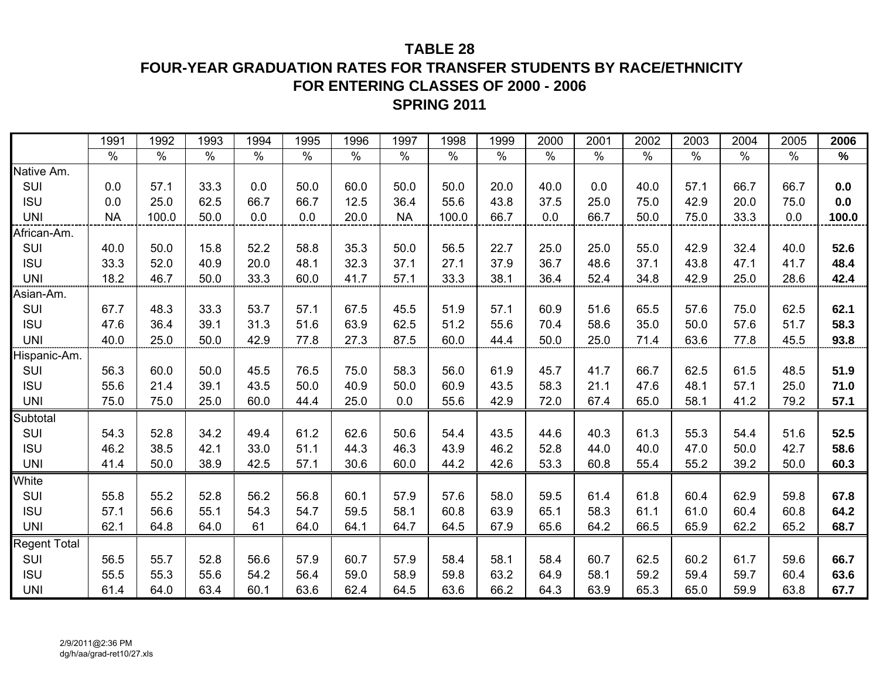**FOUR-YEAR GRADUATION RATES FOR TRANSFER STUDENTS BY RACE/ETHNICITY FOR ENTERING CLASSES OF 2000 - 2006**

# **SPRING 2011**

|                     | 1991      | 1992  | 1993 | 1994 | 1995 | 1996 | 1997      | 1998  | 1999 | 2000 | 2001 | 2002 | 2003 | 2004 | 2005 | 2006          |
|---------------------|-----------|-------|------|------|------|------|-----------|-------|------|------|------|------|------|------|------|---------------|
|                     | $\%$      | $\%$  | $\%$ | $\%$ | $\%$ | $\%$ | $\%$      | $\%$  | $\%$ | $\%$ | $\%$ | $\%$ | $\%$ | $\%$ | $\%$ | $\frac{1}{2}$ |
| Native Am.          |           |       |      |      |      |      |           |       |      |      |      |      |      |      |      |               |
| SUI                 | 0.0       | 57.1  | 33.3 | 0.0  | 50.0 | 60.0 | 50.0      | 50.0  | 20.0 | 40.0 | 0.0  | 40.0 | 57.1 | 66.7 | 66.7 | 0.0           |
| <b>ISU</b>          | 0.0       | 25.0  | 62.5 | 66.7 | 66.7 | 12.5 | 36.4      | 55.6  | 43.8 | 37.5 | 25.0 | 75.0 | 42.9 | 20.0 | 75.0 | 0.0           |
| <b>UNI</b>          | <b>NA</b> | 100.0 | 50.0 | 0.0  | 0.0  | 20.0 | <b>NA</b> | 100.0 | 66.7 | 0.0  | 66.7 | 50.0 | 75.0 | 33.3 | 0.0  | 100.0         |
| African-Am.         |           |       |      |      |      |      |           |       |      |      |      |      |      |      |      |               |
| SUI                 | 40.0      | 50.0  | 15.8 | 52.2 | 58.8 | 35.3 | 50.0      | 56.5  | 22.7 | 25.0 | 25.0 | 55.0 | 42.9 | 32.4 | 40.0 | 52.6          |
| <b>ISU</b>          | 33.3      | 52.0  | 40.9 | 20.0 | 48.1 | 32.3 | 37.1      | 27.1  | 37.9 | 36.7 | 48.6 | 37.1 | 43.8 | 47.1 | 41.7 | 48.4          |
| <b>UNI</b>          | 18.2      | 46.7  | 50.0 | 33.3 | 60.0 | 41.7 | 57.1      | 33.3  | 38.1 | 36.4 | 52.4 | 34.8 | 42.9 | 25.0 | 28.6 | 42.4          |
| Asian-Am.           |           |       |      |      |      |      |           |       |      |      |      |      |      |      |      |               |
| SUI                 | 67.7      | 48.3  | 33.3 | 53.7 | 57.1 | 67.5 | 45.5      | 51.9  | 57.1 | 60.9 | 51.6 | 65.5 | 57.6 | 75.0 | 62.5 | 62.1          |
| <b>ISU</b>          | 47.6      | 36.4  | 39.1 | 31.3 | 51.6 | 63.9 | 62.5      | 51.2  | 55.6 | 70.4 | 58.6 | 35.0 | 50.0 | 57.6 | 51.7 | 58.3          |
| <b>UNI</b>          | 40.0      | 25.0  | 50.0 | 42.9 | 77.8 | 27.3 | 87.5      | 60.0  | 44.4 | 50.0 | 25.0 | 71.4 | 63.6 | 77.8 | 45.5 | 93.8          |
| Hispanic-Am.        |           |       |      |      |      |      |           |       |      |      |      |      |      |      |      |               |
| SUI                 | 56.3      | 60.0  | 50.0 | 45.5 | 76.5 | 75.0 | 58.3      | 56.0  | 61.9 | 45.7 | 41.7 | 66.7 | 62.5 | 61.5 | 48.5 | 51.9          |
| <b>ISU</b>          | 55.6      | 21.4  | 39.1 | 43.5 | 50.0 | 40.9 | 50.0      | 60.9  | 43.5 | 58.3 | 21.1 | 47.6 | 48.1 | 57.1 | 25.0 | 71.0          |
| <b>UNI</b>          | 75.0      | 75.0  | 25.0 | 60.0 | 44.4 | 25.0 | 0.0       | 55.6  | 42.9 | 72.0 | 67.4 | 65.0 | 58.1 | 41.2 | 79.2 | 57.1          |
| Subtotal            |           |       |      |      |      |      |           |       |      |      |      |      |      |      |      |               |
| SUI                 | 54.3      | 52.8  | 34.2 | 49.4 | 61.2 | 62.6 | 50.6      | 54.4  | 43.5 | 44.6 | 40.3 | 61.3 | 55.3 | 54.4 | 51.6 | 52.5          |
| <b>ISU</b>          | 46.2      | 38.5  | 42.1 | 33.0 | 51.1 | 44.3 | 46.3      | 43.9  | 46.2 | 52.8 | 44.0 | 40.0 | 47.0 | 50.0 | 42.7 | 58.6          |
| <b>UNI</b>          | 41.4      | 50.0  | 38.9 | 42.5 | 57.1 | 30.6 | 60.0      | 44.2  | 42.6 | 53.3 | 60.8 | 55.4 | 55.2 | 39.2 | 50.0 | 60.3          |
| White               |           |       |      |      |      |      |           |       |      |      |      |      |      |      |      |               |
| SUI                 | 55.8      | 55.2  | 52.8 | 56.2 | 56.8 | 60.1 | 57.9      | 57.6  | 58.0 | 59.5 | 61.4 | 61.8 | 60.4 | 62.9 | 59.8 | 67.8          |
| <b>ISU</b>          | 57.1      | 56.6  | 55.1 | 54.3 | 54.7 | 59.5 | 58.1      | 60.8  | 63.9 | 65.1 | 58.3 | 61.1 | 61.0 | 60.4 | 60.8 | 64.2          |
| <b>UNI</b>          | 62.1      | 64.8  | 64.0 | 61   | 64.0 | 64.1 | 64.7      | 64.5  | 67.9 | 65.6 | 64.2 | 66.5 | 65.9 | 62.2 | 65.2 | 68.7          |
| <b>Regent Total</b> |           |       |      |      |      |      |           |       |      |      |      |      |      |      |      |               |
| SUI                 | 56.5      | 55.7  | 52.8 | 56.6 | 57.9 | 60.7 | 57.9      | 58.4  | 58.1 | 58.4 | 60.7 | 62.5 | 60.2 | 61.7 | 59.6 | 66.7          |
| <b>ISU</b>          | 55.5      | 55.3  | 55.6 | 54.2 | 56.4 | 59.0 | 58.9      | 59.8  | 63.2 | 64.9 | 58.1 | 59.2 | 59.4 | 59.7 | 60.4 | 63.6          |
| <b>UNI</b>          | 61.4      | 64.0  | 63.4 | 60.1 | 63.6 | 62.4 | 64.5      | 63.6  | 66.2 | 64.3 | 63.9 | 65.3 | 65.0 | 59.9 | 63.8 | 67.7          |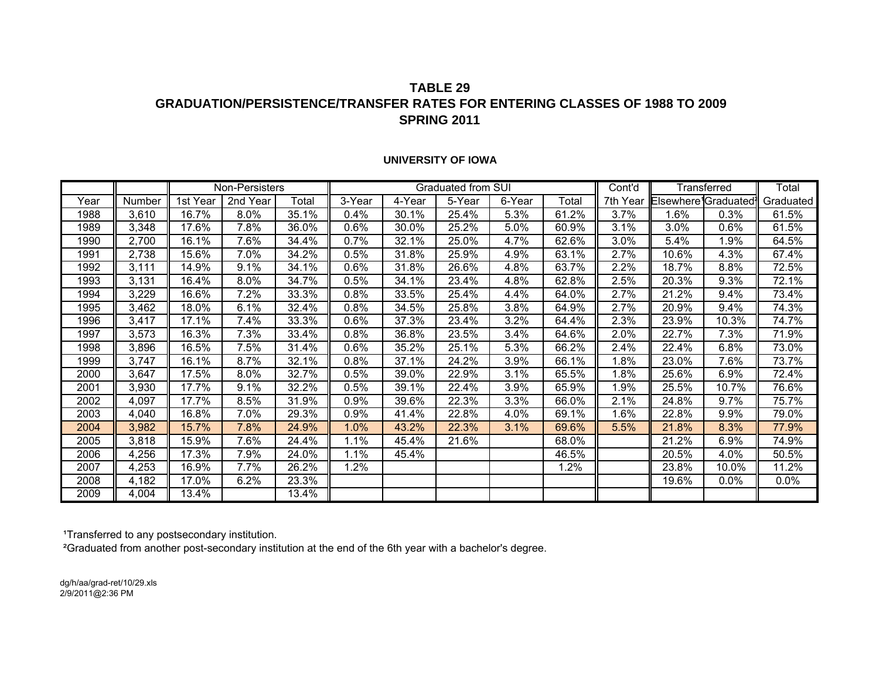## **TABLE 29GRADUATION/PERSISTENCE/TRANSFER RATES FOR ENTERING CLASSES OF 1988 TO 2009SPRING 2011**

#### **UNIVERSITY OF IOWA**

|      |        |          | Non-Persisters |       |        |        | Graduated from SUI |        |       | Cont'd   |                                               | Transferred | Total     |
|------|--------|----------|----------------|-------|--------|--------|--------------------|--------|-------|----------|-----------------------------------------------|-------------|-----------|
| Year | Number | 1st Year | 2nd Year       | Total | 3-Year | 4-Year | 5-Year             | 6-Year | Total | 7th Year | Elsewhere <sup>1</sup> Graduated <sup>1</sup> |             | Graduated |
| 1988 | 3,610  | 16.7%    | 8.0%           | 35.1% | 0.4%   | 30.1%  | 25.4%              | 5.3%   | 61.2% | 3.7%     | 1.6%                                          | 0.3%        | 61.5%     |
| 1989 | 3,348  | 17.6%    | 7.8%           | 36.0% | 0.6%   | 30.0%  | 25.2%              | 5.0%   | 60.9% | 3.1%     | $3.0\%$                                       | 0.6%        | 61.5%     |
| 1990 | 2,700  | 16.1%    | 7.6%           | 34.4% | 0.7%   | 32.1%  | 25.0%              | 4.7%   | 62.6% | 3.0%     | 5.4%                                          | 1.9%        | 64.5%     |
| 1991 | 2,738  | 15.6%    | 7.0%           | 34.2% | 0.5%   | 31.8%  | 25.9%              | 4.9%   | 63.1% | 2.7%     | 10.6%                                         | 4.3%        | 67.4%     |
| 1992 | 3,111  | 14.9%    | 9.1%           | 34.1% | 0.6%   | 31.8%  | 26.6%              | 4.8%   | 63.7% | 2.2%     | 18.7%                                         | 8.8%        | 72.5%     |
| 1993 | 3,131  | 16.4%    | 8.0%           | 34.7% | 0.5%   | 34.1%  | 23.4%              | 4.8%   | 62.8% | 2.5%     | 20.3%                                         | 9.3%        | 72.1%     |
| 1994 | 3,229  | 16.6%    | 7.2%           | 33.3% | 0.8%   | 33.5%  | 25.4%              | 4.4%   | 64.0% | 2.7%     | 21.2%                                         | 9.4%        | 73.4%     |
| 1995 | 3,462  | 18.0%    | 6.1%           | 32.4% | 0.8%   | 34.5%  | 25.8%              | 3.8%   | 64.9% | 2.7%     | 20.9%                                         | 9.4%        | 74.3%     |
| 1996 | 3,417  | 17.1%    | 7.4%           | 33.3% | 0.6%   | 37.3%  | 23.4%              | 3.2%   | 64.4% | 2.3%     | 23.9%                                         | 10.3%       | 74.7%     |
| 1997 | 3,573  | 16.3%    | 7.3%           | 33.4% | 0.8%   | 36.8%  | 23.5%              | 3.4%   | 64.6% | 2.0%     | 22.7%                                         | 7.3%        | 71.9%     |
| 1998 | 3,896  | 16.5%    | 7.5%           | 31.4% | 0.6%   | 35.2%  | 25.1%              | 5.3%   | 66.2% | 2.4%     | 22.4%                                         | 6.8%        | 73.0%     |
| 1999 | 3,747  | 16.1%    | 8.7%           | 32.1% | 0.8%   | 37.1%  | 24.2%              | 3.9%   | 66.1% | $1.8\%$  | 23.0%                                         | 7.6%        | 73.7%     |
| 2000 | 3,647  | 17.5%    | 8.0%           | 32.7% | 0.5%   | 39.0%  | 22.9%              | 3.1%   | 65.5% | $1.8\%$  | 25.6%                                         | 6.9%        | 72.4%     |
| 2001 | 3,930  | 17.7%    | 9.1%           | 32.2% | 0.5%   | 39.1%  | 22.4%              | 3.9%   | 65.9% | .9%      | 25.5%                                         | 10.7%       | 76.6%     |
| 2002 | 4,097  | 17.7%    | 8.5%           | 31.9% | 0.9%   | 39.6%  | 22.3%              | 3.3%   | 66.0% | 2.1%     | 24.8%                                         | 9.7%        | 75.7%     |
| 2003 | 4,040  | 16.8%    | 7.0%           | 29.3% | 0.9%   | 41.4%  | 22.8%              | 4.0%   | 69.1% | $.6\%$   | 22.8%                                         | 9.9%        | 79.0%     |
| 2004 | 3,982  | 15.7%    | 7.8%           | 24.9% | 1.0%   | 43.2%  | 22.3%              | 3.1%   | 69.6% | 5.5%     | 21.8%                                         | 8.3%        | 77.9%     |
| 2005 | 3,818  | 15.9%    | 7.6%           | 24.4% | 1.1%   | 45.4%  | 21.6%              |        | 68.0% |          | 21.2%                                         | 6.9%        | 74.9%     |
| 2006 | 4,256  | 17.3%    | 7.9%           | 24.0% | 1.1%   | 45.4%  |                    |        | 46.5% |          | 20.5%                                         | 4.0%        | 50.5%     |
| 2007 | 4,253  | 16.9%    | 7.7%           | 26.2% | 1.2%   |        |                    |        | 1.2%  |          | 23.8%                                         | 10.0%       | 11.2%     |
| 2008 | 4,182  | 17.0%    | 6.2%           | 23.3% |        |        |                    |        |       |          | 19.6%                                         | 0.0%        | 0.0%      |
| 2009 | 4,004  | 13.4%    |                | 13.4% |        |        |                    |        |       |          |                                               |             |           |

1Transferred to any postsecondary institution.

²Graduated from another post-secondary institution at the end of the 6th year with a bachelor's degree.

dg/h/aa/grad-ret/10/29.xls 2/9/2011@2:36 PM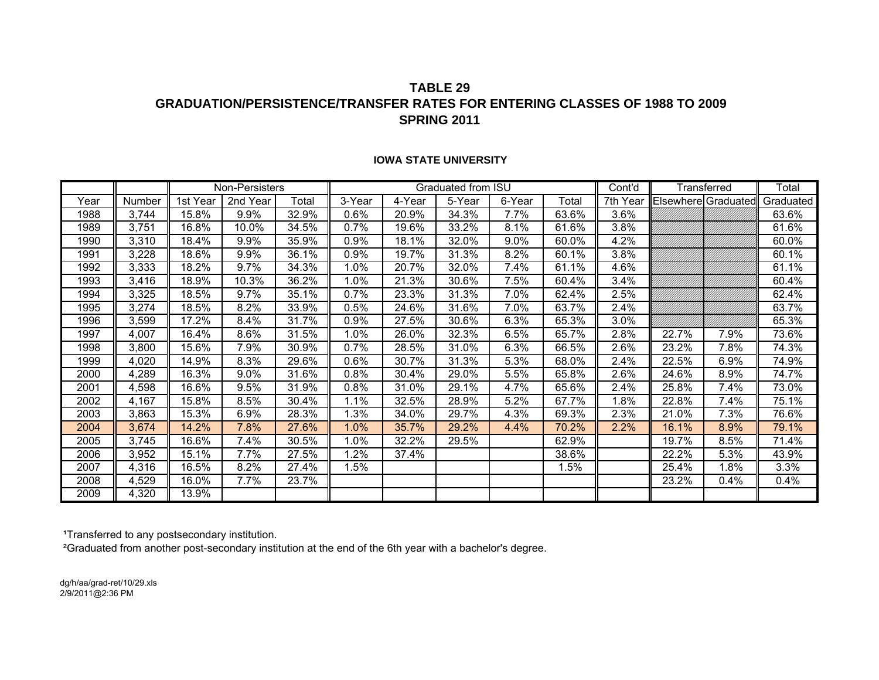## **TABLE 29GRADUATION/PERSISTENCE/TRANSFER RATES FOR ENTERING CLASSES OF 1988 TO 2009SPRING 2011**

|      |        |          | Non-Persisters |       |        |        | Graduated from ISU |        |       | Cont'd   |                     | Transferred | Total     |
|------|--------|----------|----------------|-------|--------|--------|--------------------|--------|-------|----------|---------------------|-------------|-----------|
| Year | Number | 1st Year | 2nd Year       | Total | 3-Year | 4-Year | 5-Year             | 6-Year | Total | 7th Year | Elsewhere Graduated |             | Graduated |
| 1988 | 3,744  | 15.8%    | 9.9%           | 32.9% | 0.6%   | 20.9%  | 34.3%              | 7.7%   | 63.6% | 3.6%     |                     |             | 63.6%     |
| 1989 | 3,751  | 16.8%    | 10.0%          | 34.5% | 0.7%   | 19.6%  | 33.2%              | 8.1%   | 61.6% | 3.8%     |                     |             | 61.6%     |
| 1990 | 3,310  | 18.4%    | 9.9%           | 35.9% | 0.9%   | 18.1%  | 32.0%              | 9.0%   | 60.0% | 4.2%     |                     |             | 60.0%     |
| 1991 | 3,228  | 18.6%    | 9.9%           | 36.1% | 0.9%   | 19.7%  | 31.3%              | 8.2%   | 60.1% | 3.8%     |                     |             | 60.1%     |
| 1992 | 3,333  | 18.2%    | 9.7%           | 34.3% | 1.0%   | 20.7%  | 32.0%              | 7.4%   | 61.1% | 4.6%     |                     |             | 61.1%     |
| 1993 | 3,416  | 18.9%    | 10.3%          | 36.2% | 1.0%   | 21.3%  | 30.6%              | 7.5%   | 60.4% | 3.4%     |                     |             | 60.4%     |
| 1994 | 3,325  | 18.5%    | 9.7%           | 35.1% | 0.7%   | 23.3%  | 31.3%              | 7.0%   | 62.4% | 2.5%     |                     |             | 62.4%     |
| 1995 | 3,274  | 18.5%    | 8.2%           | 33.9% | 0.5%   | 24.6%  | 31.6%              | 7.0%   | 63.7% | 2.4%     |                     |             | 63.7%     |
| 1996 | 3,599  | 17.2%    | 8.4%           | 31.7% | 0.9%   | 27.5%  | 30.6%              | 6.3%   | 65.3% | 3.0%     |                     |             | 65.3%     |
| 1997 | 4,007  | 16.4%    | 8.6%           | 31.5% | 1.0%   | 26.0%  | 32.3%              | 6.5%   | 65.7% | 2.8%     | 22.7%               | 7.9%        | 73.6%     |
| 1998 | 3,800  | 15.6%    | 7.9%           | 30.9% | 0.7%   | 28.5%  | 31.0%              | 6.3%   | 66.5% | 2.6%     | 23.2%               | 7.8%        | 74.3%     |
| 1999 | 4,020  | 14.9%    | 8.3%           | 29.6% | 0.6%   | 30.7%  | 31.3%              | 5.3%   | 68.0% | 2.4%     | 22.5%               | 6.9%        | 74.9%     |
| 2000 | 4,289  | 16.3%    | 9.0%           | 31.6% | 0.8%   | 30.4%  | 29.0%              | 5.5%   | 65.8% | 2.6%     | 24.6%               | 8.9%        | 74.7%     |
| 2001 | 4,598  | 16.6%    | 9.5%           | 31.9% | 0.8%   | 31.0%  | 29.1%              | 4.7%   | 65.6% | 2.4%     | 25.8%               | 7.4%        | 73.0%     |
| 2002 | 4,167  | 15.8%    | 8.5%           | 30.4% | 1.1%   | 32.5%  | 28.9%              | 5.2%   | 67.7% | 1.8%     | 22.8%               | 7.4%        | 75.1%     |
| 2003 | 3,863  | 15.3%    | 6.9%           | 28.3% | 1.3%   | 34.0%  | 29.7%              | 4.3%   | 69.3% | 2.3%     | 21.0%               | 7.3%        | 76.6%     |
| 2004 | 3,674  | 14.2%    | 7.8%           | 27.6% | 1.0%   | 35.7%  | 29.2%              | 4.4%   | 70.2% | 2.2%     | 16.1%               | 8.9%        | 79.1%     |
| 2005 | 3,745  | 16.6%    | 7.4%           | 30.5% | 1.0%   | 32.2%  | 29.5%              |        | 62.9% |          | 19.7%               | 8.5%        | 71.4%     |
| 2006 | 3,952  | 15.1%    | 7.7%           | 27.5% | 1.2%   | 37.4%  |                    |        | 38.6% |          | 22.2%               | 5.3%        | 43.9%     |
| 2007 | 4,316  | 16.5%    | 8.2%           | 27.4% | 1.5%   |        |                    |        | 1.5%  |          | 25.4%               | 1.8%        | 3.3%      |
| 2008 | 4,529  | 16.0%    | 7.7%           | 23.7% |        |        |                    |        |       |          | 23.2%               | $0.4\%$     | 0.4%      |
| 2009 | 4,320  | 13.9%    |                |       |        |        |                    |        |       |          |                     |             |           |

#### **IOWA STATE UNIVERSITY**

1Transferred to any postsecondary institution.

²Graduated from another post-secondary institution at the end of the 6th year with a bachelor's degree.

dg/h/aa/grad-ret/10/29.xls 2/9/2011@2:36 PM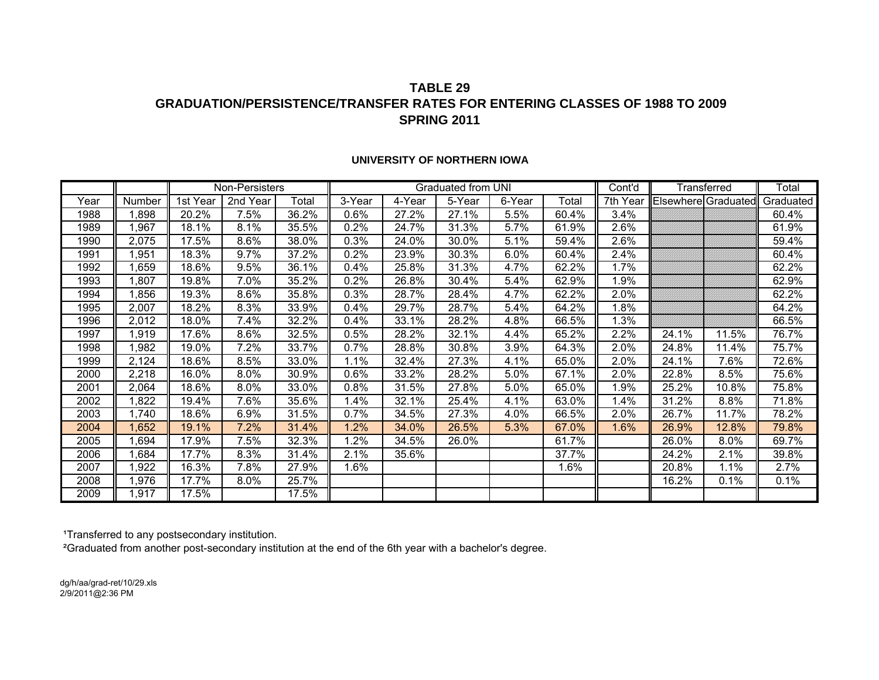## **TABLE 29GRADUATION/PERSISTENCE/TRANSFER RATES FOR ENTERING CLASSES OF 1988 TO 2009SPRING 2011**

|      |        |          | Non-Persisters |       |         |        | Graduated from UNI |        |       | Cont'd   |                     | Transferred | Total     |
|------|--------|----------|----------------|-------|---------|--------|--------------------|--------|-------|----------|---------------------|-------------|-----------|
| Year | Number | 1st Year | 2nd Year       | Total | 3-Year  | 4-Year | 5-Year             | 6-Year | Total | 7th Year | Elsewhere Graduated |             | Graduated |
| 1988 | 1,898  | 20.2%    | 7.5%           | 36.2% | 0.6%    | 27.2%  | 27.1%              | 5.5%   | 60.4% | 3.4%     |                     |             | 60.4%     |
| 1989 | 1,967  | 18.1%    | 8.1%           | 35.5% | 0.2%    | 24.7%  | 31.3%              | 5.7%   | 61.9% | 2.6%     |                     |             | 61.9%     |
| 1990 | 2,075  | 17.5%    | 8.6%           | 38.0% | 0.3%    | 24.0%  | 30.0%              | 5.1%   | 59.4% | 2.6%     |                     |             | 59.4%     |
| 1991 | 1,951  | 18.3%    | 9.7%           | 37.2% | 0.2%    | 23.9%  | 30.3%              | 6.0%   | 60.4% | 2.4%     |                     |             | 60.4%     |
| 1992 | 1,659  | 18.6%    | 9.5%           | 36.1% | 0.4%    | 25.8%  | 31.3%              | 4.7%   | 62.2% | 1.7%     |                     |             | 62.2%     |
| 1993 | 1,807  | 19.8%    | 7.0%           | 35.2% | $0.2\%$ | 26.8%  | 30.4%              | 5.4%   | 62.9% | 1.9%     |                     |             | 62.9%     |
| 1994 | 1,856  | 19.3%    | 8.6%           | 35.8% | 0.3%    | 28.7%  | 28.4%              | 4.7%   | 62.2% | 2.0%     |                     |             | 62.2%     |
| 1995 | 2,007  | 18.2%    | 8.3%           | 33.9% | 0.4%    | 29.7%  | 28.7%              | 5.4%   | 64.2% | 1.8%     |                     |             | 64.2%     |
| 1996 | 2,012  | 18.0%    | 7.4%           | 32.2% | 0.4%    | 33.1%  | 28.2%              | 4.8%   | 66.5% | 1.3%     |                     |             | 66.5%     |
| 1997 | 1,919  | 17.6%    | 8.6%           | 32.5% | 0.5%    | 28.2%  | 32.1%              | 4.4%   | 65.2% | 2.2%     | 24.1%               | 11.5%       | 76.7%     |
| 1998 | ,982   | 19.0%    | 7.2%           | 33.7% | 0.7%    | 28.8%  | 30.8%              | 3.9%   | 64.3% | 2.0%     | 24.8%               | 11.4%       | 75.7%     |
| 1999 | 2,124  | 18.6%    | 8.5%           | 33.0% | 1.1%    | 32.4%  | 27.3%              | 4.1%   | 65.0% | 2.0%     | 24.1%               | 7.6%        | 72.6%     |
| 2000 | 2,218  | 16.0%    | 8.0%           | 30.9% | 0.6%    | 33.2%  | 28.2%              | 5.0%   | 67.1% | 2.0%     | 22.8%               | 8.5%        | 75.6%     |
| 2001 | 2,064  | 18.6%    | 8.0%           | 33.0% | 0.8%    | 31.5%  | 27.8%              | 5.0%   | 65.0% | 1.9%     | 25.2%               | 10.8%       | 75.8%     |
| 2002 | 1,822  | 19.4%    | 7.6%           | 35.6% | 1.4%    | 32.1%  | 25.4%              | 4.1%   | 63.0% | 1.4%     | 31.2%               | 8.8%        | 71.8%     |
| 2003 | 1,740  | 18.6%    | 6.9%           | 31.5% | 0.7%    | 34.5%  | 27.3%              | 4.0%   | 66.5% | 2.0%     | 26.7%               | 11.7%       | 78.2%     |
| 2004 | 1,652  | 19.1%    | 7.2%           | 31.4% | 1.2%    | 34.0%  | 26.5%              | 5.3%   | 67.0% | 1.6%     | 26.9%               | 12.8%       | 79.8%     |
| 2005 | 1,694  | 17.9%    | 7.5%           | 32.3% | 1.2%    | 34.5%  | 26.0%              |        | 61.7% |          | 26.0%               | 8.0%        | 69.7%     |
| 2006 | 1,684  | 17.7%    | 8.3%           | 31.4% | 2.1%    | 35.6%  |                    |        | 37.7% |          | 24.2%               | 2.1%        | 39.8%     |
| 2007 | ,922   | 16.3%    | 7.8%           | 27.9% | 1.6%    |        |                    |        | 1.6%  |          | 20.8%               | 1.1%        | 2.7%      |
| 2008 | 1,976  | 17.7%    | $8.0\%$        | 25.7% |         |        |                    |        |       |          | 16.2%               | 0.1%        | 0.1%      |
| 2009 | 1,917  | 17.5%    |                | 17.5% |         |        |                    |        |       |          |                     |             |           |

#### **UNIVERSITY OF NORTHERN IOWA**

<sup>1</sup>Transferred to any postsecondary institution.

²Graduated from another post-secondary institution at the end of the 6th year with a bachelor's degree.

dg/h/aa/grad-ret/10/29.xls 2/9/2011@2:36 PM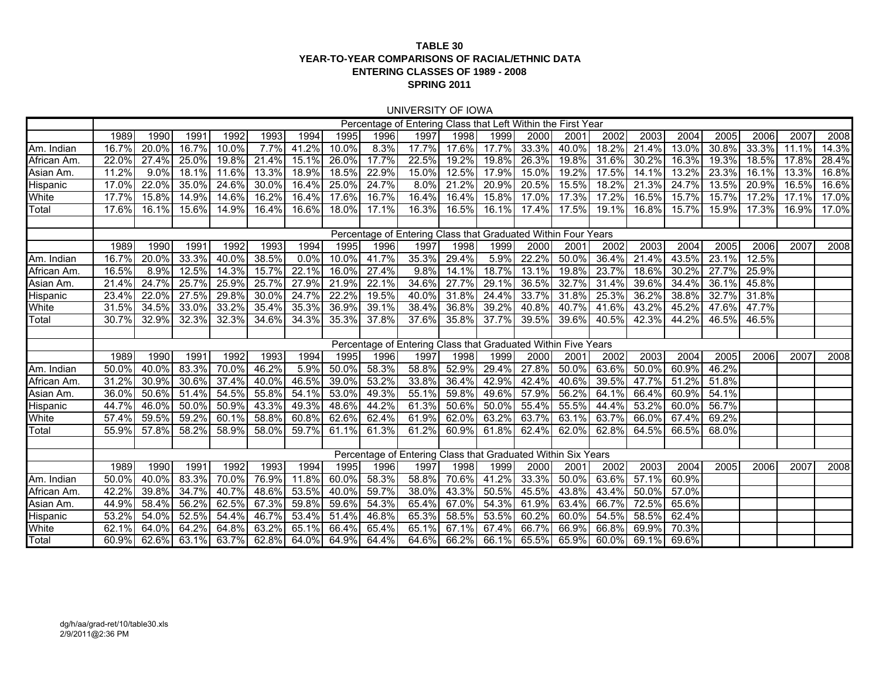#### **TABLE 30 YEAR-TO-YEAR COMPARISONS OF RACIAL/ETHNIC DATAENTERING CLASSES OF 1989 - 2008 SPRING 2011**

#### UNIVERSITY OF IOWA

|                 |       |          |       |       |       |       |          |       | Percentage of Entering Class that Left Within the First Year  |                   |       |       |       |       |       |          |       |          |       |       |
|-----------------|-------|----------|-------|-------|-------|-------|----------|-------|---------------------------------------------------------------|-------------------|-------|-------|-------|-------|-------|----------|-------|----------|-------|-------|
|                 | 1989  | 1990     | 1991  | 1992  | 1993  | 1994  | 1995     | 1996  | 1997                                                          | 1998              | 1999  | 2000  | 2001  | 2002  | 2003  | 2004     | 2005  | 2006     | 2007  | 2008  |
| Am. Indian      | 16.7% | 20.0%    | 16.7% | 10.0% | 7.7%  | 41.2% | 10.0%    | 8.3%  | 17.7%                                                         | 17.6%             | 17.7% | 33.3% | 40.0% | 18.2% | 21.4% | 13.0%    | 30.8% | 33.3%    | 11.1% | 14.3% |
| African Am.     | 22.0% | 27.4%    | 25.0% | 19.8% | 21.4% | 15.1% | 26.0%    | 17.7% | 22.5%                                                         | 19.2%             | 19.8% | 26.3% | 19.8% | 31.6% | 30.2% | 16.3%    | 19.3% | $18.5\%$ | 17.8% | 28.4% |
| Asian Am.       | 11.2% | 9.0%     | 18.1% | 11.6% | 13.3% | 18.9% | 18.5%    | 22.9% | 15.0%                                                         | 12.5%             | 17.9% | 15.0% | 19.2% | 17.5% | 14.1% | 13.2%    | 23.3% | 16.1%    | 13.3% | 16.8% |
| <b>Hispanic</b> | 17.0% | 22.0%    | 35.0% | 24.6% | 30.0% | 16.4% | 25.0%    | 24.7% | 8.0%                                                          | 21.2%             | 20.9% | 20.5% | 15.5% | 18.2% | 21.3% | 24.7%    | 13.5% | 20.9%    | 16.5% | 16.6% |
| White           | 17.7% | $15.8\%$ | 14.9% | 14.6% | 16.2% | 16.4% | 17.6%    | 16.7% | 16.4%                                                         | 16.4%             | 15.8% | 17.0% | 17.3% | 17.2% | 16.5% | 15.7%    | 15.7% | 17.2%    | 17.1% | 17.0% |
| Total           | 17.6% | 16.1%    | 15.6% | 14.9% | 16.4% | 16.6% | 18.0%    | 17.1% | 16.3%                                                         | 16.5%             | 16.1% | 17.4% | 17.5% | 19.1% | 16.8% | 15.7%    | 15.9% | 17.3%    | 16.9% | 17.0% |
|                 |       |          |       |       |       |       |          |       |                                                               |                   |       |       |       |       |       |          |       |          |       |       |
|                 |       |          |       |       |       |       |          |       | Percentage of Entering Class that Graduated Within Four Years |                   |       |       |       |       |       |          |       |          |       |       |
|                 | 1989  | 1990     | 1991  | 1992  | 1993  | 1994  | 1995     | 1996  | 1997                                                          | 1998              | 1999  | 2000  | 2001  | 2002  | 2003  | 2004     | 2005  | 2006     | 2007  | 2008  |
| Am. Indian      | 16.7% | 20.0%    | 33.3% | 40.0% | 38.5% | 0.0%  | 10.0%    | 41.7% | 35.3%                                                         | 29.4%             | 5.9%  | 22.2% | 50.0% | 36.4% | 21.4% | $43.5\%$ | 23.1% | 12.5%    |       |       |
| African Am      | 16.5% | 8.9%     | 12.5% | 14.3% | 15.7% | 22.1% | 16.0%    | 27.4% | 9.8%                                                          | 14.1%             | 18.7% | 13.1% | 19.8% | 23.7% | 18.6% | 30.2%    | 27.7% | 25.9%    |       |       |
| Asian Am.       | 21.4% | 24.7%    | 25.7% | 25.9% | 25.7% | 27.9% | 21.9%    | 22.1% | 34.6%                                                         | 27.7%             | 29.1% | 36.5% | 32.7% | 31.4% | 39.6% | 34.4%    | 36.1% | 45.8%    |       |       |
| <b>Hispanic</b> | 23.4% | 22.0%    | 27.5% | 29.8% | 30.0% | 24.7% | 22.2%    | 19.5% | 40.0%                                                         | 31.8%             | 24.4% | 33.7% | 31.8% | 25.3% | 36.2% | 38.8%    | 32.7% | 31.8%    |       |       |
| White           | 31.5% | 34.5%    | 33.0% | 33.2% | 35.4% | 35.3% | 36.9%    | 39.1% | 38.4%                                                         | 36.8%             | 39.2% | 40.8% | 40.7% | 41.6% | 43.2% | 45.2%    | 47.6% | 47.7%    |       |       |
| Total           | 30.7% | 32.9%    | 32.3% | 32.3% | 34.6% | 34.3% | 35.3%    | 37.8% | 37.6%                                                         | 35.8%             | 37.7% | 39.5% | 39.6% | 40.5% | 42.3% | 44.2%    | 46.5% | 46.5%    |       |       |
|                 |       |          |       |       |       |       |          |       |                                                               |                   |       |       |       |       |       |          |       |          |       |       |
|                 |       |          |       |       |       |       |          |       | Percentage of Entering Class that Graduated Within Five Years |                   |       |       |       |       |       |          |       |          |       |       |
|                 | 1989  | 1990     | 1991  | 1992  | 1993  | 1994  | 1995     | 1996  | 1997                                                          | 1998              | 1999  | 2000  | 2001  | 2002  | 2003  | 2004     | 2005  | 2006     | 2007  | 2008  |
| Am. Indian      | 50.0% | 40.0%    | 83.3% | 70.0% | 46.2% | 5.9%  | 50.0%    | 58.3% | 58.8%                                                         | 52.9%             | 29.4% | 27.8% | 50.0% | 63.6% | 50.0% | 60.9%    | 46.2% |          |       |       |
| African Am      | 31.2% | 30.9%    | 30.6% | 37.4% | 40.0% | 46.5% | 39.0%    | 53.2% | 33.8%                                                         | 36.4%             | 42.9% | 42.4% | 40.6% | 39.5% | 47.7% | 51.2%    | 51.8% |          |       |       |
| Asian Am.       | 36.0% | $50.6\%$ | 51.4% | 54.5% | 55.8% | 54.1% | 53.0%    | 49.3% | 55.1%                                                         | 59.8%             | 49.6% | 57.9% | 56.2% | 64.1% | 66.4% | $60.9\%$ | 54.1% |          |       |       |
| <b>Hispanic</b> | 44.7% | 46.0%    | 50.0% | 50.9% | 43.3% | 49.3% | 48.6%    | 44.2% | 61.3%                                                         | 50.6%             | 50.0% | 55.4% | 55.5% | 44.4% | 53.2% | 60.0%    | 56.7% |          |       |       |
| White           | 57.4% | 59.5%    | 59.2% | 60.1% | 58.8% | 60.8% | 62.6%    | 62.4% | 61.9%                                                         | 62.0%             | 63.2% | 63.7% | 63.1% | 63.7% | 66.0% | 67.4%    | 69.2% |          |       |       |
| Total           | 55.9% | 57.8%    | 58.2% | 58.9% | 58.0% | 59.7% | 61.1%    | 61.3% | 61.2%                                                         | 60.9%             | 61.8% | 62.4% | 62.0% | 62.8% | 64.5% | 66.5%    | 68.0% |          |       |       |
|                 |       |          |       |       |       |       |          |       |                                                               |                   |       |       |       |       |       |          |       |          |       |       |
|                 |       |          |       |       |       |       |          |       | Percentage of Entering Class that Graduated Within Six Years  |                   |       |       |       |       |       |          |       |          |       |       |
|                 | 1989  | 1990     | 1991  | 1992  | 1993  | 1994  | 1995     | 1996  | 1997                                                          | 1998              | 1999  | 2000  | 2001  | 2002  | 2003  | 2004     | 2005  | 2006     | 2007  | 2008  |
| Am. Indian      | 50.0% | 40.0%    | 83.3% | 70.0% | 76.9% | 11.8% | 60.0%    | 58.3% | 58.8%                                                         | 70.6%             | 41.2% | 33.3% | 50.0% | 63.6% | 57.1% | 60.9%    |       |          |       |       |
| African Am      | 42.2% | 39.8%    | 34.7% | 40.7% | 48.6% | 53.5% | $40.0\%$ | 59.7% | 38.0%                                                         | 43.3%             | 50.5% | 45.5% | 43.8% | 43.4% | 50.0% | 57.0%    |       |          |       |       |
| Asian Am.       | 44.9% | 58.4%    | 56.2% | 62.5% | 67.3% | 59.8% | 59.6%    | 54.3% | 65.4%                                                         | 67.0%             | 54.3% | 61.9% | 63.4% | 66.7% | 72.5% | 65.6%    |       |          |       |       |
| Hispanic        | 53.2% | 54.0%    | 52.5% | 54.4% | 46.7% | 53.4% | 51.4%    | 46.8% | 65.3%                                                         | 58.5%             | 53.5% | 60.2% | 60.0% | 54.5% | 58.5% | 62.4%    |       |          |       |       |
| White           | 62.1% | 64.0%    | 64.2% | 64.8% | 63.2% | 65.1% | 66.4%    | 65.4% | 65.1%                                                         | 67.1%             | 67.4% | 66.7% | 66.9% | 66.8% | 69.9% | 70.3%    |       |          |       |       |
| Total           | 60.9% | 62.6%    | 63.1% | 63.7% | 62.8% | 64.0% | 64.9%    | 64.4% |                                                               | 64.6% 66.2% 66.1% |       | 65.5% | 65.9% | 60.0% | 69.1% | 69.6%    |       |          |       |       |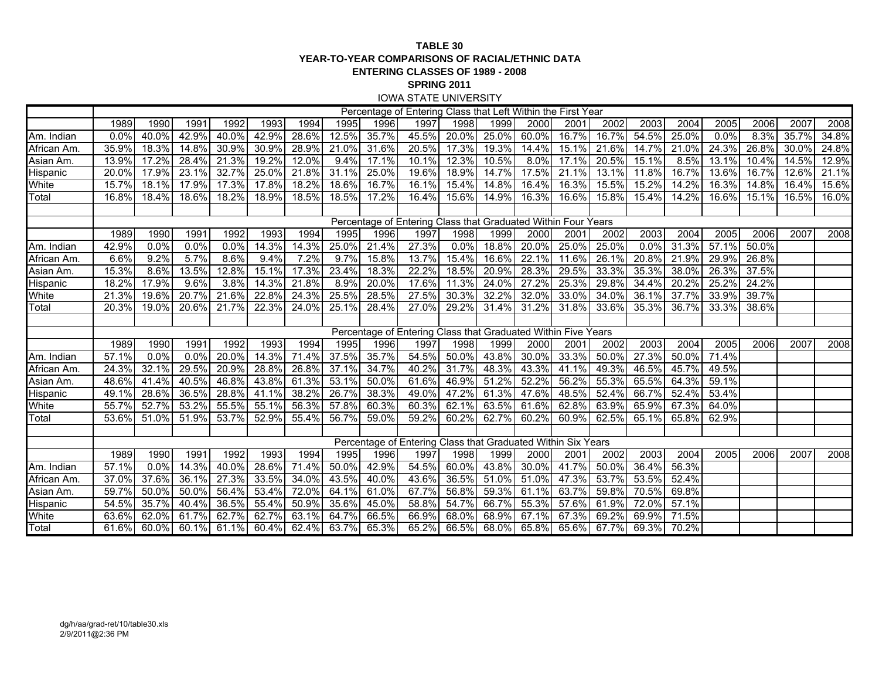#### **TABLE 30 YEAR-TO-YEAR COMPARISONS OF RACIAL/ETHNIC DATAENTERING CLASSES OF 1989 - 2008 SPRING 2011** IOWA STATE UNIVERSITY

|             |       |          |       |       |       |       |       |       | Percentage of Entering Class that Left Within the First Year  |          |                     |       |       |             |       |       |       |       |       |       |
|-------------|-------|----------|-------|-------|-------|-------|-------|-------|---------------------------------------------------------------|----------|---------------------|-------|-------|-------------|-------|-------|-------|-------|-------|-------|
|             | 1989  | 1990     | 1991  | 1992  | 1993  | 1994  | 1995  | 1996  | 1997                                                          | 1998     | 1999                | 2000  | 2001  | 2002        | 2003  | 2004  | 2005  | 2006  | 2007  | 2008  |
| Am. Indian  | 0.0%  | $40.0\%$ | 42.9% | 40.0% | 42.9% | 28.6% | 12.5% | 35.7% | 45.5%                                                         | $20.0\%$ | 25.0%               | 60.0% | 16.7% | 16.7%       | 54.5% | 25.0% | 0.0%  | 8.3%  | 35.7% | 34.8% |
| African Am. | 35.9% | 18.3%    | 14.8% | 30.9% | 30.9% | 28.9% | 21.0% | 31.6% | 20.5%                                                         | 17.3%    | 19.3%               | 14.4% | 15.1% | 21.6%       | 14.7% | 21.0% | 24.3% | 26.8% | 30.0% | 24.8% |
| Asian Am.   | 13.9% | 17.2%    | 28.4% | 21.3% | 19.2% | 12.0% | 9.4%  | 17.1% | 10.1%                                                         | 12.3%    | 10.5%               | 8.0%  | 17.1% | 20.5%       | 15.1% | 8.5%  | 13.1% | 10.4% | 14.5% | 12.9% |
| Hispanic    | 20.0% | 17.9%    | 23.1% | 32.7% | 25.0% | 21.8% | 31.1% | 25.0% | 19.6%                                                         | $18.9\%$ | 14.7%               | 17.5% | 21.1% | 13.1%       | 11.8% | 16.7% | 13.6% | 16.7% | 12.6% | 21.1% |
| White       | 15.7% | 18.1%    | 17.9% | 17.3% | 17.8% | 18.2% | 18.6% | 16.7% | 16.1%                                                         | 15.4%    | $14.\overline{8\%}$ | 16.4% | 16.3% | 15.5%       | 15.2% | 14.2% | 16.3% | 14.8% | 16.4% | 15.6% |
| Total       | 16.8% | 18.4%    | 18.6% | 18.2% | 18.9% | 18.5% | 18.5% | 17.2% | 16.4%                                                         | 15.6%    | 14.9%               | 16.3% | 16.6% | 15.8%       | 15.4% | 14.2% | 16.6% | 15.1% | 16.5% | 16.0% |
|             |       |          |       |       |       |       |       |       |                                                               |          |                     |       |       |             |       |       |       |       |       |       |
|             |       |          |       |       |       |       |       |       | Percentage of Entering Class that Graduated Within Four Years |          |                     |       |       |             |       |       |       |       |       |       |
|             | 1989  | 1990     | 1991  | 1992  | 1993  | 1994  | 1995  | 1996  | 1997                                                          | 1998     | 1999                | 2000  | 2001  | 2002        | 2003  | 2004  | 2005  | 2006  | 2007  | 2008  |
| Am. Indian  | 42.9% | 0.0%     | 0.0%  | 0.0%  | 14.3% | 14.3% | 25.0% | 21.4% | 27.3%                                                         | 0.0%     | 18.8%               | 20.0% | 25.0% | 25.0%       | 0.0%  | 31.3% | 57.1% | 50.0% |       |       |
| African Am. | 6.6%  | 9.2%     | 5.7%  | 8.6%  | 9.4%  | 7.2%  | 9.7%  | 15.8% | 13.7%                                                         | 15.4%    | 16.6%               | 22.1% | 11.6% | 26.1%       | 20.8% | 21.9% | 29.9% | 26.8% |       |       |
| Asian Am.   | 15.3% | 8.6%     | 13.5% | 12.8% | 15.1% | 17.3% | 23.4% | 18.3% | 22.2%                                                         | 18.5%    | 20.9%               | 28.3% | 29.5% | 33.3%       | 35.3% | 38.0% | 26.3% | 37.5% |       |       |
| Hispanic    | 18.2% | 17.9%    | 9.6%  | 3.8%  | 14.3% | 21.8% | 8.9%  | 20.0% | 17.6%                                                         | 11.3%    | 24.0%               | 27.2% | 25.3% | 29.8%       | 34.4% | 20.2% | 25.2% | 24.2% |       |       |
| White       | 21.3% | 19.6%    | 20.7% | 21.6% | 22.8% | 24.3% | 25.5% | 28.5% | 27.5%                                                         | 30.3%    | 32.2%               | 32.0% | 33.0% | $34.0\%$    | 36.1% | 37.7% | 33.9% | 39.7% |       |       |
| Total       | 20.3% | 19.0%    | 20.6% | 21.7% | 22.3% | 24.0% | 25.1% | 28.4% | 27.0%                                                         | 29.2%    | 31.4%               | 31.2% | 31.8% | 33.6%       | 35.3% | 36.7% | 33.3% | 38.6% |       |       |
|             |       |          |       |       |       |       |       |       |                                                               |          |                     |       |       |             |       |       |       |       |       |       |
|             |       |          |       |       |       |       |       |       | Percentage of Entering Class that Graduated Within Five Years |          |                     |       |       |             |       |       |       |       |       |       |
|             | 1989  | 1990     | 1991  | 1992  | 1993  | 1994  | 1995  | 1996  | 1997                                                          | 1998     | 1999                | 2000  | 2001  | 2002        | 2003  | 2004  | 2005  | 2006  | 2007  | 2008  |
| Am. Indian  | 57.1% | 0.0%     | 0.0%  | 20.0% | 14.3% | 71.4% | 37.5% | 35.7% | 54.5%                                                         | 50.0%    | 43.8%               | 30.0% | 33.3% | 50.0%       | 27.3% | 50.0% | 71.4% |       |       |       |
| African Am. | 24.3% | 32.1%    | 29.5% | 20.9% | 28.8% | 26.8% | 37.1% | 34.7% | 40.2%                                                         | 31.7%    | 48.3%               | 43.3% | 41.1% | 49.3%       | 46.5% | 45.7% | 49.5% |       |       |       |
| Asian Am.   | 48.6% | 41.4%    | 40.5% | 46.8% | 43.8% | 61.3% | 53.1% | 50.0% | 61.6%                                                         | 46.9%    | 51.2%               | 52.2% | 56.2% | 55.3%       | 65.5% | 64.3% | 59.1% |       |       |       |
| Hispanic    | 49.1% | 28.6%    | 36.5% | 28.8% | 41.1% | 38.2% | 26.7% | 38.3% | 49.0%                                                         | 47.2%    | 61.3%               | 47.6% | 48.5% | 52.4%       | 66.7% | 52.4% | 53.4% |       |       |       |
| White       | 55.7% | 52.7%    | 53.2% | 55.5% | 55.1% | 56.3% | 57.8% | 60.3% | 60.3%                                                         | 62.1%    | 63.5%               | 61.6% | 62.8% | 63.9%       | 65.9% | 67.3% | 64.0% |       |       |       |
| Total       | 53.6% | 51.0%    | 51.9% | 53.7% | 52.9% | 55.4% | 56.7% | 59.0% | 59.2%                                                         | 60.2%    | 62.7%               | 60.2% | 60.9% | 62.5%       | 65.1% | 65.8% | 62.9% |       |       |       |
|             |       |          |       |       |       |       |       |       |                                                               |          |                     |       |       |             |       |       |       |       |       |       |
|             |       |          |       |       |       |       |       |       | Percentage of Entering Class that Graduated Within Six Years  |          |                     |       |       |             |       |       |       |       |       |       |
|             | 1989  | 1990     | 1991  | 1992  | 1993  | 1994  | 1995  | 1996  | 1997                                                          | 1998     | 1999                | 2000  | 2001  | 2002        | 2003  | 2004  | 2005  | 2006  | 2007  | 2008  |
| Am. Indian  | 57.1% | 0.0%     | 14.3% | 40.0% | 28.6% | 71.4% | 50.0% | 42.9% | 54.5%                                                         | 60.0%    | 43.8%               | 30.0% | 41.7% | 50.0%       | 36.4% | 56.3% |       |       |       |       |
| African Am. | 37.0% | 37.6%    | 36.1% | 27.3% | 33.5% | 34.0% | 43.5% | 40.0% | 43.6%                                                         | 36.5%    | 51.0%               | 51.0% | 47.3% | 53.7%       | 53.5% | 52.4% |       |       |       |       |
| Asian Am.   | 59.7% | 50.0%    | 50.0% | 56.4% | 53.4% | 72.0% | 64.1% | 61.0% | 67.7%                                                         | 56.8%    | 59.3%               | 61.1% | 63.7% | 59.8%       | 70.5% | 69.8% |       |       |       |       |
| Hispanic    | 54.5% | 35.7%    | 40.4% | 36.5% | 55.4% | 50.9% | 35.6% | 45.0% | 58.8%                                                         | 54.7%    | 66.7%               | 55.3% | 57.6% | 61.9%       | 72.0% | 57.1% |       |       |       |       |
| White       | 63.6% | 62.0%    | 61.7% | 62.7% | 62.7% | 63.1% | 64.7% | 66.5% | 66.9%                                                         | 68.0%    | 68.9%               | 67.1% | 67.3% | 69.2%       | 69.9% | 71.5% |       |       |       |       |
| Total       | 61.6% | 60.0%    | 60.1% | 61.1% | 60.4% | 62.4% | 63.7% | 65.3% | 65.2%                                                         |          | 66.5% 68.0%         | 65.8% |       | 65.6% 67.7% | 69.3% | 70.2% |       |       |       |       |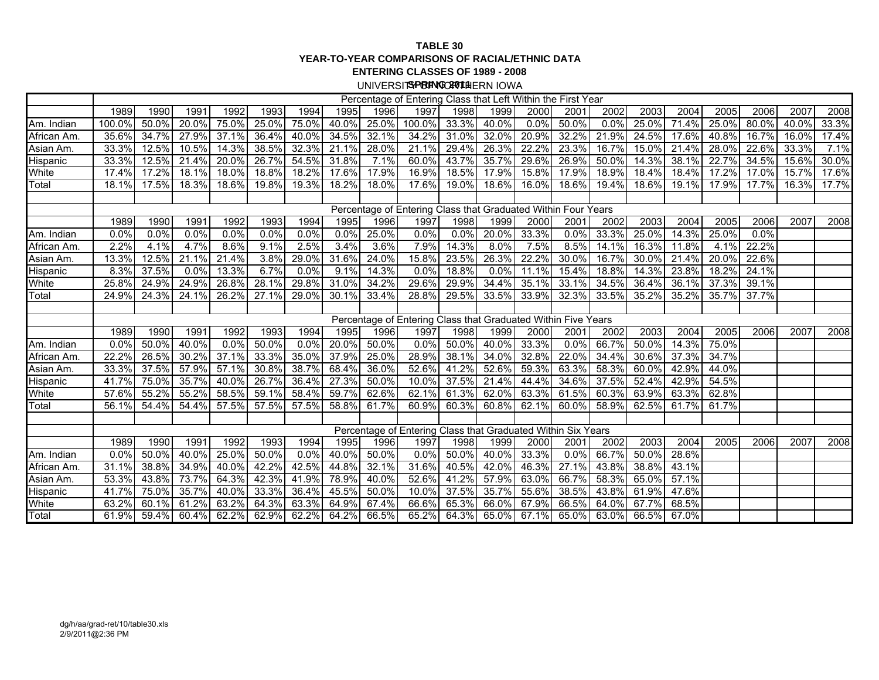#### **TABLE 30 YEAR-TO-YEAR COMPARISONS OF RACIAL/ETHNIC DATAENTERING CLASSES OF 1989 - 2008**

UNIVERSIT**SPRINGCAO11** HERN IOWA

|                 |        |          |       |          |       |       |       |       | Percentage of Entering Class that Left Within the First Year  |          |          |       |         |       |       |       |       |       |          |       |
|-----------------|--------|----------|-------|----------|-------|-------|-------|-------|---------------------------------------------------------------|----------|----------|-------|---------|-------|-------|-------|-------|-------|----------|-------|
|                 | 1989   | 1990     | 1991  | 1992     | 1993  | 1994  | 1995  | 1996  | 1997                                                          | 1998     | 1999     | 2000  | 2001    | 2002  | 2003  | 2004  | 2005  | 2006  | 2007     | 2008  |
| Am. Indian      | 100.0% | 50.0%    | 20.0% | 75.0%    | 25.0% | 75.0% | 40.0% | 25.0% | 100.0%                                                        | 33.3%    | 40.0%    | 0.0%  | 50.0%   | 0.0%  | 25.0% | 71.4% | 25.0% | 80.0% | $40.0\%$ | 33.3% |
| African Am.     | 35.6%  | 34.7%    | 27.9% | 37.1%    | 36.4% | 40.0% | 34.5% | 32.1% | 34.2%                                                         | 31.0%    | 32.0%    | 20.9% | 32.2%   | 21.9% | 24.5% | 17.6% | 40.8% | 16.7% | 16.0%    | 17.4% |
| Asian Am.       | 33.3%  | 12.5%    | 10.5% | 14.3%    | 38.5% | 32.3% | 21.1% | 28.0% | 21.1%                                                         | 29.4%    | 26.3%    | 22.2% | 23.3%   | 16.7% | 15.0% | 21.4% | 28.0% | 22.6% | 33.3%    | 7.1%  |
| <b>Hispanic</b> | 33.3%  | $12.5\%$ | 21.4% | $20.0\%$ | 26.7% | 54.5% | 31.8% | 7.1%  | 60.0%                                                         | 43.7%    | 35.7%    | 29.6% | 26.9%   | 50.0% | 14.3% | 38.1% | 22.7% | 34.5% | 15.6%    | 30.0% |
| White           | 17.4%  | 17.2%    | 18.1% | 18.0%    | 18.8% | 18.2% | 17.6% | 17.9% | 16.9%                                                         | 18.5%    | 17.9%    | 15.8% | 17.9%   | 18.9% | 18.4% | 18.4% | 17.2% | 17.0% | 15.7%    | 17.6% |
| Total           | 18.1%  | 17.5%    | 18.3% | 18.6%    | 19.8% | 19.3% | 18.2% | 18.0% | 17.6%                                                         | 19.0%    | 18.6%    | 16.0% | 18.6%   | 19.4% | 18.6% | 19.1% | 17.9% | 17.7% | 16.3%    | 17.7% |
|                 |        |          |       |          |       |       |       |       |                                                               |          |          |       |         |       |       |       |       |       |          |       |
|                 |        |          |       |          |       |       |       |       | Percentage of Entering Class that Graduated Within Four Years |          |          |       |         |       |       |       |       |       |          |       |
|                 | 1989   | 1990     | 1991  | 1992     | 1993  | 1994  | 1995  | 1996  | 1997                                                          | 1998     | 1999     | 2000  | 2001    | 2002  | 2003  | 2004  | 2005  | 2006  | 2007     | 2008  |
| Am. Indian      | 0.0%   | 0.0%     | 0.0%  | 0.0%     | 0.0%  | 0.0%  | 0.0%  | 25.0% | 0.0%                                                          | 0.0%     | 20.0%    | 33.3% | 0.0%    | 33.3% | 25.0% | 14.3% | 25.0% | 0.0%  |          |       |
| African Am.     | 2.2%   | 4.1%     | 4.7%  | 8.6%     | 9.1%  | 2.5%  | 3.4%  | 3.6%  | 7.9%                                                          | 14.3%    | 8.0%     | 7.5%  | 8.5%    | 14.1% | 16.3% | 11.8% | 4.1%  | 22.2% |          |       |
| Asian Am.       | 13.3%  | 12.5%    | 21.1% | 21.4%    | 3.8%  | 29.0% | 31.6% | 24.0% | 15.8%                                                         | $23.5\%$ | 26.3%    | 22.2% | 30.0%   | 16.7% | 30.0% | 21.4% | 20.0% | 22.6% |          |       |
| Hispanic        | 8.3%   | 37.5%    | 0.0%  | 13.3%    | 6.7%  | 0.0%  | 9.1%  | 14.3% | 0.0%                                                          | 18.8%    | 0.0%     | 11.1% | 15.4%   | 18.8% | 14.3% | 23.8% | 18.2% | 24.1% |          |       |
| White           | 25.8%  | 24.9%    | 24.9% | 26.8%    | 28.1% | 29.8% | 31.0% | 34.2% | 29.6%                                                         | 29.9%    | 34.4%    | 35.1% | 33.1%   | 34.5% | 36.4% | 36.1% | 37.3% | 39.1% |          |       |
| Total           | 24.9%  | 24.3%    | 24.1% | 26.2%    | 27.1% | 29.0% | 30.1% | 33.4% | $28.8\%$                                                      | 29.5%    | 33.5%    | 33.9% | 32.3%   | 33.5% | 35.2% | 35.2% | 35.7% | 37.7% |          |       |
|                 |        |          |       |          |       |       |       |       |                                                               |          |          |       |         |       |       |       |       |       |          |       |
|                 |        |          |       |          |       |       |       |       | Percentage of Entering Class that Graduated Within Five Years |          |          |       |         |       |       |       |       |       |          |       |
|                 | 1989   | 1990     | 1991  | 1992     | 1993  | 1994  | 1995  | 1996  | 1997                                                          | 1998     | 1999     | 2000  | 2001    | 2002  | 2003  | 2004  | 2005  | 2006  | 2007     | 2008  |
| Am. Indian      | 0.0%   | 50.0%    | 40.0% | 0.0%     | 50.0% | 0.0%  | 20.0% | 50.0% | 0.0%                                                          | $50.0\%$ | $40.0\%$ | 33.3% | $0.0\%$ | 66.7% | 50.0% | 14.3% | 75.0% |       |          |       |
| African Am.     | 22.2%  | 26.5%    | 30.2% | 37.1%    | 33.3% | 35.0% | 37.9% | 25.0% | 28.9%                                                         | 38.1%    | 34.0%    | 32.8% | 22.0%   | 34.4% | 30.6% | 37.3% | 34.7% |       |          |       |
| Asian Am.       | 33.3%  | 37.5%    | 57.9% | 57.1%    | 30.8% | 38.7% | 68.4% | 36.0% | 52.6%                                                         | 41.2%    | 52.6%    | 59.3% | 63.3%   | 58.3% | 60.0% | 42.9% | 44.0% |       |          |       |
| Hispanic        | 41.7%  | 75.0%    | 35.7% | 40.0%    | 26.7% | 36.4% | 27.3% | 50.0% | 10.0%                                                         | 37.5%    | 21.4%    | 44.4% | 34.6%   | 37.5% | 52.4% | 42.9% | 54.5% |       |          |       |
| White           | 57.6%  | 55.2%    | 55.2% | 58.5%    | 59.1% | 58.4% | 59.7% | 62.6% | 62.1%                                                         | 61.3%    | 62.0%    | 63.3% | 61.5%   | 60.3% | 63.9% | 63.3% | 62.8% |       |          |       |
| Total           | 56.1%  | 54.4%    | 54.4% | 57.5%    | 57.5% | 57.5% | 58.8% | 61.7% | 60.9%                                                         | 60.3%    | 60.8%    | 62.1% | 60.0%   | 58.9% | 62.5% | 61.7% | 61.7% |       |          |       |
|                 |        |          |       |          |       |       |       |       |                                                               |          |          |       |         |       |       |       |       |       |          |       |
|                 |        |          |       |          |       |       |       |       | Percentage of Entering Class that Graduated Within Six Years  |          |          |       |         |       |       |       |       |       |          |       |
|                 | 1989   | 1990     | 1991  | 1992     | 1993  | 1994  | 1995  | 1996  | 1997                                                          | 1998     | 1999     | 2000  | 2001    | 2002  | 2003  | 2004  | 2005  | 2006  | 2007     | 2008  |
| Am. Indian      | 0.0%   | 50.0%    | 40.0% | 25.0%    | 50.0% | 0.0%  | 40.0% | 50.0% | 0.0%                                                          | 50.0%    | 40.0%    | 33.3% | 0.0%    | 66.7% | 50.0% | 28.6% |       |       |          |       |
| African Am.     | 31.1%  | 38.8%    | 34.9% | 40.0%    | 42.2% | 42.5% | 44.8% | 32.1% | 31.6%                                                         | 40.5%    | 42.0%    | 46.3% | 27.1%   | 43.8% | 38.8% | 43.1% |       |       |          |       |
| Asian Am.       | 53.3%  | 43.8%    | 73.7% | 64.3%    | 42.3% | 41.9% | 78.9% | 40.0% | 52.6%                                                         | 41.2%    | 57.9%    | 63.0% | 66.7%   | 58.3% | 65.0% | 57.1% |       |       |          |       |
| <b>Hispanic</b> | 41.7%  | 75.0%    | 35.7% | 40.0%    | 33.3% | 36.4% | 45.5% | 50.0% | 10.0%                                                         | 37.5%    | 35.7%    | 55.6% | 38.5%   | 43.8% | 61.9% | 47.6% |       |       |          |       |
| <b>White</b>    | 63.2%  | 60.1%    | 61.2% | 63.2%    | 64.3% | 63.3% | 64.9% | 67.4% | 66.6%                                                         | 65.3%    | 66.0%    | 67.9% | 66.5%   | 64.0% | 67.7% | 68.5% |       |       |          |       |
| Total           | 61.9%  | 59.4%    | 60.4% | 62.2%    | 62.9% | 62.2% | 64.2% | 66.5% | 65.2%                                                         | 64.3%    | 65.0%    | 67.1% | 65.0%   | 63.0% | 66.5% | 67.0% |       |       |          |       |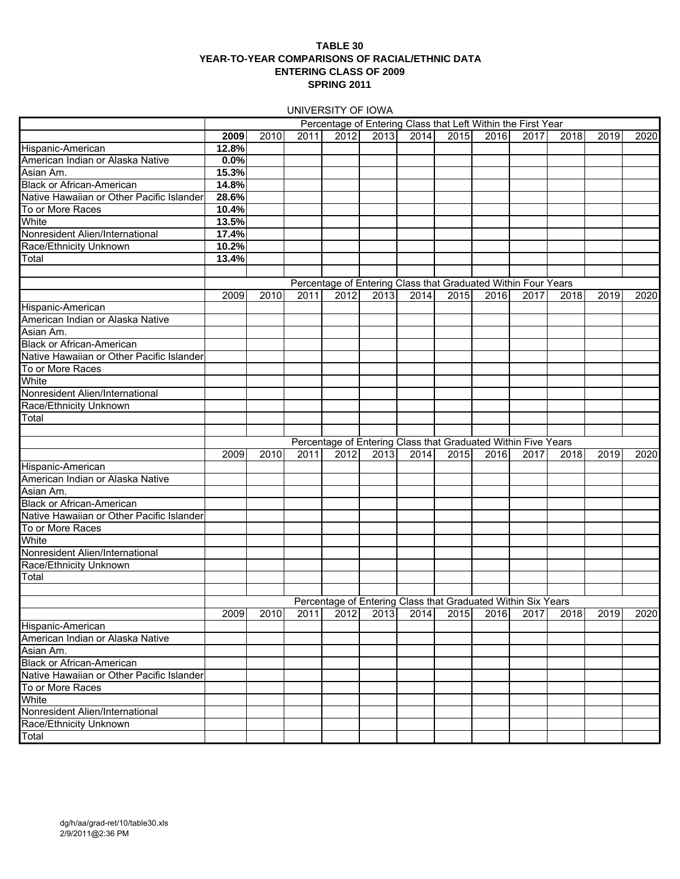#### **TABLE 30 YEAR-TO-YEAR COMPARISONS OF RACIAL/ETHNIC DATA ENTERING CLASS OF 2009 SPRING 2011**

UNIVERSITY OF IOWA

|                                           |       |      |      |      |      |      |      |      | Percentage of Entering Class that Left Within the First Year  |      |      |      |
|-------------------------------------------|-------|------|------|------|------|------|------|------|---------------------------------------------------------------|------|------|------|
|                                           | 2009  | 2010 | 2011 | 2012 | 2013 | 2014 | 2015 | 2016 | 2017                                                          | 2018 | 2019 | 2020 |
| Hispanic-American                         | 12.8% |      |      |      |      |      |      |      |                                                               |      |      |      |
| American Indian or Alaska Native          | 0.0%  |      |      |      |      |      |      |      |                                                               |      |      |      |
| Asian Am.                                 | 15.3% |      |      |      |      |      |      |      |                                                               |      |      |      |
| <b>Black or African-American</b>          | 14.8% |      |      |      |      |      |      |      |                                                               |      |      |      |
| Native Hawaiian or Other Pacific Islander | 28.6% |      |      |      |      |      |      |      |                                                               |      |      |      |
|                                           | 10.4% |      |      |      |      |      |      |      |                                                               |      |      |      |
| To or More Races                          | 13.5% |      |      |      |      |      |      |      |                                                               |      |      |      |
| White                                     |       |      |      |      |      |      |      |      |                                                               |      |      |      |
| Nonresident Alien/International           | 17.4% |      |      |      |      |      |      |      |                                                               |      |      |      |
| Race/Ethnicity Unknown                    | 10.2% |      |      |      |      |      |      |      |                                                               |      |      |      |
| Total                                     | 13.4% |      |      |      |      |      |      |      |                                                               |      |      |      |
|                                           |       |      |      |      |      |      |      |      |                                                               |      |      |      |
|                                           |       |      |      |      |      |      |      |      | Percentage of Entering Class that Graduated Within Four Years |      |      |      |
|                                           | 2009  | 2010 | 2011 | 2012 | 2013 | 2014 | 2015 | 2016 | 2017                                                          | 2018 | 2019 | 2020 |
| Hispanic-American                         |       |      |      |      |      |      |      |      |                                                               |      |      |      |
| American Indian or Alaska Native          |       |      |      |      |      |      |      |      |                                                               |      |      |      |
| Asian Am.                                 |       |      |      |      |      |      |      |      |                                                               |      |      |      |
| <b>Black or African-American</b>          |       |      |      |      |      |      |      |      |                                                               |      |      |      |
| Native Hawaiian or Other Pacific Islander |       |      |      |      |      |      |      |      |                                                               |      |      |      |
| To or More Races                          |       |      |      |      |      |      |      |      |                                                               |      |      |      |
| White                                     |       |      |      |      |      |      |      |      |                                                               |      |      |      |
| Nonresident Alien/International           |       |      |      |      |      |      |      |      |                                                               |      |      |      |
| Race/Ethnicity Unknown                    |       |      |      |      |      |      |      |      |                                                               |      |      |      |
| Total                                     |       |      |      |      |      |      |      |      |                                                               |      |      |      |
|                                           |       |      |      |      |      |      |      |      |                                                               |      |      |      |
|                                           |       |      |      |      |      |      |      |      | Percentage of Entering Class that Graduated Within Five Years |      |      |      |
|                                           | 2009  | 2010 | 2011 | 2012 | 2013 | 2014 | 2015 | 2016 | 2017                                                          | 2018 | 2019 | 2020 |
| Hispanic-American                         |       |      |      |      |      |      |      |      |                                                               |      |      |      |
| American Indian or Alaska Native          |       |      |      |      |      |      |      |      |                                                               |      |      |      |
| Asian Am.                                 |       |      |      |      |      |      |      |      |                                                               |      |      |      |
| <b>Black or African-American</b>          |       |      |      |      |      |      |      |      |                                                               |      |      |      |
| Native Hawaiian or Other Pacific Islander |       |      |      |      |      |      |      |      |                                                               |      |      |      |
| To or More Races                          |       |      |      |      |      |      |      |      |                                                               |      |      |      |
| White                                     |       |      |      |      |      |      |      |      |                                                               |      |      |      |
| Nonresident Alien/International           |       |      |      |      |      |      |      |      |                                                               |      |      |      |
| Race/Ethnicity Unknown                    |       |      |      |      |      |      |      |      |                                                               |      |      |      |
| Total                                     |       |      |      |      |      |      |      |      |                                                               |      |      |      |
|                                           |       |      |      |      |      |      |      |      |                                                               |      |      |      |
|                                           |       |      |      |      |      |      |      |      | Percentage of Entering Class that Graduated Within Six Years  |      |      |      |
|                                           |       |      |      |      |      |      |      |      | 2009 2010 2011 2012 2013 2014 2015 2016 2017 2018 2019 2020   |      |      |      |
| Hispanic-American                         |       |      |      |      |      |      |      |      |                                                               |      |      |      |
| American Indian or Alaska Native          |       |      |      |      |      |      |      |      |                                                               |      |      |      |
| Asian Am.                                 |       |      |      |      |      |      |      |      |                                                               |      |      |      |
| <b>Black or African-American</b>          |       |      |      |      |      |      |      |      |                                                               |      |      |      |
| Native Hawaiian or Other Pacific Islander |       |      |      |      |      |      |      |      |                                                               |      |      |      |
| To or More Races                          |       |      |      |      |      |      |      |      |                                                               |      |      |      |
| White                                     |       |      |      |      |      |      |      |      |                                                               |      |      |      |
| Nonresident Alien/International           |       |      |      |      |      |      |      |      |                                                               |      |      |      |
| Race/Ethnicity Unknown                    |       |      |      |      |      |      |      |      |                                                               |      |      |      |
| Total                                     |       |      |      |      |      |      |      |      |                                                               |      |      |      |
|                                           |       |      |      |      |      |      |      |      |                                                               |      |      |      |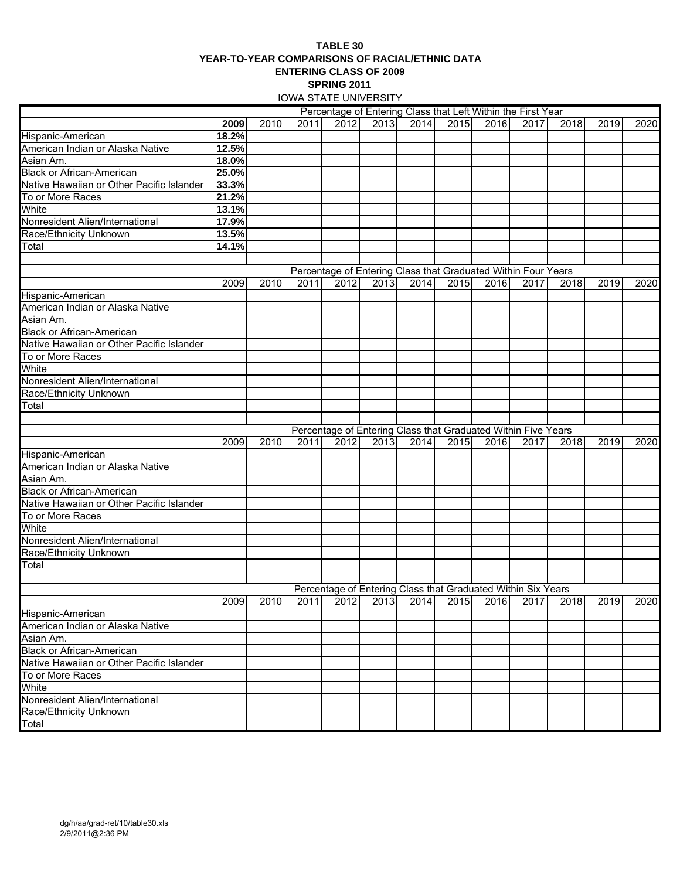#### **TABLE 30 YEAR-TO-YEAR COMPARISONS OF RACIAL/ETHNIC DATA ENTERING CLASS OF 2009 SPRING 2011** IOWA STATE UNIVERSITY

|                                           |       |      |      |      | <u>IUWA STATE UNIVERSITI</u> |      |                                                               |      |      |      |      |      |
|-------------------------------------------|-------|------|------|------|------------------------------|------|---------------------------------------------------------------|------|------|------|------|------|
|                                           |       |      |      |      |                              |      | Percentage of Entering Class that Left Within the First Year  |      |      |      |      |      |
|                                           | 2009  | 2010 | 2011 | 2012 | 2013                         | 2014 | 2015                                                          | 2016 | 2017 | 2018 | 2019 | 2020 |
| Hispanic-American                         | 18.2% |      |      |      |                              |      |                                                               |      |      |      |      |      |
| American Indian or Alaska Native          | 12.5% |      |      |      |                              |      |                                                               |      |      |      |      |      |
| Asian Am.                                 | 18.0% |      |      |      |                              |      |                                                               |      |      |      |      |      |
| <b>Black or African-American</b>          | 25.0% |      |      |      |                              |      |                                                               |      |      |      |      |      |
| Native Hawaiian or Other Pacific Islander | 33.3% |      |      |      |                              |      |                                                               |      |      |      |      |      |
| To or More Races                          | 21.2% |      |      |      |                              |      |                                                               |      |      |      |      |      |
| White                                     | 13.1% |      |      |      |                              |      |                                                               |      |      |      |      |      |
| Nonresident Alien/International           | 17.9% |      |      |      |                              |      |                                                               |      |      |      |      |      |
| Race/Ethnicity Unknown                    | 13.5% |      |      |      |                              |      |                                                               |      |      |      |      |      |
| Total                                     | 14.1% |      |      |      |                              |      |                                                               |      |      |      |      |      |
|                                           |       |      |      |      |                              |      |                                                               |      |      |      |      |      |
|                                           |       |      |      |      |                              |      | Percentage of Entering Class that Graduated Within Four Years |      |      |      |      |      |
|                                           | 2009  | 2010 | 2011 | 2012 | 2013                         | 2014 | 2015                                                          | 2016 | 2017 | 2018 | 2019 | 2020 |
| Hispanic-American                         |       |      |      |      |                              |      |                                                               |      |      |      |      |      |
| American Indian or Alaska Native          |       |      |      |      |                              |      |                                                               |      |      |      |      |      |
| Asian Am.                                 |       |      |      |      |                              |      |                                                               |      |      |      |      |      |
| <b>Black or African-American</b>          |       |      |      |      |                              |      |                                                               |      |      |      |      |      |
| Native Hawaiian or Other Pacific Islander |       |      |      |      |                              |      |                                                               |      |      |      |      |      |
| To or More Races                          |       |      |      |      |                              |      |                                                               |      |      |      |      |      |
| White                                     |       |      |      |      |                              |      |                                                               |      |      |      |      |      |
| Nonresident Alien/International           |       |      |      |      |                              |      |                                                               |      |      |      |      |      |
| Race/Ethnicity Unknown                    |       |      |      |      |                              |      |                                                               |      |      |      |      |      |
| Total                                     |       |      |      |      |                              |      |                                                               |      |      |      |      |      |
|                                           |       |      |      |      |                              |      |                                                               |      |      |      |      |      |
|                                           |       |      |      |      |                              |      | Percentage of Entering Class that Graduated Within Five Years |      |      |      |      |      |
|                                           | 2009  | 2010 | 2011 | 2012 | 2013                         | 2014 | 2015                                                          | 2016 | 2017 | 2018 | 2019 | 2020 |
| Hispanic-American                         |       |      |      |      |                              |      |                                                               |      |      |      |      |      |
| American Indian or Alaska Native          |       |      |      |      |                              |      |                                                               |      |      |      |      |      |
| Asian Am.                                 |       |      |      |      |                              |      |                                                               |      |      |      |      |      |
| <b>Black or African-American</b>          |       |      |      |      |                              |      |                                                               |      |      |      |      |      |
|                                           |       |      |      |      |                              |      |                                                               |      |      |      |      |      |
| Native Hawaiian or Other Pacific Islander |       |      |      |      |                              |      |                                                               |      |      |      |      |      |
| To or More Races<br>White                 |       |      |      |      |                              |      |                                                               |      |      |      |      |      |
|                                           |       |      |      |      |                              |      |                                                               |      |      |      |      |      |
| Nonresident Alien/International           |       |      |      |      |                              |      |                                                               |      |      |      |      |      |
| Race/Ethnicity Unknown                    |       |      |      |      |                              |      |                                                               |      |      |      |      |      |
| Total                                     |       |      |      |      |                              |      |                                                               |      |      |      |      |      |
|                                           |       |      |      |      |                              |      |                                                               |      |      |      |      |      |
|                                           |       |      |      |      |                              |      | Percentage of Entering Class that Graduated Within Six Years  |      |      |      |      |      |
|                                           | 2009  | 2010 | 2011 | 2012 | 2013                         | 2014 | 2015                                                          | 2016 | 2017 | 2018 | 2019 | 2020 |
| Hispanic-American                         |       |      |      |      |                              |      |                                                               |      |      |      |      |      |
| American Indian or Alaska Native          |       |      |      |      |                              |      |                                                               |      |      |      |      |      |
| Asian Am.                                 |       |      |      |      |                              |      |                                                               |      |      |      |      |      |
| <b>Black or African-American</b>          |       |      |      |      |                              |      |                                                               |      |      |      |      |      |
| Native Hawaiian or Other Pacific Islander |       |      |      |      |                              |      |                                                               |      |      |      |      |      |
| To or More Races                          |       |      |      |      |                              |      |                                                               |      |      |      |      |      |
| White                                     |       |      |      |      |                              |      |                                                               |      |      |      |      |      |
| Nonresident Alien/International           |       |      |      |      |                              |      |                                                               |      |      |      |      |      |
| Race/Ethnicity Unknown                    |       |      |      |      |                              |      |                                                               |      |      |      |      |      |
| $\overline{\mathsf{T}}$ otal              |       |      |      |      |                              |      |                                                               |      |      |      |      |      |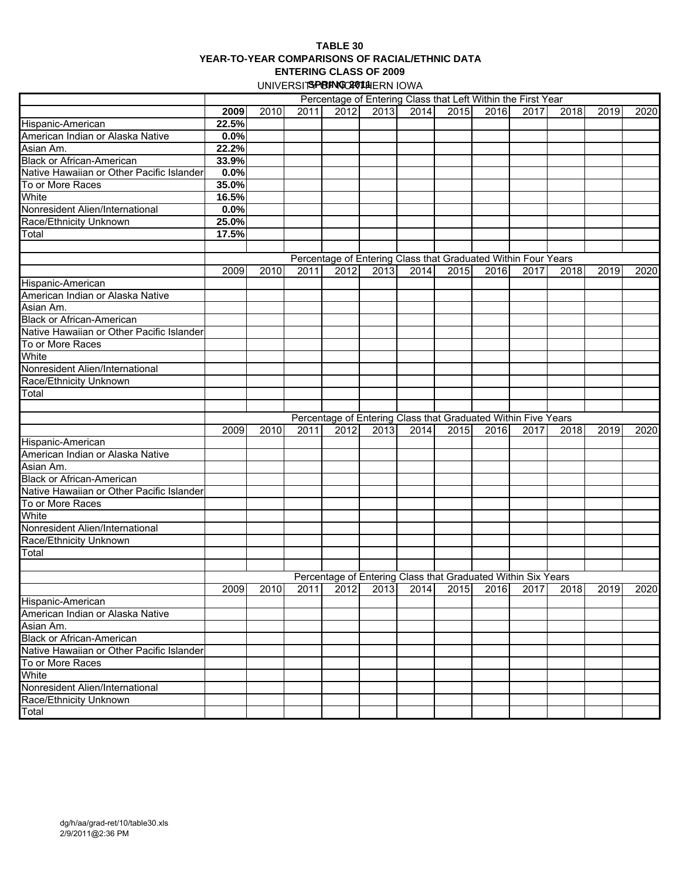#### **TABLE 30 YEAR-TO-YEAR COMPARISONS OF RACIAL/ETHNIC DATA ENTERING CLASS OF 2009** UNIVERSIT**SPRING CAUTH**ERN IOWA

|                                           | Percentage of Entering Class that Left Within the First Year |      |      |      |                                                               |      |      |      |      |      |                                                             |      |
|-------------------------------------------|--------------------------------------------------------------|------|------|------|---------------------------------------------------------------|------|------|------|------|------|-------------------------------------------------------------|------|
|                                           | 2009                                                         | 2010 | 2011 | 2012 | 2013                                                          | 2014 | 2015 | 2016 | 2017 | 2018 | 2019                                                        | 2020 |
|                                           | 22.5%                                                        |      |      |      |                                                               |      |      |      |      |      |                                                             |      |
| Hispanic-American                         |                                                              |      |      |      |                                                               |      |      |      |      |      |                                                             |      |
| American Indian or Alaska Native          | $0.0\%$                                                      |      |      |      |                                                               |      |      |      |      |      |                                                             |      |
| Asian Am.                                 | 22.2%                                                        |      |      |      |                                                               |      |      |      |      |      |                                                             |      |
| <b>Black or African-American</b>          | 33.9%                                                        |      |      |      |                                                               |      |      |      |      |      |                                                             |      |
| Native Hawaiian or Other Pacific Islander | 0.0%                                                         |      |      |      |                                                               |      |      |      |      |      |                                                             |      |
| To or More Races                          | 35.0%                                                        |      |      |      |                                                               |      |      |      |      |      |                                                             |      |
| White                                     | 16.5%                                                        |      |      |      |                                                               |      |      |      |      |      |                                                             |      |
| Nonresident Alien/International           | 0.0%                                                         |      |      |      |                                                               |      |      |      |      |      |                                                             |      |
| Race/Ethnicity Unknown                    | 25.0%                                                        |      |      |      |                                                               |      |      |      |      |      |                                                             |      |
| Total                                     | 17.5%                                                        |      |      |      |                                                               |      |      |      |      |      |                                                             |      |
|                                           |                                                              |      |      |      |                                                               |      |      |      |      |      |                                                             |      |
|                                           |                                                              |      |      |      | Percentage of Entering Class that Graduated Within Four Years |      |      |      |      |      |                                                             |      |
|                                           | 2009                                                         | 2010 | 2011 | 2012 | 2013                                                          | 2014 | 2015 | 2016 | 2017 | 2018 | 2019                                                        | 2020 |
| Hispanic-American                         |                                                              |      |      |      |                                                               |      |      |      |      |      |                                                             |      |
| American Indian or Alaska Native          |                                                              |      |      |      |                                                               |      |      |      |      |      |                                                             |      |
| Asian Am.                                 |                                                              |      |      |      |                                                               |      |      |      |      |      |                                                             |      |
| <b>Black or African-American</b>          |                                                              |      |      |      |                                                               |      |      |      |      |      |                                                             |      |
| Native Hawaiian or Other Pacific Islander |                                                              |      |      |      |                                                               |      |      |      |      |      |                                                             |      |
| To or More Races                          |                                                              |      |      |      |                                                               |      |      |      |      |      |                                                             |      |
| White                                     |                                                              |      |      |      |                                                               |      |      |      |      |      |                                                             |      |
|                                           |                                                              |      |      |      |                                                               |      |      |      |      |      |                                                             |      |
| Nonresident Alien/International           |                                                              |      |      |      |                                                               |      |      |      |      |      |                                                             |      |
| Race/Ethnicity Unknown                    |                                                              |      |      |      |                                                               |      |      |      |      |      |                                                             |      |
| Total                                     |                                                              |      |      |      |                                                               |      |      |      |      |      |                                                             |      |
|                                           |                                                              |      |      |      |                                                               |      |      |      |      |      |                                                             |      |
|                                           |                                                              |      |      |      | Percentage of Entering Class that Graduated Within Five Years |      |      |      |      |      |                                                             |      |
|                                           | 2009                                                         | 2010 | 2011 | 2012 | 2013                                                          | 2014 | 2015 | 2016 | 2017 | 2018 | 2019                                                        | 2020 |
| Hispanic-American                         |                                                              |      |      |      |                                                               |      |      |      |      |      |                                                             |      |
| American Indian or Alaska Native          |                                                              |      |      |      |                                                               |      |      |      |      |      |                                                             |      |
| Asian Am.                                 |                                                              |      |      |      |                                                               |      |      |      |      |      |                                                             |      |
| <b>Black or African-American</b>          |                                                              |      |      |      |                                                               |      |      |      |      |      |                                                             |      |
| Native Hawaiian or Other Pacific Islander |                                                              |      |      |      |                                                               |      |      |      |      |      |                                                             |      |
| To or More Races                          |                                                              |      |      |      |                                                               |      |      |      |      |      |                                                             |      |
| White                                     |                                                              |      |      |      |                                                               |      |      |      |      |      |                                                             |      |
| Nonresident Alien/International           |                                                              |      |      |      |                                                               |      |      |      |      |      |                                                             |      |
| Race/Ethnicity Unknown                    |                                                              |      |      |      |                                                               |      |      |      |      |      |                                                             |      |
| Total                                     |                                                              |      |      |      |                                                               |      |      |      |      |      |                                                             |      |
|                                           |                                                              |      |      |      |                                                               |      |      |      |      |      |                                                             |      |
|                                           |                                                              |      |      |      | Percentage of Entering Class that Graduated Within Six Years  |      |      |      |      |      |                                                             |      |
|                                           |                                                              |      |      |      |                                                               |      |      |      |      |      | 2009 2010 2011 2012 2013 2014 2015 2016 2017 2018 2019 2020 |      |
| Hispanic-American                         |                                                              |      |      |      |                                                               |      |      |      |      |      |                                                             |      |
| American Indian or Alaska Native          |                                                              |      |      |      |                                                               |      |      |      |      |      |                                                             |      |
| Asian Am.                                 |                                                              |      |      |      |                                                               |      |      |      |      |      |                                                             |      |
| <b>Black or African-American</b>          |                                                              |      |      |      |                                                               |      |      |      |      |      |                                                             |      |
| Native Hawaiian or Other Pacific Islander |                                                              |      |      |      |                                                               |      |      |      |      |      |                                                             |      |
| To or More Races                          |                                                              |      |      |      |                                                               |      |      |      |      |      |                                                             |      |
| White                                     |                                                              |      |      |      |                                                               |      |      |      |      |      |                                                             |      |
| Nonresident Alien/International           |                                                              |      |      |      |                                                               |      |      |      |      |      |                                                             |      |
| Race/Ethnicity Unknown                    |                                                              |      |      |      |                                                               |      |      |      |      |      |                                                             |      |
| Total                                     |                                                              |      |      |      |                                                               |      |      |      |      |      |                                                             |      |
|                                           |                                                              |      |      |      |                                                               |      |      |      |      |      |                                                             |      |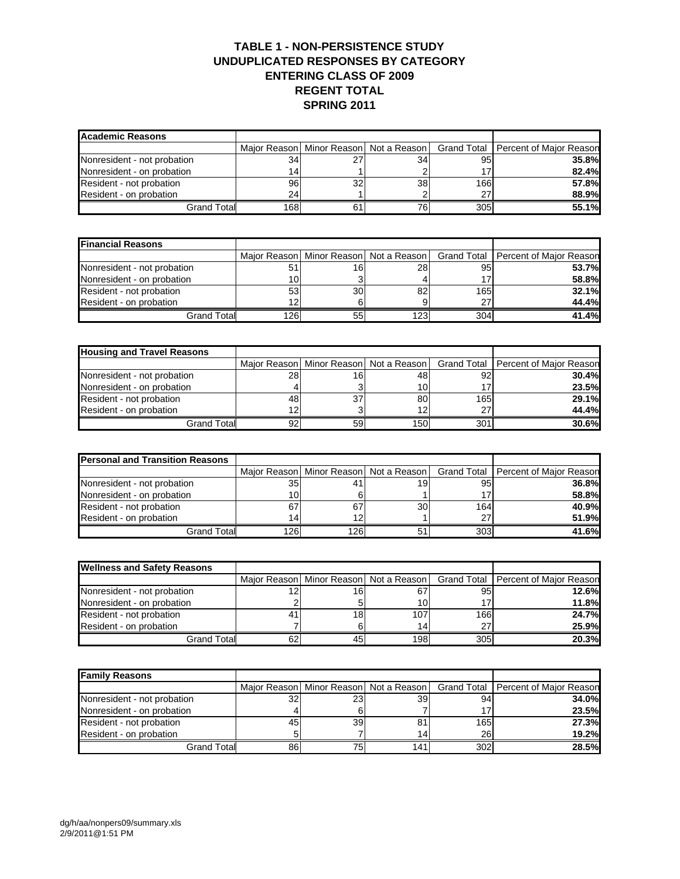### **TABLE 1 - NON-PERSISTENCE STUDY UNDUPLICATED RESPONSES BY CATEGORY ENTERING CLASS OF 2009 REGENT TOTAL SPRING 2011**

| Academic Reasons            |     |    |                                            |                 |                                       |
|-----------------------------|-----|----|--------------------------------------------|-----------------|---------------------------------------|
|                             |     |    | Major Reason   Minor Reason   Not a Reason |                 | Grand Total   Percent of Major Reason |
| Nonresident - not probation | 34  | 27 | 34                                         | 95 <sub>1</sub> | <b>35.8%</b>                          |
| Nonresident - on probation  | 14  |    |                                            |                 | 82.4%                                 |
| Resident - not probation    | 96  | 32 | 38                                         | 166             | 57.8%                                 |
| Resident - on probation     | 24  |    |                                            | 27              | 88.9%                                 |
| Grand Total                 | 168 | 61 | 76                                         | 305             | 55.1%                                 |

| <b>Financial Reasons</b>    |     |    |     |     |                                                                                    |
|-----------------------------|-----|----|-----|-----|------------------------------------------------------------------------------------|
|                             |     |    |     |     | Major Reason   Minor Reason   Not a Reason   Grand Total   Percent of Major Reason |
| Nonresident - not probation | 51  | 16 | 28  | 95  | 53.7%                                                                              |
| Nonresident - on probation  | 101 |    |     | 17  | 58.8%                                                                              |
| Resident - not probation    | 53  | 30 | 82  | 165 | 32.1%                                                                              |
| Resident - on probation     | 12  |    |     | 27  | 44.4%                                                                              |
| Grand Total                 | 126 | 55 | 123 | 304 | 41.4%                                                                              |

| <b>Housing and Travel Reasons</b> |    |     |     |     |                                                                                    |
|-----------------------------------|----|-----|-----|-----|------------------------------------------------------------------------------------|
|                                   |    |     |     |     | Major Reason   Minor Reason   Not a Reason   Grand Total   Percent of Major Reason |
| Nonresident - not probation       | 28 | 161 | 48  | 92  | 30.4%                                                                              |
| Nonresident - on probation        |    |     | 10l |     | 23.5%                                                                              |
| Resident - not probation          | 48 | 37  | 80  | 165 | 29.1%                                                                              |
| Resident - on probation           |    |     | 12  | 27  | 44.4%                                                                              |
| <b>Grand Total</b>                | 92 | 59  | 150 | 301 | 30.6%                                                                              |

| <b>Personal and Transition Reasons</b> |     |     |    |     |                                                                                    |
|----------------------------------------|-----|-----|----|-----|------------------------------------------------------------------------------------|
|                                        |     |     |    |     | Major Reason   Minor Reason   Not a Reason   Grand Total   Percent of Major Reason |
| Nonresident - not probation            | 35  |     | 19 | 95  | <b>36.8%</b>                                                                       |
| Nonresident - on probation             | 10  | 6   |    |     | 58.8%                                                                              |
| Resident - not probation               | 67  | 67  | 30 | 164 | 40.9%                                                                              |
| Resident - on probation                | 14  | 12  |    | 27  | 51.9%                                                                              |
| <b>Grand Total</b>                     | 126 | 126 |    | 303 | 41.6%                                                                              |

| <b>Wellness and Safety Reasons</b> |    |    |     |     |                                                                                    |
|------------------------------------|----|----|-----|-----|------------------------------------------------------------------------------------|
|                                    |    |    |     |     | Major Reason   Minor Reason   Not a Reason   Grand Total   Percent of Major Reason |
| Nonresident - not probation        |    | 16 | 67  | 95  | 12.6%                                                                              |
| Nonresident - on probation         |    |    | 10  |     | 11.8%                                                                              |
| Resident - not probation           | 41 | 18 | 107 | 166 | 24.7%                                                                              |
| Resident - on probation            |    |    | 14  | 27  | 25.9%                                                                              |
| Grand Total                        | 62 | 45 | 198 | 305 | 20.3%                                                                              |

| <b>Family Reasons</b>       |     |     |     |     |                                                                                    |
|-----------------------------|-----|-----|-----|-----|------------------------------------------------------------------------------------|
|                             |     |     |     |     | Major Reason   Minor Reason   Not a Reason   Grand Total   Percent of Major Reason |
| Nonresident - not probation | 32  | 231 | 39  | 94  | 34.0%                                                                              |
| Nonresident - on probation  |     |     |     |     | 23.5%                                                                              |
| Resident - not probation    | 45  | 39  |     | 165 | 27.3%                                                                              |
| Resident - on probation     |     |     | 14  | 26  | 19.2%                                                                              |
| <b>Grand Totall</b>         | 861 | 75  | 141 | 302 | <b>28.5%</b>                                                                       |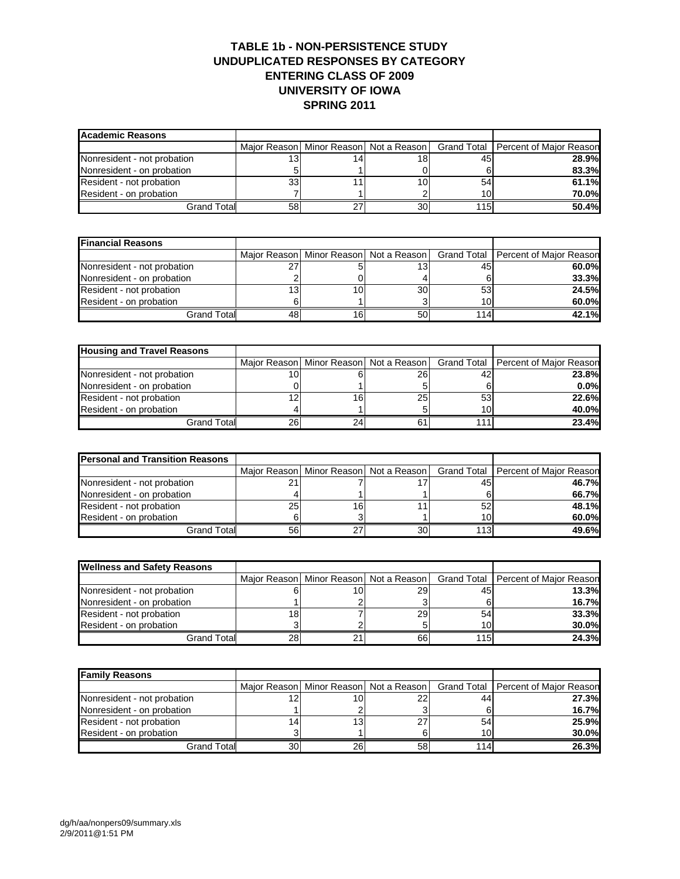### **TABLE 1b - NON-PERSISTENCE STUDY UNDUPLICATED RESPONSES BY CATEGORY ENTERING CLASS OF 2009 UNIVERSITY OF IOWA SPRING 2011**

| <b>Academic Reasons</b>     |    |    |    |                 |                                                                                    |
|-----------------------------|----|----|----|-----------------|------------------------------------------------------------------------------------|
|                             |    |    |    |                 | Major Reason   Minor Reason   Not a Reason   Grand Total   Percent of Major Reason |
| Nonresident - not probation |    | 14 | 18 | 45              | <b>28.9%</b>                                                                       |
| Nonresident - on probation  |    |    |    |                 | 83.3%                                                                              |
| Resident - not probation    | 33 |    | 10 | 54              | 61.1%                                                                              |
| Resident - on probation     |    |    |    | 10 <sub>1</sub> | 70.0%                                                                              |
| Grand Total                 | 58 | 27 | 30 | 115             | 50.4%                                                                              |

| <b>Financial Reasons</b>    |     |    |    |     |                                                                                    |
|-----------------------------|-----|----|----|-----|------------------------------------------------------------------------------------|
|                             |     |    |    |     | Major Reason   Minor Reason   Not a Reason   Grand Total   Percent of Major Reason |
| Nonresident - not probation |     |    |    | 45  | 60.0%                                                                              |
| Nonresident - on probation  |     |    |    |     | 33.3%                                                                              |
| Resident - not probation    | 13. | 10 | 30 | 53  | 24.5%                                                                              |
| Resident - on probation     |     |    |    | 10  | 60.0%                                                                              |
| <b>Grand Total</b>          |     | 16 | 50 | 114 | 42.1%                                                                              |

| <b>Housing and Travel Reasons</b> |    |    |                                            |     |                                       |
|-----------------------------------|----|----|--------------------------------------------|-----|---------------------------------------|
|                                   |    |    | Major Reason   Minor Reason   Not a Reason |     | Grand Total   Percent of Major Reason |
| Nonresident - not probation       |    |    | 261                                        | 42  | 23.8%                                 |
| Nonresident - on probation        |    |    |                                            |     | 0.0%                                  |
| Resident - not probation          |    | 16 | 25                                         | 53  | 22.6%                                 |
| Resident - on probation           |    |    |                                            | 10  | 40.0%                                 |
| Grand Total                       | 26 | 24 |                                            | 111 | 23.4%                                 |

| <b>Personal and Transition Reasons</b> |    |    |    |     |                                                                                    |
|----------------------------------------|----|----|----|-----|------------------------------------------------------------------------------------|
|                                        |    |    |    |     | Major Reason   Minor Reason   Not a Reason   Grand Total   Percent of Major Reason |
| Nonresident - not probation            |    |    |    | 45  | 46.7%                                                                              |
| Nonresident - on probation             |    |    |    |     | 66.7%                                                                              |
| Resident - not probation               | 25 | 16 |    | 52  | 48.1%                                                                              |
| Resident - on probation                |    |    |    | 10  | $60.0\%$                                                                           |
| Grand Total                            | 56 | っっ | 30 | 113 | 49.6%                                                                              |

| <b>Wellness and Safety Reasons</b> |    |    |     |     |                                                                                    |
|------------------------------------|----|----|-----|-----|------------------------------------------------------------------------------------|
|                                    |    |    |     |     | Major Reason   Minor Reason   Not a Reason   Grand Total   Percent of Major Reason |
| Nonresident - not probation        |    | 10 | 291 | 45  | 13.3%                                                                              |
| Nonresident - on probation         |    |    |     |     | <b>16.7%</b>                                                                       |
| Resident - not probation           | 18 |    | 29  | 54  | 33.3%                                                                              |
| Resident - on probation            |    |    |     | 10  | 30.0%                                                                              |
| Grand Total                        | 28 |    | 66  | 115 | 24.3%                                                                              |

| <b>Family Reasons</b>       |    |    |    |      |                                                                                |
|-----------------------------|----|----|----|------|--------------------------------------------------------------------------------|
|                             |    |    |    |      | Major Reason Minor Reason Not a Reason   Grand Total   Percent of Major Reason |
| Nonresident - not probation |    | 10 |    | 44   | <b>27.3%</b>                                                                   |
| Nonresident - on probation  |    |    |    |      | 16.7%                                                                          |
| Resident - not probation    |    | 13 |    | 54   | 25.9%                                                                          |
| Resident - on probation     |    |    |    | 10   | 30.0%                                                                          |
| Grand Total                 | 30 | 26 | 58 | 114. | 26.3%                                                                          |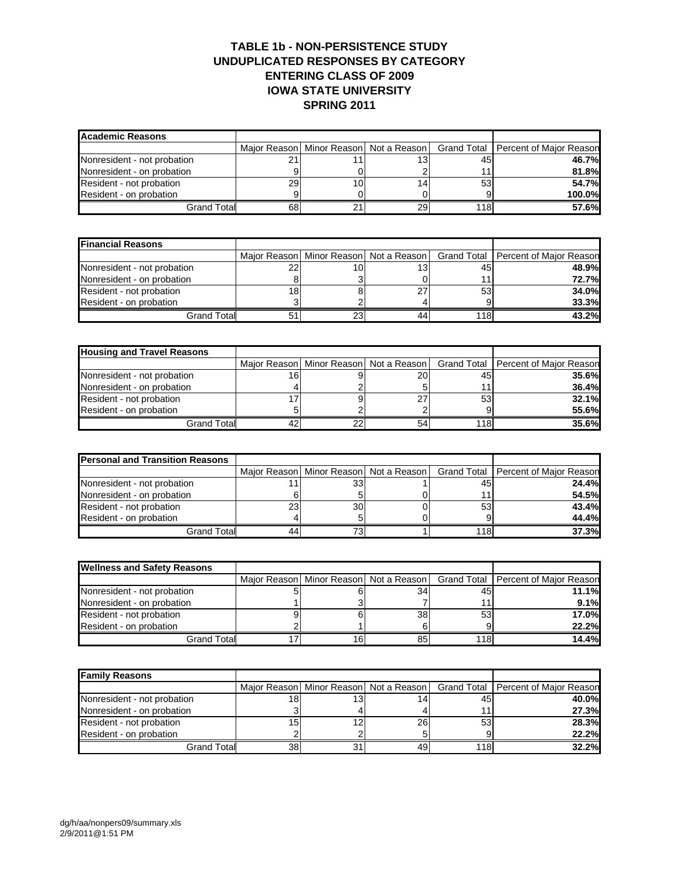### **TABLE 1b - NON-PERSISTENCE STUDY UNDUPLICATED RESPONSES BY CATEGORY ENTERING CLASS OF 2009 IOWA STATE UNIVERSITY SPRING 2011**

| <b>Academic Reasons</b>     |    |    |    |     |                                                                                    |
|-----------------------------|----|----|----|-----|------------------------------------------------------------------------------------|
|                             |    |    |    |     | Major Reason   Minor Reason   Not a Reason   Grand Total   Percent of Major Reason |
| Nonresident - not probation |    |    |    | 45  | <b>46.7%</b>                                                                       |
| Nonresident - on probation  |    |    |    |     | 81.8%                                                                              |
| Resident - not probation    | 29 | 10 |    | 53  | 54.7%                                                                              |
| Resident - on probation     |    |    |    |     | 100.0%                                                                             |
| Grand Total                 | 68 | 21 | 29 | 118 | 57.6%                                                                              |

| <b>Financial Reasons</b>    |    |    |     |                                                                                    |
|-----------------------------|----|----|-----|------------------------------------------------------------------------------------|
|                             |    |    |     | Major Reason   Minor Reason   Not a Reason   Grand Total   Percent of Major Reason |
| Nonresident - not probation |    | 10 | 45  | 48.9%                                                                              |
| Nonresident - on probation  |    |    | 11  | 72.7%                                                                              |
| Resident - not probation    | 18 |    | 53  | 34.0%                                                                              |
| Resident - on probation     |    |    |     | 33.3%                                                                              |
| Grand Total                 | 5  | 23 | 118 | 43.2%                                                                              |

| <b>Housing and Travel Reasons</b> |     |    |           |     |                                                                                    |
|-----------------------------------|-----|----|-----------|-----|------------------------------------------------------------------------------------|
|                                   |     |    |           |     | Major Reason   Minor Reason   Not a Reason   Grand Total   Percent of Major Reason |
| Nonresident - not probation       | 16. |    | <b>20</b> | 45  | <b>35.6%</b>                                                                       |
| Nonresident - on probation        |     |    |           |     | <b>36.4%</b>                                                                       |
| Resident - not probation          |     |    | っっ        | 53  | 32.1%                                                                              |
| Resident - on probation           |     |    |           |     | 55.6%                                                                              |
| <b>Grand Total</b>                |     | 22 | 54        | 118 | 35.6%                                                                              |

| <b>Personal and Transition Reasons</b> |    |           |     |                                                                                    |
|----------------------------------------|----|-----------|-----|------------------------------------------------------------------------------------|
|                                        |    |           |     | Major Reason   Minor Reason   Not a Reason   Grand Total   Percent of Major Reason |
| Nonresident - not probation            |    | 331       | 45  | <b>24.4%</b>                                                                       |
| Nonresident - on probation             |    |           |     | 54.5%                                                                              |
| Resident - not probation               | 23 | <b>30</b> | 53  | 43.4%                                                                              |
| Resident - on probation                |    |           |     | 44.4%                                                                              |
| <b>Grand Total</b>                     |    | 73.       | 118 | <b>37.3%</b>                                                                       |

| <b>Wellness and Safety Reasons</b> |     |    |     |                                                                                    |
|------------------------------------|-----|----|-----|------------------------------------------------------------------------------------|
|                                    |     |    |     | Major Reason   Minor Reason   Not a Reason   Grand Total   Percent of Major Reason |
| Nonresident - not probation        |     | 34 | 45  | 11.1%                                                                              |
| Nonresident - on probation         |     |    |     | 9.1%                                                                               |
| Resident - not probation           |     | 38 | 53  | <b>17.0%</b>                                                                       |
| Resident - on probation            |     |    |     | 22.2%                                                                              |
| <b>Grand Totall</b>                | 16. | 85 | 118 | 14.4%                                                                              |

| <b>Family Reasons</b>       |    |    |    |     |                                                                                |  |  |  |
|-----------------------------|----|----|----|-----|--------------------------------------------------------------------------------|--|--|--|
|                             |    |    |    |     | Major Reason Minor Reason Not a Reason   Grand Total   Percent of Major Reason |  |  |  |
| Nonresident - not probation | 18 | 13 |    | 45  | 40.0%                                                                          |  |  |  |
| Nonresident - on probation  |    |    |    |     | 27.3%                                                                          |  |  |  |
| Resident - not probation    | 15 | 12 | 26 | 53  | 28.3%                                                                          |  |  |  |
| Resident - on probation     |    |    |    |     | 22.2%                                                                          |  |  |  |
| Grand Totall                | 38 | 31 |    | 118 | 32.2%                                                                          |  |  |  |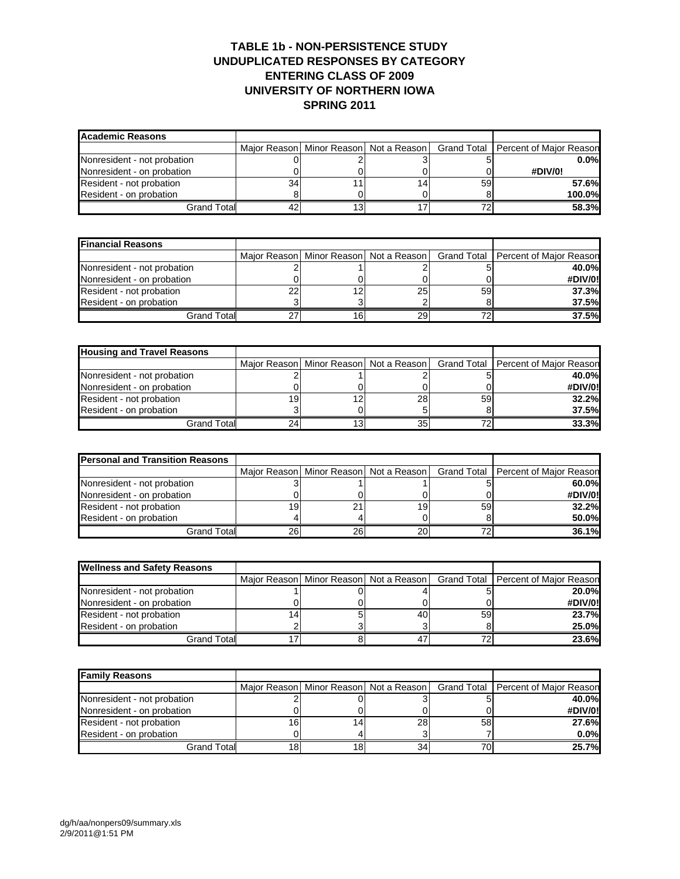### **TABLE 1b - NON-PERSISTENCE STUDY UNDUPLICATED RESPONSES BY CATEGORY ENTERING CLASS OF 2009 UNIVERSITY OF NORTHERN IOWA SPRING 2011**

| Academic Reasons            |    |                                            |    |                                       |
|-----------------------------|----|--------------------------------------------|----|---------------------------------------|
|                             |    | Major Reason   Minor Reason   Not a Reason |    | Grand Total   Percent of Major Reason |
| Nonresident - not probation |    |                                            |    | 0.0%                                  |
| Nonresident - on probation  |    |                                            |    | #DIV/0!                               |
| Resident - not probation    | 34 |                                            | 59 | 57.6%                                 |
| Resident - on probation     |    |                                            |    | 100.0%                                |
| Grand Total                 |    |                                            | 70 | 58.3%                                 |

| <b>Financial Reasons</b>    |    |    |    |    |                                                                                    |
|-----------------------------|----|----|----|----|------------------------------------------------------------------------------------|
|                             |    |    |    |    | Major Reason   Minor Reason   Not a Reason   Grand Total   Percent of Major Reason |
| Nonresident - not probation |    |    |    |    | 40.0%                                                                              |
| Nonresident - on probation  |    |    |    |    | #DIV/0!                                                                            |
| Resident - not probation    | nr | 12 | 25 | 59 | 37.3%                                                                              |
| Resident - on probation     |    |    |    |    | 37.5%                                                                              |
| Grand Total                 |    | 16 | 29 | 70 | 37.5%                                                                              |

| <b>Housing and Travel Reasons</b> |    |    |    |    |                                                                                    |
|-----------------------------------|----|----|----|----|------------------------------------------------------------------------------------|
|                                   |    |    |    |    | Major Reason   Minor Reason   Not a Reason   Grand Total   Percent of Major Reason |
| Nonresident - not probation       |    |    |    |    | 40.0%                                                                              |
| Nonresident - on probation        |    |    |    |    | #DIV/0!                                                                            |
| Resident - not probation          | 19 | 12 | 28 | 59 | 32.2%                                                                              |
| Resident - on probation           |    |    |    |    | 37.5%                                                                              |
| <b>Grand Total</b>                |    |    | 35 |    | 33.3%                                                                              |

| <b>Personal and Transition Reasons</b> |    |     |                 |    |                                                                                    |
|----------------------------------------|----|-----|-----------------|----|------------------------------------------------------------------------------------|
|                                        |    |     |                 |    | Major Reason   Minor Reason   Not a Reason   Grand Total   Percent of Major Reason |
| Nonresident - not probation            |    |     |                 |    | $60.0\%$                                                                           |
| Nonresident - on probation             |    |     |                 |    | #DIV/0!                                                                            |
| Resident - not probation               |    |     | 19              | 59 | 32.2%                                                                              |
| Resident - on probation                |    |     |                 |    | $50.0\%$                                                                           |
| <b>Grand Total</b>                     | 26 | 26l | 20 <sub>1</sub> |    | 36.1%                                                                              |

| <b>Wellness and Safety Reasons</b> |  |    |    |                                                                                    |
|------------------------------------|--|----|----|------------------------------------------------------------------------------------|
|                                    |  |    |    | Major Reason   Minor Reason   Not a Reason   Grand Total   Percent of Major Reason |
| Nonresident - not probation        |  |    |    | 20.0%                                                                              |
| Nonresident - on probation         |  |    |    | #DIV/0!                                                                            |
| Resident - not probation           |  | 40 | 59 | <b>23.7%</b>                                                                       |
| Resident - on probation            |  |    |    | 25.0%                                                                              |
| Grand Total                        |  |    |    | <b>23.6%</b>                                                                       |

| <b>Family Reasons</b>       |     |    |    |    |                                                                                |
|-----------------------------|-----|----|----|----|--------------------------------------------------------------------------------|
|                             |     |    |    |    | Major Reason Minor Reason Not a Reason   Grand Total   Percent of Major Reason |
| Nonresident - not probation |     |    |    |    | 40.0%                                                                          |
| Nonresident - on probation  |     |    |    |    | #DIV/0!                                                                        |
| Resident - not probation    | 16. | 14 | 28 | 58 | 27.6%                                                                          |
| Resident - on probation     |     |    |    |    | $0.0\%$                                                                        |
| <b>Grand Totall</b>         | 18. | 18 | 34 |    | <b>25.7%</b>                                                                   |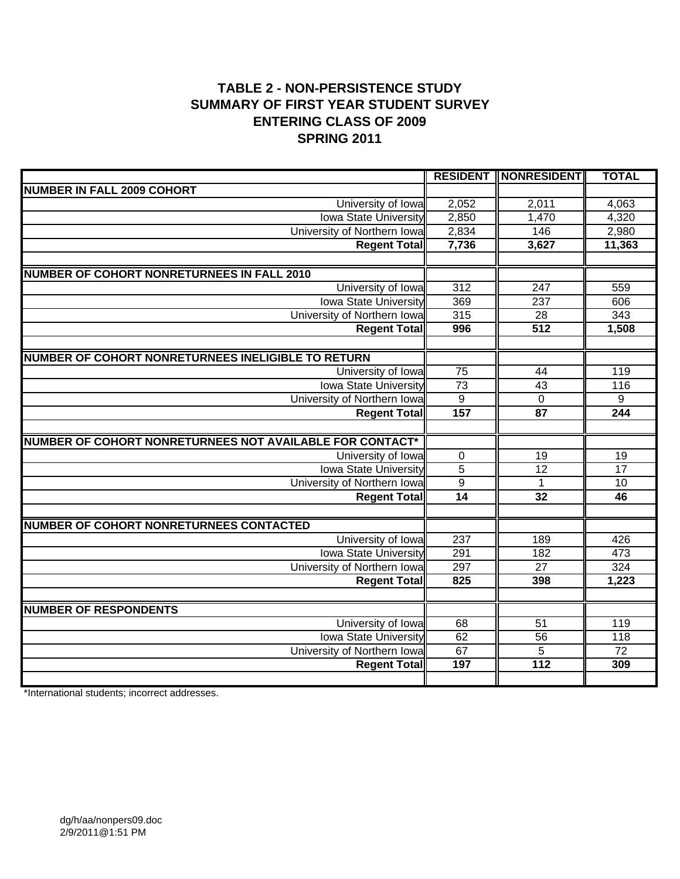# **TABLE 2 - NON-PERSISTENCE STUDY SUMMARY OF FIRST YEAR STUDENT SURVEY ENTERING CLASS OF 2009 SPRING 2011**

|                                                          |                  | <b>RESIDENT    NONRESIDENT  </b> | <b>TOTAL</b>    |
|----------------------------------------------------------|------------------|----------------------------------|-----------------|
| <b>NUMBER IN FALL 2009 COHORT</b>                        |                  |                                  |                 |
| University of Iowa                                       | 2,052            | 2,011                            | 4,063           |
| <b>Iowa State University</b>                             | 2,850            | 1,470                            | 4,320           |
| University of Northern Iowa                              | 2,834            | 146                              | 2,980           |
| <b>Regent Total</b>                                      | 7,736            | 3,627                            | 11,363          |
|                                                          |                  |                                  |                 |
| <b>NUMBER OF COHORT NONRETURNEES IN FALL 2010</b>        |                  |                                  |                 |
| University of Iowa                                       | $\overline{312}$ | $\overline{247}$                 | 559             |
| <b>Iowa State University</b>                             | 369              | $\overline{237}$                 | 606             |
| University of Northern Iowa                              | 315              | 28                               | 343             |
| <b>Regent Total</b>                                      | 996              | 512                              | 1,508           |
|                                                          |                  |                                  |                 |
| NUMBER OF COHORT NONRETURNEES INELIGIBLE TO RETURN       |                  |                                  |                 |
| University of Iowa                                       | 75               | 44                               | 119             |
| <b>Iowa State University</b>                             | $\overline{73}$  | $\overline{43}$                  | 116             |
| University of Northern Iowa                              | $\overline{9}$   | $\overline{0}$                   | 9               |
| <b>Regent Total</b>                                      | 157              | $\overline{87}$                  | 244             |
|                                                          |                  |                                  |                 |
| NUMBER OF COHORT NONRETURNEES NOT AVAILABLE FOR CONTACT* |                  |                                  |                 |
| University of Iowa                                       | $\overline{0}$   | $\overline{19}$                  | $\overline{19}$ |
| <b>Iowa State University</b>                             | $\overline{5}$   | $\overline{12}$                  | $\overline{17}$ |
| University of Northern Iowa                              | $\overline{9}$   | $\mathbf{1}$                     | 10              |
| <b>Regent Total</b>                                      | 14               | 32                               | 46              |
|                                                          |                  |                                  |                 |
| <b>NUMBER OF COHORT NONRETURNEES CONTACTED</b>           |                  |                                  |                 |
| University of Iowa                                       | $\overline{237}$ | 189                              | 426             |
| <b>Iowa State University</b>                             | 291              | 182                              | 473             |
| University of Northern Iowa                              | 297              | $\overline{27}$                  | 324             |
| <b>Regent Total</b>                                      | 825              | 398                              | 1,223           |
|                                                          |                  |                                  |                 |
| <b>NUMBER OF RESPONDENTS</b>                             |                  |                                  |                 |
| University of Iowa                                       | 68               | 51                               | 119             |
| <b>Iowa State University</b>                             | 62               | $\overline{56}$                  | 118             |
| University of Northern Iowa                              | 67               | $\overline{5}$                   | $\overline{72}$ |
| <b>Regent Total</b>                                      | 197              | $\overline{112}$                 | 309             |
|                                                          |                  |                                  |                 |

\*International students; incorrect addresses.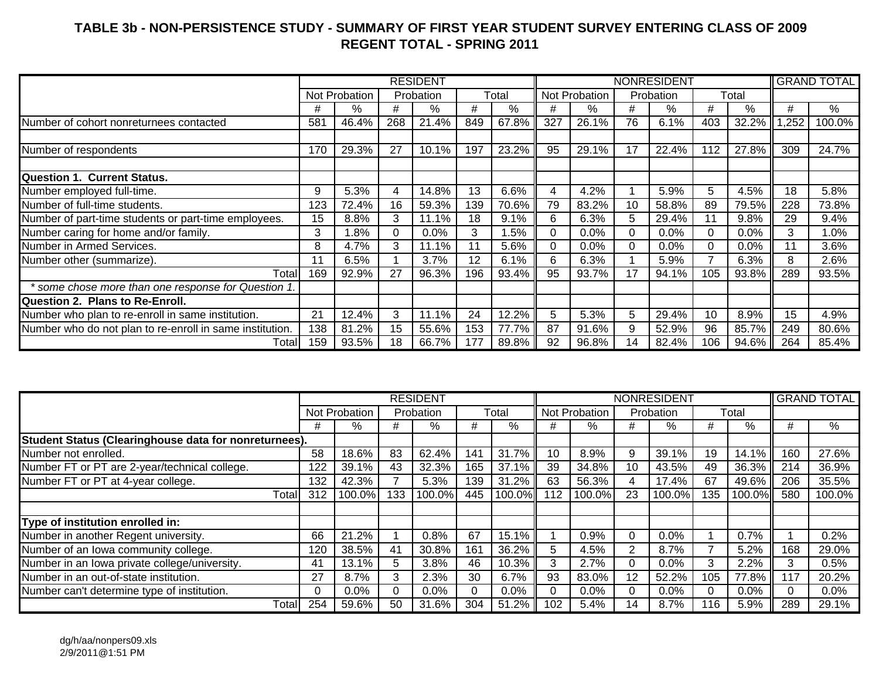## **TABLE 3b - NON-PERSISTENCE STUDY - SUMMARY OF FIRST YEAR STUDENT SURVEY ENTERING CLASS OF 2009 REGENT TOTAL - SPRING 2011**

|                                                          |     |               |     | <b>RESIDENT</b> |     |          |          |               |    | <b>NONRESIDENT</b> |          |         |      | <b>GRAND TOTAL</b> |
|----------------------------------------------------------|-----|---------------|-----|-----------------|-----|----------|----------|---------------|----|--------------------|----------|---------|------|--------------------|
|                                                          |     | Not Probation |     | Probation       |     | Total    |          | Not Probation |    | Probation          |          | Total   |      |                    |
|                                                          | #   | %             | #   | $\%$            | #   | %        | #        | %             | #  | %                  | #        | %       | #    | %                  |
| Number of cohort nonreturnees contacted                  | 581 | 46.4%         | 268 | 21.4%           | 849 | $67.8\%$ | 327      | 26.1%         | 76 | 6.1%               | 403      | 32.2%   | ,252 | 100.0%             |
|                                                          |     |               |     |                 |     |          |          |               |    |                    |          |         |      |                    |
| Number of respondents                                    | 170 | 29.3%         | 27  | 10.1%           | 197 | 23.2%    | 95       | 29.1%         | 17 | 22.4%              | 112      | 27.8%   | 309  | 24.7%              |
| <b>Question 1. Current Status.</b>                       |     |               |     |                 |     |          |          |               |    |                    |          |         |      |                    |
| Number employed full-time.                               | 9   | 5.3%          | 4   | 14.8%           | 13  | 6.6%     | 4        | 4.2%          |    | 5.9%               | 5        | 4.5%    | 18   | 5.8%               |
| Number of full-time students.                            | 123 | 72.4%         | 16  | 59.3%           | 139 | 70.6%    | 79       | 83.2%         | 10 | 58.8%              | 89       | 79.5%   | 228  | 73.8%              |
| Number of part-time students or part-time employees.     | 15  | 8.8%          | 3   | 11.1%           | 18  | 9.1%     | 6        | 6.3%          | 5  | 29.4%              | 11       | 9.8%    | 29   | 9.4%               |
| Number caring for home and/or family.                    | 3   | 1.8%          | 0   | $0.0\%$         | 3   | 1.5%     | $\Omega$ | 0.0%          | 0  | 0.0%               | $\Omega$ | 0.0%    | 3    | 1.0%               |
| Number in Armed Services.                                | 8   | 4.7%          | 3   | 11.1%           |     | 5.6%     |          | $0.0\%$       |    | 0.0%               | 0        | $0.0\%$ |      | 3.6%               |
| Number other (summarize).                                | 11  | 6.5%          |     | 3.7%            | 12  | 6.1%     | 6        | 6.3%          |    | 5.9%               |          | 6.3%    |      | 2.6%               |
| Total                                                    | 169 | 92.9%         | 27  | 96.3%           | 196 | 93.4%    | 95       | 93.7%         | 17 | 94.1%              | 105      | 93.8%   | 289  | 93.5%              |
| some chose more than one response for Question 1.        |     |               |     |                 |     |          |          |               |    |                    |          |         |      |                    |
| Question 2. Plans to Re-Enroll.                          |     |               |     |                 |     |          |          |               |    |                    |          |         |      |                    |
| Number who plan to re-enroll in same institution.        | 21  | 12.4%         | 3   | 11.1%           | 24  | 12.2%    | 5        | 5.3%          | 5  | 29.4%              | 10       | 8.9%    | 15   | 4.9%               |
| Number who do not plan to re-enroll in same institution. | 138 | 81.2%         | 15  | 55.6%           | 153 | 77.7%    | 87       | 91.6%         | 9  | 52.9%              | 96       | 85.7%   | 249  | 80.6%              |
| Totall                                                   | 159 | 93.5%         | 18  | 66.7%           | 177 | 89.8%    | 92       | 96.8%         | 14 | 82.4%              | 106      | 94.6%   | 264  | 85.4%              |

|                                                       |     |               |     | <b>RESIDENT</b> |     |          |     |               |          | <b>NONRESIDENT</b> |     |          |     | <b>GRAND TOTAL</b> |
|-------------------------------------------------------|-----|---------------|-----|-----------------|-----|----------|-----|---------------|----------|--------------------|-----|----------|-----|--------------------|
|                                                       |     | Not Probation |     | Probation       |     | Total    |     | Not Probation |          | Probation          |     | Total    |     |                    |
|                                                       | #   | %             | #   | %               | #   | %        | #   | %             | #        | $\%$               | #   | %        | #   | %                  |
| Student Status (Clearinghouse data for nonreturnees). |     |               |     |                 |     |          |     |               |          |                    |     |          |     |                    |
| Number not enrolled.                                  | 58  | 18.6%         | 83  | 62.4%           | 141 | $31.7\%$ | 10  | 8.9%          | 9        | 39.1%              | 19  | $14.1\%$ | 160 | 27.6%              |
| Number FT or PT are 2-year/technical college.         | 122 | 39.1%         | 43  | 32.3%           | 165 | 37.1%    | 39  | 34.8%         | 10       | 43.5%              | 49  | $36.3\%$ | 214 | 36.9%              |
| Number FT or PT at 4-year college.                    | 132 | 42.3%         |     | 5.3%            | 139 | 31.2%    | 63  | 56.3%         | 4        | 17.4%              | 67  | 49.6%    | 206 | 35.5%              |
| Total                                                 | 312 | 100.0%        | 133 | 100.0%          | 445 | 100.0%   | 112 | 100.0%        | 23       | 100.0%             | 135 | 100.0%   | 580 | 100.0%             |
|                                                       |     |               |     |                 |     |          |     |               |          |                    |     |          |     |                    |
| Type of institution enrolled in:                      |     |               |     |                 |     |          |     |               |          |                    |     |          |     |                    |
| Number in another Regent university.                  | 66  | 21.2%         |     | 0.8%            | 67  | 15.1%    |     | 0.9%          | $\Omega$ | $0.0\%$            |     | 0.7%     |     | 0.2%               |
| Number of an Iowa community college.                  | 120 | 38.5%         | 41  | 30.8%           | 161 | 36.2%    | 5   | 4.5%          | 2        | 8.7%               |     | 5.2%     | 168 | 29.0%              |
| Number in an Iowa private college/university.         | 41  | 13.1%         | 5   | 3.8%            | 46  | 10.3%    | 3   | 2.7%          | $\Omega$ | $0.0\%$            | 3   | 2.2%     | 3   | 0.5%               |
| Number in an out-of-state institution.                | 27  | 8.7%          | 3   | 2.3%            | 30  | 6.7%     | 93  | 83.0%         | 12       | 52.2%              | 105 | 77.8%    | 117 | 20.2%              |
| Number can't determine type of institution.           | 0   | $0.0\%$       |     | $0.0\%$         | 0   | $0.0\%$  |     | $0.0\%$       | $\Omega$ | $0.0\%$            | 0   | $0.0\%$  |     | 0.0%               |
| Totall                                                | 254 | 59.6%         | 50  | 31.6%           | 304 | $51.2\%$ | 102 | 5.4%          | 14       | 8.7%               | 116 | 5.9%     | 289 | 29.1%              |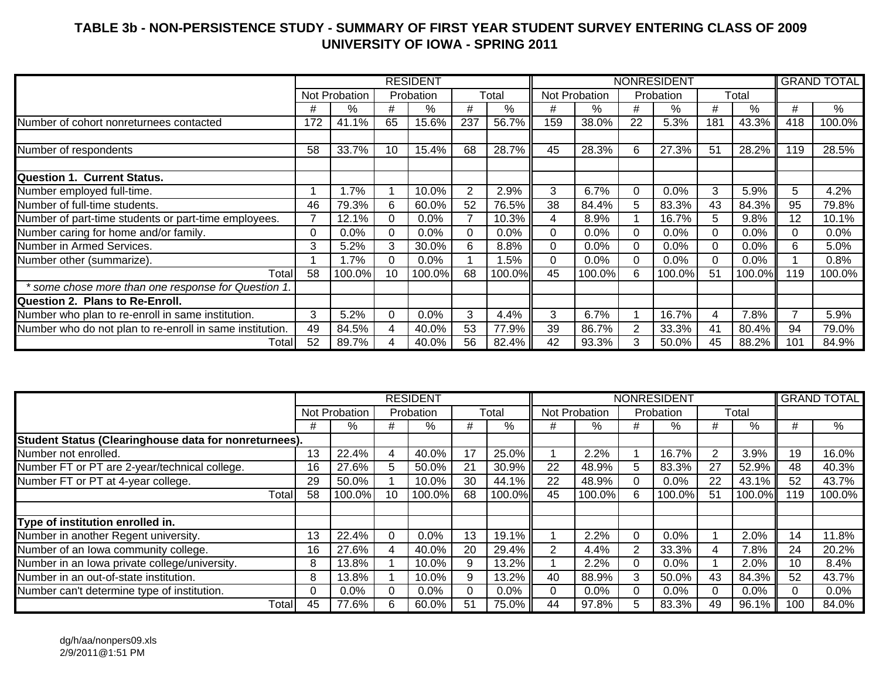## **TABLE 3b - NON-PERSISTENCE STUDY - SUMMARY OF FIRST YEAR STUDENT SURVEY ENTERING CLASS OF 2009 UNIVERSITY OF IOWA - SPRING 2011**

|                                                          |          |               |          | <b>RESIDENT</b> |                |         |          |               |                | <b>NONRESIDENT</b> |          |        |     | <b>GRAND TOTAL</b> |
|----------------------------------------------------------|----------|---------------|----------|-----------------|----------------|---------|----------|---------------|----------------|--------------------|----------|--------|-----|--------------------|
|                                                          |          | Not Probation |          | Probation       |                | Total   |          | Not Probation |                | Probation          |          | Total  |     |                    |
|                                                          | #        | %             | #        | %               | #              | %       | #        | %             | #              | ℅                  | #        | %      | #   | %                  |
| Number of cohort nonreturnees contacted                  | 172      | 41.1%         | 65       | 15.6%           | 237            | 56.7%   | 159      | 38.0%         | 22             | 5.3%               | 181      | 43.3%  | 418 | 100.0%             |
|                                                          |          |               |          |                 |                |         |          |               |                |                    |          |        |     |                    |
| Number of respondents                                    | 58       | 33.7%         | 10       | 15.4%           | 68             | 28.7%   | 45       | 28.3%         | 6              | 27.3%              | 51       | 28.2%  | 119 | 28.5%              |
|                                                          |          |               |          |                 |                |         |          |               |                |                    |          |        |     |                    |
| <b>Question 1. Current Status.</b>                       |          |               |          |                 |                |         |          |               |                |                    |          |        |     |                    |
| Number employed full-time.                               |          | 1.7%          |          | 10.0%           | $\overline{2}$ | 2.9%    | 3        | 6.7%          | $\Omega$       | 0.0%               | 3        | 5.9%   | 5   | 4.2%               |
| Number of full-time students.                            | 46       | 79.3%         | 6        | 60.0%           | 52             | 76.5%   | 38       | 84.4%         | 5.             | 83.3%              | 43       | 84.3%  | 95  | 79.8%              |
| Number of part-time students or part-time employees.     | 7        | 12.1%         | 0        | $0.0\%$         |                | 10.3%   | 4        | 8.9%          |                | 16.7%              | 5        | 9.8%   | 12  | 10.1%              |
| Number caring for home and/or family.                    | $\Omega$ | $0.0\%$       | $\Omega$ | $0.0\%$         | 0              | 0.0%    | $\Omega$ | $0.0\%$       | $\Omega$       | 0.0%               | $\Omega$ | 0.0%   |     | 0.0%               |
| Number in Armed Services.                                | 3        | 5.2%          | 3        | 30.0%           | 6              | 8.8%    | $\Omega$ | 0.0%          |                | 0.0%               | 0        | 0.0%   | 6   | 5.0%               |
| Number other (summarize).                                |          | 1.7%          | $\Omega$ | 0.0%            |                | $1.5\%$ | 0        | 0.0%          | $\Omega$       | 0.0%               | 0        | 0.0%   |     | 0.8%               |
| Total                                                    | 58       | 100.0%        | 10       | 100.0%          | 68             | 100.0%  | 45       | 100.0%        | 6              | 100.0%             | 51       | 100.0% | 119 | 100.0%             |
| * some chose more than one response for Question 1.      |          |               |          |                 |                |         |          |               |                |                    |          |        |     |                    |
| <b>Question 2. Plans to Re-Enroll.</b>                   |          |               |          |                 |                |         |          |               |                |                    |          |        |     |                    |
| Number who plan to re-enroll in same institution.        | 3        | 5.2%          | $\Omega$ | 0.0%            | 3              | 4.4%    | 3        | 6.7%          |                | 16.7%              | 4        | 7.8%   |     | 5.9%               |
| Number who do not plan to re-enroll in same institution. | 49       | 84.5%         | 4        | 40.0%           | 53             | 77.9%   | 39       | 86.7%         | $\overline{2}$ | 33.3%              | 41       | 80.4%  | 94  | 79.0%              |
| Totall                                                   | 52       | 89.7%         |          | 40.0%           | 56             | 82.4%   | 42       | 93.3%         |                | 50.0%              | 45       | 88.2%  | 101 | 84.9%              |

|                                                       |          |               |    | <b>RESIDENT</b> |    |         |    |               |        | <b>NONRESIDENT</b> |    |          |     | <b>GRAND TOTAL</b> |
|-------------------------------------------------------|----------|---------------|----|-----------------|----|---------|----|---------------|--------|--------------------|----|----------|-----|--------------------|
|                                                       |          | Not Probation |    | Probation       |    | Total   |    | Not Probation |        | Probation          |    | Total    |     |                    |
|                                                       | #        | ℅             | #  | %               | #  | %       | #  | %             | #      | %                  | #  | %        | #   | $\%$               |
| Student Status (Clearinghouse data for nonreturnees). |          |               |    |                 |    |         |    |               |        |                    |    |          |     |                    |
| Number not enrolled.                                  | 13       | 22.4%         | 4  | 40.0%           | 17 | 25.0%   |    | 2.2%          |        | 16.7%              |    | 3.9%     | 19  | 16.0%              |
| Number FT or PT are 2-year/technical college.         | 16       | 27.6%         | 5  | 50.0%           | 21 | 30.9%   | 22 | 48.9%         | 5      | 83.3%              | 27 | 52.9%    | 48  | 40.3%              |
| Number FT or PT at 4-year college.                    | 29       | 50.0%         |    | 10.0%           | 30 | 44.1%   | 22 | 48.9%         |        | $0.0\%$            | 22 | 43.1%    | 52  | 43.7%              |
| <b>Total</b>                                          | 58       | 100.0%        | 10 | 100.0%          | 68 | 100.0%  | 45 | 100.0%        | 6      | 100.0%             | 51 | 100.0%   | 119 | 100.0%             |
|                                                       |          |               |    |                 |    |         |    |               |        |                    |    |          |     |                    |
| Type of institution enrolled in.                      |          |               |    |                 |    |         |    |               |        |                    |    |          |     |                    |
| Number in another Regent university.                  | 13       | 22.4%         | 0  | 0.0%            | 13 | 19.1%   |    | 2.2%          | 0      | $0.0\%$            |    | 2.0%     | 14  | 11.8%              |
| Number of an Iowa community college.                  | 16       | 27.6%         |    | 40.0%           | 20 | 29.4%   |    | 4.4%          | 2      | 33.3%              |    | 7.8%     | 24  | 20.2%              |
| Number in an Iowa private college/university.         | 8        | 13.8%         |    | 10.0%           | 9  | 13.2%   |    | 2.2%          | $\Box$ | $0.0\%$            |    | 2.0%     | 10  | 8.4%               |
| Number in an out-of-state institution.                | 8        | 13.8%         |    | 10.0%           | 9  | 13.2%   | 40 | 88.9%         | 3      | 50.0%              | 43 | 84.3%    | 52  | 43.7%              |
| Number can't determine type of institution.           | $\Omega$ | 0.0%          | 0  | $0.0\%$         | 0  | $0.0\%$ |    | $0.0\%$       | 0      | $0.0\%$            |    | $0.0\%$  |     | $0.0\%$            |
| Total                                                 | 45       | 77.6%         | 6. | 60.0%           | 51 | 75.0%   | 44 | 97.8%         | 5      | 83.3%              | 49 | $96.1\%$ | 100 | 84.0%              |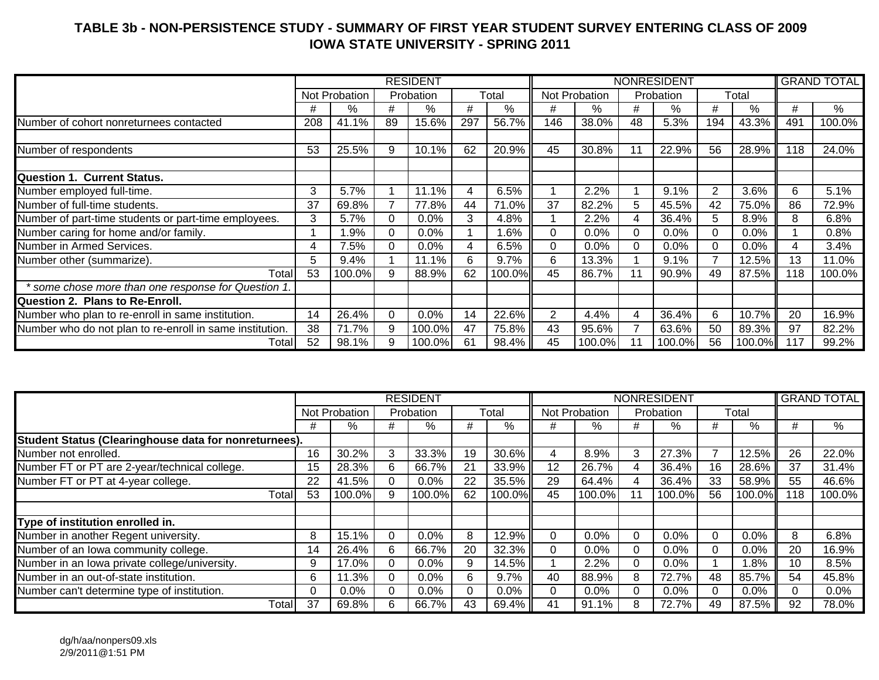## **TABLE 3b - NON-PERSISTENCE STUDY - SUMMARY OF FIRST YEAR STUDENT SURVEY ENTERING CLASS OF 2009 IOWA STATE UNIVERSITY - SPRING 2011**

|                                                          |     |               |          | <b>RESIDENT</b> |     |         |                |               |          | <b>NONRESIDENT</b> |          |        |     | <b>GRAND TOTAL</b> |
|----------------------------------------------------------|-----|---------------|----------|-----------------|-----|---------|----------------|---------------|----------|--------------------|----------|--------|-----|--------------------|
|                                                          |     | Not Probation |          | Probation       |     | Total   |                | Not Probation |          | Probation          |          | Total  |     |                    |
|                                                          | #   | %             | #        | %               | #   | %       | #              | %             | #        | %                  | #        | %      | #   | %                  |
| Number of cohort nonreturnees contacted                  | 208 | 41.1%         | 89       | 15.6%           | 297 | 56.7%   | 146            | 38.0%         | 48       | 5.3%               | 194      | 43.3%  | 491 | 100.0%             |
|                                                          |     |               |          |                 |     |         |                |               |          |                    |          |        |     |                    |
| Number of respondents                                    | 53  | 25.5%         | 9        | 10.1%           | 62  | 20.9%   | 45             | 30.8%         |          | 22.9%              | 56       | 28.9%  | 118 | 24.0%              |
|                                                          |     |               |          |                 |     |         |                |               |          |                    |          |        |     |                    |
| <b>Question 1. Current Status.</b>                       |     |               |          |                 |     |         |                |               |          |                    |          |        |     |                    |
| Number employed full-time.                               | 3   | 5.7%          |          | 11.1%           | 4   | 6.5%    |                | 2.2%          |          | 9.1%               | 2        | 3.6%   | 6   | 5.1%               |
| Number of full-time students.                            | 37  | 69.8%         |          | 77.8%           | 44  | 71.0%   | 37             | 82.2%         | 5        | 45.5%              | 42       | 75.0%  | 86  | 72.9%              |
| Number of part-time students or part-time employees.     | 3   | 5.7%          | 0        | 0.0%            | 3   | 4.8%    |                | 2.2%          |          | 36.4%              | 5        | 8.9%   | 8   | 6.8%               |
| Number caring for home and/or family.                    |     | 1.9%          | 0        | 0.0%            |     | 1.6%    | $\Omega$       | 0.0%          | $\Omega$ | $0.0\%$            | $\Omega$ | 0.0%   |     | 0.8%               |
| Number in Armed Services.                                | 4   | 7.5%          |          | 0.0%            | 4   | 6.5%    | $\Omega$       | 0.0%          |          | 0.0%               | 0        | 0.0%   |     | 3.4%               |
| Number other (summarize).                                | 5   | 9.4%          |          | 11.1%           | 6   | 9.7%    | 6              | 13.3%         |          | 9.1%               |          | 12.5%  | 13  | 11.0%              |
| Total                                                    | 53  | 100.0%        | 9        | 88.9%           | 62  | 100.0%I | 45             | 86.7%         |          | 90.9%              | 49       | 87.5%  | 118 | 100.0%             |
| * some chose more than one response for Question 1.      |     |               |          |                 |     |         |                |               |          |                    |          |        |     |                    |
| Question 2. Plans to Re-Enroll.                          |     |               |          |                 |     |         |                |               |          |                    |          |        |     |                    |
| Number who plan to re-enroll in same institution.        | 14  | 26.4%         | $\Omega$ | 0.0%            | 14  | 22.6%   | $\overline{2}$ | 4.4%          | 4        | 36.4%              | 6        | 10.7%  | 20  | 16.9%              |
| Number who do not plan to re-enroll in same institution. | 38  | 71.7%         | 9        | 100.0%          | 47  | 75.8%   | 43             | 95.6%         |          | 63.6%              | 50       | 89.3%  | 97  | 82.2%              |
| Totall                                                   | 52  | 98.1%         | 9        | 100.0%          | 61  | 98.4%   | 45             | 100.0%        |          | 100.0%             | 56       | 100.0% | 117 | 99.2%              |

|                                                       |          |               |          | <b>RESIDENT</b> |    |         |    |               |          | <b>NONRESIDENT</b> |          |         |     | <b>GRAND TOTAL</b> |
|-------------------------------------------------------|----------|---------------|----------|-----------------|----|---------|----|---------------|----------|--------------------|----------|---------|-----|--------------------|
|                                                       |          | Not Probation |          | Probation       |    | Total   |    | Not Probation |          | Probation          |          | Total   |     |                    |
|                                                       | #        | $\%$          | #        | %               | #  | %       | #  | $\%$          | #        | %                  | #        | %       | #   | %                  |
| Student Status (Clearinghouse data for nonreturnees). |          |               |          |                 |    |         |    |               |          |                    |          |         |     |                    |
| Number not enrolled.                                  | 16       | 30.2%         | 3        | 33.3%           | 19 | 30.6%   | 4  | 8.9%          | 3        | 27.3%              |          | 12.5%   | 26  | 22.0%              |
| Number FT or PT are 2-year/technical college.         | 15       | 28.3%         | 6        | 66.7%           | 21 | 33.9%   | 12 | 26.7%         |          | 36.4%              | 16       | 28.6%   | 37  | 31.4%              |
| Number FT or PT at 4-year college.                    | 22       | 41.5%         | 0        | $0.0\%$         | 22 | 35.5%   | 29 | 64.4%         |          | 36.4%              | 33       | 58.9%   | 55  | 46.6%              |
| Total                                                 | 53       | 100.0%        | 9        | 100.0%          | 62 | 100.0%I | 45 | 100.0%        |          | 100.0%             | 56       | 100.0%  | 118 | 100.0%             |
|                                                       |          |               |          |                 |    |         |    |               |          |                    |          |         |     |                    |
| Type of institution enrolled in.                      |          |               |          |                 |    |         |    |               |          |                    |          |         |     |                    |
| Number in another Regent university.                  | 8        | 15.1%         | $\Omega$ | $0.0\%$         | 8  | 12.9%   |    | $0.0\%$       | 0        | $0.0\%$            | $\Omega$ | $0.0\%$ | 8   | 6.8%               |
| Number of an Iowa community college.                  | 14       | 26.4%         | 6        | 66.7%           | 20 | 32.3%   |    | $0.0\%$       | $\Omega$ | $0.0\%$            |          | 0.0%    | 20  | 16.9%              |
| Number in an lowa private college/university.         | 9        | 17.0%         | 0        | $0.0\%$         | 9  | 14.5%   |    | 2.2%          | $\left($ | $0.0\%$            |          | $.8\%$  | 10  | 8.5%               |
| Number in an out-of-state institution.                | 6        | 11.3%         | 0        | $0.0\%$         | 6  | 9.7%    | 40 | 88.9%         | 8        | 72.7%              | 48       | 85.7%   | 54  | 45.8%              |
| Number can't determine type of institution.           | $\Omega$ | 0.0%          | 0        | $0.0\%$         | 0  | $0.0\%$ |    | $0.0\%$       | $\Omega$ | $0.0\%$            |          | $0.0\%$ |     | $0.0\%$            |
| Totall                                                | 37       | 69.8%         | 6        | 66.7%           | 43 | 69.4% I | 41 | 91.1%         | 8        | 72.7%              | 49       | 87.5%   | 92  | 78.0%              |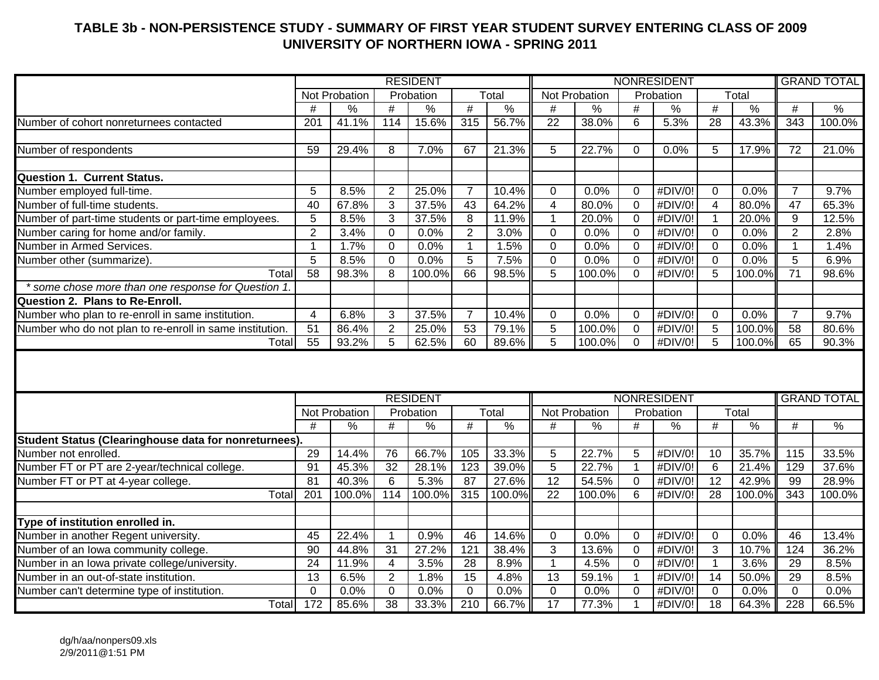## **TABLE 3b - NON-PERSISTENCE STUDY - SUMMARY OF FIRST YEAR STUDENT SURVEY ENTERING CLASS OF 2009 UNIVERSITY OF NORTHERN IOWA - SPRING 2011**

|                                                             |                 |               |                 | <b>RESIDENT</b> |                         |               |                 |               |                 | <b>NONRESIDENT</b> |                 |               |                 | <b>GRAND TOTAL</b> |
|-------------------------------------------------------------|-----------------|---------------|-----------------|-----------------|-------------------------|---------------|-----------------|---------------|-----------------|--------------------|-----------------|---------------|-----------------|--------------------|
|                                                             |                 | Not Probation |                 | Probation       |                         | Total         |                 | Not Probation |                 | Probation          |                 | Total         |                 |                    |
|                                                             | #               | $\frac{9}{6}$ | $\overline{\#}$ | $\frac{0}{0}$   | #                       | $\frac{0}{6}$ | $\#$            | $\frac{9}{6}$ | $\overline{\#}$ | $\frac{0}{6}$      | $\overline{\#}$ | $\frac{0}{6}$ | #               | $\frac{0}{6}$      |
| Number of cohort nonreturnees contacted                     | 201             | 41.1%         | 114             | 15.6%           | 315                     | 56.7%         | $\overline{22}$ | 38.0%         | $6\phantom{1}$  | 5.3%               | 28              | 43.3%         | $\frac{1}{343}$ | 100.0%             |
|                                                             |                 |               |                 |                 |                         |               |                 |               |                 |                    |                 |               |                 |                    |
| Number of respondents                                       | 59              | 29.4%         | 8               | 7.0%            | 67                      | 21.3%         | 5               | 22.7%         | $\mathbf{0}$    | 0.0%               | 5               | 17.9%         | $\overline{72}$ | 21.0%              |
|                                                             |                 |               |                 |                 |                         |               |                 |               |                 |                    |                 |               |                 |                    |
| <b>Question 1. Current Status.</b>                          |                 |               |                 |                 |                         |               |                 |               |                 |                    |                 |               |                 |                    |
| Number employed full-time.                                  | $\overline{5}$  | 8.5%          | 2               | 25.0%           | $\overline{7}$          | 10.4%         | 0               | 0.0%          | $\mathbf 0$     | #DIV/0!            | 0               | 0.0%          | $\overline{7}$  | 9.7%               |
| Number of full-time students.                               | $\overline{40}$ | 67.8%         | 3               | 37.5%           | 43                      | 64.2%         | 4               | 80.0%         | $\Omega$        | #DIV/0!            | $\overline{4}$  | 80.0%         | 47              | 65.3%              |
| Number of part-time students or part-time employees.        | $\overline{5}$  | 8.5%          | 3               | 37.5%           | $\overline{\mathbf{8}}$ | 11.9%         | $\mathbf{1}$    | 20.0%         | $\mathbf 0$     | #DIV/0!            | $\overline{1}$  | 20.0%         | 9               | 12.5%              |
| Number caring for home and/or family.                       | $\overline{2}$  | 3.4%          | 0               | 0.0%            | $\overline{2}$          | 3.0%          | 0               | 0.0%          | $\mathbf 0$     | #DIV/0!            | $\mathbf 0$     | 0.0%          | $\overline{2}$  | 2.8%               |
| Number in Armed Services.                                   | $\mathbf{1}$    | 1.7%          | $\mathbf 0$     | 0.0%            | $\mathbf{1}$            | 1.5%          | 0               | 0.0%          | $\mathbf 0$     | #DIV/0!            | $\mathbf 0$     | 0.0%          | $\overline{1}$  | 1.4%               |
| Number other (summarize).                                   | $\overline{5}$  | 8.5%          | $\mathbf 0$     | 0.0%            | $\overline{5}$          | 7.5%          | $\mathbf 0$     | 0.0%          | $\mathbf 0$     | #DIV/0!            | $\mathbf 0$     | 0.0%          | 5               | 6.9%               |
| Total                                                       | $\overline{58}$ | 98.3%         | 8               | 100.0%          | 66                      | 98.5%         | $\overline{5}$  | 100.0%        | $\Omega$        | #DIV/0!            | 5               | 100.0%        | $\overline{71}$ | 98.6%              |
| * some chose more than one response for Question 1          |                 |               |                 |                 |                         |               |                 |               |                 |                    |                 |               |                 |                    |
| <b>Question 2. Plans to Re-Enroll.</b>                      |                 |               |                 |                 |                         |               |                 |               |                 |                    |                 |               |                 |                    |
| Number who plan to re-enroll in same institution.           | $\overline{4}$  | 6.8%          | 3               | 37.5%           | $\overline{7}$          | 10.4%         | 0               | 0.0%          | $\Omega$        | #DIV/0!            | $\mathbf{0}$    | 0.0%          | 7               | 9.7%               |
| Number who do not plan to re-enroll in same institution.    | $\overline{51}$ | 86.4%         | 2               | 25.0%           | 53                      | 79.1%         | $\overline{5}$  | 100.0%        | $\mathbf 0$     | #DIV/0!            | $\overline{5}$  | 100.0%        | 58              | 80.6%              |
| Total                                                       | $\overline{55}$ | 93.2%         | 5               | 62.5%           | 60                      | 89.6%         | 5               | 100.0%        | $\Omega$        | #DIV/0!            | $\overline{5}$  | 100.0%        | 65              | 90.3%              |
|                                                             |                 |               |                 | <b>RESIDENT</b> |                         |               |                 |               |                 | <b>NONRESIDENT</b> |                 |               |                 | <b>GRAND TOTAL</b> |
|                                                             |                 | Not Probation |                 | Probation       |                         | Total         |                 | Not Probation |                 | Probation          |                 | Total         |                 |                    |
|                                                             | #               | $\frac{0}{0}$ | #               | $\frac{0}{0}$   | $\#$                    | $\%$          | #               | %             | #               | $\frac{1}{2}$      | #               | $\%$          | #               | $\sqrt{2}$         |
| <b>Student Status (Clearinghouse data for nonreturnees)</b> |                 |               |                 |                 |                         |               |                 |               |                 |                    |                 |               |                 |                    |
| Number not enrolled.                                        | 29              | 14.4%         | 76              | 66.7%           | 105                     | 33.3%         | 5               | 22.7%         | 5               | #DIV/0!            | 10              | 35.7%         | 115             | 33.5%              |
| Number FT or PT are 2-year/technical college.               | 91              | 45.3%         | $\overline{32}$ | 28.1%           | $\overline{123}$        | 39.0%         | $\overline{5}$  | 22.7%         | $\mathbf 1$     | #DIV/0!            | $6\phantom{1}$  | 21.4%         | 129             | 37.6%              |
| Number FT or PT at 4-year college.                          | $\overline{81}$ | 40.3%         | 6               | 5.3%            | 87                      | 27.6%         | $\overline{12}$ | 54.5%         | $\mathbf 0$     | #DIV/0!            | $\overline{12}$ | 42.9%         | 99              | 28.9%              |
| Total                                                       | 201             | 100.0%        | 114             | 100.0%          | 315                     | 100.0%        | 22              | 100.0%        | 6               | #DIV/0!            | 28              | 100.0%        | 343             | 100.0%             |
|                                                             |                 |               |                 |                 |                         |               |                 |               |                 |                    |                 |               |                 |                    |
| Type of institution enrolled in.                            |                 |               |                 |                 |                         |               |                 |               |                 |                    |                 |               |                 |                    |
| Number in another Regent university.                        | $\overline{45}$ | 22.4%         | $\mathbf 1$     | 0.9%            | 46                      | 14.6%         | 0               | 0.0%          | $\Omega$        | #DIV/0!            | $\mathbf 0$     | 0.0%          | 46              | 13.4%              |
| Number of an Iowa community college.                        | $\overline{90}$ | 44.8%         | $\overline{31}$ | 27.2%           | 121                     | 38.4%         | 3               | 13.6%         | $\mathbf 0$     | #DIV/0!            | $\mathbf{3}$    | 10.7%         | 124             | 36.2%              |
| Number in an Iowa private college/university.               | 24              | 11.9%         | $\overline{4}$  | 3.5%            | 28                      | 8.9%          | $\mathbf{1}$    | 4.5%          | $\mathbf 0$     | #DIV/0!            | $\overline{1}$  | 3.6%          | 29              | 8.5%               |
| Number in an out-of-state institution.                      | $\overline{13}$ | 6.5%          | $\overline{2}$  | 1.8%            | 15                      | 4.8%          | 13              | 59.1%         | $\overline{1}$  | #DIV/0!            | 14              | 50.0%         | 29              | 8.5%               |
| Number can't determine type of institution.                 | $\mathbf 0$     | 0.0%          | 0               | 0.0%            | $\mathbf 0$             | 0.0%          | $\mathbf 0$     | 0.0%          | $\mathbf 0$     | #DIV/0!            | $\mathbf 0$     | 0.0%          | $\mathbf 0$     | 0.0%               |
| Total                                                       | 172             | 85.6%         | 38              | 33.3%           | 210                     | 66.7%         | $\overline{17}$ | 77.3%         | 1               | #DIV/0!            | $\overline{18}$ | 64.3%         | 228             | 66.5%              |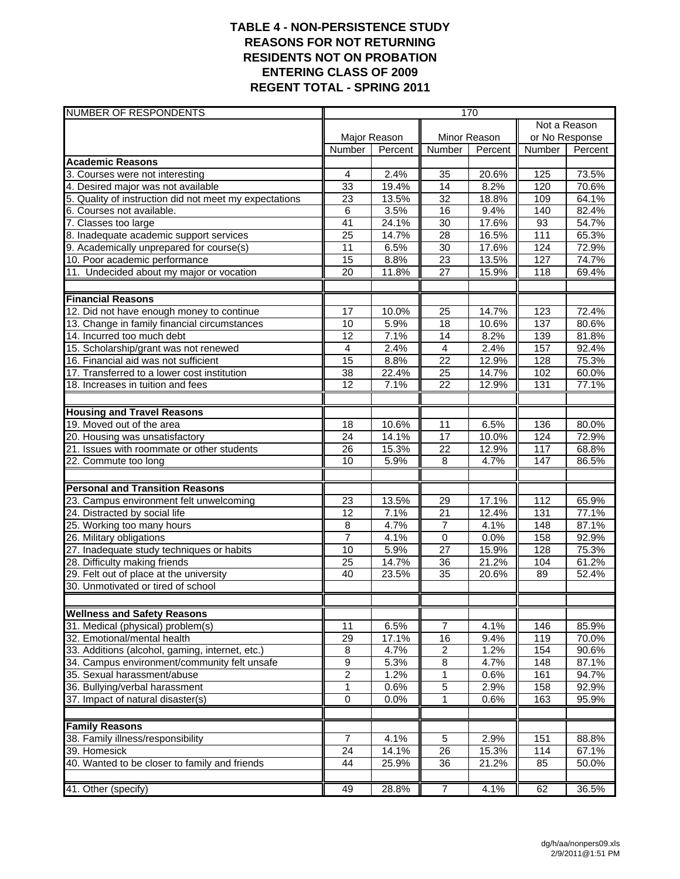### **TABLE 4 - NON-PERSISTENCE STUDY REASONS FOR NOT RETURNING RESIDENTS NOT ON PROBATION ENTERING CLASS OF 2009 REGENT TOTAL - SPRING 2011**

| <b>NUMBER OF RESPONDENTS</b>                           |                  |              |                 | 170          |                |         |
|--------------------------------------------------------|------------------|--------------|-----------------|--------------|----------------|---------|
|                                                        |                  |              |                 |              | Not a Reason   |         |
|                                                        |                  | Major Reason |                 | Minor Reason | or No Response |         |
|                                                        | Number           | Percent      | <b>Number</b>   | Percent      | Number         | Percent |
| <b>Academic Reasons</b>                                |                  |              |                 |              |                |         |
| 3. Courses were not interesting                        | $\overline{4}$   | 2.4%         | 35              | 20.6%        | 125            | 73.5%   |
| 4. Desired major was not available                     | 33               | 19.4%        | 14              | 8.2%         | 120            | 70.6%   |
| 5. Quality of instruction did not meet my expectations | 23               | 13.5%        | 32              | 18.8%        | 109            | 64.1%   |
| 6. Courses not available.                              | 6                | 3.5%         | 16              | 9.4%         | 140            | 82.4%   |
| 7. Classes too large                                   | 41               | 24.1%        | 30              | 17.6%        | 93             | 54.7%   |
| 8. Inadequate academic support services                | $\overline{25}$  | 14.7%        | 28              | 16.5%        | 111            | 65.3%   |
| 9. Academically unprepared for course(s)               | 11               | 6.5%         | 30              | 17.6%        | 124            | 72.9%   |
| 10. Poor academic performance                          | 15               | 8.8%         | $\overline{23}$ | 13.5%        | 127            | 74.7%   |
| 11. Undecided about my major or vocation               | 20               | 11.8%        | 27              | 15.9%        | 118            | 69.4%   |
| <b>Financial Reasons</b>                               |                  |              |                 |              |                |         |
| 12. Did not have enough money to continue              | 17               | 10.0%        | 25              | 14.7%        | 123            | 72.4%   |
| 13. Change in family financial circumstances           | 10               | 5.9%         | 18              | 10.6%        | 137            | 80.6%   |
| 14. Incurred too much debt                             | 12               | 7.1%         | 14              | 8.2%         | 139            | 81.8%   |
| 15. Scholarship/grant was not renewed                  | 4                | 2.4%         | $\overline{4}$  | 2.4%         | 157            | 92.4%   |
| 16. Financial aid was not sufficient                   | 15               | 8.8%         | $\overline{22}$ | 12.9%        | 128            | 75.3%   |
| 17. Transferred to a lower cost institution            | $\overline{38}$  | 22.4%        | $\overline{25}$ | 14.7%        | 102            | 60.0%   |
| 18. Increases in tuition and fees                      | 12               | 7.1%         | 22              | 12.9%        | 131            | 77.1%   |
|                                                        |                  |              |                 |              |                |         |
| <b>Housing and Travel Reasons</b>                      |                  |              |                 |              |                |         |
| 19. Moved out of the area                              | 18               | 10.6%        | 11              | 6.5%         | 136            | 80.0%   |
| 20. Housing was unsatisfactory                         | $\overline{24}$  | 14.1%        | 17              | 10.0%        | 124            | 72.9%   |
| 21. Issues with roommate or other students             | $\overline{26}$  | 15.3%        | $\overline{22}$ | 12.9%        | 117            | 68.8%   |
| 22. Commute too long                                   | 10               | 5.9%         | 8               | 4.7%         | 147            | 86.5%   |
| <b>Personal and Transition Reasons</b>                 |                  |              |                 |              |                |         |
| 23. Campus environment felt unwelcoming                | 23               | 13.5%        | 29              | 17.1%        | 112            | 65.9%   |
| 24. Distracted by social life                          | 12               | 7.1%         | $\overline{21}$ | 12.4%        | 131            | 77.1%   |
| 25. Working too many hours                             | 8                | 4.7%         | $\overline{7}$  | 4.1%         | 148            | 87.1%   |
| 26. Military obligations                               | $\overline{7}$   | 4.1%         | $\mathbf 0$     | 0.0%         | 158            | 92.9%   |
| 27. Inadequate study techniques or habits              | 10               | 5.9%         | $\overline{27}$ | 15.9%        | 128            | 75.3%   |
| 28. Difficulty making friends                          | 25               | 14.7%        | $\overline{36}$ | 21.2%        | 104            | 61.2%   |
| 29. Felt out of place at the university                | 40               | 23.5%        | $\overline{35}$ | 20.6%        | 89             | 52.4%   |
| 30. Unmotivated or tired of school                     |                  |              |                 |              |                |         |
|                                                        |                  |              |                 |              |                |         |
| <b>Wellness and Safety Reasons</b>                     |                  |              |                 |              |                |         |
| 31. Medical (physical) problem(s)                      | 11               | 6.5%         | $\overline{7}$  | 4.1%         | 146            | 85.9%   |
| 32. Emotional/mental health                            | 29               | 17.1%        | 16              | 9.4%         | 119            | 70.0%   |
| 33. Additions (alcohol, gaming, internet, etc.)        | 8                | 4.7%         | $\overline{2}$  | 1.2%         | 154            | 90.6%   |
| 34. Campus environment/community felt unsafe           | $\boldsymbol{9}$ | 5.3%         | $\,$ 8 $\,$     | 4.7%         | 148            | 87.1%   |
| 35. Sexual harassment/abuse                            | $\overline{2}$   | 1.2%         | 1               | 0.6%         | 161            | 94.7%   |
| 36. Bullying/verbal harassment                         | 1                | 0.6%         | 5               | 2.9%         | 158            | 92.9%   |
| 37. Impact of natural disaster(s)                      | $\overline{0}$   | 0.0%         | 1               | 0.6%         | 163            | 95.9%   |
| <b>Family Reasons</b>                                  |                  |              |                 |              |                |         |
| 38. Family illness/responsibility                      | $\overline{7}$   | 4.1%         | $\sqrt{5}$      | 2.9%         | 151            | 88.8%   |
| 39. Homesick                                           | 24               | 14.1%        | 26              | 15.3%        | 114            | 67.1%   |
| 40. Wanted to be closer to family and friends          | 44               | 25.9%        | 36              | 21.2%        | 85             | 50.0%   |
|                                                        |                  |              |                 |              |                |         |
| 41. Other (specify)                                    | 49               | 28.8%        | $\overline{7}$  | 4.1%         | 62             | 36.5%   |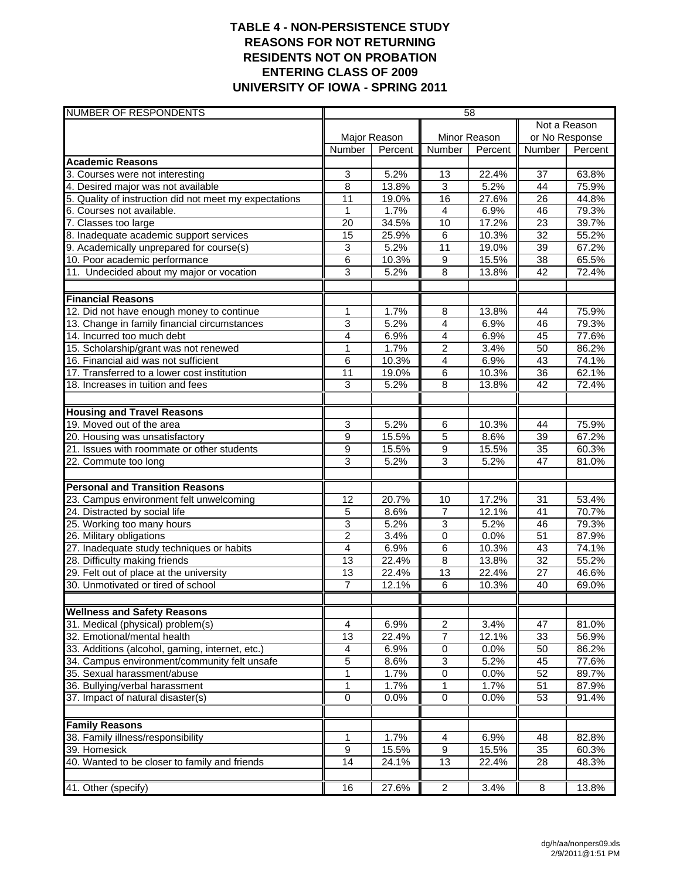### **TABLE 4 - NON-PERSISTENCE STUDY REASONS FOR NOT RETURNING RESIDENTS NOT ON PROBATION ENTERING CLASS OF 2009 UNIVERSITY OF IOWA - SPRING 2011**

| <b>NUMBER OF RESPONDENTS</b>                           |                 |              |                         | 58           |                 |         |
|--------------------------------------------------------|-----------------|--------------|-------------------------|--------------|-----------------|---------|
|                                                        |                 |              |                         |              | Not a Reason    |         |
|                                                        |                 | Major Reason |                         | Minor Reason | or No Response  |         |
|                                                        | Number          | Percent      | <b>Number</b>           | Percent      | Number          | Percent |
| <b>Academic Reasons</b>                                |                 |              |                         |              |                 |         |
| 3. Courses were not interesting                        | 3               | 5.2%         | 13                      | 22.4%        | 37              | 63.8%   |
| 4. Desired major was not available                     | $\overline{8}$  | 13.8%        | $\overline{3}$          | 5.2%         | $\overline{44}$ | 75.9%   |
| 5. Quality of instruction did not meet my expectations | 11              | 19.0%        | 16                      | 27.6%        | 26              | 44.8%   |
| 6. Courses not available.                              | 1               | 1.7%         | $\overline{4}$          | 6.9%         | 46              | 79.3%   |
| 7. Classes too large                                   | 20              | 34.5%        | $\overline{10}$         | 17.2%        | $\overline{23}$ | 39.7%   |
| 8. Inadequate academic support services                | $\overline{15}$ | 25.9%        | 6                       | 10.3%        | $\overline{32}$ | 55.2%   |
| 9. Academically unprepared for course(s)               | 3               | 5.2%         | 11                      | 19.0%        | 39              | 67.2%   |
| 10. Poor academic performance                          | 6               | 10.3%        | 9                       | 15.5%        | $\overline{38}$ | 65.5%   |
| 11. Undecided about my major or vocation               | 3               | 5.2%         | 8                       | 13.8%        | 42              | 72.4%   |
| <b>Financial Reasons</b>                               |                 |              |                         |              |                 |         |
| 12. Did not have enough money to continue              | 1               | 1.7%         | 8                       | 13.8%        | 44              | 75.9%   |
| 13. Change in family financial circumstances           | 3               | 5.2%         | $\overline{\mathbf{4}}$ | 6.9%         | 46              | 79.3%   |
| 14. Incurred too much debt                             | 4               | 6.9%         | 4                       | 6.9%         | 45              | 77.6%   |
| 15. Scholarship/grant was not renewed                  | $\mathbf{1}$    | 1.7%         | $\overline{2}$          | 3.4%         | 50              | 86.2%   |
| 16. Financial aid was not sufficient                   | 6               | 10.3%        | $\overline{\mathbf{4}}$ | 6.9%         | 43              | 74.1%   |
| 17. Transferred to a lower cost institution            | $\overline{11}$ | 19.0%        | $\overline{6}$          | 10.3%        | $\overline{36}$ | 62.1%   |
| 18. Increases in tuition and fees                      | 3               | 5.2%         | 8                       | 13.8%        | 42              | 72.4%   |
|                                                        |                 |              |                         |              |                 |         |
| <b>Housing and Travel Reasons</b>                      |                 |              |                         |              |                 |         |
| 19. Moved out of the area                              | 3               | 5.2%         | 6                       | 10.3%        | 44              | 75.9%   |
| 20. Housing was unsatisfactory                         | 9               | 15.5%        | $\overline{5}$          | 8.6%         | 39              | 67.2%   |
| 21. Issues with roommate or other students             | 9               | 15.5%        | 9                       | 15.5%        | $\overline{35}$ | 60.3%   |
| 22. Commute too long                                   | 3               | 5.2%         | $\overline{3}$          | 5.2%         | 47              | 81.0%   |
| <b>Personal and Transition Reasons</b>                 |                 |              |                         |              |                 |         |
| 23. Campus environment felt unwelcoming                | $\overline{12}$ | 20.7%        | 10                      | 17.2%        | $\overline{31}$ | 53.4%   |
| 24. Distracted by social life                          | 5               | 8.6%         | $\overline{7}$          | 12.1%        | 41              | 70.7%   |
| 25. Working too many hours                             | 3               | 5.2%         | $\overline{3}$          | 5.2%         | 46              | 79.3%   |
| 26. Military obligations                               | $\overline{2}$  | 3.4%         | $\overline{0}$          | 0.0%         | $\overline{51}$ | 87.9%   |
| 27. Inadequate study techniques or habits              | 4               | 6.9%         | $\overline{6}$          | 10.3%        | 43              | 74.1%   |
| 28. Difficulty making friends                          | 13              | 22.4%        | 8                       | 13.8%        | 32              | 55.2%   |
| 29. Felt out of place at the university                | 13              | 22.4%        | $\overline{13}$         | 22.4%        | 27              | 46.6%   |
| 30. Unmotivated or tired of school                     | 7               | 12.1%        | 6                       | 10.3%        | 40              | 69.0%   |
|                                                        |                 |              |                         |              |                 |         |
| <b>Wellness and Safety Reasons</b>                     |                 |              |                         |              |                 |         |
| 31. Medical (physical) problem(s)                      | 4               | 6.9%         | $\overline{\mathbf{c}}$ | 3.4%         | 47              | 81.0%   |
| 32. Emotional/mental health                            | 13              | 22.4%        | 7                       | 12.1%        | 33              | 56.9%   |
| 33. Additions (alcohol, gaming, internet, etc.)        | 4               | 6.9%         | $\overline{0}$          | 0.0%         | 50              | 86.2%   |
| 34. Campus environment/community felt unsafe           | 5               | 8.6%         | $\overline{3}$          | 5.2%         | 45              | 77.6%   |
| 35. Sexual harassment/abuse                            | 1               | 1.7%         | $\pmb{0}$               | 0.0%         | 52              | 89.7%   |
| 36. Bullying/verbal harassment                         | 1               | 1.7%         | 1                       | 1.7%         | 51              | 87.9%   |
| 37. Impact of natural disaster(s)                      | 0               | 0.0%         | $\pmb{0}$               | 0.0%         | 53              | 91.4%   |
| <b>Family Reasons</b>                                  |                 |              |                         |              |                 |         |
| 38. Family illness/responsibility                      | 1               | 1.7%         | 4                       | 6.9%         | 48              | 82.8%   |
| 39. Homesick                                           | $\overline{9}$  | 15.5%        | $\overline{9}$          | 15.5%        | 35              | 60.3%   |
| 40. Wanted to be closer to family and friends          | 14              | 24.1%        | $\overline{13}$         | 22.4%        | 28              | 48.3%   |
|                                                        |                 |              |                         |              |                 |         |
| 41. Other (specify)                                    | 16              | 27.6%        | $\overline{2}$          | 3.4%         | 8               | 13.8%   |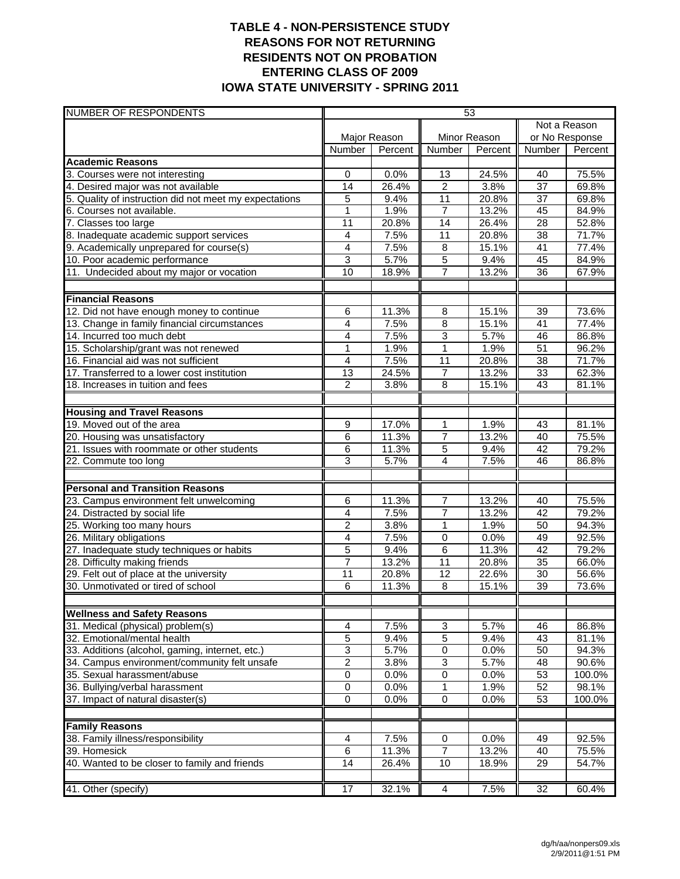### **TABLE 4 - NON-PERSISTENCE STUDY REASONS FOR NOT RETURNING RESIDENTS NOT ON PROBATION ENTERING CLASS OF 2009 IOWA STATE UNIVERSITY - SPRING 2011**

| NUMBER OF RESPONDENTS                                  |                 |              |                 | 53           |                 |         |
|--------------------------------------------------------|-----------------|--------------|-----------------|--------------|-----------------|---------|
|                                                        |                 |              |                 |              | Not a Reason    |         |
|                                                        |                 | Major Reason |                 | Minor Reason | or No Response  |         |
|                                                        | Number          | Percent      | Number          | Percent      | Number          | Percent |
| <b>Academic Reasons</b>                                |                 |              |                 |              |                 |         |
| 3. Courses were not interesting                        | $\mathbf 0$     | 0.0%         | 13              | 24.5%        | 40              | 75.5%   |
| 4. Desired major was not available                     | 14              | 26.4%        | $\overline{2}$  | 3.8%         | $\overline{37}$ | 69.8%   |
| 5. Quality of instruction did not meet my expectations | 5               | 9.4%         | $\overline{11}$ | 20.8%        | 37              | 69.8%   |
| 6. Courses not available.                              | $\mathbf{1}$    | 1.9%         | $\overline{7}$  | 13.2%        | 45              | 84.9%   |
| 7. Classes too large                                   | 11              | 20.8%        | 14              | 26.4%        | 28              | 52.8%   |
| 8. Inadequate academic support services                | 4               | 7.5%         | 11              | 20.8%        | $\overline{38}$ | 71.7%   |
| 9. Academically unprepared for course(s)               | 4               | 7.5%         | $\bf8$          | 15.1%        | 41              | 77.4%   |
| 10. Poor academic performance                          | 3               | 5.7%         | 5               | 9.4%         | 45              | 84.9%   |
| 11. Undecided about my major or vocation               | 10              | 18.9%        | 7               | 13.2%        | 36              | 67.9%   |
|                                                        |                 |              |                 |              |                 |         |
| <b>Financial Reasons</b>                               |                 |              |                 |              |                 |         |
| 12. Did not have enough money to continue              | 6               | 11.3%        | $\overline{8}$  | 15.1%        | 39              | 73.6%   |
| 13. Change in family financial circumstances           | 4               | 7.5%         | $\overline{8}$  | 15.1%        | $\overline{41}$ | 77.4%   |
| 14. Incurred too much debt                             | 4               | 7.5%         | 3               | 5.7%         | 46              | 86.8%   |
| 15. Scholarship/grant was not renewed                  | 1               | 1.9%         | 1               | 1.9%         | $\overline{51}$ | 96.2%   |
| 16. Financial aid was not sufficient                   | 4               | 7.5%         | 11              | 20.8%        | 38              | 71.7%   |
| 17. Transferred to a lower cost institution            | 13              | 24.5%        | $\overline{7}$  | 13.2%        | 33              | 62.3%   |
| 18. Increases in tuition and fees                      | $\overline{c}$  | 3.8%         | 8               | 15.1%        | 43              | 81.1%   |
| <b>Housing and Travel Reasons</b>                      |                 |              |                 |              |                 |         |
| 19. Moved out of the area                              | 9               | 17.0%        | $\mathbf{1}$    | 1.9%         | 43              | 81.1%   |
| 20. Housing was unsatisfactory                         | 6               | 11.3%        | $\overline{7}$  | 13.2%        | 40              | 75.5%   |
| 21. Issues with roommate or other students             | 6               | 11.3%        | 5               | 9.4%         | 42              | 79.2%   |
| 22. Commute too long                                   | 3               | 5.7%         | 4               | 7.5%         | 46              | 86.8%   |
|                                                        |                 |              |                 |              |                 |         |
| <b>Personal and Transition Reasons</b>                 |                 |              |                 |              |                 |         |
| 23. Campus environment felt unwelcoming                | 6               | 11.3%        | 7               | 13.2%        | 40              | 75.5%   |
| 24. Distracted by social life                          | 4               | 7.5%         | $\overline{7}$  | 13.2%        | 42              | 79.2%   |
| 25. Working too many hours                             | $\overline{2}$  | 3.8%         | 1               | 1.9%         | 50              | 94.3%   |
| 26. Military obligations                               | 4               | 7.5%         | 0               | 0.0%         | 49              | 92.5%   |
| 27. Inadequate study techniques or habits              | 5               | 9.4%         | $\overline{6}$  | 11.3%        | 42              | 79.2%   |
| 28. Difficulty making friends                          | $\overline{7}$  | 13.2%        | $\overline{11}$ | 20.8%        | 35              | 66.0%   |
| 29. Felt out of place at the university                | $\overline{11}$ | 20.8%        | $\overline{12}$ | 22.6%        | $\overline{30}$ | 56.6%   |
| 30. Unmotivated or tired of school                     | 6               | 11.3%        | 8               | 15.1%        | 39              | 73.6%   |
|                                                        |                 |              |                 |              |                 |         |
| <b>Wellness and Safety Reasons</b>                     |                 |              |                 |              |                 |         |
| 31. Medical (physical) problem(s)                      | 4               | 7.5%         | 3               | 5.7%         | 46              | 86.8%   |
| 32. Emotional/mental health                            | 5               | 9.4%         | 5               | 9.4%         | 43              | 81.1%   |
| 33. Additions (alcohol, gaming, internet, etc.)        | $\overline{3}$  | 5.7%         | 0               | 0.0%         | 50              | 94.3%   |
| 34. Campus environment/community felt unsafe           | $\overline{2}$  | 3.8%         | 3               | 5.7%         | 48              | 90.6%   |
| 35. Sexual harassment/abuse                            | $\overline{0}$  | 0.0%         | $\overline{0}$  | 0.0%         | 53              | 100.0%  |
| 36. Bullying/verbal harassment                         | $\pmb{0}$       | 0.0%         | 1               | 1.9%         | 52              | 98.1%   |
| 37. Impact of natural disaster(s)                      | $\mathbf 0$     | 0.0%         | $\mathbf 0$     | 0.0%         | 53              | 100.0%  |
| <b>Family Reasons</b>                                  |                 |              |                 |              |                 |         |
| 38. Family illness/responsibility                      | 4               | 7.5%         | 0               | 0.0%         | 49              | 92.5%   |
| 39. Homesick                                           | 6               | 11.3%        | 7               | 13.2%        | 40              | 75.5%   |
| 40. Wanted to be closer to family and friends          | 14              | 26.4%        | 10              | 18.9%        | 29              | 54.7%   |
|                                                        |                 |              |                 |              |                 |         |
| 41. Other (specify)                                    | $\overline{17}$ | 32.1%        | $\overline{4}$  | 7.5%         | 32              | 60.4%   |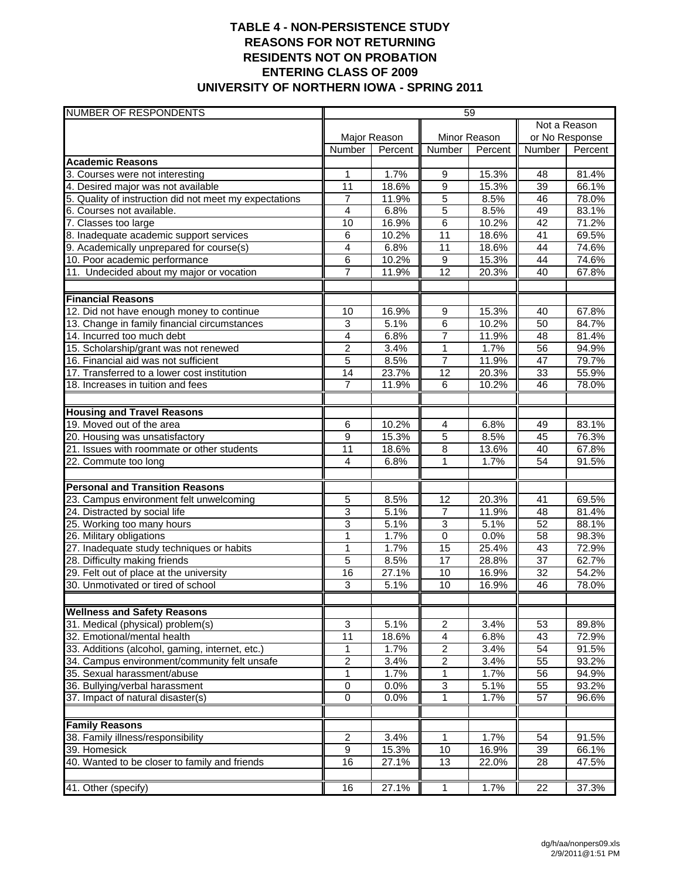## **TABLE 4 - NON-PERSISTENCE STUDY REASONS FOR NOT RETURNING RESIDENTS NOT ON PROBATION ENTERING CLASS OF 2009 UNIVERSITY OF NORTHERN IOWA - SPRING 2011**

| <b>NUMBER OF RESPONDENTS</b>                                            | 59                      |               |                     |              |                       |                |
|-------------------------------------------------------------------------|-------------------------|---------------|---------------------|--------------|-----------------------|----------------|
|                                                                         |                         |               |                     |              | Not a Reason          |                |
|                                                                         | Major Reason            |               |                     | Minor Reason | or No Response        |                |
|                                                                         | Number                  | Percent       | Number              | Percent      | <b>Number</b>         | Percent        |
| <b>Academic Reasons</b>                                                 |                         |               |                     |              |                       |                |
| 3. Courses were not interesting                                         | 1                       | 1.7%          | 9                   | 15.3%        | 48                    | 81.4%          |
| 4. Desired major was not available                                      | 11                      | 18.6%         | $\overline{9}$      | 15.3%        | 39                    | 66.1%          |
| 5. Quality of instruction did not meet my expectations                  | 7                       | 11.9%         | $\overline{5}$      | 8.5%         | 46                    | 78.0%          |
| 6. Courses not available.                                               | $\overline{4}$          | 6.8%          | $\overline{5}$      | 8.5%         | 49                    | 83.1%          |
| 7. Classes too large                                                    | 10                      | 16.9%         | 6                   | 10.2%        | $\overline{42}$       | 71.2%          |
| 8. Inadequate academic support services                                 | 6                       | 10.2%         | 11                  | 18.6%        | $\overline{41}$       | 69.5%          |
| 9. Academically unprepared for course(s)                                | $\overline{\mathbf{4}}$ | 6.8%          | 11                  | 18.6%        | 44                    | 74.6%          |
| 10. Poor academic performance                                           | 6                       | 10.2%         | $\overline{9}$      | 15.3%        | 44                    | 74.6%          |
| 11. Undecided about my major or vocation                                | $\overline{7}$          | 11.9%         | 12                  | 20.3%        | 40                    | 67.8%          |
| <b>Financial Reasons</b>                                                |                         |               |                     |              |                       |                |
| 12. Did not have enough money to continue                               | 10                      | 16.9%         | $\overline{9}$      | 15.3%        | 40                    | 67.8%          |
| 13. Change in family financial circumstances                            | 3                       | 5.1%          | 6                   | 10.2%        | 50                    | 84.7%          |
| 14. Incurred too much debt                                              | 4                       | 6.8%          | $\overline{7}$      | 11.9%        | 48                    | 81.4%          |
| 15. Scholarship/grant was not renewed                                   | $\overline{2}$          | 3.4%          | $\mathbf{1}$        | 1.7%         | 56                    | 94.9%          |
| 16. Financial aid was not sufficient                                    | 5                       | 8.5%          | $\overline{7}$      | 11.9%        | 47                    | 79.7%          |
| 17. Transferred to a lower cost institution                             | 14                      | 23.7%         | $\overline{12}$     | 20.3%        | 33                    | 55.9%          |
| 18. Increases in tuition and fees                                       | $\overline{7}$          | 11.9%         | 6                   | 10.2%        | 46                    | 78.0%          |
|                                                                         |                         |               |                     |              |                       |                |
| <b>Housing and Travel Reasons</b>                                       |                         |               |                     |              |                       |                |
| 19. Moved out of the area                                               | 6                       | 10.2%         | $\overline{4}$      | 6.8%         | 49                    | 83.1%          |
| 20. Housing was unsatisfactory                                          | 9                       | 15.3%         | $\overline{5}$      | 8.5%         | 45                    | 76.3%          |
| 21. Issues with roommate or other students                              | 11                      | 18.6%         | 8                   | 13.6%        | 40                    | 67.8%          |
| 22. Commute too long                                                    | 4                       | 6.8%          | 1                   | 1.7%         | 54                    | 91.5%          |
| <b>Personal and Transition Reasons</b>                                  |                         |               |                     |              |                       |                |
| 23. Campus environment felt unwelcoming                                 | 5                       | 8.5%          | 12                  | 20.3%        | 41                    | 69.5%          |
| 24. Distracted by social life                                           | $\overline{3}$          | 5.1%          | $\overline{7}$      | 11.9%        | 48                    | 81.4%          |
| 25. Working too many hours                                              | 3                       | 5.1%          | 3                   | 5.1%         | 52                    | 88.1%          |
| 26. Military obligations                                                | 1                       | 1.7%          | 0                   | 0.0%         | 58                    | 98.3%          |
| 27. Inadequate study techniques or habits                               | $\mathbf{1}$            | 1.7%          | 15                  | 25.4%        | $\overline{43}$       | 72.9%          |
| 28. Difficulty making friends                                           | 5                       | 8.5%          | 17                  | 28.8%        | 37                    | 62.7%          |
| 29. Felt out of place at the university                                 | 16                      | 27.1%         | 10                  | 16.9%        | $\overline{32}$       | 54.2%          |
| 30. Unmotivated or tired of school                                      | $\overline{3}$          | 5.1%          | 10                  | 16.9%        | 46                    | 78.0%          |
|                                                                         |                         |               |                     |              |                       |                |
| <b>Wellness and Safety Reasons</b><br>31. Medical (physical) problem(s) | 3                       |               |                     |              |                       |                |
| 32. Emotional/mental health                                             | $\overline{11}$         | 5.1%<br>18.6% | 2                   | 3.4%         | 53<br>43              | 89.8%          |
| 33. Additions (alcohol, gaming, internet, etc.)                         | 1                       | 1.7%          | 4<br>$\overline{2}$ | 6.8%<br>3.4% | $\overline{54}$       | 72.9%<br>91.5% |
| 34. Campus environment/community felt unsafe                            | $\overline{2}$          | 3.4%          | $\overline{2}$      | 3.4%         | 55                    | 93.2%          |
| 35. Sexual harassment/abuse                                             |                         |               |                     |              |                       |                |
|                                                                         | 1                       | 1.7%          | 1                   | 1.7%<br>5.1% | 56                    | 94.9%<br>93.2% |
| 36. Bullying/verbal harassment<br>37. Impact of natural disaster(s)     | 0<br>$\overline{0}$     | 0.0%<br>0.0%  | 3<br>$\overline{1}$ | 1.7%         | 55<br>$\overline{57}$ | 96.6%          |
|                                                                         |                         |               |                     |              |                       |                |
| <b>Family Reasons</b>                                                   |                         |               |                     |              |                       |                |
| 38. Family illness/responsibility                                       | 2                       | 3.4%          | 1                   | 1.7%         | 54                    | 91.5%          |
| 39. Homesick                                                            | $\overline{9}$          | 15.3%         | 10                  | 16.9%        | 39                    | 66.1%          |
| 40. Wanted to be closer to family and friends                           | 16                      | 27.1%         | $\overline{13}$     | 22.0%        | 28                    | 47.5%          |
|                                                                         |                         |               |                     |              |                       |                |
| 41. Other (specify)                                                     | 16                      | 27.1%         | $\overline{1}$      | 1.7%         | 22                    | 37.3%          |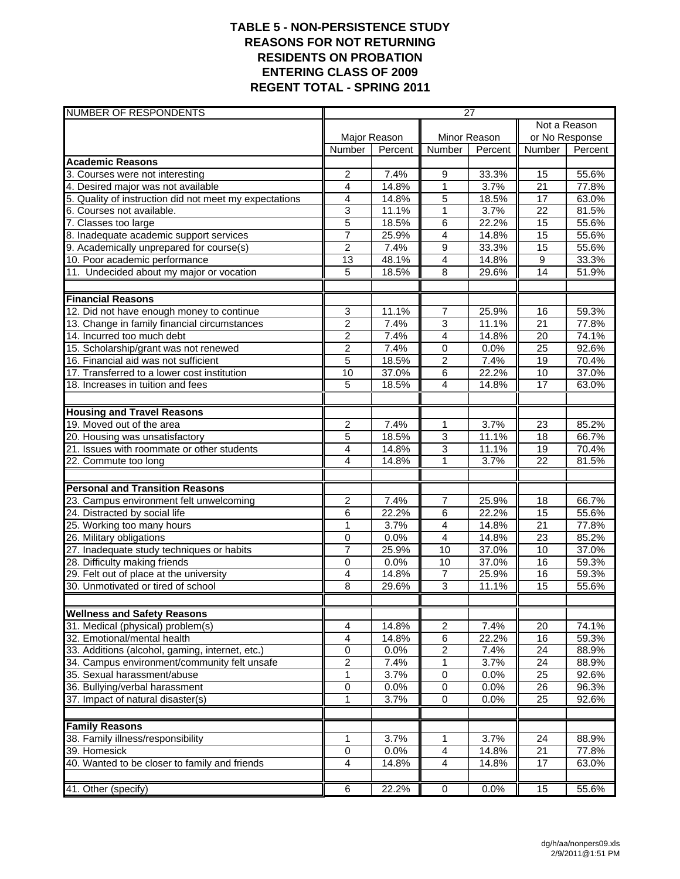### **TABLE 5 - NON-PERSISTENCE STUDY REASONS FOR NOT RETURNING RESIDENTS ON PROBATION ENTERING CLASS OF 2009 REGENT TOTAL - SPRING 2011**

| NUMBER OF RESPONDENTS                                  | 27                  |              |                             |              |                 |         |
|--------------------------------------------------------|---------------------|--------------|-----------------------------|--------------|-----------------|---------|
|                                                        |                     |              |                             |              | Not a Reason    |         |
|                                                        |                     | Major Reason |                             | Minor Reason | or No Response  |         |
|                                                        | Number              | Percent      | <b>Number</b>               | Percent      | Number          | Percent |
| <b>Academic Reasons</b>                                |                     |              |                             |              |                 |         |
| 3. Courses were not interesting                        | 2                   | 7.4%         | 9                           | 33.3%        | 15              | 55.6%   |
| 4. Desired major was not available                     | $\overline{4}$      | 14.8%        | $\mathbf{1}$                | 3.7%         | $\overline{21}$ | 77.8%   |
| 5. Quality of instruction did not meet my expectations | 4                   | 14.8%        | 5                           | 18.5%        | 17              | 63.0%   |
| 6. Courses not available.                              | 3                   | 11.1%        | 1                           | 3.7%         | $\overline{22}$ | 81.5%   |
| 7. Classes too large                                   | $\overline{5}$      | 18.5%        | 6                           | 22.2%        | 15              | 55.6%   |
| 8. Inadequate academic support services                | $\overline{7}$      | 25.9%        | $\overline{4}$              | 14.8%        | $\overline{15}$ | 55.6%   |
| 9. Academically unprepared for course(s)               | $\overline{c}$      | 7.4%         | 9                           | 33.3%        | 15              | 55.6%   |
| 10. Poor academic performance                          | $\overline{13}$     | 48.1%        | 4                           | 14.8%        | $\overline{9}$  | 33.3%   |
| 11. Undecided about my major or vocation               | 5                   | 18.5%        | 8                           | 29.6%        | 14              | 51.9%   |
| <b>Financial Reasons</b>                               |                     |              |                             |              |                 |         |
| 12. Did not have enough money to continue              | 3                   | 11.1%        | 7                           | 25.9%        | 16              | 59.3%   |
| 13. Change in family financial circumstances           | 2                   | 7.4%         | 3                           | 11.1%        | 21              | 77.8%   |
| 14. Incurred too much debt                             | $\overline{2}$      | 7.4%         | $\overline{4}$              | 14.8%        | $\overline{20}$ | 74.1%   |
| 15. Scholarship/grant was not renewed                  | $\overline{2}$      | 7.4%         | $\mathbf 0$                 | 0.0%         | $\overline{25}$ | 92.6%   |
| 16. Financial aid was not sufficient                   | 5                   | 18.5%        | $\overline{c}$              | 7.4%         | 19              | 70.4%   |
| 17. Transferred to a lower cost institution            | 10                  | 37.0%        | 6                           | 22.2%        | 10              | 37.0%   |
| 18. Increases in tuition and fees                      | 5                   | 18.5%        | 4                           | 14.8%        | 17              | 63.0%   |
|                                                        |                     |              |                             |              |                 |         |
| <b>Housing and Travel Reasons</b>                      |                     |              |                             |              |                 |         |
| 19. Moved out of the area                              | $\overline{c}$      | 7.4%         | 1                           | 3.7%         | $\overline{23}$ | 85.2%   |
| 20. Housing was unsatisfactory                         | 5                   | 18.5%        | 3                           | 11.1%        | 18              | 66.7%   |
| 21. Issues with roommate or other students             | 4                   | 14.8%        | $\overline{3}$              | 11.1%        | $\overline{19}$ | 70.4%   |
| 22. Commute too long                                   | 4                   | 14.8%        | $\overline{1}$              | 3.7%         | $\overline{22}$ | 81.5%   |
| <b>Personal and Transition Reasons</b>                 |                     |              |                             |              |                 |         |
| 23. Campus environment felt unwelcoming                | 2                   | 7.4%         | 7                           | 25.9%        | 18              | 66.7%   |
| 24. Distracted by social life                          | 6                   | 22.2%        | 6                           | 22.2%        | 15              | 55.6%   |
| 25. Working too many hours                             | 1                   | 3.7%         | $\overline{4}$              | 14.8%        | $\overline{21}$ | 77.8%   |
| 26. Military obligations                               | 0                   | 0.0%         | $\overline{4}$              | 14.8%        | 23              | 85.2%   |
| 27. Inadequate study techniques or habits              | 7                   | 25.9%        | 10                          | 37.0%        | 10              | 37.0%   |
| 28. Difficulty making friends                          | $\mathbf 0$         | 0.0%         | 10                          | 37.0%        | 16              | 59.3%   |
| 29. Felt out of place at the university                | 4                   | 14.8%        | $\overline{7}$              | 25.9%        | $\overline{16}$ | 59.3%   |
| 30. Unmotivated or tired of school                     | 8                   | 29.6%        | 3                           | 11.1%        | 15              | 55.6%   |
|                                                        |                     |              |                             |              |                 |         |
| <b>Wellness and Safety Reasons</b>                     |                     |              |                             |              |                 |         |
| 31. Medical (physical) problem(s)                      | 4                   | 14.8%        | $\overline{2}$              | 7.4%         | $\overline{20}$ | 74.1%   |
| 32. Emotional/mental health                            | 4                   | 14.8%        | 6                           | 22.2%        | 16              | 59.3%   |
| 33. Additions (alcohol, gaming, internet, etc.)        | 0                   | 0.0%         | $\overline{2}$              | 7.4%         | 24              | 88.9%   |
| 34. Campus environment/community felt unsafe           | 2                   | 7.4%         | 1                           | 3.7%         | 24              | 88.9%   |
| 35. Sexual harassment/abuse                            | 1                   | 3.7%         | $\pmb{0}$                   | 0.0%         | 25              | 92.6%   |
| 36. Bullying/verbal harassment                         | 0<br>$\overline{1}$ | 0.0%         | $\pmb{0}$<br>$\overline{0}$ | 0.0%         | 26              | 96.3%   |
| 37. Impact of natural disaster(s)                      |                     | 3.7%         |                             | 0.0%         | 25              | 92.6%   |
| <b>Family Reasons</b>                                  |                     |              |                             |              |                 |         |
| 38. Family illness/responsibility                      | 1                   | 3.7%         | 1                           | 3.7%         | 24              | 88.9%   |
| 39. Homesick                                           | $\pmb{0}$           | 0.0%         | $\overline{\mathbf{4}}$     | 14.8%        | 21              | 77.8%   |
| 40. Wanted to be closer to family and friends          | 4                   | 14.8%        | $\overline{4}$              | 14.8%        | 17              | 63.0%   |
|                                                        |                     |              |                             |              |                 |         |
| 41. Other (specify)                                    | $6\overline{6}$     | 22.2%        | 0                           | 0.0%         | 15              | 55.6%   |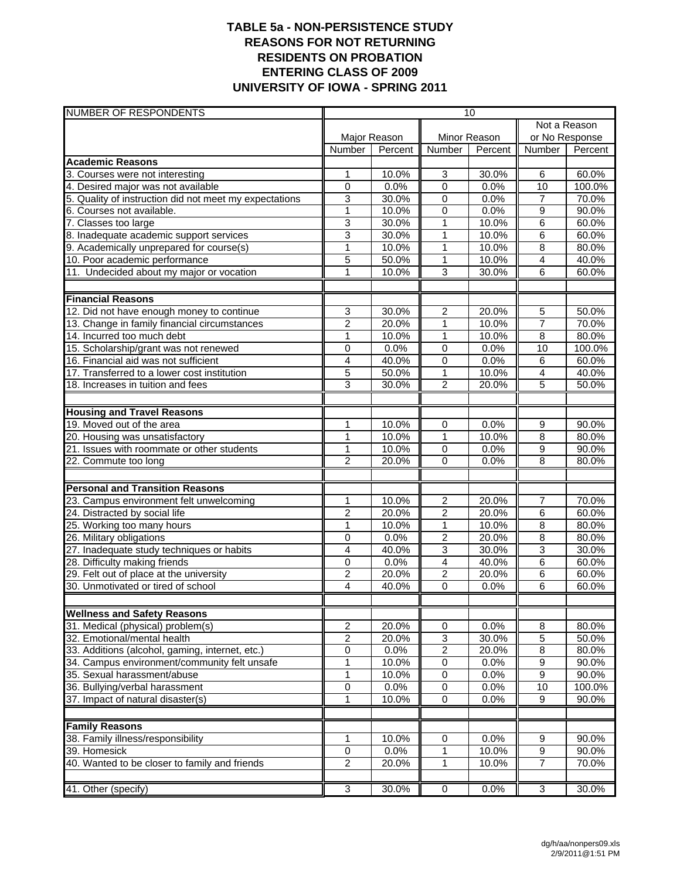## **TABLE 5a - NON-PERSISTENCE STUDY REASONS FOR NOT RETURNING RESIDENTS ON PROBATION ENTERING CLASS OF 2009 UNIVERSITY OF IOWA - SPRING 2011**

| NUMBER OF RESPONDENTS                                      | 10                            |              |                             |              |                |         |
|------------------------------------------------------------|-------------------------------|--------------|-----------------------------|--------------|----------------|---------|
|                                                            |                               |              |                             |              | Not a Reason   |         |
|                                                            |                               | Major Reason |                             | Minor Reason | or No Response |         |
|                                                            | Number                        | Percent      | <b>Number</b>               | Percent      | <b>Number</b>  | Percent |
| <b>Academic Reasons</b>                                    |                               |              |                             |              |                |         |
| 3. Courses were not interesting                            | 1                             | 10.0%        | 3                           | 30.0%        | 6              | 60.0%   |
| 4. Desired major was not available                         | $\mathbf 0$                   | 0.0%         | 0                           | 0.0%         | 10             | 100.0%  |
| 5. Quality of instruction did not meet my expectations     | 3                             | 30.0%        | $\pmb{0}$                   | 0.0%         | $\overline{7}$ | 70.0%   |
| 6. Courses not available.                                  | 1                             | 10.0%        | 0                           | 0.0%         | 9              | 90.0%   |
| 7. Classes too large                                       | 3                             | 30.0%        | 1                           | 10.0%        | 6              | 60.0%   |
| 8. Inadequate academic support services                    | $\overline{3}$                | 30.0%        | $\overline{1}$              | 10.0%        | 6              | 60.0%   |
| 9. Academically unprepared for course(s)                   | $\mathbf{1}$                  | 10.0%        | 1                           | 10.0%        | 8              | 80.0%   |
| 10. Poor academic performance                              | 5                             | 50.0%        | $\mathbf{1}$                | 10.0%        | $\overline{4}$ | 40.0%   |
| 11. Undecided about my major or vocation                   | 1                             | 10.0%        | 3                           | 30.0%        | 6              | 60.0%   |
| <b>Financial Reasons</b>                                   |                               |              |                             |              |                |         |
| 12. Did not have enough money to continue                  | 3                             | 30.0%        | $\overline{2}$              | 20.0%        | 5              | 50.0%   |
| 13. Change in family financial circumstances               | $\overline{c}$                | 20.0%        | 1                           | 10.0%        | $\overline{7}$ | 70.0%   |
| 14. Incurred too much debt                                 | $\mathbf 1$                   | 10.0%        | 1                           | 10.0%        | $\overline{8}$ | 80.0%   |
| 15. Scholarship/grant was not renewed                      | 0                             | 0.0%         | $\overline{0}$              | 0.0%         | 10             | 100.0%  |
| 16. Financial aid was not sufficient                       | 4                             | 40.0%        | 0                           | 0.0%         | 6              | 60.0%   |
| 17. Transferred to a lower cost institution                | 5                             | 50.0%        | $\mathbf{1}$                | 10.0%        | $\overline{4}$ | 40.0%   |
| 18. Increases in tuition and fees                          | 3                             | 30.0%        | $\overline{2}$              | 20.0%        | 5              | 50.0%   |
|                                                            |                               |              |                             |              |                |         |
| <b>Housing and Travel Reasons</b>                          |                               |              |                             |              |                |         |
| 19. Moved out of the area                                  | 1                             | 10.0%        | 0                           | 0.0%         | 9              | 90.0%   |
| 20. Housing was unsatisfactory                             | 1                             | 10.0%        | 1                           | 10.0%        | 8              | 80.0%   |
| 21. Issues with roommate or other students                 | $\mathbf 1$<br>$\overline{2}$ | 10.0%        | $\mathbf 0$<br>$\mathbf{0}$ | 0.0%<br>0.0% | 9<br>8         | 90.0%   |
| 22. Commute too long                                       |                               | 20.0%        |                             |              |                | 80.0%   |
| <b>Personal and Transition Reasons</b>                     |                               |              |                             |              |                |         |
| 23. Campus environment felt unwelcoming                    | 1                             | 10.0%        | $\overline{c}$              | 20.0%        | $\overline{7}$ | 70.0%   |
| 24. Distracted by social life                              | $\overline{2}$                | 20.0%        | $\overline{2}$              | 20.0%        | 6              | 60.0%   |
| 25. Working too many hours                                 | 1                             | 10.0%        | 1                           | 10.0%        | $\overline{8}$ | 80.0%   |
| 26. Military obligations                                   | 0                             | 0.0%         | $\boldsymbol{2}$            | 20.0%        | 8              | 80.0%   |
| 27. Inadequate study techniques or habits                  | 4                             | 40.0%        | $\overline{3}$              | 30.0%        | $\overline{3}$ | 30.0%   |
| 28. Difficulty making friends                              | 0                             | 0.0%         | $\overline{4}$              | 40.0%        | 6              | 60.0%   |
| 29. Felt out of place at the university                    | $\overline{2}$                | 20.0%        | $\overline{2}$              | 20.0%        | 6              | 60.0%   |
| 30. Unmotivated or tired of school                         | 4                             | 40.0%        | 0                           | 0.0%         | 6              | 60.0%   |
| <b>Wellness and Safety Reasons</b>                         |                               |              |                             |              |                |         |
| 31. Medical (physical) problem(s)                          | $\overline{c}$                | 20.0%        | $\pmb{0}$                   | 0.0%         | 8              | 80.0%   |
| 32. Emotional/mental health                                | $\overline{c}$                | 20.0%        | $\overline{3}$              | 30.0%        | 5              | 50.0%   |
| 33. Additions (alcohol, gaming, internet, etc.)            | 0                             | 0.0%         | $\overline{2}$              | 20.0%        | 8              | 80.0%   |
| 34. Campus environment/community felt unsafe               | 1                             | 10.0%        | $\pmb{0}$                   | 0.0%         | 9              | 90.0%   |
| 35. Sexual harassment/abuse                                | 1                             | 10.0%        | $\overline{0}$              | 0.0%         | $\overline{9}$ | 90.0%   |
| 36. Bullying/verbal harassment                             | $\pmb{0}$                     | 0.0%         | $\pmb{0}$                   | 0.0%         | 10             | 100.0%  |
| 37. Impact of natural disaster(s)                          | $\mathbf 1$                   | 10.0%        | $\overline{0}$              | 0.0%         | $\overline{9}$ | 90.0%   |
|                                                            |                               |              |                             |              |                |         |
| <b>Family Reasons</b><br>38. Family illness/responsibility | 1                             | 10.0%        | $\pmb{0}$                   | 0.0%         | 9              | 90.0%   |
| 39. Homesick                                               | $\pmb{0}$                     | 0.0%         | 1                           | 10.0%        | $\overline{9}$ | 90.0%   |
| 40. Wanted to be closer to family and friends              | $\boldsymbol{2}$              | 20.0%        | 1                           | 10.0%        | 7              | 70.0%   |
|                                                            |                               |              |                             |              |                |         |
| 41. Other (specify)                                        | 3                             | 30.0%        | $\overline{0}$              | 0.0%         | 3              | 30.0%   |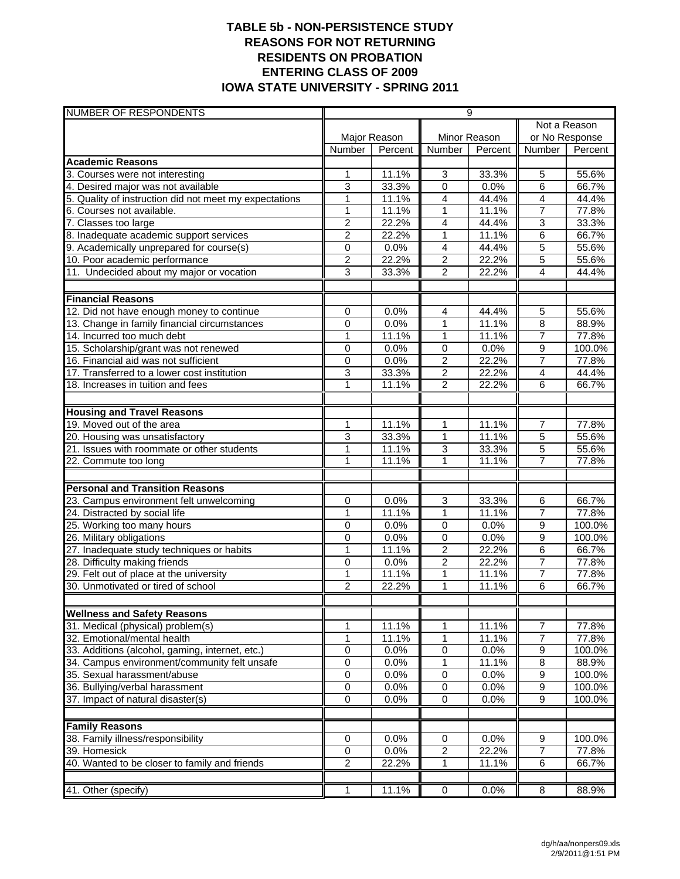### **TABLE 5b - NON-PERSISTENCE STUDY REASONS FOR NOT RETURNING RESIDENTS ON PROBATION ENTERING CLASS OF 2009 IOWA STATE UNIVERSITY - SPRING 2011**

| <b>NUMBER OF RESPONDENTS</b>                                                  | 9                   |                |                                  |                |                     |                |  |
|-------------------------------------------------------------------------------|---------------------|----------------|----------------------------------|----------------|---------------------|----------------|--|
|                                                                               |                     |                |                                  |                | Not a Reason        |                |  |
|                                                                               |                     | Major Reason   |                                  | Minor Reason   | or No Response      |                |  |
|                                                                               | <b>Number</b>       | Percent        | <b>Number</b>                    | Percent        | Number              | Percent        |  |
| <b>Academic Reasons</b>                                                       |                     |                |                                  |                |                     |                |  |
| 3. Courses were not interesting                                               | $\mathbf{1}$        | 11.1%          | $\mathbf{3}$                     | 33.3%          | 5                   | 55.6%          |  |
| 4. Desired major was not available                                            | 3                   | 33.3%          | 0                                | 0.0%           | 6                   | 66.7%          |  |
| 5. Quality of instruction did not meet my expectations                        | 1                   | 11.1%          | 4                                | 44.4%          | 4                   | 44.4%          |  |
| 6. Courses not available.                                                     | 1                   | 11.1%          | 1                                | 11.1%          | $\overline{7}$      | 77.8%          |  |
| 7. Classes too large                                                          | $\overline{2}$      | 22.2%          | $\overline{4}$                   | 44.4%          | $\overline{3}$      | 33.3%          |  |
| 8. Inadequate academic support services                                       | $\overline{2}$      | 22.2%          | $\overline{1}$                   | 11.1%          | 6                   | 66.7%          |  |
| 9. Academically unprepared for course(s)                                      | 0                   | 0.0%           | $\overline{4}$                   | 44.4%          | 5                   | 55.6%          |  |
| 10. Poor academic performance                                                 | $\overline{c}$      | 22.2%          | $\overline{2}$                   | 22.2%          | 5<br>4              | 55.6%          |  |
| 11. Undecided about my major or vocation                                      | 3                   | 33.3%          | $\overline{2}$                   | 22.2%          |                     | 44.4%          |  |
| <b>Financial Reasons</b>                                                      |                     |                |                                  |                |                     |                |  |
| 12. Did not have enough money to continue                                     | 0                   | 0.0%           | 4                                | 44.4%          | 5                   | 55.6%          |  |
| 13. Change in family financial circumstances                                  | 0                   | 0.0%           | $\mathbf{1}$                     | 11.1%          | 8                   | 88.9%          |  |
| 14. Incurred too much debt                                                    | 1                   | 11.1%          | 1                                | 11.1%          | $\overline{7}$      | 77.8%          |  |
| 15. Scholarship/grant was not renewed                                         | 0                   | 0.0%           | $\mathbf 0$                      | 0.0%           | 9                   | 100.0%         |  |
| 16. Financial aid was not sufficient                                          | $\mathbf 0$         | 0.0%           | $\overline{c}$                   | 22.2%          | $\overline{7}$      | 77.8%          |  |
| 17. Transferred to a lower cost institution                                   | 3                   | 33.3%          | $\overline{c}$                   | 22.2%          | $\overline{4}$      | 44.4%          |  |
| 18. Increases in tuition and fees                                             | 1                   | 11.1%          | 2                                | 22.2%          | 6                   | 66.7%          |  |
|                                                                               |                     |                |                                  |                |                     |                |  |
| <b>Housing and Travel Reasons</b>                                             |                     |                |                                  |                |                     |                |  |
| 19. Moved out of the area                                                     | 1                   | 11.1%          | 1                                | 11.1%          | $\overline{7}$      | 77.8%          |  |
| 20. Housing was unsatisfactory                                                | 3                   | 33.3%          | $\mathbf{1}$                     | 11.1%          | $\overline{5}$      | 55.6%          |  |
| 21. Issues with roommate or other students                                    | $\mathbf{1}$        | 11.1%          | $\overline{3}$                   | 33.3%          | $\overline{5}$      | 55.6%          |  |
| 22. Commute too long                                                          | 1                   | 11.1%          | 1                                | 11.1%          | $\overline{7}$      | 77.8%          |  |
|                                                                               |                     |                |                                  |                |                     |                |  |
| <b>Personal and Transition Reasons</b>                                        |                     |                |                                  |                |                     |                |  |
| 23. Campus environment felt unwelcoming                                       | 0                   | 0.0%           | 3                                | 33.3%          | 6                   | 66.7%          |  |
| 24. Distracted by social life                                                 | 1                   | 11.1%          | $\mathbf{1}$                     | 11.1%          | $\overline{7}$      | 77.8%          |  |
| 25. Working too many hours                                                    | 0                   | 0.0%           | $\mathbf 0$                      | 0.0%           | 9                   | 100.0%         |  |
| 26. Military obligations                                                      | 0                   | 0.0%           | $\mathbf 0$                      | 0.0%           | 9                   | 100.0%         |  |
| 27. Inadequate study techniques or habits                                     | 1                   | 11.1%          | $\overline{2}$                   | 22.2%          | $\overline{6}$      | 66.7%          |  |
| 28. Difficulty making friends                                                 | 0                   | 0.0%           | $\overline{2}$                   | 22.2%          | $\overline{7}$      | 77.8%          |  |
| 29. Felt out of place at the university<br>30. Unmotivated or tired of school | 1<br>$\overline{2}$ | 11.1%<br>22.2% | 1<br>1                           | 11.1%<br>11.1% | $\overline{7}$<br>6 | 77.8%<br>66.7% |  |
|                                                                               |                     |                |                                  |                |                     |                |  |
| <b>Wellness and Safety Reasons</b>                                            |                     |                |                                  |                |                     |                |  |
| 31. Medical (physical) problem(s)                                             | 1                   | 11.1%          | 1                                | 11.1%          | 7                   | 77.8%          |  |
| 32. Emotional/mental health                                                   | 1                   | 11.1%          | 1                                | 11.1%          | $\overline{7}$      | 77.8%          |  |
| 33. Additions (alcohol, gaming, internet, etc.)                               | 0                   | 0.0%           | $\,0\,$                          | 0.0%           | 9                   | 100.0%         |  |
| 34. Campus environment/community felt unsafe                                  | 0                   | 0.0%           | 1                                | 11.1%          | $\bf 8$             | 88.9%          |  |
| 35. Sexual harassment/abuse                                                   | 0                   | 0.0%           | $\mathbf 0$                      | 0.0%           | 9                   | 100.0%         |  |
| 36. Bullying/verbal harassment                                                | 0                   | 0.0%           | 0                                | 0.0%           | 9                   | 100.0%         |  |
| 37. Impact of natural disaster(s)                                             | $\overline{0}$      | 0.0%           | $\overline{0}$                   | 0.0%           | $\overline{9}$      | 100.0%         |  |
|                                                                               |                     |                |                                  |                |                     |                |  |
| <b>Family Reasons</b>                                                         |                     |                |                                  |                |                     |                |  |
| 38. Family illness/responsibility                                             | 0                   | 0.0%           | 0                                | 0.0%           | 9                   | 100.0%         |  |
| 39. Homesick<br>40. Wanted to be closer to family and friends                 | 0<br>$\overline{2}$ | 0.0%<br>22.2%  | $\boldsymbol{2}$<br>$\mathbf{1}$ | 22.2%<br>11.1% | 7<br>6              | 77.8%<br>66.7% |  |
|                                                                               |                     |                |                                  |                |                     |                |  |
| 41. Other (specify)                                                           | 1                   | 11.1%          | $\overline{0}$                   | 0.0%           | 8                   | 88.9%          |  |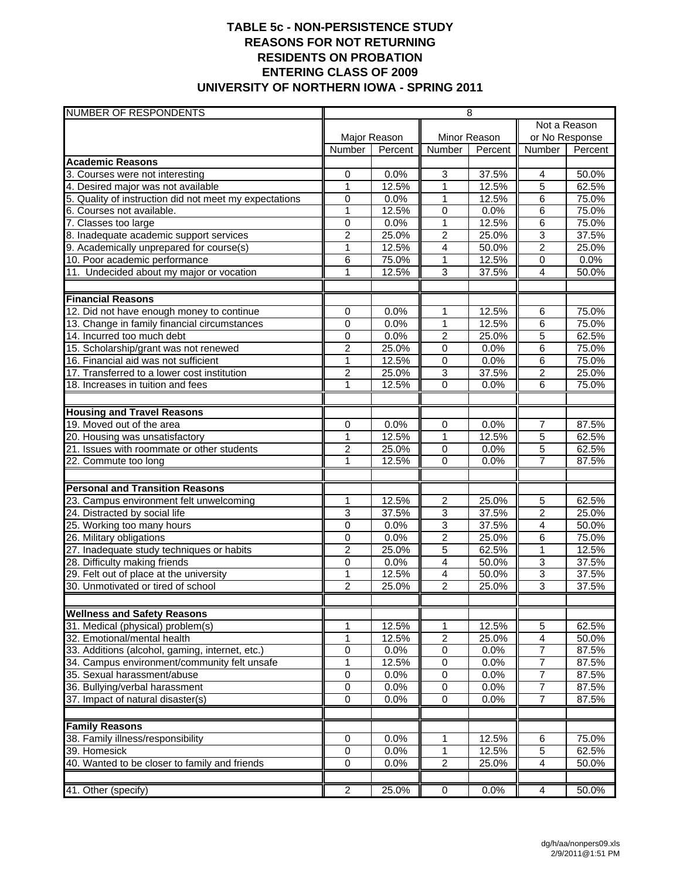## **TABLE 5c - NON-PERSISTENCE STUDY REASONS FOR NOT RETURNING RESIDENTS ON PROBATION ENTERING CLASS OF 2009 UNIVERSITY OF NORTHERN IOWA - SPRING 2011**

| NUMBER OF RESPONDENTS                                  | $\overline{8}$                 |               |                     |               |                                  |                |
|--------------------------------------------------------|--------------------------------|---------------|---------------------|---------------|----------------------------------|----------------|
|                                                        |                                |               |                     |               | Not a Reason                     |                |
|                                                        |                                | Major Reason  |                     | Minor Reason  | or No Response                   |                |
|                                                        | <b>Number</b>                  | Percent       | Number              | Percent       | Number                           | Percent        |
| <b>Academic Reasons</b>                                |                                |               |                     |               |                                  |                |
| 3. Courses were not interesting                        | 0                              | 0.0%          | 3                   | 37.5%         | 4                                | 50.0%          |
| 4. Desired major was not available                     | 1                              | 12.5%         | 1                   | 12.5%         | $\overline{5}$                   | 62.5%          |
| 5. Quality of instruction did not meet my expectations | 0                              | 0.0%          | 1                   | 12.5%         | $\,6$                            | 75.0%          |
| 6. Courses not available.                              | $\overline{1}$                 | 12.5%         | 0                   | 0.0%          | 6                                | 75.0%          |
| 7. Classes too large                                   | 0                              | 0.0%          | 1                   | 12.5%         | $\overline{6}$                   | 75.0%          |
| 8. Inadequate academic support services                | $\overline{2}$                 | 25.0%         | $\overline{2}$      | 25.0%         | 3                                | 37.5%          |
| 9. Academically unprepared for course(s)               | 1                              | 12.5%         | 4                   | 50.0%         | $\overline{2}$                   | 25.0%          |
| 10. Poor academic performance                          | 6                              | 75.0%         | 1                   | 12.5%         | $\mathbf 0$                      | 0.0%           |
| 11. Undecided about my major or vocation               | $\mathbf{1}$                   | 12.5%         | $\overline{3}$      | 37.5%         | $\overline{4}$                   | 50.0%          |
|                                                        |                                |               |                     |               |                                  |                |
| <b>Financial Reasons</b>                               |                                |               |                     |               |                                  |                |
| 12. Did not have enough money to continue              | 0                              | 0.0%          | 1                   | 12.5%         | 6                                | 75.0%          |
| 13. Change in family financial circumstances           | 0                              | 0.0%          | 1                   | 12.5%         | $\,6$                            | 75.0%<br>62.5% |
| 14. Incurred too much debt                             | 0<br>$\overline{2}$            | 0.0%<br>25.0% | $\overline{2}$      | 25.0%<br>0.0% | $\overline{5}$<br>$\overline{6}$ | 75.0%          |
| 15. Scholarship/grant was not renewed                  |                                |               | 0                   |               |                                  |                |
| 16. Financial aid was not sufficient                   | 1                              | 12.5%         | 0                   | 0.0%          | 6                                | 75.0%          |
| 17. Transferred to a lower cost institution            | $\overline{2}$<br>$\mathbf{1}$ | 25.0%         | 3<br>$\overline{0}$ | 37.5%         | $\overline{2}$                   | 25.0%          |
| 18. Increases in tuition and fees                      |                                | 12.5%         |                     | 0.0%          | 6                                | 75.0%          |
| <b>Housing and Travel Reasons</b>                      |                                |               |                     |               |                                  |                |
| 19. Moved out of the area                              | 0                              | 0.0%          | 0                   | 0.0%          | 7                                | 87.5%          |
| 20. Housing was unsatisfactory                         | $\mathbf{1}$                   | 12.5%         | 1                   | 12.5%         | $\overline{5}$                   | 62.5%          |
| 21. Issues with roommate or other students             | $\overline{c}$                 | 25.0%         | $\mathbf 0$         | 0.0%          | 5                                | 62.5%          |
| 22. Commute too long                                   | 1                              | 12.5%         | $\mathbf 0$         | 0.0%          | 7                                | 87.5%          |
|                                                        |                                |               |                     |               |                                  |                |
| <b>Personal and Transition Reasons</b>                 |                                |               |                     |               |                                  |                |
| 23. Campus environment felt unwelcoming                | 1                              | 12.5%         | $\overline{c}$      | 25.0%         | 5                                | 62.5%          |
| 24. Distracted by social life                          | 3                              | 37.5%         | 3                   | 37.5%         | $\overline{2}$                   | 25.0%          |
| 25. Working too many hours                             | $\overline{0}$                 | 0.0%          | $\overline{3}$      | 37.5%         | $\overline{4}$                   | 50.0%          |
| 26. Military obligations                               | $\mathbf 0$                    | 0.0%          | $\overline{2}$      | 25.0%         | $\overline{6}$                   | 75.0%          |
| 27. Inadequate study techniques or habits              | $\overline{2}$                 | 25.0%         | 5                   | 62.5%         | $\mathbf{1}$                     | 12.5%          |
| 28. Difficulty making friends                          | 0                              | 0.0%          | 4                   | 50.0%         | $\overline{3}$                   | 37.5%          |
| 29. Felt out of place at the university                | 1                              | 12.5%         | 4                   | 50.0%         | 3                                | 37.5%          |
| 30. Unmotivated or tired of school                     | $\overline{2}$                 | 25.0%         | $\overline{2}$      | 25.0%         | 3                                | 37.5%          |
| <b>Wellness and Safety Reasons</b>                     |                                |               |                     |               |                                  |                |
| 31. Medical (physical) problem(s)                      | 1                              | 12.5%         | 1                   | 12.5%         | 5                                | 62.5%          |
| 32. Emotional/mental health                            | 1                              | 12.5%         | $\overline{c}$      |               | $\overline{4}$                   |                |
| 33. Additions (alcohol, gaming, internet, etc.)        | $\mathbf 0$                    | 0.0%          | 0                   | 25.0%<br>0.0% | $\overline{7}$                   | 50.0%<br>87.5% |
| 34. Campus environment/community felt unsafe           | 1                              | 12.5%         | 0                   | 0.0%          | $\overline{7}$                   | 87.5%          |
| 35. Sexual harassment/abuse                            | $\overline{0}$                 | 0.0%          | 0                   | 0.0%          | $\overline{7}$                   | 87.5%          |
| 36. Bullying/verbal harassment                         | $\pmb{0}$                      | 0.0%          | $\pmb{0}$           | 0.0%          | 7                                | 87.5%          |
| 37. Impact of natural disaster(s)                      | $\overline{0}$                 | 0.0%          | 0                   | 0.0%          | $\overline{7}$                   | 87.5%          |
|                                                        |                                |               |                     |               |                                  |                |
| <b>Family Reasons</b>                                  |                                |               |                     |               |                                  |                |
| 38. Family illness/responsibility                      | 0                              | 0.0%          | 1                   | 12.5%         | 6                                | 75.0%          |
| 39. Homesick                                           | 0                              | 0.0%          | 1                   | 12.5%         | $\overline{5}$                   | 62.5%          |
| 40. Wanted to be closer to family and friends          | 0                              | 0.0%          | $\overline{2}$      | 25.0%         | 4                                | 50.0%          |
|                                                        |                                |               |                     |               |                                  |                |
| 41. Other (specify)                                    | $\overline{2}$                 | 25.0%         | $\overline{0}$      | 0.0%          | 4                                | 50.0%          |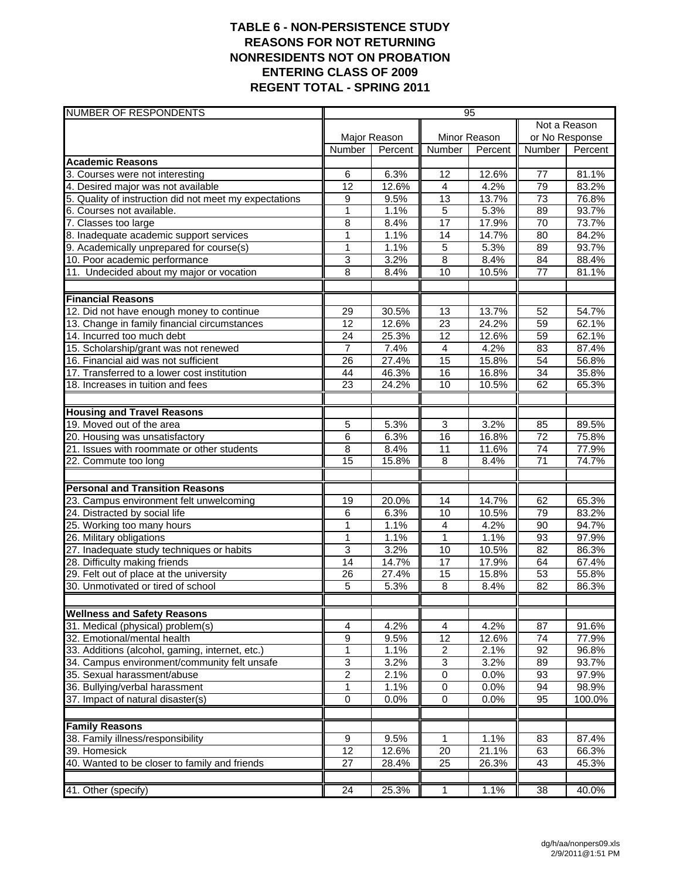### **TABLE 6 - NON-PERSISTENCE STUDY REASONS FOR NOT RETURNING NONRESIDENTS NOT ON PROBATION ENTERING CLASS OF 2009 REGENT TOTAL - SPRING 2011**

| <b>NUMBER OF RESPONDENTS</b>                                  | 95                    |                |                      |                |                       |                |  |
|---------------------------------------------------------------|-----------------------|----------------|----------------------|----------------|-----------------------|----------------|--|
|                                                               |                       |                |                      |                | Not a Reason          |                |  |
|                                                               |                       | Major Reason   |                      | Minor Reason   | or No Response        |                |  |
|                                                               | Number                | Percent        | <b>Number</b>        | Percent        | Number                | Percent        |  |
| <b>Academic Reasons</b>                                       |                       |                |                      |                |                       |                |  |
| 3. Courses were not interesting                               | 6                     | 6.3%           | 12                   | 12.6%          | 77                    | 81.1%          |  |
| 4. Desired major was not available                            | 12                    | 12.6%          | $\overline{4}$       | 4.2%           | 79                    | 83.2%          |  |
| 5. Quality of instruction did not meet my expectations        | 9                     | 9.5%           | 13                   | 13.7%          | 73                    | 76.8%          |  |
| 6. Courses not available.                                     | $\mathbf{1}$          | 1.1%           | 5                    | 5.3%           | 89                    | 93.7%          |  |
| 7. Classes too large                                          | 8                     | 8.4%           | $\overline{17}$      | 17.9%          | $\overline{70}$       | 73.7%          |  |
| 8. Inadequate academic support services                       | $\overline{1}$        | 1.1%           | 14                   | 14.7%          | 80                    | 84.2%          |  |
| 9. Academically unprepared for course(s)                      | 1                     | 1.1%<br>3.2%   | 5                    | 5.3%           | 89                    | 93.7%          |  |
| 10. Poor academic performance                                 | 3<br>8                |                | 8<br>10              | 8.4%<br>10.5%  | 84<br>77              | 88.4%          |  |
| 11. Undecided about my major or vocation                      |                       | 8.4%           |                      |                |                       | 81.1%          |  |
| <b>Financial Reasons</b>                                      |                       |                |                      |                |                       |                |  |
| 12. Did not have enough money to continue                     | 29                    | 30.5%          | 13                   | 13.7%          | 52                    | 54.7%          |  |
| 13. Change in family financial circumstances                  | 12                    | 12.6%          | $\overline{23}$      | 24.2%          | 59                    | 62.1%          |  |
| 14. Incurred too much debt                                    | 24                    | 25.3%          | $\overline{12}$      | 12.6%          | 59                    | 62.1%          |  |
| 15. Scholarship/grant was not renewed                         | $\overline{7}$        | 7.4%           | $\overline{4}$       | 4.2%           | 83                    | 87.4%          |  |
| 16. Financial aid was not sufficient                          | 26                    | 27.4%          | $\overline{15}$      | 15.8%          | 54                    | 56.8%          |  |
| 17. Transferred to a lower cost institution                   | $\overline{44}$       | 46.3%          | 16                   | 16.8%          | 34                    | 35.8%          |  |
| 18. Increases in tuition and fees                             | 23                    | 24.2%          | 10                   | 10.5%          | 62                    | 65.3%          |  |
|                                                               |                       |                |                      |                |                       |                |  |
| <b>Housing and Travel Reasons</b>                             |                       |                |                      |                |                       |                |  |
| 19. Moved out of the area                                     | 5                     | 5.3%           | 3                    | 3.2%           | 85                    | 89.5%          |  |
| 20. Housing was unsatisfactory                                | 6                     | 6.3%           | 16                   | 16.8%          | $\overline{72}$       | 75.8%          |  |
| 21. Issues with roommate or other students                    | $\overline{8}$<br>15  | 8.4%<br>15.8%  | $\overline{11}$<br>8 | 11.6%<br>8.4%  | 74<br>$\overline{71}$ | 77.9%<br>74.7% |  |
| 22. Commute too long                                          |                       |                |                      |                |                       |                |  |
| <b>Personal and Transition Reasons</b>                        |                       |                |                      |                |                       |                |  |
| 23. Campus environment felt unwelcoming                       | 19                    | 20.0%          | 14                   | 14.7%          | 62                    | 65.3%          |  |
| 24. Distracted by social life                                 | 6                     | 6.3%           | 10                   | 10.5%          | 79                    | 83.2%          |  |
| 25. Working too many hours                                    | $\mathbf{1}$          | 1.1%           | $\overline{4}$       | 4.2%           | 90                    | 94.7%          |  |
| 26. Military obligations                                      | 1                     | 1.1%           | $\mathbf{1}$         | 1.1%           | 93                    | 97.9%          |  |
| 27. Inadequate study techniques or habits                     | 3                     | 3.2%           | 10                   | 10.5%          | $\overline{82}$       | 86.3%          |  |
| 28. Difficulty making friends                                 | $\overline{14}$       | 14.7%          | $\overline{17}$      | 17.9%          | 64                    | 67.4%          |  |
| 29. Felt out of place at the university                       | 26                    | 27.4%          | 15                   | 15.8%          | 53                    | 55.8%          |  |
| 30. Unmotivated or tired of school                            | 5                     | 5.3%           | 8                    | 8.4%           | 82                    | 86.3%          |  |
| <b>Wellness and Safety Reasons</b>                            |                       |                |                      |                |                       |                |  |
| 31. Medical (physical) problem(s)                             | 4                     | 4.2%           | $\overline{4}$       | 4.2%           | 87                    | 91.6%          |  |
| 32. Emotional/mental health                                   | 9                     | 9.5%           | 12                   | 12.6%          | 74                    | 77.9%          |  |
| 33. Additions (alcohol, gaming, internet, etc.)               | 1                     | 1.1%           | $\overline{2}$       | 2.1%           | 92                    | 96.8%          |  |
| 34. Campus environment/community felt unsafe                  | 3                     | 3.2%           | $\overline{3}$       | 3.2%           | 89                    | 93.7%          |  |
| 35. Sexual harassment/abuse                                   | $\overline{2}$        | 2.1%           | $\overline{0}$       | 0.0%           | 93                    | 97.9%          |  |
| 36. Bullying/verbal harassment                                | 1                     | 1.1%           | $\pmb{0}$            | 0.0%           | 94                    | 98.9%          |  |
| 37. Impact of natural disaster(s)                             | $\overline{0}$        | 0.0%           | $\overline{0}$       | 0.0%           | 95                    | 100.0%         |  |
|                                                               |                       |                |                      |                |                       |                |  |
| <b>Family Reasons</b><br>38. Family illness/responsibility    |                       |                |                      |                |                       |                |  |
|                                                               | 9                     | 9.5%           | 1                    | 1.1%           | 83                    | 87.4%          |  |
| 39. Homesick<br>40. Wanted to be closer to family and friends | 12<br>$\overline{27}$ | 12.6%<br>28.4% | 20<br>25             | 21.1%<br>26.3% | 63<br>43              | 66.3%<br>45.3% |  |
|                                                               |                       |                |                      |                |                       |                |  |
| 41. Other (specify)                                           | $\overline{24}$       | 25.3%          | 1                    | 1.1%           | $\overline{38}$       | 40.0%          |  |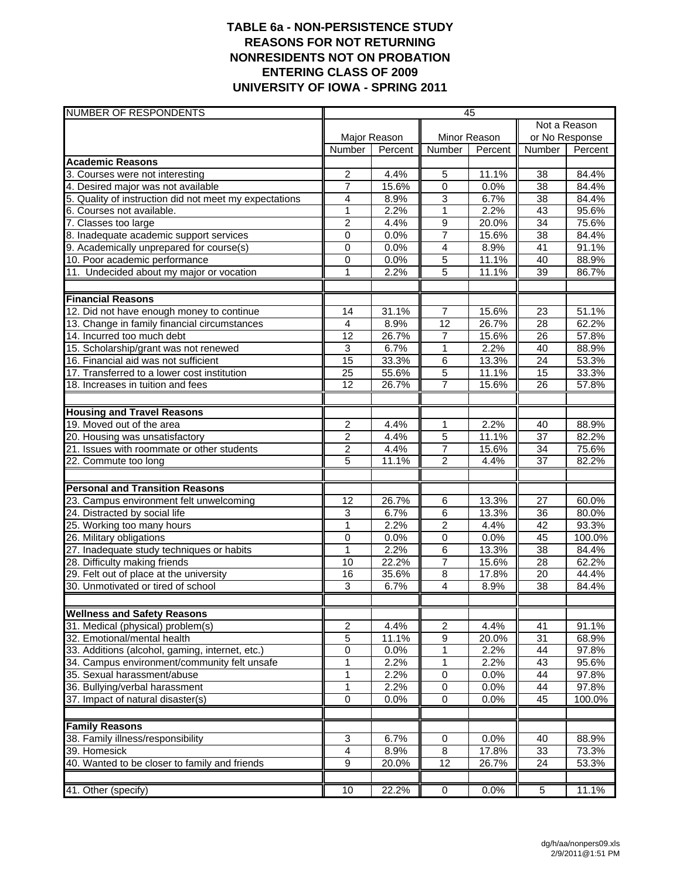## **TABLE 6a - NON-PERSISTENCE STUDY REASONS FOR NOT RETURNING NONRESIDENTS NOT ON PROBATION ENTERING CLASS OF 2009 UNIVERSITY OF IOWA - SPRING 2011**

| NUMBER OF RESPONDENTS                                  | 45              |              |                 |              |                 |         |
|--------------------------------------------------------|-----------------|--------------|-----------------|--------------|-----------------|---------|
|                                                        |                 |              |                 |              | Not a Reason    |         |
|                                                        |                 | Major Reason |                 | Minor Reason | or No Response  |         |
|                                                        | Number          | Percent      | Number          | Percent      | Number          | Percent |
| <b>Academic Reasons</b>                                |                 |              |                 |              |                 |         |
| 3. Courses were not interesting                        | $\overline{c}$  | 4.4%         | 5               | 11.1%        | 38              | 84.4%   |
| 4. Desired major was not available                     | 7               | 15.6%        | $\mathbf 0$     | 0.0%         | 38              | 84.4%   |
| 5. Quality of instruction did not meet my expectations | 4               | 8.9%         | 3               | 6.7%         | 38              | 84.4%   |
| 6. Courses not available.                              | $\mathbf{1}$    | 2.2%         | 1               | 2.2%         | $\overline{43}$ | 95.6%   |
| 7. Classes too large                                   | 2               | 4.4%         | 9               | 20.0%        | 34              | 75.6%   |
| 8. Inadequate academic support services                | $\mathbf 0$     | 0.0%         | $\overline{7}$  | 15.6%        | $\overline{38}$ | 84.4%   |
| 9. Academically unprepared for course(s)               | 0               | 0.0%         | 4               | 8.9%         | 41              | 91.1%   |
| 10. Poor academic performance                          | 0               | 0.0%         | 5               | 11.1%        | 40              | 88.9%   |
| 11. Undecided about my major or vocation               | 1               | 2.2%         | $\overline{5}$  | 11.1%        | 39              | 86.7%   |
|                                                        |                 |              |                 |              |                 |         |
| <b>Financial Reasons</b>                               |                 |              |                 |              |                 |         |
| 12. Did not have enough money to continue              | 14              | 31.1%        | $\overline{7}$  | 15.6%        | 23              | 51.1%   |
| 13. Change in family financial circumstances           | $\overline{4}$  | 8.9%         | 12              | 26.7%        | $\overline{28}$ | 62.2%   |
| 14. Incurred too much debt                             | $\overline{12}$ | 26.7%        | $\overline{7}$  | 15.6%        | $\overline{26}$ | 57.8%   |
| 15. Scholarship/grant was not renewed                  | 3               | 6.7%         | 1               | 2.2%         | 40              | 88.9%   |
| 16. Financial aid was not sufficient                   | 15              | 33.3%        | $\,6$           | 13.3%        | 24              | 53.3%   |
| 17. Transferred to a lower cost institution            | 25              | 55.6%        | 5               | 11.1%        | 15              | 33.3%   |
| 18. Increases in tuition and fees                      | 12              | 26.7%        | 7               | 15.6%        | 26              | 57.8%   |
|                                                        |                 |              |                 |              |                 |         |
| <b>Housing and Travel Reasons</b>                      |                 |              |                 |              |                 |         |
| 19. Moved out of the area                              | 2               | 4.4%         | 1               | 2.2%         | 40              | 88.9%   |
| 20. Housing was unsatisfactory                         | $\overline{2}$  | 4.4%         | $\overline{5}$  | 11.1%        | 37              | 82.2%   |
| 21. Issues with roommate or other students             | 2               | 4.4%         | $\overline{7}$  | 15.6%        | 34              | 75.6%   |
| 22. Commute too long                                   | 5               | 11.1%        | $\overline{2}$  | 4.4%         | $\overline{37}$ | 82.2%   |
| <b>Personal and Transition Reasons</b>                 |                 |              |                 |              |                 |         |
| 23. Campus environment felt unwelcoming                | 12              | 26.7%        | 6               | 13.3%        | 27              | 60.0%   |
| 24. Distracted by social life                          | 3               | 6.7%         | 6               | 13.3%        | 36              | 80.0%   |
| 25. Working too many hours                             | 1               | 2.2%         | $\overline{2}$  | 4.4%         | $\overline{42}$ | 93.3%   |
| 26. Military obligations                               | 0               | 0.0%         | 0               | 0.0%         | 45              | 100.0%  |
| 27. Inadequate study techniques or habits              | 1               | 2.2%         | 6               | 13.3%        | $\overline{38}$ | 84.4%   |
| 28. Difficulty making friends                          | 10              | 22.2%        | $\overline{7}$  | 15.6%        | 28              | 62.2%   |
| 29. Felt out of place at the university                | 16              | 35.6%        | 8               | 17.8%        | $\overline{20}$ | 44.4%   |
| 30. Unmotivated or tired of school                     | 3               | 6.7%         | 4               | 8.9%         | 38              | 84.4%   |
|                                                        |                 |              |                 |              |                 |         |
| <b>Wellness and Safety Reasons</b>                     |                 |              |                 |              |                 |         |
| 31. Medical (physical) problem(s)                      | 2               | 4.4%         | $\overline{c}$  | 4.4%         | 41              | 91.1%   |
| 32. Emotional/mental health                            | 5               | 11.1%        | 9               | 20.0%        | 31              | 68.9%   |
| 33. Additions (alcohol, gaming, internet, etc.)        | 0               | 0.0%         | 1               | 2.2%         | 44              | 97.8%   |
| 34. Campus environment/community felt unsafe           | 1               | 2.2%         | 1               | 2.2%         | 43              | 95.6%   |
| 35. Sexual harassment/abuse                            | 1               | 2.2%         | $\overline{0}$  | 0.0%         | 44              | 97.8%   |
| 36. Bullying/verbal harassment                         | 1               | 2.2%         | $\,0\,$         | 0.0%         | 44              | 97.8%   |
| 37. Impact of natural disaster(s)                      | $\mathbf 0$     | 0.0%         | $\pmb{0}$       | 0.0%         | 45              | 100.0%  |
|                                                        |                 |              |                 |              |                 |         |
| <b>Family Reasons</b>                                  |                 |              |                 |              |                 |         |
| 38. Family illness/responsibility                      | 3               | 6.7%         | 0               | 0.0%         | 40              | 88.9%   |
| 39. Homesick                                           | 4               | 8.9%         | 8               | 17.8%        | 33              | 73.3%   |
| 40. Wanted to be closer to family and friends          | $\overline{9}$  | 20.0%        | $\overline{12}$ | 26.7%        | $\overline{24}$ | 53.3%   |
|                                                        |                 |              |                 |              |                 |         |
| 41. Other (specify)                                    | 10              | 22.2%        | $\overline{0}$  | 0.0%         | $\overline{5}$  | 11.1%   |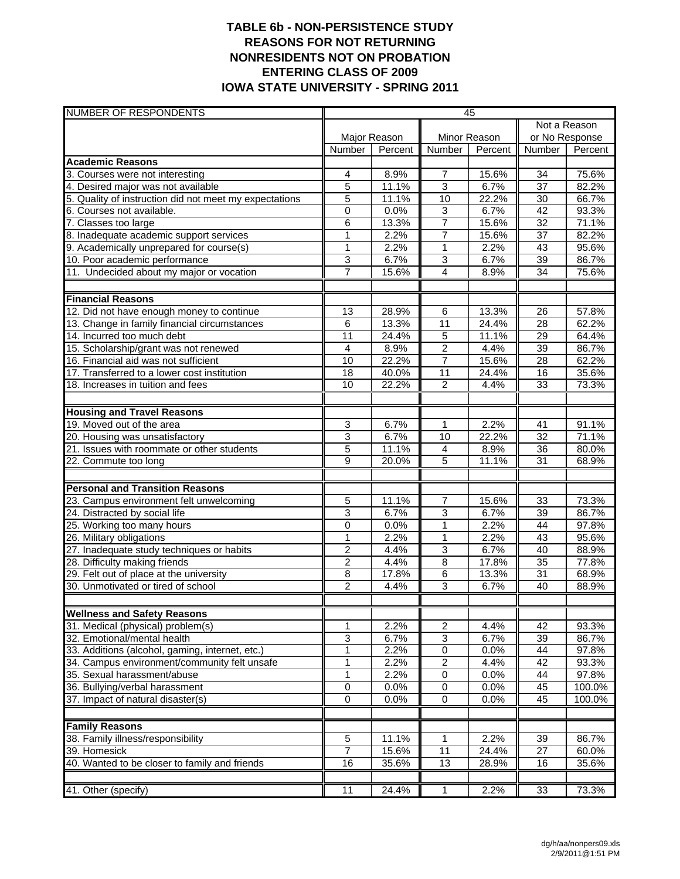### **TABLE 6b - NON-PERSISTENCE STUDY REASONS FOR NOT RETURNING NONRESIDENTS NOT ON PROBATION ENTERING CLASS OF 2009 IOWA STATE UNIVERSITY - SPRING 2011**

| <b>NUMBER OF RESPONDENTS</b>                                                 | 45              |                |                 |               |                 |                |
|------------------------------------------------------------------------------|-----------------|----------------|-----------------|---------------|-----------------|----------------|
|                                                                              |                 |                |                 |               | Not a Reason    |                |
|                                                                              | Major Reason    |                |                 | Minor Reason  | or No Response  |                |
|                                                                              | Number          | Percent        | Number          | Percent       | Number          | Percent        |
| <b>Academic Reasons</b>                                                      |                 |                |                 |               |                 |                |
| 3. Courses were not interesting                                              | 4               | 8.9%           | 7               | 15.6%         | 34              | 75.6%          |
| 4. Desired major was not available                                           | $\overline{5}$  | 11.1%          | $\overline{3}$  | 6.7%          | $\overline{37}$ | 82.2%          |
| 5. Quality of instruction did not meet my expectations                       | 5               | 11.1%          | 10              | 22.2%         | 30              | 66.7%          |
| 6. Courses not available.                                                    | $\mathbf 0$     | 0.0%           | 3               | 6.7%          | 42              | 93.3%          |
| 7. Classes too large                                                         | 6               | 13.3%          | $\overline{7}$  | 15.6%         | $\overline{32}$ | 71.1%          |
| 8. Inadequate academic support services                                      | 1               | 2.2%           | 7               | 15.6%         | $\overline{37}$ | 82.2%          |
| 9. Academically unprepared for course(s)                                     | 1               | 2.2%           | $\mathbf{1}$    | 2.2%          | 43              | 95.6%          |
| 10. Poor academic performance                                                | 3               | 6.7%           | 3               | 6.7%          | $\overline{39}$ | 86.7%          |
| 11. Undecided about my major or vocation                                     | $\overline{7}$  | 15.6%          | 4               | 8.9%          | 34              | 75.6%          |
|                                                                              |                 |                |                 |               |                 |                |
| <b>Financial Reasons</b>                                                     |                 |                |                 |               |                 |                |
| 12. Did not have enough money to continue                                    | 13              | 28.9%          | 6               | 13.3%         | 26              | 57.8%          |
| 13. Change in family financial circumstances                                 | 6               | 13.3%          | 11              | 24.4%         | 28              | 62.2%          |
| 14. Incurred too much debt                                                   | 11              | 24.4%          | $\overline{5}$  | 11.1%         | 29              | 64.4%          |
| 15. Scholarship/grant was not renewed                                        | 4               | 8.9%           | $\overline{2}$  | 4.4%          | $\overline{39}$ | 86.7%          |
| 16. Financial aid was not sufficient                                         | 10              | 22.2%          | $\overline{7}$  | 15.6%         | 28              | 62.2%          |
| 17. Transferred to a lower cost institution                                  | $\overline{18}$ | 40.0%          | $\overline{11}$ | 24.4%         | 16              | 35.6%          |
| 18. Increases in tuition and fees                                            | 10              | 22.2%          | $\overline{c}$  | 4.4%          | $\overline{33}$ | 73.3%          |
|                                                                              |                 |                |                 |               |                 |                |
| <b>Housing and Travel Reasons</b><br>19. Moved out of the area               |                 |                |                 | 2.2%          |                 |                |
|                                                                              | 3               | 6.7%           | 1               |               | 41              | 91.1%          |
| 20. Housing was unsatisfactory<br>21. Issues with roommate or other students | 3<br>5          | 6.7%           | 10              | 22.2%         | 32              | 71.1%          |
| 22. Commute too long                                                         | 9               | 11.1%<br>20.0% | 4<br>5          | 8.9%<br>11.1% | 36<br>31        | 80.0%<br>68.9% |
|                                                                              |                 |                |                 |               |                 |                |
| <b>Personal and Transition Reasons</b>                                       |                 |                |                 |               |                 |                |
| 23. Campus environment felt unwelcoming                                      | 5               | 11.1%          | $\overline{7}$  | 15.6%         | 33              | 73.3%          |
| 24. Distracted by social life                                                | 3               | 6.7%           | $\overline{3}$  | 6.7%          | 39              | 86.7%          |
| 25. Working too many hours                                                   | 0               | 0.0%           | 1               | 2.2%          | 44              | 97.8%          |
| 26. Military obligations                                                     | 1               | 2.2%           | 1               | 2.2%          | 43              | 95.6%          |
| 27. Inadequate study techniques or habits                                    | $\overline{2}$  | 4.4%           | $\overline{3}$  | 6.7%          | 40              | 88.9%          |
| 28. Difficulty making friends                                                | 2               | 4.4%           | 8               | 17.8%         | 35              | 77.8%          |
| 29. Felt out of place at the university                                      | 8               | 17.8%          | $\overline{6}$  | 13.3%         | 31              | 68.9%          |
| 30. Unmotivated or tired of school                                           | $\overline{2}$  | 4.4%           | 3               | 6.7%          | 40              | 88.9%          |
|                                                                              |                 |                |                 |               |                 |                |
| <b>Wellness and Safety Reasons</b>                                           |                 |                |                 |               |                 |                |
| 31. Medical (physical) problem(s)                                            | 1               | 2.2%           | $\overline{c}$  | 4.4%          | 42              | 93.3%          |
| 32. Emotional/mental health                                                  | $\overline{3}$  | 6.7%           | $\sqrt{3}$      | 6.7%          | 39              | 86.7%          |
| 33. Additions (alcohol, gaming, internet, etc.)                              | 1               | 2.2%           | $\overline{0}$  | 0.0%          | 44              | 97.8%          |
| 34. Campus environment/community felt unsafe                                 | 1               | 2.2%           | $\overline{c}$  | 4.4%          | 42              | 93.3%          |
| 35. Sexual harassment/abuse                                                  | 1               | 2.2%           | 0               | 0.0%          | 44              | 97.8%          |
| 36. Bullying/verbal harassment                                               | $\pmb{0}$       | 0.0%           | $\mathbf 0$     | 0.0%          | 45              | 100.0%         |
| 37. Impact of natural disaster(s)                                            | 0               | 0.0%           | $\mathbf 0$     | 0.0%          | 45              | 100.0%         |
|                                                                              |                 |                |                 |               |                 |                |
| <b>Family Reasons</b>                                                        |                 |                |                 |               |                 |                |
| 38. Family illness/responsibility                                            | 5               | 11.1%          | 1               | 2.2%          | 39              | 86.7%          |
| 39. Homesick                                                                 | 7               | 15.6%          | 11              | 24.4%         | $\overline{27}$ | 60.0%          |
| 40. Wanted to be closer to family and friends                                | 16              | 35.6%          | 13              | 28.9%         | 16              | 35.6%          |
|                                                                              |                 |                |                 |               |                 |                |
| 41. Other (specify)                                                          | $\overline{11}$ | 24.4%          | $\mathbf{1}$    | 2.2%          | 33              | 73.3%          |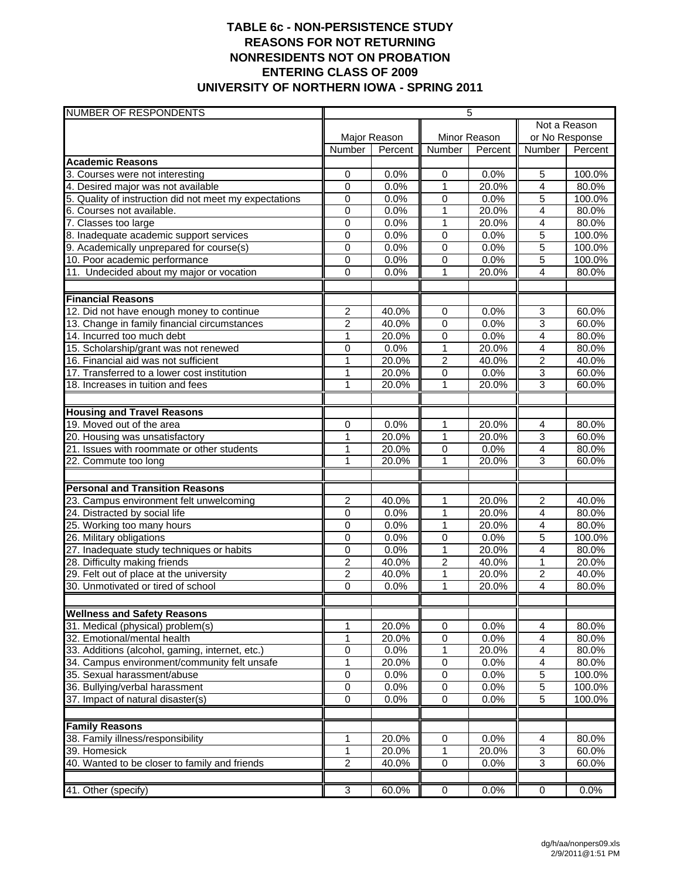## **TABLE 6c - NON-PERSISTENCE STUDY REASONS FOR NOT RETURNING NONRESIDENTS NOT ON PROBATION ENTERING CLASS OF 2009 UNIVERSITY OF NORTHERN IOWA - SPRING 2011**

| <b>NUMBER OF RESPONDENTS</b>                                                   | 5                           |               |                |               |                     |                  |
|--------------------------------------------------------------------------------|-----------------------------|---------------|----------------|---------------|---------------------|------------------|
|                                                                                |                             |               |                |               |                     | Not a Reason     |
|                                                                                |                             | Major Reason  |                | Minor Reason  | or No Response      |                  |
|                                                                                | Number                      | Percent       | Number         | Percent       | Number              | Percent          |
| <b>Academic Reasons</b>                                                        |                             |               |                |               |                     |                  |
| 3. Courses were not interesting                                                | 0                           | 0.0%          | 0              | 0.0%          | 5                   | 100.0%           |
| 4. Desired major was not available                                             | $\mathbf 0$                 | 0.0%          | 1              | 20.0%         | $\overline{4}$      | 80.0%            |
| 5. Quality of instruction did not meet my expectations                         | 0                           | 0.0%          | 0              | 0.0%          | 5                   | 100.0%           |
| 6. Courses not available.                                                      | 0                           | 0.0%          | $\overline{1}$ | 20.0%         | $\overline{4}$      | 80.0%            |
| 7. Classes too large                                                           | 0                           | 0.0%          | 1              | 20.0%         | 4                   | 80.0%            |
| 8. Inadequate academic support services                                        | $\mathbf 0$                 | 0.0%          | $\mathbf 0$    | 0.0%          | $\overline{5}$      | 100.0%           |
| 9. Academically unprepared for course(s)                                       | 0                           | 0.0%          | $\mathbf 0$    | 0.0%          | 5                   | 100.0%           |
| 10. Poor academic performance                                                  | 0                           | 0.0%          | $\mathbf 0$    | 0.0%          | 5                   | 100.0%           |
| 11. Undecided about my major or vocation                                       | 0                           | 0.0%          | 1              | 20.0%         | 4                   | 80.0%            |
| <b>Financial Reasons</b>                                                       |                             |               |                |               |                     |                  |
| 12. Did not have enough money to continue                                      | 2                           | 40.0%         | 0              | 0.0%          | 3                   | 60.0%            |
| 13. Change in family financial circumstances                                   | 2                           | 40.0%         | 0              | 0.0%          | $\overline{3}$      | 60.0%            |
| 14. Incurred too much debt                                                     | 1                           | 20.0%         | 0              | 0.0%          | 4                   | 80.0%            |
| 15. Scholarship/grant was not renewed                                          | 0                           | 0.0%          | 1              | 20.0%         | 4                   | 80.0%            |
| 16. Financial aid was not sufficient                                           | 1                           | 20.0%         | $\overline{c}$ | 40.0%         | $\overline{c}$      | 40.0%            |
| 17. Transferred to a lower cost institution                                    | 1                           | 20.0%         | $\overline{0}$ | 0.0%          | 3                   | 60.0%            |
| 18. Increases in tuition and fees                                              | 1                           | 20.0%         | 1              | 20.0%         | $\overline{3}$      | 60.0%            |
|                                                                                |                             |               |                |               |                     |                  |
| <b>Housing and Travel Reasons</b>                                              |                             |               |                |               |                     |                  |
| 19. Moved out of the area                                                      | 0                           | 0.0%          | 1              | 20.0%         | 4                   | 80.0%            |
| 20. Housing was unsatisfactory                                                 | 1                           | 20.0%         | 1              | 20.0%         | 3                   | 60.0%            |
| 21. Issues with roommate or other students                                     | 1                           | 20.0%         | $\mathbf 0$    | 0.0%          | $\overline{4}$      | 80.0%            |
| 22. Commute too long                                                           | 1                           | 20.0%         | 1              | 20.0%         | 3                   | 60.0%            |
|                                                                                |                             |               |                |               |                     |                  |
| <b>Personal and Transition Reasons</b>                                         |                             |               |                |               |                     |                  |
| 23. Campus environment felt unwelcoming                                        | $\boldsymbol{2}$            | 40.0%         | 1              | 20.0%         | $\overline{c}$      | 40.0%            |
| 24. Distracted by social life                                                  | 0                           | 0.0%          | 1              | 20.0%         | 4                   | 80.0%            |
| 25. Working too many hours                                                     | $\mathbf 0$                 | 0.0%          | $\mathbf 1$    | 20.0%         | 4                   | 80.0%            |
| 26. Military obligations                                                       | 0                           | 0.0%          | 0              | 0.0%          | $\overline{5}$      | 100.0%           |
| 27. Inadequate study techniques or habits                                      | $\mathbf 0$                 | 0.0%          | 1              | 20.0%         | $\overline{4}$      | 80.0%            |
| 28. Difficulty making friends                                                  | 2                           | 40.0%         | $\overline{c}$ | 40.0%         | $\mathbf{1}$        | 20.0%            |
| 29. Felt out of place at the university                                        | 2                           | 40.0%         | 1              | 20.0%         | $\overline{2}$      | 40.0%            |
| 30. Unmotivated or tired of school                                             | 0                           | 0.0%          | 1              | 20.0%         | 4                   | 80.0%            |
|                                                                                |                             |               |                |               |                     |                  |
| <b>Wellness and Safety Reasons</b>                                             |                             |               |                |               |                     |                  |
| 31. Medical (physical) problem(s)                                              | 1                           | 20.0%         | 0              | 0.0%          | 4                   | 80.0%            |
| 32. Emotional/mental health<br>33. Additions (alcohol, gaming, internet, etc.) | 1<br>0                      | 20.0%<br>0.0% | $\pmb{0}$<br>1 | 0.0%          | 4<br>4              | 80.0%            |
|                                                                                | 1                           |               |                | 20.0%<br>0.0% | 4                   | 80.0%<br>80.0%   |
| 34. Campus environment/community felt unsafe<br>35. Sexual harassment/abuse    |                             | 20.0%         | 0              |               | $\overline{5}$      | 100.0%           |
|                                                                                | 0                           | 0.0%          | 0              | 0.0%          |                     |                  |
| 36. Bullying/verbal harassment<br>37. Impact of natural disaster(s)            | $\pmb{0}$<br>$\overline{0}$ | 0.0%<br>0.0%  | 0<br>0         | 0.0%<br>0.0%  | 5<br>$\overline{5}$ | 100.0%<br>100.0% |
|                                                                                |                             |               |                |               |                     |                  |
| <b>Family Reasons</b>                                                          |                             |               |                |               |                     |                  |
| 38. Family illness/responsibility                                              | 1                           | 20.0%         | $\pmb{0}$      | 0.0%          | 4                   | 80.0%            |
| 39. Homesick                                                                   | 1                           | 20.0%         | 1              | 20.0%         | 3                   | $60.0\%$         |
| 40. Wanted to be closer to family and friends                                  | $\overline{2}$              | 40.0%         | 0              | $0.0\%$       | 3                   | 60.0%            |
|                                                                                |                             |               |                |               |                     |                  |
| 41. Other (specify)                                                            | $\overline{3}$              | 60.0%         | 0              | 0.0%          | $\overline{0}$      | 0.0%             |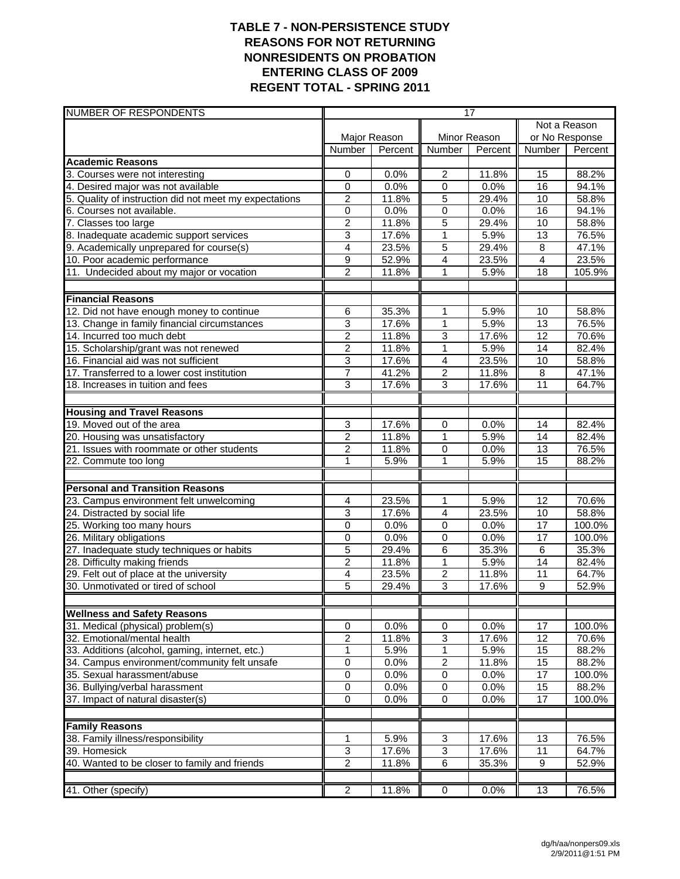### **TABLE 7 - NON-PERSISTENCE STUDY REASONS FOR NOT RETURNING NONRESIDENTS ON PROBATION ENTERING CLASS OF 2009 REGENT TOTAL - SPRING 2011**

| <b>NUMBER OF RESPONDENTS</b>                                              | 17                      |                |                                  |                |                       |                |  |
|---------------------------------------------------------------------------|-------------------------|----------------|----------------------------------|----------------|-----------------------|----------------|--|
|                                                                           |                         |                |                                  |                | Not a Reason          |                |  |
|                                                                           |                         | Major Reason   |                                  | Minor Reason   | or No Response        |                |  |
|                                                                           | Number                  | Percent        | <b>Number</b>                    | Percent        | Number                | Percent        |  |
| <b>Academic Reasons</b>                                                   |                         |                |                                  |                |                       |                |  |
| 3. Courses were not interesting                                           | 0                       | 0.0%           | $\overline{2}$                   | 11.8%          | 15                    | 88.2%          |  |
| 4. Desired major was not available                                        | 0                       | 0.0%           | 0                                | 0.0%           | 16                    | 94.1%          |  |
| 5. Quality of instruction did not meet my expectations                    | 2                       | 11.8%          | 5                                | 29.4%          | 10                    | 58.8%          |  |
| 6. Courses not available.                                                 | 0                       | 0.0%           | 0                                | 0.0%           | $\overline{16}$       | 94.1%          |  |
| 7. Classes too large<br>8. Inadequate academic support services           | $\overline{c}$<br>3     | 11.8%<br>17.6% | $\overline{5}$<br>$\overline{1}$ | 29.4%<br>5.9%  | 10<br>13              | 58.8%<br>76.5% |  |
|                                                                           |                         |                |                                  |                |                       |                |  |
| 9. Academically unprepared for course(s)                                  | 4                       | 23.5%<br>52.9% | 5<br>4                           | 29.4%          | 8<br>$\overline{4}$   | 47.1%<br>23.5% |  |
| 10. Poor academic performance<br>11. Undecided about my major or vocation | 9<br>$\overline{2}$     | 11.8%          | 1                                | 23.5%<br>5.9%  | 18                    | 105.9%         |  |
|                                                                           |                         |                |                                  |                |                       |                |  |
| <b>Financial Reasons</b>                                                  |                         |                |                                  |                |                       |                |  |
| 12. Did not have enough money to continue                                 | 6                       | 35.3%          | 1                                | 5.9%           | 10                    | 58.8%          |  |
| 13. Change in family financial circumstances                              | 3                       | 17.6%          | $\mathbf{1}$                     | 5.9%           | 13                    | 76.5%          |  |
| 14. Incurred too much debt                                                | $\overline{2}$          | 11.8%          | $\overline{3}$                   | 17.6%          | 12                    | 70.6%          |  |
| 15. Scholarship/grant was not renewed                                     | 2                       | 11.8%          | 1                                | 5.9%           | 14                    | 82.4%          |  |
| 16. Financial aid was not sufficient                                      | 3                       | 17.6%          | 4                                | 23.5%          | 10                    | 58.8%          |  |
| 17. Transferred to a lower cost institution                               | 7                       | 41.2%          | $\overline{2}$                   | 11.8%          | $\overline{8}$        | 47.1%          |  |
| 18. Increases in tuition and fees                                         | 3                       | 17.6%          | 3                                | 17.6%          | 11                    | 64.7%          |  |
|                                                                           |                         |                |                                  |                |                       |                |  |
| <b>Housing and Travel Reasons</b>                                         |                         |                |                                  |                |                       |                |  |
| 19. Moved out of the area                                                 | 3                       | 17.6%          | 0                                | 0.0%           | 14                    | 82.4%          |  |
| 20. Housing was unsatisfactory                                            | $\overline{2}$          | 11.8%          | 1                                | 5.9%           | 14                    | 82.4%          |  |
| 21. Issues with roommate or other students<br>22. Commute too long        | $\overline{c}$<br>1     | 11.8%<br>5.9%  | 0<br>1                           | 0.0%<br>5.9%   | $\overline{13}$<br>15 | 76.5%<br>88.2% |  |
|                                                                           |                         |                |                                  |                |                       |                |  |
| <b>Personal and Transition Reasons</b>                                    |                         |                |                                  |                |                       |                |  |
| 23. Campus environment felt unwelcoming                                   | 4                       | 23.5%          | 1                                | 5.9%           | 12                    | 70.6%          |  |
| 24. Distracted by social life                                             | 3                       | 17.6%          | $\overline{4}$                   | 23.5%          | 10                    | 58.8%          |  |
| 25. Working too many hours                                                | 0                       | 0.0%           | $\mathbf 0$                      | 0.0%           | $\overline{17}$       | 100.0%         |  |
| 26. Military obligations                                                  | 0                       | 0.0%           | 0                                | 0.0%           | 17                    | 100.0%         |  |
| 27. Inadequate study techniques or habits                                 | 5                       | 29.4%          | $\overline{6}$                   | 35.3%          | $\overline{6}$        | 35.3%          |  |
| 28. Difficulty making friends                                             | $\overline{2}$          | 11.8%          | $\overline{1}$                   | 5.9%           | $\overline{14}$       | 82.4%          |  |
| 29. Felt out of place at the university                                   | 4                       | 23.5%          | $\overline{2}$                   | 11.8%          | 11                    | 64.7%          |  |
| 30. Unmotivated or tired of school                                        | 5                       | 29.4%          | 3                                | 17.6%          | 9                     | 52.9%          |  |
| <b>Wellness and Safety Reasons</b>                                        |                         |                |                                  |                |                       |                |  |
| 31. Medical (physical) problem(s)                                         | 0                       | 0.0%           | $\pmb{0}$                        | 0.0%           | 17                    | 100.0%         |  |
| 32. Emotional/mental health                                               | $\overline{\mathbf{c}}$ | 11.8%          | 3                                | 17.6%          | 12                    | 70.6%          |  |
| 33. Additions (alcohol, gaming, internet, etc.)                           | 1                       | 5.9%           | $\mathbf{1}$                     | 5.9%           | 15                    | 88.2%          |  |
| 34. Campus environment/community felt unsafe                              | $\pmb{0}$               | 0.0%           | $\boldsymbol{2}$                 | 11.8%          | 15                    | 88.2%          |  |
| 35. Sexual harassment/abuse                                               | 0                       | 0.0%           | $\overline{0}$                   | 0.0%           | 17                    | 100.0%         |  |
| 36. Bullying/verbal harassment                                            | 0                       | 0.0%           | $\overline{0}$                   | 0.0%           | 15                    | 88.2%          |  |
| 37. Impact of natural disaster(s)                                         | $\overline{0}$          | 0.0%           | $\overline{0}$                   | 0.0%           | 17                    | 100.0%         |  |
|                                                                           |                         |                |                                  |                |                       |                |  |
| <b>Family Reasons</b>                                                     |                         |                |                                  |                |                       |                |  |
| 38. Family illness/responsibility<br>39. Homesick                         | 1                       | 5.9%           | $\ensuremath{\mathsf{3}}$        | 17.6%          | 13                    | 76.5%          |  |
| 40. Wanted to be closer to family and friends                             | 3<br>$\overline{2}$     | 17.6%<br>11.8% | 3<br>6                           | 17.6%<br>35.3% | 11<br>9               | 64.7%<br>52.9% |  |
|                                                                           |                         |                |                                  |                |                       |                |  |
| 41. Other (specify)                                                       | $\overline{2}$          | 11.8%          | $\overline{0}$                   | 0.0%           | 13                    | 76.5%          |  |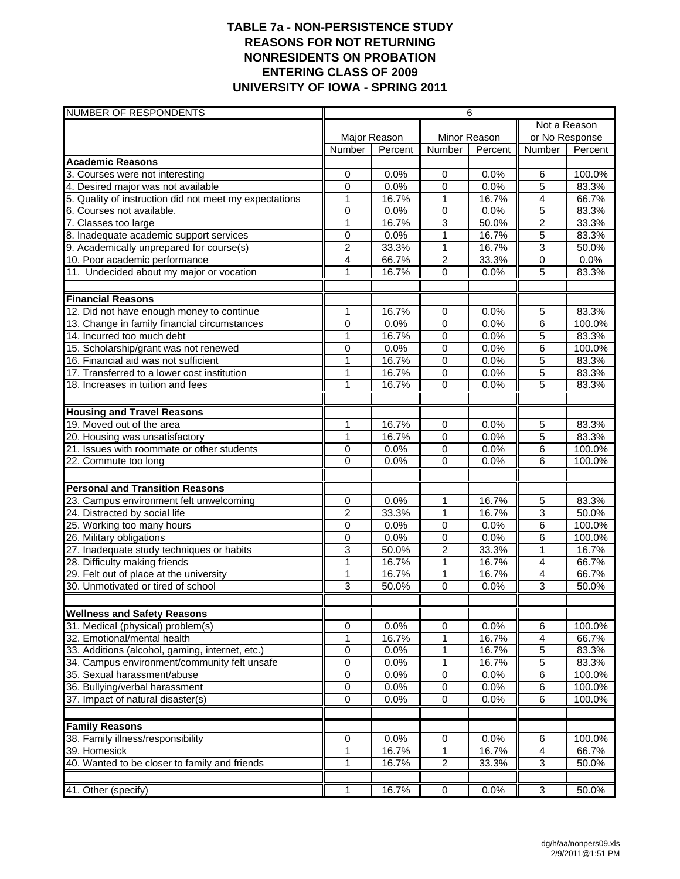## **TABLE 7a - NON-PERSISTENCE STUDY REASONS FOR NOT RETURNING NONRESIDENTS ON PROBATION ENTERING CLASS OF 2009 UNIVERSITY OF IOWA - SPRING 2011**

| NUMBER OF RESPONDENTS                                  | 6              |              |                |              |                |                |
|--------------------------------------------------------|----------------|--------------|----------------|--------------|----------------|----------------|
|                                                        |                |              |                |              | Not a Reason   |                |
|                                                        |                | Major Reason |                | Minor Reason |                | or No Response |
|                                                        | Number         | Percent      | Number         | Percent      | Number         | Percent        |
| <b>Academic Reasons</b>                                |                |              |                |              |                |                |
| 3. Courses were not interesting                        | 0              | 0.0%         | 0              | 0.0%         | 6              | 100.0%         |
| 4. Desired major was not available                     | $\mathbf 0$    | 0.0%         | $\mathbf 0$    | 0.0%         | 5              | 83.3%          |
| 5. Quality of instruction did not meet my expectations | $\mathbf{1}$   | 16.7%        | 1              | 16.7%        | $\overline{4}$ | 66.7%          |
| 6. Courses not available.                              | $\mathbf 0$    | 0.0%         | $\overline{0}$ | 0.0%         | $\overline{5}$ | 83.3%          |
| 7. Classes too large                                   | $\mathbf{1}$   | 16.7%        | 3              | 50.0%        | $\overline{c}$ | 33.3%          |
| 8. Inadequate academic support services                | 0              | 0.0%         | 1              | 16.7%        | $\overline{5}$ | 83.3%          |
| 9. Academically unprepared for course(s)               | 2              | 33.3%        | 1              | 16.7%        | 3              | 50.0%          |
| 10. Poor academic performance                          | 4              | 66.7%        | $\overline{2}$ | 33.3%        | 0              | 0.0%           |
| 11. Undecided about my major or vocation               | 1              | 16.7%        | 0              | 0.0%         | 5              | 83.3%          |
|                                                        |                |              |                |              |                |                |
| <b>Financial Reasons</b>                               |                |              |                |              |                |                |
| 12. Did not have enough money to continue              | 1              | 16.7%        | $\overline{0}$ | 0.0%         | $\overline{5}$ | 83.3%          |
| 13. Change in family financial circumstances           | $\mathbf 0$    | 0.0%         | 0              | 0.0%         | $\overline{6}$ | 100.0%         |
| 14. Incurred too much debt                             | 1              | 16.7%        | 0              | 0.0%         | 5              | 83.3%          |
| 15. Scholarship/grant was not renewed                  | 0              | 0.0%         | 0              | 0.0%         | 6              | 100.0%         |
| 16. Financial aid was not sufficient                   | $\mathbf{1}$   | 16.7%        | $\pmb{0}$      | 0.0%         | 5              | 83.3%          |
| 17. Transferred to a lower cost institution            | 1              | 16.7%        | 0              | 0.0%         | 5              | 83.3%          |
| 18. Increases in tuition and fees                      | $\mathbf{1}$   | 16.7%        | 0              | 0.0%         | 5              | 83.3%          |
|                                                        |                |              |                |              |                |                |
| <b>Housing and Travel Reasons</b>                      |                |              |                |              |                |                |
| 19. Moved out of the area                              | 1              | 16.7%        | $\mathbf 0$    | 0.0%         | 5              | 83.3%          |
| 20. Housing was unsatisfactory                         | $\overline{1}$ | 16.7%        | 0              | 0.0%         | $\overline{5}$ | 83.3%          |
| 21. Issues with roommate or other students             | 0              | 0.0%         | 0              | 0.0%         | 6              | 100.0%         |
| 22. Commute too long                                   | 0              | 0.0%         | 0              | 0.0%         | 6              | 100.0%         |
| <b>Personal and Transition Reasons</b>                 |                |              |                |              |                |                |
| 23. Campus environment felt unwelcoming                | 0              | 0.0%         | 1              | 16.7%        | 5              | 83.3%          |
| 24. Distracted by social life                          | 2              | 33.3%        | 1              | 16.7%        | $\overline{3}$ | 50.0%          |
| 25. Working too many hours                             | $\overline{0}$ | 0.0%         | $\overline{0}$ | 0.0%         | 6              | 100.0%         |
| 26. Military obligations                               | 0              | 0.0%         | 0              | 0.0%         | 6              | 100.0%         |
| 27. Inadequate study techniques or habits              | 3              | 50.0%        | $\overline{2}$ | 33.3%        | 1              | 16.7%          |
| 28. Difficulty making friends                          | 1              | 16.7%        | 1              | 16.7%        | $\overline{4}$ | 66.7%          |
| 29. Felt out of place at the university                | $\mathbf{1}$   | 16.7%        | 1              | 16.7%        | 4              | 66.7%          |
| 30. Unmotivated or tired of school                     | 3              | 50.0%        | 0              | 0.0%         | 3              | 50.0%          |
|                                                        |                |              |                |              |                |                |
| <b>Wellness and Safety Reasons</b>                     |                |              |                |              |                |                |
| 31. Medical (physical) problem(s)                      | 0              | 0.0%         | 0              | 0.0%         | 6              | 100.0%         |
| 32. Emotional/mental health                            | 1              | 16.7%        | 1              | 16.7%        | 4              | 66.7%          |
| 33. Additions (alcohol, gaming, internet, etc.)        | 0              | 0.0%         | 1              | 16.7%        | $\overline{5}$ | 83.3%          |
| 34. Campus environment/community felt unsafe           | 0              | 0.0%         | 1              | 16.7%        | $\overline{5}$ | 83.3%          |
| 35. Sexual harassment/abuse                            | $\overline{0}$ | 0.0%         | $\overline{0}$ | 0.0%         | $\overline{6}$ | 100.0%         |
| 36. Bullying/verbal harassment                         | $\pmb{0}$      | 0.0%         | 0              | 0.0%         | 6              | 100.0%         |
| 37. Impact of natural disaster(s)                      | $\mathbf 0$    | 0.0%         | $\pmb{0}$      | 0.0%         | 6              | 100.0%         |
|                                                        |                |              |                |              |                |                |
| <b>Family Reasons</b>                                  |                |              |                |              |                |                |
| 38. Family illness/responsibility                      | 0              | 0.0%         | 0              | 0.0%         | 6              | 100.0%         |
| 39. Homesick                                           | 1              | 16.7%        | 1              | 16.7%        | 4              | 66.7%          |
| 40. Wanted to be closer to family and friends          | 1              | 16.7%        | $\overline{2}$ | 33.3%        | $\overline{3}$ | 50.0%          |
|                                                        |                |              |                |              |                |                |
| 41. Other (specify)                                    | 1              | 16.7%        | 0              | 0.0%         | 3              | 50.0%          |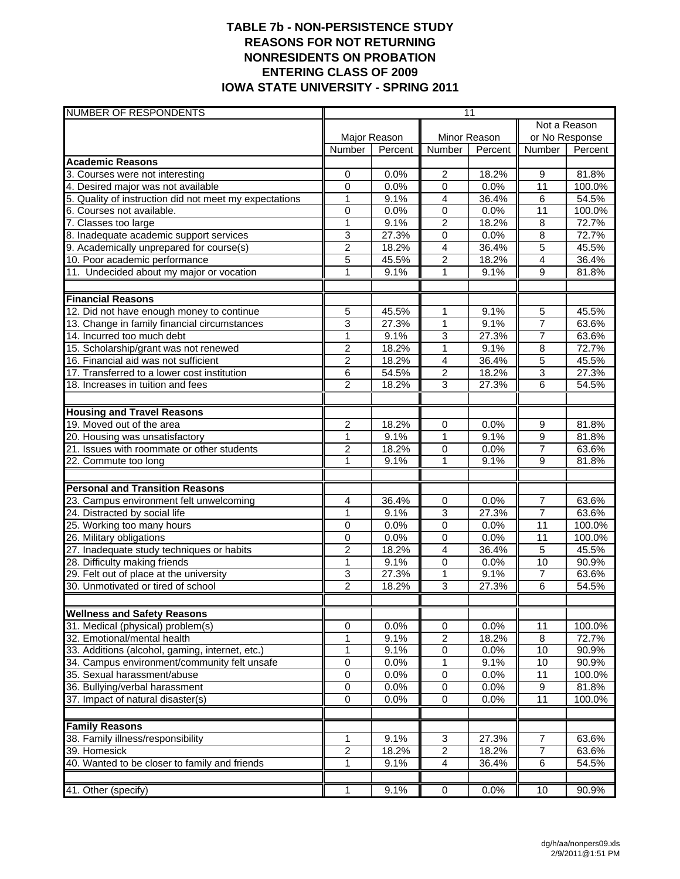### **TABLE 7b - NON-PERSISTENCE STUDY REASONS FOR NOT RETURNING NONRESIDENTS ON PROBATION ENTERING CLASS OF 2009 IOWA STATE UNIVERSITY - SPRING 2011**

| <b>NUMBER OF RESPONDENTS</b>                                              |                |                |                                  | 11            |                  |                |  |
|---------------------------------------------------------------------------|----------------|----------------|----------------------------------|---------------|------------------|----------------|--|
|                                                                           |                |                |                                  |               | Not a Reason     |                |  |
|                                                                           | Major Reason   |                | Minor Reason                     |               | or No Response   |                |  |
|                                                                           | Number         | Percent        | <b>Number</b>                    | Percent       | Number           | Percent        |  |
| <b>Academic Reasons</b>                                                   |                |                |                                  |               |                  |                |  |
| 3. Courses were not interesting                                           | 0              | 0.0%           | 2                                | 18.2%         | $\boldsymbol{9}$ | 81.8%          |  |
| 4. Desired major was not available                                        | 0              | 0.0%           | 0                                | 0.0%          | 11               | 100.0%         |  |
| 5. Quality of instruction did not meet my expectations                    | $\mathbf{1}$   | 9.1%           | $\overline{4}$                   | 36.4%         | 6                | 54.5%          |  |
| 6. Courses not available.                                                 | $\mathbf 0$    | 0.0%           | $\mathbf 0$                      | 0.0%          | 11               | 100.0%         |  |
| 7. Classes too large                                                      | $\overline{1}$ | 9.1%           | $\overline{2}$                   | 18.2%         | 8                | 72.7%<br>72.7% |  |
| 8. Inadequate academic support services                                   | 3              | 27.3%          | $\mathbf 0$                      | 0.0%          | 8                |                |  |
| 9. Academically unprepared for course(s)                                  | 2              | 18.2%<br>45.5% | $\overline{4}$<br>$\overline{2}$ | 36.4%         | 5<br>4           | 45.5%<br>36.4% |  |
| 10. Poor academic performance<br>11. Undecided about my major or vocation | 5<br>1         | 9.1%           | 1                                | 18.2%<br>9.1% | 9                | 81.8%          |  |
|                                                                           |                |                |                                  |               |                  |                |  |
| <b>Financial Reasons</b>                                                  |                |                |                                  |               |                  |                |  |
| 12. Did not have enough money to continue                                 | 5              | 45.5%          | 1                                | 9.1%          | 5                | 45.5%          |  |
| 13. Change in family financial circumstances                              | 3              | 27.3%          | $\mathbf{1}$                     | 9.1%          | $\overline{7}$   | 63.6%          |  |
| 14. Incurred too much debt                                                | $\overline{1}$ | 9.1%           | 3                                | 27.3%         | $\overline{7}$   | 63.6%          |  |
| 15. Scholarship/grant was not renewed                                     | $\overline{2}$ | 18.2%          | $\mathbf{1}$                     | 9.1%          | 8                | 72.7%          |  |
| 16. Financial aid was not sufficient                                      | $\overline{c}$ | 18.2%          | $\overline{4}$                   | 36.4%         | 5                | 45.5%          |  |
| 17. Transferred to a lower cost institution                               | 6              | 54.5%          | $\overline{2}$                   | 18.2%         | $\overline{3}$   | 27.3%          |  |
| 18. Increases in tuition and fees                                         | $\overline{2}$ | 18.2%          | $\overline{3}$                   | 27.3%         | 6                | 54.5%          |  |
|                                                                           |                |                |                                  |               |                  |                |  |
| <b>Housing and Travel Reasons</b>                                         |                |                |                                  |               |                  |                |  |
| 19. Moved out of the area                                                 | 2              | 18.2%          | $\mathbf 0$                      | 0.0%          | 9                | 81.8%          |  |
| 20. Housing was unsatisfactory                                            | 1              | 9.1%           | 1                                | 9.1%          | 9                | 81.8%          |  |
| 21. Issues with roommate or other students                                | $\overline{2}$ | 18.2%          | $\mathbf 0$                      | 0.0%          | $\overline{7}$   | 63.6%          |  |
| 22. Commute too long                                                      | 1              | 9.1%           | 1                                | 9.1%          | $\overline{9}$   | 81.8%          |  |
| <b>Personal and Transition Reasons</b>                                    |                |                |                                  |               |                  |                |  |
| 23. Campus environment felt unwelcoming                                   | 4              | 36.4%          | 0                                | 0.0%          | $\overline{7}$   | 63.6%          |  |
| 24. Distracted by social life                                             | 1              | 9.1%           | $\overline{3}$                   | 27.3%         | $\overline{7}$   | 63.6%          |  |
| 25. Working too many hours                                                | 0              | 0.0%           | 0                                | 0.0%          | 11               | 100.0%         |  |
| 26. Military obligations                                                  | 0              | 0.0%           | 0                                | 0.0%          | 11               | 100.0%         |  |
| 27. Inadequate study techniques or habits                                 | $\overline{2}$ | 18.2%          | 4                                | 36.4%         | $\overline{5}$   | 45.5%          |  |
| 28. Difficulty making friends                                             | $\mathbf{1}$   | 9.1%           | 0                                | 0.0%          | 10               | 90.9%          |  |
| 29. Felt out of place at the university                                   | 3              | 27.3%          | $\mathbf{1}$                     | 9.1%          | $\overline{7}$   | 63.6%          |  |
| 30. Unmotivated or tired of school                                        | $\overline{2}$ | 18.2%          | 3                                | 27.3%         | 6                | 54.5%          |  |
|                                                                           |                |                |                                  |               |                  |                |  |
| <b>Wellness and Safety Reasons</b>                                        |                |                |                                  |               |                  |                |  |
| 31. Medical (physical) problem(s)                                         | 0              | 0.0%           | 0                                | 0.0%          | 11               | 100.0%         |  |
| 32. Emotional/mental health                                               | 1              | 9.1%           | $\boldsymbol{2}$                 | 18.2%         | 8                | 72.7%          |  |
| 33. Additions (alcohol, gaming, internet, etc.)                           | 1              | 9.1%           | $\overline{0}$                   | 0.0%          | 10               | 90.9%          |  |
| 34. Campus environment/community felt unsafe                              | 0              | 0.0%           | 1                                | 9.1%          | 10               | 90.9%          |  |
| 35. Sexual harassment/abuse                                               | 0              | 0.0%           | 0                                | 0.0%          | $\overline{11}$  | 100.0%         |  |
| 36. Bullying/verbal harassment                                            | 0              | 0.0%           | 0                                | 0.0%          | $\boldsymbol{9}$ | 81.8%          |  |
| 37. Impact of natural disaster(s)                                         | 0              | 0.0%           | $\mathbf 0$                      | 0.0%          | 11               | 100.0%         |  |
| <b>Family Reasons</b>                                                     |                |                |                                  |               |                  |                |  |
| 38. Family illness/responsibility                                         | 1              | 9.1%           | 3                                | 27.3%         | 7                | 63.6%          |  |
| 39. Homesick                                                              | $\overline{2}$ | 18.2%          | $\overline{2}$                   | 18.2%         | $\overline{7}$   | 63.6%          |  |
| 40. Wanted to be closer to family and friends                             | $\mathbf{1}$   | 9.1%           | $\overline{4}$                   | 36.4%         | $\overline{6}$   | 54.5%          |  |
|                                                                           |                |                |                                  |               |                  |                |  |
| 41. Other (specify)                                                       |                | 9.1%           | 0                                | 0.0%          | 10               | 90.9%          |  |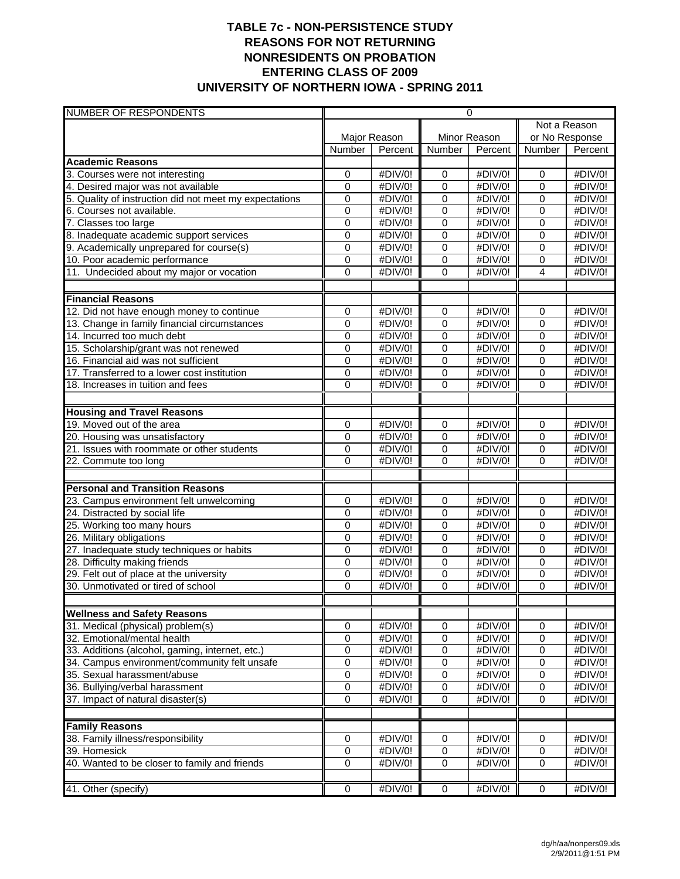## **TABLE 7c - NON-PERSISTENCE STUDY REASONS FOR NOT RETURNING NONRESIDENTS ON PROBATION ENTERING CLASS OF 2009 UNIVERSITY OF NORTHERN IOWA - SPRING 2011**

| NUMBER OF RESPONDENTS                                  | 0                   |         |                             |                    |                            |         |
|--------------------------------------------------------|---------------------|---------|-----------------------------|--------------------|----------------------------|---------|
|                                                        |                     |         |                             | Not a Reason       |                            |         |
|                                                        | Major Reason        |         | Minor Reason                |                    | or No Response             |         |
|                                                        | Number              | Percent | Number                      | Percent            | <b>Number</b>              | Percent |
| <b>Academic Reasons</b>                                |                     |         |                             |                    |                            |         |
| 3. Courses were not interesting                        | 0                   | #DIV/0! | 0                           | #DIV/0!            | 0                          | #DIV/0! |
| 4. Desired major was not available                     | $\mathbf 0$         | #DIV/0! | $\overline{0}$              | #DIV/0!            | $\mathbf 0$                | #DIV/0! |
| 5. Quality of instruction did not meet my expectations | $\mathbf 0$         | #DIV/0! | 0                           | #DIV/0!            | $\overline{0}$             | #DIV/0! |
| 6. Courses not available.                              | $\mathbf 0$         | #DIV/0! | 0                           | #DIV/0!            | $\overline{0}$             | #DIV/0! |
| 7. Classes too large                                   | 0                   | #DIV/0! | 0                           | #DIV/0!            | $\mathbf 0$                | #DIV/0! |
| 8. Inadequate academic support services                | 0                   | #DIV/0! | 0                           | #DIV/0!            | $\mathbf 0$                | #DIV/0! |
| 9. Academically unprepared for course(s)               | $\mathbf 0$         | #DIV/0! | $\pmb{0}$                   | #DIV/0!            | $\mathbf 0$                | #DIV/0! |
| 10. Poor academic performance                          | 0                   | #DIV/0! | 0                           | #DIV/0!            | $\mathbf 0$                | #DIV/0! |
| 11. Undecided about my major or vocation               | 0                   | #DIV/0! | 0                           | #DIV/0!            | $\overline{4}$             | #DIV/0! |
| <b>Financial Reasons</b>                               |                     |         |                             |                    |                            |         |
| 12. Did not have enough money to continue              | 0                   | #DIV/0! | 0                           | #DIV/0!            | $\overline{0}$             | #DIV/0! |
| 13. Change in family financial circumstances           | 0                   | #DIV/0! | 0                           | #DIV/0!            | $\overline{0}$             | #DIV/0! |
| 14. Incurred too much debt                             | $\mathbf 0$         | #DIV/0! | $\overline{0}$              | #DIV/0!            | $\mathbf 0$                | #DIV/0! |
| 15. Scholarship/grant was not renewed                  | $\mathbf 0$         | #DIV/0! | 0                           | #DIV/0!            | $\mathbf 0$                | #DIV/0! |
| 16. Financial aid was not sufficient                   |                     | #DIV/0! |                             |                    | $\mathbf 0$                | #DIV/0! |
| 17. Transferred to a lower cost institution            | 0<br>0              | #DIV/0! | $\pmb{0}$<br>$\overline{0}$ | #DIV/0!<br>#DIV/0! | $\mathbf 0$                | #DIV/0! |
| 18. Increases in tuition and fees                      | 0                   | #DIV/0! | 0                           | #DIV/0!            | $\overline{0}$             | #DIV/0! |
|                                                        |                     |         |                             |                    |                            |         |
| <b>Housing and Travel Reasons</b>                      |                     |         |                             |                    |                            |         |
| 19. Moved out of the area                              | 0                   | #DIV/0! | 0                           | #DIV/0!            | $\mathbf 0$                | #DIV/0! |
| 20. Housing was unsatisfactory                         | 0                   | #DIV/0! | 0                           | #DIV/0!            | $\Omega$                   | #DIV/0! |
| 21. Issues with roommate or other students             | $\mathbf 0$         | #DIV/0! | 0                           | #DIV/0!            | $\mathbf 0$                | #DIV/0! |
| 22. Commute too long                                   | 0                   | #DIV/0! | 0                           | #DIV/0!            | $\Omega$                   | #DIV/0! |
|                                                        |                     |         |                             |                    |                            |         |
| <b>Personal and Transition Reasons</b>                 |                     |         |                             |                    |                            |         |
| 23. Campus environment felt unwelcoming                | $\mathbf 0$         | #DIV/0! | $\pmb{0}$                   | #DIV/0!            | $\mathbf 0$                | #DIV/0! |
| 24. Distracted by social life                          | 0                   | #DIV/0! | 0                           | #DIV/0!            | $\mathbf 0$                | #DIV/0! |
| 25. Working too many hours                             | $\overline{0}$      | #DIV/0! | 0                           | #DIV/0!            | $\mathbf 0$                | #DIV/0! |
| 26. Military obligations                               | 0                   | #DIV/0! | 0                           | #DIV/0!            | $\overline{0}$             | #DIV/0! |
| 27. Inadequate study techniques or habits              | $\mathbf 0$         | #DIV/0! | 0                           | #DIV/0!            | $\Omega$                   | #DIV/0! |
| 28. Difficulty making friends                          | $\pmb{0}$           | #DIV/0! | 0                           | #DIV/0!            | $\mathbf 0$                | #DIV/0! |
| 29. Felt out of place at the university                | 0                   | #DIV/0! | $\,0\,$                     | #DIV/0!            | $\pmb{0}$                  | #DIV/0! |
| 30. Unmotivated or tired of school                     | 0                   | #DIV/0! | 0                           | #DIV/0!            | $\Omega$                   | #DIV/0! |
| <b>Wellness and Safety Reasons</b>                     |                     |         |                             |                    |                            |         |
| 31. Medical (physical) problem(s)                      |                     | #DIV/0! |                             | #DIV/0!            | 0                          | #DIV/0! |
| 32. Emotional/mental health                            | 0<br>$\pmb{0}$      | #DIV/0! | 0<br>0                      | #DIV/0!            | $\mathbf 0$                | #DIV/0! |
|                                                        | 0                   | #DIV/0! |                             | #DIV/0!            | $\mathbf 0$                |         |
| 33. Additions (alcohol, gaming, internet, etc.)        |                     |         | 0                           |                    |                            | #DIV/0! |
| 34. Campus environment/community felt unsafe           | 0<br>$\overline{0}$ | #DIV/0! | 0                           | #DIV/0!            | $\mathbf 0$<br>$\mathbf 0$ | #DIV/0! |
| 35. Sexual harassment/abuse                            |                     | #DIV/0! | 0                           | #DIV/0!            |                            | #DIV/0! |
| 36. Bullying/verbal harassment                         | $\pmb{0}$           | #DIV/0! | 0                           | #DIV/0!            | $\mathbf 0$                | #DIV/0! |
| 37. Impact of natural disaster(s)                      | $\overline{0}$      | #DIV/0! | 0                           | #DIV/0!            | $\mathbf 0$                | #DIV/0! |
| <b>Family Reasons</b>                                  |                     |         |                             |                    |                            |         |
| 38. Family illness/responsibility                      | 0                   | #DIV/0! | 0                           | #DIV/0!            | $\pmb{0}$                  | #DIV/0! |
| 39. Homesick                                           | 0                   | #DIV/0! | 0                           | #DIV/0!            | $\mathbf 0$                | #DIV/0! |
| 40. Wanted to be closer to family and friends          | 0                   | #DIV/0! | 0                           | #DIV/0!            | $\mathbf 0$                | #DIV/0! |
|                                                        |                     |         |                             |                    |                            |         |
| 41. Other (specify)                                    | $\overline{0}$      | #DIV/0! | $\overline{0}$              | #DIV/0!            | $\mathbf 0$                | #DIV/0! |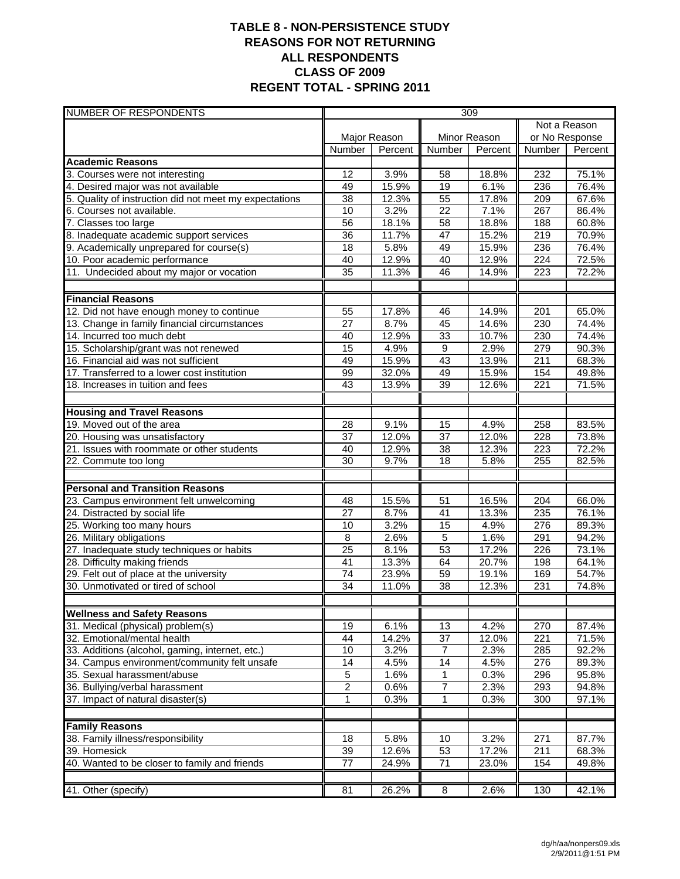## **TABLE 8 - NON-PERSISTENCE STUDY REASONS FOR NOT RETURNING ALL RESPONDENTS CLASS OF 2009 REGENT TOTAL - SPRING 2011**

| <b>NUMBER OF RESPONDENTS</b>                                             | 309                                |                |                      |                |                  |                |  |
|--------------------------------------------------------------------------|------------------------------------|----------------|----------------------|----------------|------------------|----------------|--|
|                                                                          |                                    |                |                      |                | Not a Reason     |                |  |
|                                                                          | Major Reason                       |                | Minor Reason         |                | or No Response   |                |  |
|                                                                          | Number                             | Percent        | <b>Number</b>        | Percent        | <b>Number</b>    | Percent        |  |
| <b>Academic Reasons</b>                                                  |                                    |                |                      |                |                  |                |  |
| 3. Courses were not interesting                                          | 12                                 | 3.9%           | 58                   | 18.8%          | 232              | 75.1%          |  |
| 4. Desired major was not available                                       | 49                                 | 15.9%          | $\overline{19}$      | 6.1%           | 236              | 76.4%          |  |
| 5. Quality of instruction did not meet my expectations                   | 38                                 | 12.3%          | $\overline{55}$      | 17.8%          | 209              | 67.6%          |  |
| 6. Courses not available.                                                | 10                                 | 3.2%           | $\overline{22}$      | 7.1%           | 267              | 86.4%          |  |
| 7. Classes too large                                                     | 56                                 | 18.1%          | $\overline{58}$      | 18.8%          | 188              | 60.8%          |  |
| 8. Inadequate academic support services                                  | 36                                 | 11.7%          | $\overline{47}$      | 15.2%          | 219              | 70.9%          |  |
| 9. Academically unprepared for course(s)                                 | 18                                 | 5.8%           | 49                   | 15.9%          | 236              | 76.4%          |  |
| 10. Poor academic performance                                            | 40                                 | 12.9%          | 40                   | 12.9%          | $\overline{224}$ | 72.5%          |  |
| 11. Undecided about my major or vocation                                 | $\overline{35}$                    | 11.3%          | 46                   | 14.9%          | 223              | 72.2%          |  |
| <b>Financial Reasons</b>                                                 |                                    |                |                      |                |                  |                |  |
| 12. Did not have enough money to continue                                | 55                                 | 17.8%          | 46                   | 14.9%          | 201              | 65.0%          |  |
| 13. Change in family financial circumstances                             | 27                                 | 8.7%           | 45                   | 14.6%          | 230              | 74.4%          |  |
| 14. Incurred too much debt                                               | 40                                 | 12.9%          | 33                   | 10.7%          | 230              | 74.4%          |  |
| 15. Scholarship/grant was not renewed                                    | $\overline{15}$                    | 4.9%           | $\overline{9}$       | 2.9%           | 279              | 90.3%          |  |
| 16. Financial aid was not sufficient                                     | 49                                 | 15.9%          | 43                   | 13.9%          | 211              | 68.3%          |  |
| 17. Transferred to a lower cost institution                              | 99                                 | 32.0%          | 49                   | 15.9%          | 154              | 49.8%          |  |
| 18. Increases in tuition and fees                                        | $\overline{43}$                    | 13.9%          | 39                   | 12.6%          | 221              | 71.5%          |  |
|                                                                          |                                    |                |                      |                |                  |                |  |
| <b>Housing and Travel Reasons</b>                                        |                                    |                |                      |                |                  |                |  |
| 19. Moved out of the area                                                | 28                                 | 9.1%           | 15                   | 4.9%           | 258              | 83.5%          |  |
| 20. Housing was unsatisfactory                                           | 37                                 | 12.0%          | $\overline{37}$      | 12.0%          | 228              | 73.8%          |  |
| 21. Issues with roommate or other students                               | 40                                 | 12.9%          | 38                   | 12.3%          | 223              | 72.2%          |  |
| 22. Commute too long                                                     | $\overline{30}$                    | 9.7%           | 18                   | 5.8%           | 255              | 82.5%          |  |
|                                                                          |                                    |                |                      |                |                  |                |  |
| <b>Personal and Transition Reasons</b>                                   |                                    |                |                      |                |                  |                |  |
| 23. Campus environment felt unwelcoming                                  | 48                                 | 15.5%          | 51                   | 16.5%          | 204              | 66.0%          |  |
| 24. Distracted by social life                                            | $\overline{27}$                    | 8.7%           | 41                   | 13.3%          | 235              | 76.1%          |  |
| 25. Working too many hours                                               | 10                                 | 3.2%           | 15                   | 4.9%           | 276              | 89.3%          |  |
| 26. Military obligations                                                 | 8<br>$\overline{25}$               | 2.6%           | $\overline{5}$<br>53 | 1.6%           | 291              | 94.2%          |  |
| 27. Inadequate study techniques or habits                                |                                    | 8.1%           |                      | 17.2%          | 226              | 73.1%          |  |
| 28. Difficulty making friends<br>29. Felt out of place at the university | 41                                 | 13.3%<br>23.9% | 64                   | 20.7%          | 198              | 64.1%<br>54.7% |  |
| 30. Unmotivated or tired of school                                       | $\overline{74}$<br>$\overline{34}$ | 11.0%          | 59<br>38             | 19.1%<br>12.3% | 169<br>231       | 74.8%          |  |
|                                                                          |                                    |                |                      |                |                  |                |  |
| <b>Wellness and Safety Reasons</b>                                       |                                    |                |                      |                |                  |                |  |
| 31. Medical (physical) problem(s)                                        | 19                                 | 6.1%           | 13                   | 4.2%           | 270              | 87.4%          |  |
| 32. Emotional/mental health                                              | 44                                 | 14.2%          | 37                   | 12.0%          | 221              | 71.5%          |  |
| 33. Additions (alcohol, gaming, internet, etc.)                          | 10                                 | 3.2%           | 7                    | 2.3%           | 285              | 92.2%          |  |
| 34. Campus environment/community felt unsafe                             | 14                                 | 4.5%           | 14                   | 4.5%           | 276              | 89.3%          |  |
| 35. Sexual harassment/abuse                                              | $\overline{5}$                     | 1.6%           | 1                    | 0.3%           | 296              | 95.8%          |  |
| 36. Bullying/verbal harassment                                           | $\overline{c}$                     | 0.6%           | 7                    | 2.3%           | 293              | 94.8%          |  |
| 37. Impact of natural disaster(s)                                        | 1                                  | 0.3%           | 1                    | 0.3%           | 300              | 97.1%          |  |
|                                                                          |                                    |                |                      |                |                  |                |  |
| <b>Family Reasons</b><br>38. Family illness/responsibility               | 18                                 | 5.8%           | 10                   | 3.2%           | 271              | 87.7%          |  |
| 39. Homesick                                                             | 39                                 | 12.6%          | 53                   | 17.2%          | 211              | 68.3%          |  |
| 40. Wanted to be closer to family and friends                            | $\overline{77}$                    | 24.9%          | $\overline{71}$      | 23.0%          | 154              | 49.8%          |  |
|                                                                          |                                    |                |                      |                |                  |                |  |
| 41. Other (specify)                                                      | 81                                 | 26.2%          | $\overline{8}$       | 2.6%           | 130              | 42.1%          |  |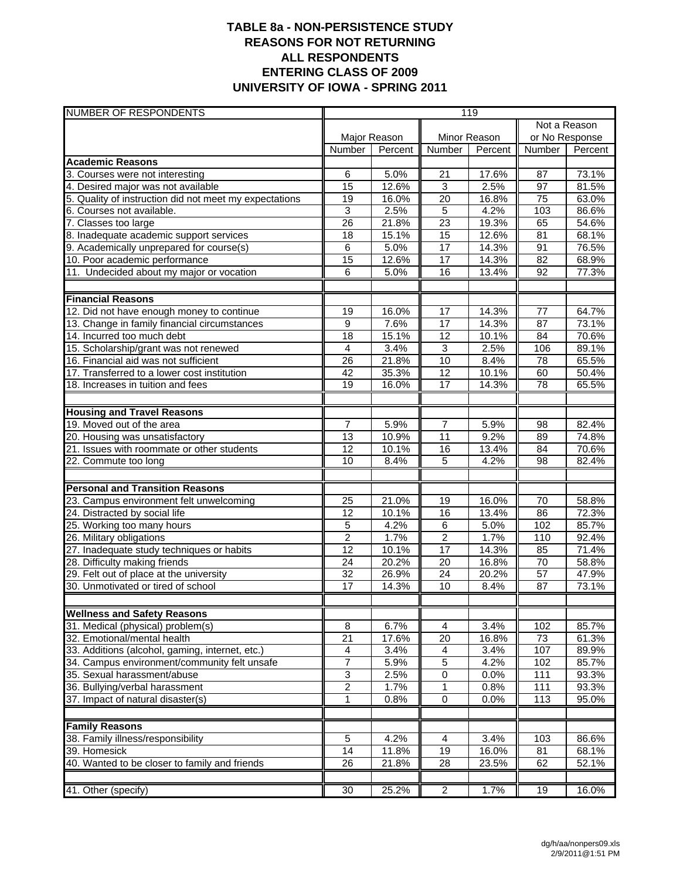## **TABLE 8a - NON-PERSISTENCE STUDY REASONS FOR NOT RETURNING ALL RESPONDENTS ENTERING CLASS OF 2009 UNIVERSITY OF IOWA - SPRING 2011**

| Not a Reason<br>Major Reason<br>Minor Reason<br>or No Response<br>Number<br>Number<br>Percent<br>Number<br>Percent<br>Percent<br><b>Academic Reasons</b><br>3. Courses were not interesting<br>5.0%<br>73.1%<br>6<br>21<br>17.6%<br>87<br>$\overline{15}$<br>2.5%<br>81.5%<br>4. Desired major was not available<br>12.6%<br>3<br>97<br>$\overline{20}$<br>19<br>75<br>5. Quality of instruction did not meet my expectations<br>16.0%<br>16.8%<br>63.0%<br>3<br>5<br>2.5%<br>4.2%<br>103<br>86.6%<br>6. Courses not available.<br>7. Classes too large<br>26<br>23<br>19.3%<br>54.6%<br>21.8%<br>65<br>15<br>68.1%<br>8. Inadequate academic support services<br>15.1%<br>12.6%<br>$\overline{81}$<br>18<br>9. Academically unprepared for course(s)<br>17<br>76.5%<br>6<br>5.0%<br>14.3%<br>91<br>15<br>$\overline{17}$<br>$\overline{82}$<br>68.9%<br>10. Poor academic performance<br>12.6%<br>14.3%<br>16<br>92<br>77.3%<br>11. Undecided about my major or vocation<br>6<br>5.0%<br>13.4%<br><b>Financial Reasons</b><br>17<br>$\overline{77}$<br>64.7%<br>12. Did not have enough money to continue<br>19<br>16.0%<br>14.3%<br>17<br>14.3%<br>87<br>73.1%<br>13. Change in family financial circumstances<br>9<br>7.6%<br>$\overline{18}$<br>15.1%<br>12<br>70.6%<br>14. Incurred too much debt<br>10.1%<br>84<br>$\overline{3}$<br>$\overline{4}$<br>89.1%<br>15. Scholarship/grant was not renewed<br>3.4%<br>2.5%<br>106<br>65.5%<br>16. Financial aid was not sufficient<br>21.8%<br>10<br>8.4%<br>78<br>26<br>10.1%<br>17. Transferred to a lower cost institution<br>35.3%<br>12<br>50.4%<br>42<br>60<br>78<br>17<br>19<br>14.3%<br>65.5%<br>18. Increases in tuition and fees<br>16.0%<br><b>Housing and Travel Reasons</b><br>19. Moved out of the area<br>$\overline{7}$<br>$\overline{7}$<br>5.9%<br>98<br>82.4%<br>5.9%<br>11<br>$\overline{13}$<br>10.9%<br>9.2%<br>89<br>74.8%<br>20. Housing was unsatisfactory<br>21. Issues with roommate or other students<br>12<br>10.1%<br>16<br>70.6%<br>13.4%<br>84<br>22. Commute too long<br>5<br>10<br>8.4%<br>4.2%<br>98<br>82.4%<br><b>Personal and Transition Reasons</b><br>23. Campus environment felt unwelcoming<br>21.0%<br>16.0%<br>70<br>58.8%<br>25<br>19<br>$\overline{12}$<br>16<br>72.3%<br>24. Distracted by social life<br>10.1%<br>13.4%<br>86<br>85.7%<br>5<br>4.2%<br>6<br>5.0%<br>102<br>25. Working too many hours<br>$\overline{2}$<br>$\overline{2}$<br>26. Military obligations<br>1.7%<br>1.7%<br>110<br>92.4%<br>$\overline{17}$<br>12<br>27. Inadequate study techniques or habits<br>10.1%<br>14.3%<br>85<br>71.4%<br>$\overline{70}$<br>28. Difficulty making friends<br>24<br>20.2%<br>20<br>58.8%<br>16.8%<br>29. Felt out of place at the university<br>26.9%<br>24<br>$\overline{57}$<br>47.9%<br>32<br>20.2%<br>30. Unmotivated or tired of school<br>17<br>14.3%<br>10<br>8.4%<br>87<br>73.1%<br><b>Wellness and Safety Reasons</b><br>6.7%<br>31. Medical (physical) problem(s)<br>8<br>3.4%<br>85.7%<br>$\overline{4}$<br>102<br>$\overline{21}$<br>32. Emotional/mental health<br>17.6%<br>20<br>16.8%<br>73<br>61.3%<br>33. Additions (alcohol, gaming, internet, etc.)<br>4<br>3.4%<br>107<br>3.4%<br>4<br>89.9%<br>7<br>5<br>34. Campus environment/community felt unsafe<br>5.9%<br>4.2%<br>102<br>85.7%<br>3<br>2.5%<br>0<br>0.0%<br>111<br>93.3%<br>35. Sexual harassment/abuse<br>$\overline{2}$<br>$\mathbf{1}$<br>36. Bullying/verbal harassment<br>1.7%<br>0.8%<br>111<br>93.3%<br>37. Impact of natural disaster(s)<br>0.8%<br>$\pmb{0}$<br>0.0%<br>113<br>1<br>95.0%<br><b>Family Reasons</b><br>86.6% | <b>NUMBER OF RESPONDENTS</b>      | 119         |      |                |      |     |  |  |
|-------------------------------------------------------------------------------------------------------------------------------------------------------------------------------------------------------------------------------------------------------------------------------------------------------------------------------------------------------------------------------------------------------------------------------------------------------------------------------------------------------------------------------------------------------------------------------------------------------------------------------------------------------------------------------------------------------------------------------------------------------------------------------------------------------------------------------------------------------------------------------------------------------------------------------------------------------------------------------------------------------------------------------------------------------------------------------------------------------------------------------------------------------------------------------------------------------------------------------------------------------------------------------------------------------------------------------------------------------------------------------------------------------------------------------------------------------------------------------------------------------------------------------------------------------------------------------------------------------------------------------------------------------------------------------------------------------------------------------------------------------------------------------------------------------------------------------------------------------------------------------------------------------------------------------------------------------------------------------------------------------------------------------------------------------------------------------------------------------------------------------------------------------------------------------------------------------------------------------------------------------------------------------------------------------------------------------------------------------------------------------------------------------------------------------------------------------------------------------------------------------------------------------------------------------------------------------------------------------------------------------------------------------------------------------------------------------------------------------------------------------------------------------------------------------------------------------------------------------------------------------------------------------------------------------------------------------------------------------------------------------------------------------------------------------------------------------------------------------------------------------------------------------------------------------------------------------------------------------------------------------------------------------------------------------------------------------------------------------------------------------------------------------------------------------------------------------------------------------------------------------------------------------------------------------------------------------------------------------------------------|-----------------------------------|-------------|------|----------------|------|-----|--|--|
|                                                                                                                                                                                                                                                                                                                                                                                                                                                                                                                                                                                                                                                                                                                                                                                                                                                                                                                                                                                                                                                                                                                                                                                                                                                                                                                                                                                                                                                                                                                                                                                                                                                                                                                                                                                                                                                                                                                                                                                                                                                                                                                                                                                                                                                                                                                                                                                                                                                                                                                                                                                                                                                                                                                                                                                                                                                                                                                                                                                                                                                                                                                                                                                                                                                                                                                                                                                                                                                                                                                                                                                                                         |                                   |             |      |                |      |     |  |  |
|                                                                                                                                                                                                                                                                                                                                                                                                                                                                                                                                                                                                                                                                                                                                                                                                                                                                                                                                                                                                                                                                                                                                                                                                                                                                                                                                                                                                                                                                                                                                                                                                                                                                                                                                                                                                                                                                                                                                                                                                                                                                                                                                                                                                                                                                                                                                                                                                                                                                                                                                                                                                                                                                                                                                                                                                                                                                                                                                                                                                                                                                                                                                                                                                                                                                                                                                                                                                                                                                                                                                                                                                                         |                                   |             |      |                |      |     |  |  |
|                                                                                                                                                                                                                                                                                                                                                                                                                                                                                                                                                                                                                                                                                                                                                                                                                                                                                                                                                                                                                                                                                                                                                                                                                                                                                                                                                                                                                                                                                                                                                                                                                                                                                                                                                                                                                                                                                                                                                                                                                                                                                                                                                                                                                                                                                                                                                                                                                                                                                                                                                                                                                                                                                                                                                                                                                                                                                                                                                                                                                                                                                                                                                                                                                                                                                                                                                                                                                                                                                                                                                                                                                         |                                   |             |      |                |      |     |  |  |
|                                                                                                                                                                                                                                                                                                                                                                                                                                                                                                                                                                                                                                                                                                                                                                                                                                                                                                                                                                                                                                                                                                                                                                                                                                                                                                                                                                                                                                                                                                                                                                                                                                                                                                                                                                                                                                                                                                                                                                                                                                                                                                                                                                                                                                                                                                                                                                                                                                                                                                                                                                                                                                                                                                                                                                                                                                                                                                                                                                                                                                                                                                                                                                                                                                                                                                                                                                                                                                                                                                                                                                                                                         |                                   |             |      |                |      |     |  |  |
|                                                                                                                                                                                                                                                                                                                                                                                                                                                                                                                                                                                                                                                                                                                                                                                                                                                                                                                                                                                                                                                                                                                                                                                                                                                                                                                                                                                                                                                                                                                                                                                                                                                                                                                                                                                                                                                                                                                                                                                                                                                                                                                                                                                                                                                                                                                                                                                                                                                                                                                                                                                                                                                                                                                                                                                                                                                                                                                                                                                                                                                                                                                                                                                                                                                                                                                                                                                                                                                                                                                                                                                                                         |                                   |             |      |                |      |     |  |  |
|                                                                                                                                                                                                                                                                                                                                                                                                                                                                                                                                                                                                                                                                                                                                                                                                                                                                                                                                                                                                                                                                                                                                                                                                                                                                                                                                                                                                                                                                                                                                                                                                                                                                                                                                                                                                                                                                                                                                                                                                                                                                                                                                                                                                                                                                                                                                                                                                                                                                                                                                                                                                                                                                                                                                                                                                                                                                                                                                                                                                                                                                                                                                                                                                                                                                                                                                                                                                                                                                                                                                                                                                                         |                                   |             |      |                |      |     |  |  |
|                                                                                                                                                                                                                                                                                                                                                                                                                                                                                                                                                                                                                                                                                                                                                                                                                                                                                                                                                                                                                                                                                                                                                                                                                                                                                                                                                                                                                                                                                                                                                                                                                                                                                                                                                                                                                                                                                                                                                                                                                                                                                                                                                                                                                                                                                                                                                                                                                                                                                                                                                                                                                                                                                                                                                                                                                                                                                                                                                                                                                                                                                                                                                                                                                                                                                                                                                                                                                                                                                                                                                                                                                         |                                   |             |      |                |      |     |  |  |
|                                                                                                                                                                                                                                                                                                                                                                                                                                                                                                                                                                                                                                                                                                                                                                                                                                                                                                                                                                                                                                                                                                                                                                                                                                                                                                                                                                                                                                                                                                                                                                                                                                                                                                                                                                                                                                                                                                                                                                                                                                                                                                                                                                                                                                                                                                                                                                                                                                                                                                                                                                                                                                                                                                                                                                                                                                                                                                                                                                                                                                                                                                                                                                                                                                                                                                                                                                                                                                                                                                                                                                                                                         |                                   |             |      |                |      |     |  |  |
|                                                                                                                                                                                                                                                                                                                                                                                                                                                                                                                                                                                                                                                                                                                                                                                                                                                                                                                                                                                                                                                                                                                                                                                                                                                                                                                                                                                                                                                                                                                                                                                                                                                                                                                                                                                                                                                                                                                                                                                                                                                                                                                                                                                                                                                                                                                                                                                                                                                                                                                                                                                                                                                                                                                                                                                                                                                                                                                                                                                                                                                                                                                                                                                                                                                                                                                                                                                                                                                                                                                                                                                                                         |                                   |             |      |                |      |     |  |  |
|                                                                                                                                                                                                                                                                                                                                                                                                                                                                                                                                                                                                                                                                                                                                                                                                                                                                                                                                                                                                                                                                                                                                                                                                                                                                                                                                                                                                                                                                                                                                                                                                                                                                                                                                                                                                                                                                                                                                                                                                                                                                                                                                                                                                                                                                                                                                                                                                                                                                                                                                                                                                                                                                                                                                                                                                                                                                                                                                                                                                                                                                                                                                                                                                                                                                                                                                                                                                                                                                                                                                                                                                                         |                                   |             |      |                |      |     |  |  |
|                                                                                                                                                                                                                                                                                                                                                                                                                                                                                                                                                                                                                                                                                                                                                                                                                                                                                                                                                                                                                                                                                                                                                                                                                                                                                                                                                                                                                                                                                                                                                                                                                                                                                                                                                                                                                                                                                                                                                                                                                                                                                                                                                                                                                                                                                                                                                                                                                                                                                                                                                                                                                                                                                                                                                                                                                                                                                                                                                                                                                                                                                                                                                                                                                                                                                                                                                                                                                                                                                                                                                                                                                         |                                   |             |      |                |      |     |  |  |
|                                                                                                                                                                                                                                                                                                                                                                                                                                                                                                                                                                                                                                                                                                                                                                                                                                                                                                                                                                                                                                                                                                                                                                                                                                                                                                                                                                                                                                                                                                                                                                                                                                                                                                                                                                                                                                                                                                                                                                                                                                                                                                                                                                                                                                                                                                                                                                                                                                                                                                                                                                                                                                                                                                                                                                                                                                                                                                                                                                                                                                                                                                                                                                                                                                                                                                                                                                                                                                                                                                                                                                                                                         |                                   |             |      |                |      |     |  |  |
|                                                                                                                                                                                                                                                                                                                                                                                                                                                                                                                                                                                                                                                                                                                                                                                                                                                                                                                                                                                                                                                                                                                                                                                                                                                                                                                                                                                                                                                                                                                                                                                                                                                                                                                                                                                                                                                                                                                                                                                                                                                                                                                                                                                                                                                                                                                                                                                                                                                                                                                                                                                                                                                                                                                                                                                                                                                                                                                                                                                                                                                                                                                                                                                                                                                                                                                                                                                                                                                                                                                                                                                                                         |                                   |             |      |                |      |     |  |  |
|                                                                                                                                                                                                                                                                                                                                                                                                                                                                                                                                                                                                                                                                                                                                                                                                                                                                                                                                                                                                                                                                                                                                                                                                                                                                                                                                                                                                                                                                                                                                                                                                                                                                                                                                                                                                                                                                                                                                                                                                                                                                                                                                                                                                                                                                                                                                                                                                                                                                                                                                                                                                                                                                                                                                                                                                                                                                                                                                                                                                                                                                                                                                                                                                                                                                                                                                                                                                                                                                                                                                                                                                                         |                                   |             |      |                |      |     |  |  |
|                                                                                                                                                                                                                                                                                                                                                                                                                                                                                                                                                                                                                                                                                                                                                                                                                                                                                                                                                                                                                                                                                                                                                                                                                                                                                                                                                                                                                                                                                                                                                                                                                                                                                                                                                                                                                                                                                                                                                                                                                                                                                                                                                                                                                                                                                                                                                                                                                                                                                                                                                                                                                                                                                                                                                                                                                                                                                                                                                                                                                                                                                                                                                                                                                                                                                                                                                                                                                                                                                                                                                                                                                         |                                   |             |      |                |      |     |  |  |
|                                                                                                                                                                                                                                                                                                                                                                                                                                                                                                                                                                                                                                                                                                                                                                                                                                                                                                                                                                                                                                                                                                                                                                                                                                                                                                                                                                                                                                                                                                                                                                                                                                                                                                                                                                                                                                                                                                                                                                                                                                                                                                                                                                                                                                                                                                                                                                                                                                                                                                                                                                                                                                                                                                                                                                                                                                                                                                                                                                                                                                                                                                                                                                                                                                                                                                                                                                                                                                                                                                                                                                                                                         |                                   |             |      |                |      |     |  |  |
|                                                                                                                                                                                                                                                                                                                                                                                                                                                                                                                                                                                                                                                                                                                                                                                                                                                                                                                                                                                                                                                                                                                                                                                                                                                                                                                                                                                                                                                                                                                                                                                                                                                                                                                                                                                                                                                                                                                                                                                                                                                                                                                                                                                                                                                                                                                                                                                                                                                                                                                                                                                                                                                                                                                                                                                                                                                                                                                                                                                                                                                                                                                                                                                                                                                                                                                                                                                                                                                                                                                                                                                                                         |                                   |             |      |                |      |     |  |  |
|                                                                                                                                                                                                                                                                                                                                                                                                                                                                                                                                                                                                                                                                                                                                                                                                                                                                                                                                                                                                                                                                                                                                                                                                                                                                                                                                                                                                                                                                                                                                                                                                                                                                                                                                                                                                                                                                                                                                                                                                                                                                                                                                                                                                                                                                                                                                                                                                                                                                                                                                                                                                                                                                                                                                                                                                                                                                                                                                                                                                                                                                                                                                                                                                                                                                                                                                                                                                                                                                                                                                                                                                                         |                                   |             |      |                |      |     |  |  |
|                                                                                                                                                                                                                                                                                                                                                                                                                                                                                                                                                                                                                                                                                                                                                                                                                                                                                                                                                                                                                                                                                                                                                                                                                                                                                                                                                                                                                                                                                                                                                                                                                                                                                                                                                                                                                                                                                                                                                                                                                                                                                                                                                                                                                                                                                                                                                                                                                                                                                                                                                                                                                                                                                                                                                                                                                                                                                                                                                                                                                                                                                                                                                                                                                                                                                                                                                                                                                                                                                                                                                                                                                         |                                   |             |      |                |      |     |  |  |
|                                                                                                                                                                                                                                                                                                                                                                                                                                                                                                                                                                                                                                                                                                                                                                                                                                                                                                                                                                                                                                                                                                                                                                                                                                                                                                                                                                                                                                                                                                                                                                                                                                                                                                                                                                                                                                                                                                                                                                                                                                                                                                                                                                                                                                                                                                                                                                                                                                                                                                                                                                                                                                                                                                                                                                                                                                                                                                                                                                                                                                                                                                                                                                                                                                                                                                                                                                                                                                                                                                                                                                                                                         |                                   |             |      |                |      |     |  |  |
|                                                                                                                                                                                                                                                                                                                                                                                                                                                                                                                                                                                                                                                                                                                                                                                                                                                                                                                                                                                                                                                                                                                                                                                                                                                                                                                                                                                                                                                                                                                                                                                                                                                                                                                                                                                                                                                                                                                                                                                                                                                                                                                                                                                                                                                                                                                                                                                                                                                                                                                                                                                                                                                                                                                                                                                                                                                                                                                                                                                                                                                                                                                                                                                                                                                                                                                                                                                                                                                                                                                                                                                                                         |                                   |             |      |                |      |     |  |  |
|                                                                                                                                                                                                                                                                                                                                                                                                                                                                                                                                                                                                                                                                                                                                                                                                                                                                                                                                                                                                                                                                                                                                                                                                                                                                                                                                                                                                                                                                                                                                                                                                                                                                                                                                                                                                                                                                                                                                                                                                                                                                                                                                                                                                                                                                                                                                                                                                                                                                                                                                                                                                                                                                                                                                                                                                                                                                                                                                                                                                                                                                                                                                                                                                                                                                                                                                                                                                                                                                                                                                                                                                                         |                                   |             |      |                |      |     |  |  |
|                                                                                                                                                                                                                                                                                                                                                                                                                                                                                                                                                                                                                                                                                                                                                                                                                                                                                                                                                                                                                                                                                                                                                                                                                                                                                                                                                                                                                                                                                                                                                                                                                                                                                                                                                                                                                                                                                                                                                                                                                                                                                                                                                                                                                                                                                                                                                                                                                                                                                                                                                                                                                                                                                                                                                                                                                                                                                                                                                                                                                                                                                                                                                                                                                                                                                                                                                                                                                                                                                                                                                                                                                         |                                   |             |      |                |      |     |  |  |
|                                                                                                                                                                                                                                                                                                                                                                                                                                                                                                                                                                                                                                                                                                                                                                                                                                                                                                                                                                                                                                                                                                                                                                                                                                                                                                                                                                                                                                                                                                                                                                                                                                                                                                                                                                                                                                                                                                                                                                                                                                                                                                                                                                                                                                                                                                                                                                                                                                                                                                                                                                                                                                                                                                                                                                                                                                                                                                                                                                                                                                                                                                                                                                                                                                                                                                                                                                                                                                                                                                                                                                                                                         |                                   |             |      |                |      |     |  |  |
|                                                                                                                                                                                                                                                                                                                                                                                                                                                                                                                                                                                                                                                                                                                                                                                                                                                                                                                                                                                                                                                                                                                                                                                                                                                                                                                                                                                                                                                                                                                                                                                                                                                                                                                                                                                                                                                                                                                                                                                                                                                                                                                                                                                                                                                                                                                                                                                                                                                                                                                                                                                                                                                                                                                                                                                                                                                                                                                                                                                                                                                                                                                                                                                                                                                                                                                                                                                                                                                                                                                                                                                                                         |                                   |             |      |                |      |     |  |  |
|                                                                                                                                                                                                                                                                                                                                                                                                                                                                                                                                                                                                                                                                                                                                                                                                                                                                                                                                                                                                                                                                                                                                                                                                                                                                                                                                                                                                                                                                                                                                                                                                                                                                                                                                                                                                                                                                                                                                                                                                                                                                                                                                                                                                                                                                                                                                                                                                                                                                                                                                                                                                                                                                                                                                                                                                                                                                                                                                                                                                                                                                                                                                                                                                                                                                                                                                                                                                                                                                                                                                                                                                                         |                                   |             |      |                |      |     |  |  |
|                                                                                                                                                                                                                                                                                                                                                                                                                                                                                                                                                                                                                                                                                                                                                                                                                                                                                                                                                                                                                                                                                                                                                                                                                                                                                                                                                                                                                                                                                                                                                                                                                                                                                                                                                                                                                                                                                                                                                                                                                                                                                                                                                                                                                                                                                                                                                                                                                                                                                                                                                                                                                                                                                                                                                                                                                                                                                                                                                                                                                                                                                                                                                                                                                                                                                                                                                                                                                                                                                                                                                                                                                         |                                   |             |      |                |      |     |  |  |
|                                                                                                                                                                                                                                                                                                                                                                                                                                                                                                                                                                                                                                                                                                                                                                                                                                                                                                                                                                                                                                                                                                                                                                                                                                                                                                                                                                                                                                                                                                                                                                                                                                                                                                                                                                                                                                                                                                                                                                                                                                                                                                                                                                                                                                                                                                                                                                                                                                                                                                                                                                                                                                                                                                                                                                                                                                                                                                                                                                                                                                                                                                                                                                                                                                                                                                                                                                                                                                                                                                                                                                                                                         |                                   |             |      |                |      |     |  |  |
|                                                                                                                                                                                                                                                                                                                                                                                                                                                                                                                                                                                                                                                                                                                                                                                                                                                                                                                                                                                                                                                                                                                                                                                                                                                                                                                                                                                                                                                                                                                                                                                                                                                                                                                                                                                                                                                                                                                                                                                                                                                                                                                                                                                                                                                                                                                                                                                                                                                                                                                                                                                                                                                                                                                                                                                                                                                                                                                                                                                                                                                                                                                                                                                                                                                                                                                                                                                                                                                                                                                                                                                                                         |                                   |             |      |                |      |     |  |  |
|                                                                                                                                                                                                                                                                                                                                                                                                                                                                                                                                                                                                                                                                                                                                                                                                                                                                                                                                                                                                                                                                                                                                                                                                                                                                                                                                                                                                                                                                                                                                                                                                                                                                                                                                                                                                                                                                                                                                                                                                                                                                                                                                                                                                                                                                                                                                                                                                                                                                                                                                                                                                                                                                                                                                                                                                                                                                                                                                                                                                                                                                                                                                                                                                                                                                                                                                                                                                                                                                                                                                                                                                                         |                                   |             |      |                |      |     |  |  |
|                                                                                                                                                                                                                                                                                                                                                                                                                                                                                                                                                                                                                                                                                                                                                                                                                                                                                                                                                                                                                                                                                                                                                                                                                                                                                                                                                                                                                                                                                                                                                                                                                                                                                                                                                                                                                                                                                                                                                                                                                                                                                                                                                                                                                                                                                                                                                                                                                                                                                                                                                                                                                                                                                                                                                                                                                                                                                                                                                                                                                                                                                                                                                                                                                                                                                                                                                                                                                                                                                                                                                                                                                         |                                   |             |      |                |      |     |  |  |
|                                                                                                                                                                                                                                                                                                                                                                                                                                                                                                                                                                                                                                                                                                                                                                                                                                                                                                                                                                                                                                                                                                                                                                                                                                                                                                                                                                                                                                                                                                                                                                                                                                                                                                                                                                                                                                                                                                                                                                                                                                                                                                                                                                                                                                                                                                                                                                                                                                                                                                                                                                                                                                                                                                                                                                                                                                                                                                                                                                                                                                                                                                                                                                                                                                                                                                                                                                                                                                                                                                                                                                                                                         |                                   |             |      |                |      |     |  |  |
|                                                                                                                                                                                                                                                                                                                                                                                                                                                                                                                                                                                                                                                                                                                                                                                                                                                                                                                                                                                                                                                                                                                                                                                                                                                                                                                                                                                                                                                                                                                                                                                                                                                                                                                                                                                                                                                                                                                                                                                                                                                                                                                                                                                                                                                                                                                                                                                                                                                                                                                                                                                                                                                                                                                                                                                                                                                                                                                                                                                                                                                                                                                                                                                                                                                                                                                                                                                                                                                                                                                                                                                                                         |                                   |             |      |                |      |     |  |  |
|                                                                                                                                                                                                                                                                                                                                                                                                                                                                                                                                                                                                                                                                                                                                                                                                                                                                                                                                                                                                                                                                                                                                                                                                                                                                                                                                                                                                                                                                                                                                                                                                                                                                                                                                                                                                                                                                                                                                                                                                                                                                                                                                                                                                                                                                                                                                                                                                                                                                                                                                                                                                                                                                                                                                                                                                                                                                                                                                                                                                                                                                                                                                                                                                                                                                                                                                                                                                                                                                                                                                                                                                                         |                                   |             |      |                |      |     |  |  |
|                                                                                                                                                                                                                                                                                                                                                                                                                                                                                                                                                                                                                                                                                                                                                                                                                                                                                                                                                                                                                                                                                                                                                                                                                                                                                                                                                                                                                                                                                                                                                                                                                                                                                                                                                                                                                                                                                                                                                                                                                                                                                                                                                                                                                                                                                                                                                                                                                                                                                                                                                                                                                                                                                                                                                                                                                                                                                                                                                                                                                                                                                                                                                                                                                                                                                                                                                                                                                                                                                                                                                                                                                         |                                   |             |      |                |      |     |  |  |
|                                                                                                                                                                                                                                                                                                                                                                                                                                                                                                                                                                                                                                                                                                                                                                                                                                                                                                                                                                                                                                                                                                                                                                                                                                                                                                                                                                                                                                                                                                                                                                                                                                                                                                                                                                                                                                                                                                                                                                                                                                                                                                                                                                                                                                                                                                                                                                                                                                                                                                                                                                                                                                                                                                                                                                                                                                                                                                                                                                                                                                                                                                                                                                                                                                                                                                                                                                                                                                                                                                                                                                                                                         |                                   |             |      |                |      |     |  |  |
|                                                                                                                                                                                                                                                                                                                                                                                                                                                                                                                                                                                                                                                                                                                                                                                                                                                                                                                                                                                                                                                                                                                                                                                                                                                                                                                                                                                                                                                                                                                                                                                                                                                                                                                                                                                                                                                                                                                                                                                                                                                                                                                                                                                                                                                                                                                                                                                                                                                                                                                                                                                                                                                                                                                                                                                                                                                                                                                                                                                                                                                                                                                                                                                                                                                                                                                                                                                                                                                                                                                                                                                                                         |                                   |             |      |                |      |     |  |  |
|                                                                                                                                                                                                                                                                                                                                                                                                                                                                                                                                                                                                                                                                                                                                                                                                                                                                                                                                                                                                                                                                                                                                                                                                                                                                                                                                                                                                                                                                                                                                                                                                                                                                                                                                                                                                                                                                                                                                                                                                                                                                                                                                                                                                                                                                                                                                                                                                                                                                                                                                                                                                                                                                                                                                                                                                                                                                                                                                                                                                                                                                                                                                                                                                                                                                                                                                                                                                                                                                                                                                                                                                                         |                                   |             |      |                |      |     |  |  |
|                                                                                                                                                                                                                                                                                                                                                                                                                                                                                                                                                                                                                                                                                                                                                                                                                                                                                                                                                                                                                                                                                                                                                                                                                                                                                                                                                                                                                                                                                                                                                                                                                                                                                                                                                                                                                                                                                                                                                                                                                                                                                                                                                                                                                                                                                                                                                                                                                                                                                                                                                                                                                                                                                                                                                                                                                                                                                                                                                                                                                                                                                                                                                                                                                                                                                                                                                                                                                                                                                                                                                                                                                         |                                   |             |      |                |      |     |  |  |
|                                                                                                                                                                                                                                                                                                                                                                                                                                                                                                                                                                                                                                                                                                                                                                                                                                                                                                                                                                                                                                                                                                                                                                                                                                                                                                                                                                                                                                                                                                                                                                                                                                                                                                                                                                                                                                                                                                                                                                                                                                                                                                                                                                                                                                                                                                                                                                                                                                                                                                                                                                                                                                                                                                                                                                                                                                                                                                                                                                                                                                                                                                                                                                                                                                                                                                                                                                                                                                                                                                                                                                                                                         |                                   |             |      |                |      |     |  |  |
|                                                                                                                                                                                                                                                                                                                                                                                                                                                                                                                                                                                                                                                                                                                                                                                                                                                                                                                                                                                                                                                                                                                                                                                                                                                                                                                                                                                                                                                                                                                                                                                                                                                                                                                                                                                                                                                                                                                                                                                                                                                                                                                                                                                                                                                                                                                                                                                                                                                                                                                                                                                                                                                                                                                                                                                                                                                                                                                                                                                                                                                                                                                                                                                                                                                                                                                                                                                                                                                                                                                                                                                                                         |                                   |             |      |                |      |     |  |  |
|                                                                                                                                                                                                                                                                                                                                                                                                                                                                                                                                                                                                                                                                                                                                                                                                                                                                                                                                                                                                                                                                                                                                                                                                                                                                                                                                                                                                                                                                                                                                                                                                                                                                                                                                                                                                                                                                                                                                                                                                                                                                                                                                                                                                                                                                                                                                                                                                                                                                                                                                                                                                                                                                                                                                                                                                                                                                                                                                                                                                                                                                                                                                                                                                                                                                                                                                                                                                                                                                                                                                                                                                                         |                                   |             |      |                |      |     |  |  |
|                                                                                                                                                                                                                                                                                                                                                                                                                                                                                                                                                                                                                                                                                                                                                                                                                                                                                                                                                                                                                                                                                                                                                                                                                                                                                                                                                                                                                                                                                                                                                                                                                                                                                                                                                                                                                                                                                                                                                                                                                                                                                                                                                                                                                                                                                                                                                                                                                                                                                                                                                                                                                                                                                                                                                                                                                                                                                                                                                                                                                                                                                                                                                                                                                                                                                                                                                                                                                                                                                                                                                                                                                         |                                   |             |      |                |      |     |  |  |
|                                                                                                                                                                                                                                                                                                                                                                                                                                                                                                                                                                                                                                                                                                                                                                                                                                                                                                                                                                                                                                                                                                                                                                                                                                                                                                                                                                                                                                                                                                                                                                                                                                                                                                                                                                                                                                                                                                                                                                                                                                                                                                                                                                                                                                                                                                                                                                                                                                                                                                                                                                                                                                                                                                                                                                                                                                                                                                                                                                                                                                                                                                                                                                                                                                                                                                                                                                                                                                                                                                                                                                                                                         |                                   |             |      |                |      |     |  |  |
|                                                                                                                                                                                                                                                                                                                                                                                                                                                                                                                                                                                                                                                                                                                                                                                                                                                                                                                                                                                                                                                                                                                                                                                                                                                                                                                                                                                                                                                                                                                                                                                                                                                                                                                                                                                                                                                                                                                                                                                                                                                                                                                                                                                                                                                                                                                                                                                                                                                                                                                                                                                                                                                                                                                                                                                                                                                                                                                                                                                                                                                                                                                                                                                                                                                                                                                                                                                                                                                                                                                                                                                                                         |                                   |             |      |                |      |     |  |  |
|                                                                                                                                                                                                                                                                                                                                                                                                                                                                                                                                                                                                                                                                                                                                                                                                                                                                                                                                                                                                                                                                                                                                                                                                                                                                                                                                                                                                                                                                                                                                                                                                                                                                                                                                                                                                                                                                                                                                                                                                                                                                                                                                                                                                                                                                                                                                                                                                                                                                                                                                                                                                                                                                                                                                                                                                                                                                                                                                                                                                                                                                                                                                                                                                                                                                                                                                                                                                                                                                                                                                                                                                                         |                                   |             |      |                |      |     |  |  |
|                                                                                                                                                                                                                                                                                                                                                                                                                                                                                                                                                                                                                                                                                                                                                                                                                                                                                                                                                                                                                                                                                                                                                                                                                                                                                                                                                                                                                                                                                                                                                                                                                                                                                                                                                                                                                                                                                                                                                                                                                                                                                                                                                                                                                                                                                                                                                                                                                                                                                                                                                                                                                                                                                                                                                                                                                                                                                                                                                                                                                                                                                                                                                                                                                                                                                                                                                                                                                                                                                                                                                                                                                         |                                   |             |      |                |      |     |  |  |
|                                                                                                                                                                                                                                                                                                                                                                                                                                                                                                                                                                                                                                                                                                                                                                                                                                                                                                                                                                                                                                                                                                                                                                                                                                                                                                                                                                                                                                                                                                                                                                                                                                                                                                                                                                                                                                                                                                                                                                                                                                                                                                                                                                                                                                                                                                                                                                                                                                                                                                                                                                                                                                                                                                                                                                                                                                                                                                                                                                                                                                                                                                                                                                                                                                                                                                                                                                                                                                                                                                                                                                                                                         |                                   |             |      |                |      |     |  |  |
|                                                                                                                                                                                                                                                                                                                                                                                                                                                                                                                                                                                                                                                                                                                                                                                                                                                                                                                                                                                                                                                                                                                                                                                                                                                                                                                                                                                                                                                                                                                                                                                                                                                                                                                                                                                                                                                                                                                                                                                                                                                                                                                                                                                                                                                                                                                                                                                                                                                                                                                                                                                                                                                                                                                                                                                                                                                                                                                                                                                                                                                                                                                                                                                                                                                                                                                                                                                                                                                                                                                                                                                                                         | 38. Family illness/responsibility | $\mathbf 5$ | 4.2% | $\overline{4}$ | 3.4% | 103 |  |  |
| 39. Homesick<br>$\overline{14}$<br>19<br>11.8%<br>16.0%<br>81<br>68.1%<br>40. Wanted to be closer to family and friends<br>28<br>$\overline{26}$<br>21.8%<br>62                                                                                                                                                                                                                                                                                                                                                                                                                                                                                                                                                                                                                                                                                                                                                                                                                                                                                                                                                                                                                                                                                                                                                                                                                                                                                                                                                                                                                                                                                                                                                                                                                                                                                                                                                                                                                                                                                                                                                                                                                                                                                                                                                                                                                                                                                                                                                                                                                                                                                                                                                                                                                                                                                                                                                                                                                                                                                                                                                                                                                                                                                                                                                                                                                                                                                                                                                                                                                                                         |                                   |             |      |                |      |     |  |  |
| 23.5%<br>52.1%                                                                                                                                                                                                                                                                                                                                                                                                                                                                                                                                                                                                                                                                                                                                                                                                                                                                                                                                                                                                                                                                                                                                                                                                                                                                                                                                                                                                                                                                                                                                                                                                                                                                                                                                                                                                                                                                                                                                                                                                                                                                                                                                                                                                                                                                                                                                                                                                                                                                                                                                                                                                                                                                                                                                                                                                                                                                                                                                                                                                                                                                                                                                                                                                                                                                                                                                                                                                                                                                                                                                                                                                          |                                   |             |      |                |      |     |  |  |
| 1.7%<br>16.0%<br>41. Other (specify)<br>30<br>25.2%<br>$\overline{2}$<br>19                                                                                                                                                                                                                                                                                                                                                                                                                                                                                                                                                                                                                                                                                                                                                                                                                                                                                                                                                                                                                                                                                                                                                                                                                                                                                                                                                                                                                                                                                                                                                                                                                                                                                                                                                                                                                                                                                                                                                                                                                                                                                                                                                                                                                                                                                                                                                                                                                                                                                                                                                                                                                                                                                                                                                                                                                                                                                                                                                                                                                                                                                                                                                                                                                                                                                                                                                                                                                                                                                                                                             |                                   |             |      |                |      |     |  |  |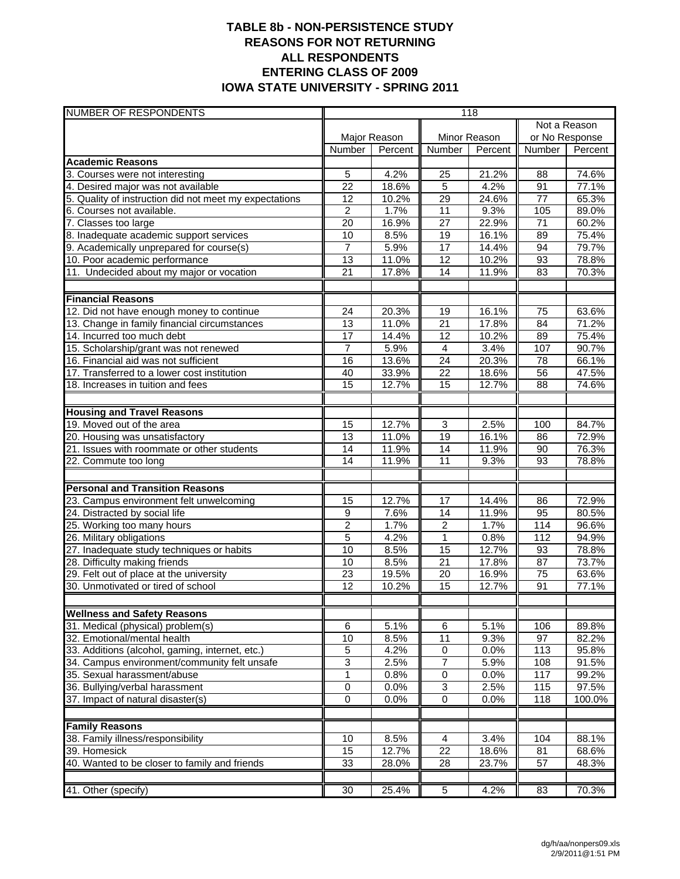## **TABLE 8b - NON-PERSISTENCE STUDY REASONS FOR NOT RETURNING ALL RESPONDENTS ENTERING CLASS OF 2009 IOWA STATE UNIVERSITY - SPRING 2011**

| NUMBER OF RESPONDENTS                                      | 118             |         |                 |              |                 |         |
|------------------------------------------------------------|-----------------|---------|-----------------|--------------|-----------------|---------|
|                                                            |                 |         |                 | Not a Reason |                 |         |
|                                                            | Major Reason    |         | Minor Reason    |              | or No Response  |         |
|                                                            | Number          | Percent | Number          | Percent      | Number          | Percent |
| <b>Academic Reasons</b>                                    |                 |         |                 |              |                 |         |
| 3. Courses were not interesting                            | $\sqrt{5}$      | 4.2%    | 25              | 21.2%        | 88              | 74.6%   |
| 4. Desired major was not available                         | 22              | 18.6%   | 5               | 4.2%         | 91              | 77.1%   |
| 5. Quality of instruction did not meet my expectations     | 12              | 10.2%   | 29              | 24.6%        | 77              | 65.3%   |
| 6. Courses not available.                                  | $\overline{2}$  | 1.7%    | 11              | 9.3%         | 105             | 89.0%   |
| 7. Classes too large                                       | 20              | 16.9%   | 27              | 22.9%        | 71              | 60.2%   |
| 8. Inadequate academic support services                    | 10              | 8.5%    | $\overline{19}$ | 16.1%        | 89              | 75.4%   |
| 9. Academically unprepared for course(s)                   | $\overline{7}$  | 5.9%    | 17              | 14.4%        | 94              | 79.7%   |
| 10. Poor academic performance                              | 13              | 11.0%   | 12              | 10.2%        | 93              | 78.8%   |
| 11. Undecided about my major or vocation                   | 21              | 17.8%   | $\overline{14}$ | 11.9%        | 83              | 70.3%   |
|                                                            |                 |         |                 |              |                 |         |
| <b>Financial Reasons</b>                                   |                 |         |                 |              |                 |         |
| 12. Did not have enough money to continue                  | 24              | 20.3%   | 19              | 16.1%        | 75              | 63.6%   |
| 13. Change in family financial circumstances               | 13              | 11.0%   | $\overline{21}$ | 17.8%        | 84              | 71.2%   |
| 14. Incurred too much debt                                 | 17              | 14.4%   | $\overline{12}$ | 10.2%        | 89              | 75.4%   |
| 15. Scholarship/grant was not renewed                      | $\overline{7}$  | 5.9%    | $\overline{4}$  | 3.4%         | 107             | 90.7%   |
| 16. Financial aid was not sufficient                       | 16              | 13.6%   | 24              | 20.3%        | 78              | 66.1%   |
| 17. Transferred to a lower cost institution                | 40              | 33.9%   | $\overline{22}$ | 18.6%        | $\overline{56}$ | 47.5%   |
| 18. Increases in tuition and fees                          | 15              | 12.7%   | 15              | 12.7%        | 88              | 74.6%   |
|                                                            |                 |         |                 |              |                 |         |
| <b>Housing and Travel Reasons</b>                          |                 |         |                 |              |                 |         |
| 19. Moved out of the area                                  | 15              | 12.7%   | 3               | 2.5%         | 100             | 84.7%   |
| 20. Housing was unsatisfactory                             | 13              | 11.0%   | $\overline{19}$ | 16.1%        | 86              | 72.9%   |
| 21. Issues with roommate or other students                 | $\overline{14}$ | 11.9%   | $\overline{14}$ | 11.9%        | 90              | 76.3%   |
| 22. Commute too long                                       | 14              | 11.9%   | $\overline{11}$ | 9.3%         | 93              | 78.8%   |
| <b>Personal and Transition Reasons</b>                     |                 |         |                 |              |                 |         |
| 23. Campus environment felt unwelcoming                    | 15              | 12.7%   | 17              | 14.4%        | 86              | 72.9%   |
| 24. Distracted by social life                              | 9               | 7.6%    | 14              | 11.9%        | 95              | 80.5%   |
| 25. Working too many hours                                 | $\overline{2}$  | 1.7%    | $\overline{2}$  | 1.7%         | 114             | 96.6%   |
| 26. Military obligations                                   | $\overline{5}$  | 4.2%    | 1               | 0.8%         | 112             | 94.9%   |
| 27. Inadequate study techniques or habits                  | 10              | 8.5%    | 15              | 12.7%        | 93              | 78.8%   |
| 28. Difficulty making friends                              | 10              | 8.5%    | $\overline{21}$ | 17.8%        | 87              | 73.7%   |
| 29. Felt out of place at the university                    | $\overline{23}$ | 19.5%   | 20              | 16.9%        | $\overline{75}$ | 63.6%   |
| 30. Unmotivated or tired of school                         | 12              | 10.2%   | 15              | 12.7%        | 91              | 77.1%   |
|                                                            |                 |         |                 |              |                 |         |
| <b>Wellness and Safety Reasons</b>                         |                 |         |                 |              |                 |         |
| 31. Medical (physical) problem(s)                          | 6               | 5.1%    | 6               | 5.1%         | 106             | 89.8%   |
| 32. Emotional/mental health                                | 10              | 8.5%    | 11              | 9.3%         | 97              | 82.2%   |
| 33. Additions (alcohol, gaming, internet, etc.)            | $\overline{5}$  | 4.2%    | 0               | 0.0%         | 113             | 95.8%   |
| 34. Campus environment/community felt unsafe               | 3               | 2.5%    | $\overline{7}$  | 5.9%         | 108             | 91.5%   |
| 35. Sexual harassment/abuse                                | $\overline{1}$  | 0.8%    | $\overline{0}$  | 0.0%         | 117             | 99.2%   |
| 36. Bullying/verbal harassment                             | 0               | 0.0%    | 3               | 2.5%         | 115             | 97.5%   |
| 37. Impact of natural disaster(s)                          | 0               | 0.0%    | $\overline{0}$  | $0.0\%$      | 118             | 100.0%  |
|                                                            |                 |         |                 |              |                 |         |
| <b>Family Reasons</b><br>38. Family illness/responsibility | 10              | 8.5%    | 4               | 3.4%         | 104             | 88.1%   |
| 39. Homesick                                               | 15              | 12.7%   | $\overline{22}$ | 18.6%        | 81              | 68.6%   |
| 40. Wanted to be closer to family and friends              | $\overline{33}$ | 28.0%   | $\overline{28}$ | 23.7%        | $\overline{57}$ | 48.3%   |
|                                                            |                 |         |                 |              |                 |         |
| 41. Other (specify)                                        | 30              | 25.4%   | $\overline{5}$  | 4.2%         | 83              | 70.3%   |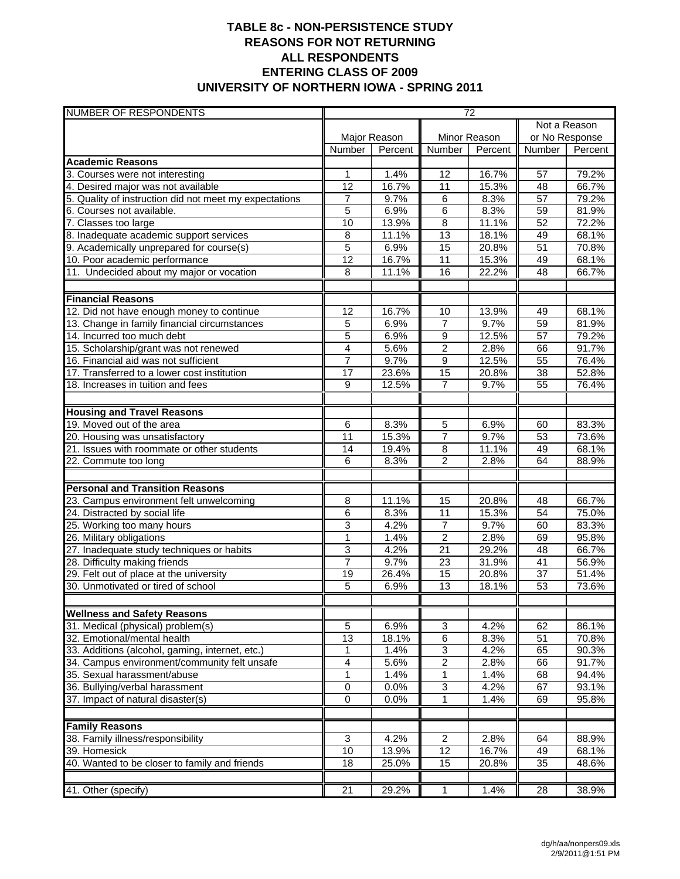## **TABLE 8c - NON-PERSISTENCE STUDY REASONS FOR NOT RETURNING ALL RESPONDENTS ENTERING CLASS OF 2009 UNIVERSITY OF NORTHERN IOWA - SPRING 2011**

| <b>NUMBER OF RESPONDENTS</b>                                                 | $\overline{72}$ |         |                           |              |                 |         |
|------------------------------------------------------------------------------|-----------------|---------|---------------------------|--------------|-----------------|---------|
|                                                                              |                 |         |                           | Not a Reason |                 |         |
|                                                                              | Major Reason    |         | Minor Reason              |              | or No Response  |         |
|                                                                              | Number          | Percent | Number                    | Percent      | Number          | Percent |
| <b>Academic Reasons</b>                                                      |                 |         |                           |              |                 |         |
| 3. Courses were not interesting                                              | 1               | 1.4%    | 12                        | 16.7%        | 57              | 79.2%   |
| 4. Desired major was not available                                           | $\overline{12}$ | 16.7%   | $\overline{11}$           | 15.3%        | 48              | 66.7%   |
| 5. Quality of instruction did not meet my expectations                       | 7               | 9.7%    | $\,6$                     | 8.3%         | 57              | 79.2%   |
| 6. Courses not available.                                                    | $\overline{5}$  | 6.9%    | $\overline{6}$            | 8.3%         | 59              | 81.9%   |
| 7. Classes too large                                                         | 10              | 13.9%   | 8                         | 11.1%        | 52              | 72.2%   |
| 8. Inadequate academic support services                                      | 8               | 11.1%   | $\overline{13}$           | 18.1%        | 49              | 68.1%   |
| 9. Academically unprepared for course(s)                                     | 5               | 6.9%    | 15                        | 20.8%        | 51              | 70.8%   |
| 10. Poor academic performance                                                | $\overline{12}$ | 16.7%   | $\overline{11}$           | 15.3%        | 49              | 68.1%   |
| 11. Undecided about my major or vocation                                     | 8               | 11.1%   | 16                        | 22.2%        | 48              | 66.7%   |
| <b>Financial Reasons</b>                                                     |                 |         |                           |              |                 |         |
| 12. Did not have enough money to continue                                    | $\overline{12}$ | 16.7%   | $\overline{10}$           | 13.9%        | 49              | 68.1%   |
| 13. Change in family financial circumstances                                 | 5               | 6.9%    | $\overline{7}$            | 9.7%         | 59              | 81.9%   |
| 14. Incurred too much debt                                                   | 5               | 6.9%    | $\overline{9}$            | 12.5%        | 57              | 79.2%   |
| 15. Scholarship/grant was not renewed                                        | 4               | 5.6%    | $\overline{2}$            | 2.8%         | 66              | 91.7%   |
| 16. Financial aid was not sufficient                                         | $\overline{7}$  | 9.7%    | 9                         | 12.5%        | 55              | 76.4%   |
| 17. Transferred to a lower cost institution                                  | $\overline{17}$ | 23.6%   | 15                        | 20.8%        | $\overline{38}$ | 52.8%   |
| 18. Increases in tuition and fees                                            | 9               | 12.5%   | $\overline{7}$            | 9.7%         | 55              | 76.4%   |
|                                                                              |                 |         |                           |              |                 |         |
|                                                                              |                 |         |                           |              |                 |         |
| <b>Housing and Travel Reasons</b><br>19. Moved out of the area               | 6               | 8.3%    | $\overline{5}$            | 6.9%         | 60              | 83.3%   |
|                                                                              | 11              | 15.3%   | $\overline{7}$            | 9.7%         | 53              | 73.6%   |
| 20. Housing was unsatisfactory<br>21. Issues with roommate or other students |                 | 19.4%   | $\overline{8}$            | 11.1%        | 49              | 68.1%   |
| 22. Commute too long                                                         | 14<br>6         | 8.3%    | $\overline{2}$            | 2.8%         | 64              | 88.9%   |
|                                                                              |                 |         |                           |              |                 |         |
| <b>Personal and Transition Reasons</b>                                       |                 |         |                           |              |                 |         |
| 23. Campus environment felt unwelcoming                                      | 8               | 11.1%   | 15                        | 20.8%        | 48              | 66.7%   |
| 24. Distracted by social life                                                | 6               | 8.3%    | 11                        | 15.3%        | 54              | 75.0%   |
| 25. Working too many hours                                                   | 3               | 4.2%    | $\overline{7}$            | 9.7%         | 60              | 83.3%   |
| 26. Military obligations                                                     | $\overline{1}$  | 1.4%    | $\overline{2}$            | 2.8%         | 69              | 95.8%   |
| 27. Inadequate study techniques or habits                                    | 3               | 4.2%    | $\overline{21}$           | 29.2%        | 48              | 66.7%   |
| 28. Difficulty making friends                                                | $\overline{7}$  | 9.7%    | 23                        | 31.9%        | 41              | 56.9%   |
| 29. Felt out of place at the university                                      | 19              | 26.4%   | 15                        | 20.8%        | $\overline{37}$ | 51.4%   |
| 30. Unmotivated or tired of school                                           | 5               | 6.9%    | $\overline{13}$           | 18.1%        | $\overline{53}$ | 73.6%   |
|                                                                              |                 |         |                           |              |                 |         |
| <b>Wellness and Safety Reasons</b><br>31. Medical (physical) problem(s)      |                 |         |                           |              |                 |         |
| 32. Emotional/mental health                                                  | 5               | 6.9%    | $\ensuremath{\mathsf{3}}$ | 4.2%         | 62              | 86.1%   |
|                                                                              | 13              | 18.1%   | 6                         | 8.3%         | 51              | 70.8%   |
| 33. Additions (alcohol, gaming, internet, etc.)                              | $\mathbf{1}$    | 1.4%    | 3                         | 4.2%         | 65              | 90.3%   |
| 34. Campus environment/community felt unsafe                                 | 4               | 5.6%    | $\overline{c}$            | 2.8%         | 66              | 91.7%   |
| 35. Sexual harassment/abuse                                                  | 1               | 1.4%    | 1                         | 1.4%         | 68              | 94.4%   |
| 36. Bullying/verbal harassment                                               | 0               | 0.0%    | 3                         | 4.2%         | 67              | 93.1%   |
| 37. Impact of natural disaster(s)                                            | $\overline{0}$  | 0.0%    | 1                         | 1.4%         | 69              | 95.8%   |
| <b>Family Reasons</b>                                                        |                 |         |                           |              |                 |         |
| 38. Family illness/responsibility                                            | 3               | 4.2%    | $\overline{c}$            | 2.8%         | 64              | 88.9%   |
| 39. Homesick                                                                 | 10              | 13.9%   | 12                        | 16.7%        | 49              | 68.1%   |
| 40. Wanted to be closer to family and friends                                | 18              | 25.0%   | 15                        | 20.8%        | $\overline{35}$ | 48.6%   |
|                                                                              |                 |         |                           |              |                 |         |
| 41. Other (specify)                                                          | 21              | 29.2%   | 1                         | 1.4%         | 28              | 38.9%   |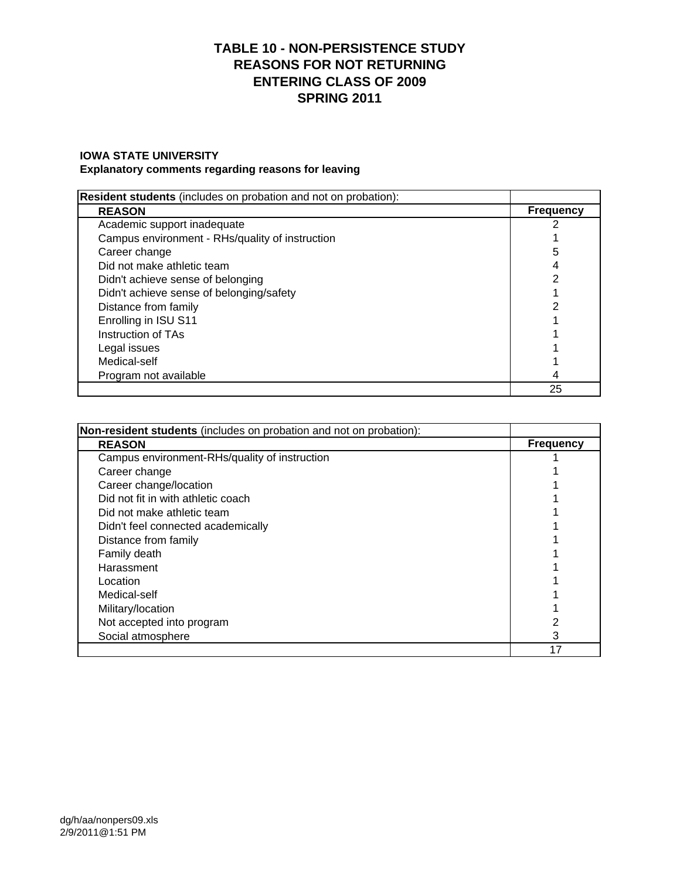# **TABLE 10 - NON-PERSISTENCE STUDY REASONS FOR NOT RETURNING ENTERING CLASS OF 2009 SPRING 2011**

### **IOWA STATE UNIVERSITY**

#### **Explanatory comments regarding reasons for leaving**

| <b>Resident students</b> (includes on probation and not on probation): |                  |
|------------------------------------------------------------------------|------------------|
| <b>REASON</b>                                                          | <b>Frequency</b> |
| Academic support inadequate                                            |                  |
| Campus environment - RHs/quality of instruction                        |                  |
| Career change                                                          | 5                |
| Did not make athletic team                                             |                  |
| Didn't achieve sense of belonging                                      |                  |
| Didn't achieve sense of belonging/safety                               |                  |
| Distance from family                                                   |                  |
| Enrolling in ISU S11                                                   |                  |
| Instruction of TAs                                                     |                  |
| Legal issues                                                           |                  |
| Medical-self                                                           |                  |
| Program not available                                                  | 4                |
|                                                                        | 25               |

| Non-resident students (includes on probation and not on probation): |                  |
|---------------------------------------------------------------------|------------------|
| <b>REASON</b>                                                       | <b>Frequency</b> |
| Campus environment-RHs/quality of instruction                       |                  |
| Career change                                                       |                  |
| Career change/location                                              |                  |
| Did not fit in with athletic coach                                  |                  |
| Did not make athletic team                                          |                  |
| Didn't feel connected academically                                  |                  |
| Distance from family                                                |                  |
| Family death                                                        |                  |
| Harassment                                                          |                  |
| Location                                                            |                  |
| Medical-self                                                        |                  |
| Military/location                                                   |                  |
| Not accepted into program                                           |                  |
| Social atmosphere                                                   | 3                |
|                                                                     | 17               |